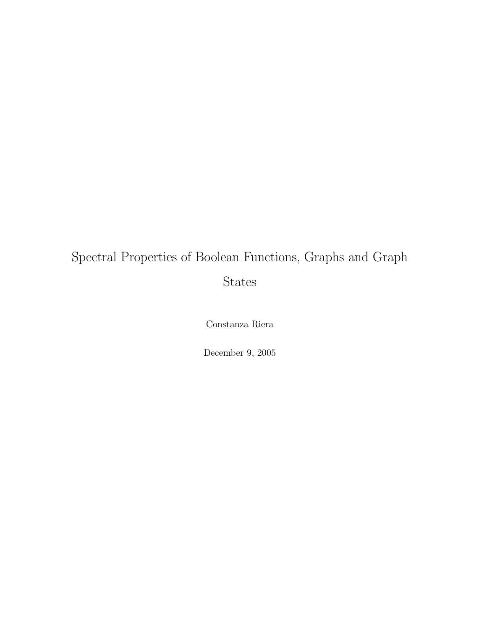## Spectral Properties of Boolean Functions, Graphs and Graph States

Constanza Riera

December 9, 2005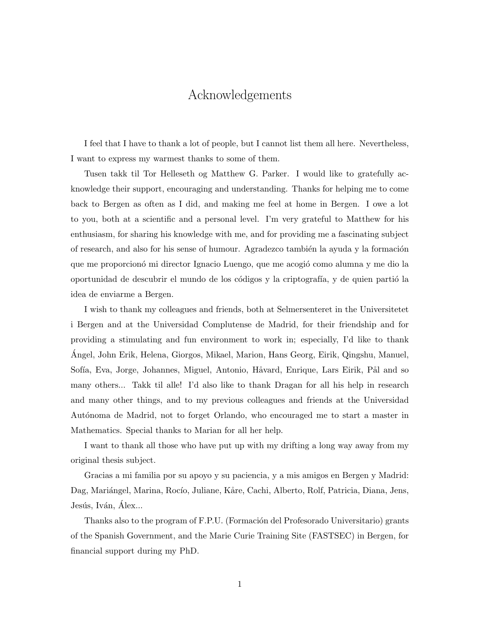### Acknowledgements

I feel that I have to thank a lot of people, but I cannot list them all here. Nevertheless, I want to express my warmest thanks to some of them.

Tusen takk til Tor Helleseth og Matthew G. Parker. I would like to gratefully acknowledge their support, encouraging and understanding. Thanks for helping me to come back to Bergen as often as I did, and making me feel at home in Bergen. I owe a lot to you, both at a scientific and a personal level. I'm very grateful to Matthew for his enthusiasm, for sharing his knowledge with me, and for providing me a fascinating subject of research, and also for his sense of humour. Agradezco también la ayuda y la formación que me proporcionó mi director Ignacio Luengo, que me acogió como alumna y me dio la oportunidad de descubrir el mundo de los códigos y la criptografía, y de quien partió la idea de enviarme a Bergen.

I wish to thank my colleagues and friends, both at Selmersenteret in the Universitetet i Bergen and at the Universidad Complutense de Madrid, for their friendship and for providing a stimulating and fun environment to work in; especially, I'd like to thank Angel, John Erik, Helena, Giorgos, Mikael, Marion, Hans Georg, Eirik, Qingshu, Manuel, ´ Sofía, Eva, Jorge, Johannes, Miguel, Antonio, Håvard, Enrique, Lars Eirik, Pål and so many others... Takk til alle! I'd also like to thank Dragan for all his help in research and many other things, and to my previous colleagues and friends at the Universidad Autónoma de Madrid, not to forget Orlando, who encouraged me to start a master in Mathematics. Special thanks to Marian for all her help.

I want to thank all those who have put up with my drifting a long way away from my original thesis subject.

Gracias a mi familia por su apoyo y su paciencia, y a mis amigos en Bergen y Madrid: Dag, Mariángel, Marina, Rocío, Juliane, Kåre, Cachi, Alberto, Rolf, Patricia, Diana, Jens, Jesús, Iván, Alex...

Thanks also to the program of F.P.U. (Formación del Profesorado Universitario) grants of the Spanish Government, and the Marie Curie Training Site (FASTSEC) in Bergen, for financial support during my PhD.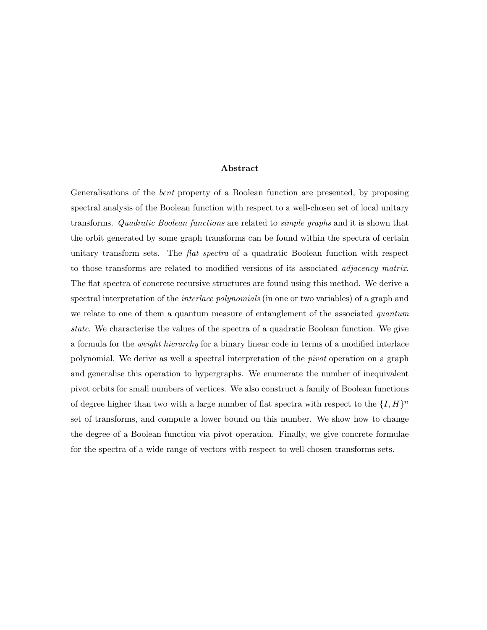#### Abstract

Generalisations of the bent property of a Boolean function are presented, by proposing spectral analysis of the Boolean function with respect to a well-chosen set of local unitary transforms. Quadratic Boolean functions are related to simple graphs and it is shown that the orbit generated by some graph transforms can be found within the spectra of certain unitary transform sets. The *flat spectra* of a quadratic Boolean function with respect to those transforms are related to modified versions of its associated adjacency matrix. The flat spectra of concrete recursive structures are found using this method. We derive a spectral interpretation of the *interlace polynomials* (in one or two variables) of a graph and we relate to one of them a quantum measure of entanglement of the associated *quantum* state. We characterise the values of the spectra of a quadratic Boolean function. We give a formula for the weight hierarchy for a binary linear code in terms of a modified interlace polynomial. We derive as well a spectral interpretation of the pivot operation on a graph and generalise this operation to hypergraphs. We enumerate the number of inequivalent pivot orbits for small numbers of vertices. We also construct a family of Boolean functions of degree higher than two with a large number of flat spectra with respect to the  $\{I, H\}^n$ set of transforms, and compute a lower bound on this number. We show how to change the degree of a Boolean function via pivot operation. Finally, we give concrete formulae for the spectra of a wide range of vectors with respect to well-chosen transforms sets.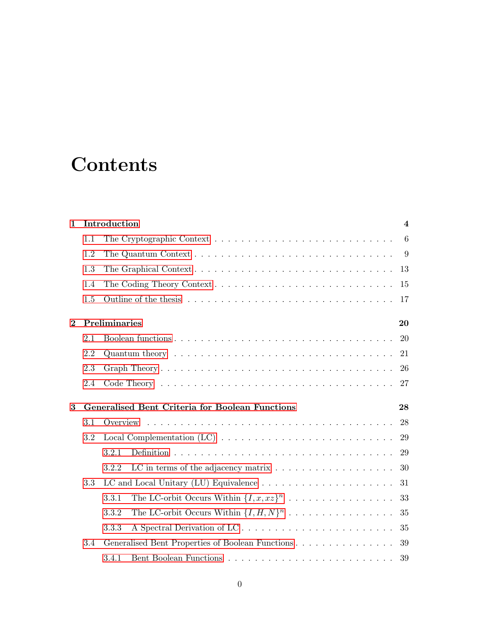## **Contents**

| $\mathbf{1}$ | Introduction        |                                                                                               |    |  |  |
|--------------|---------------------|-----------------------------------------------------------------------------------------------|----|--|--|
|              | 1.1                 |                                                                                               | 6  |  |  |
|              | 1.2                 |                                                                                               | 9  |  |  |
|              | 1.3                 |                                                                                               | 13 |  |  |
|              | 1.4                 |                                                                                               | 15 |  |  |
|              | 1.5                 |                                                                                               | 17 |  |  |
| $\bf{2}$     | Preliminaries<br>20 |                                                                                               |    |  |  |
|              | 2.1                 |                                                                                               | 20 |  |  |
|              | 2.2                 | Quantum theory $\ldots \ldots \ldots \ldots \ldots \ldots \ldots \ldots \ldots \ldots \ldots$ | 21 |  |  |
|              | 2.3                 |                                                                                               | 26 |  |  |
|              | 2.4                 |                                                                                               | 27 |  |  |
| 3            |                     | Generalised Bent Criteria for Boolean Functions                                               | 28 |  |  |
|              | 3.1                 |                                                                                               | 28 |  |  |
|              | 3.2                 |                                                                                               | 29 |  |  |
|              |                     | 3.2.1                                                                                         | 29 |  |  |
|              |                     | 3.2.2                                                                                         | 30 |  |  |
|              | 3.3                 |                                                                                               | 31 |  |  |
|              |                     | The LC-orbit Occurs Within $\{I, x, xz\}^n$<br>3.3.1                                          | 33 |  |  |
|              |                     | The LC-orbit Occurs Within $\{I, H, N\}^n$<br>3.3.2                                           | 35 |  |  |
|              |                     | A Spectral Derivation of LC<br>3.3.3                                                          | 35 |  |  |
|              | 3.4                 | Generalised Bent Properties of Boolean Functions                                              | 39 |  |  |
|              |                     | 3.4.1                                                                                         | 39 |  |  |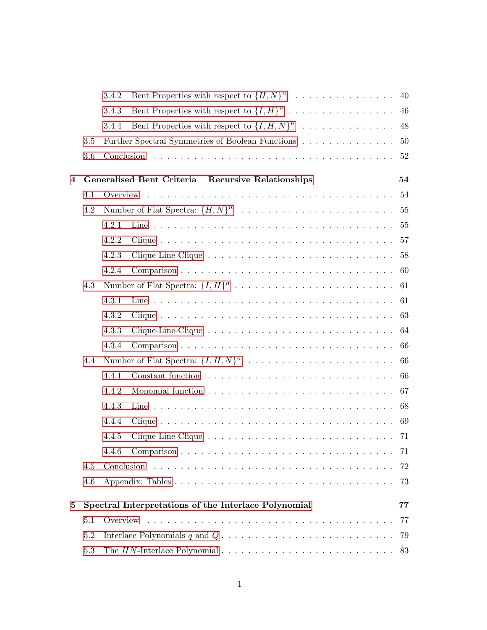|   |         | 3.4.2     | Bent Properties with respect to $\{H, N\}^n$                                                                      | 40  |
|---|---------|-----------|-------------------------------------------------------------------------------------------------------------------|-----|
|   |         | 3.4.3     | Bent Properties with respect to $\{I, H\}^n$                                                                      | 46  |
|   |         | 3.4.4     | Bent Properties with respect to $\{I, H, N\}^n$                                                                   | 48  |
|   | 3.5     |           | Further Spectral Symmetries of Boolean Functions                                                                  | 50  |
|   | 3.6     |           |                                                                                                                   | 52  |
| 4 |         |           | Generalised Bent Criteria - Recursive Relationships                                                               | 54  |
|   | 4.1     |           |                                                                                                                   | 54  |
|   | 4.2     |           |                                                                                                                   | 55  |
|   |         | 4.2.1     |                                                                                                                   |     |
|   |         | 4.2.2     |                                                                                                                   | 57  |
|   |         | 4.2.3     |                                                                                                                   | 58  |
|   |         | 4.2.4     |                                                                                                                   | 60  |
|   | 4.3     |           |                                                                                                                   |     |
|   |         | 4.3.1     |                                                                                                                   | 61  |
|   |         | 4.3.2     |                                                                                                                   | 63  |
|   |         | 4.3.3     |                                                                                                                   | 64  |
|   |         | 4.3.4     |                                                                                                                   | 66  |
|   | 4.4     |           |                                                                                                                   | 66  |
|   |         | 4.4.1     |                                                                                                                   | 66  |
|   |         | 4.4.2     |                                                                                                                   | 67  |
|   |         | 4.4.3     |                                                                                                                   | 68  |
|   |         | 4.4.4     |                                                                                                                   | 69  |
|   |         | 4.4.5     |                                                                                                                   |     |
|   |         | $4.4.6\,$ |                                                                                                                   |     |
|   | 4.5     |           |                                                                                                                   | 72  |
|   | 4.6     |           |                                                                                                                   | 73  |
| 5 |         |           | Spectral Interpretations of the Interlace Polynomial                                                              | 77  |
|   | 5.1     |           |                                                                                                                   | -77 |
|   | 5.2     |           | Interlace Polynomials $q$ and $Q \ldots \ldots \ldots \ldots \ldots \ldots \ldots \ldots \ldots \ldots \ldots$ 79 |     |
|   | $5.3\,$ |           |                                                                                                                   |     |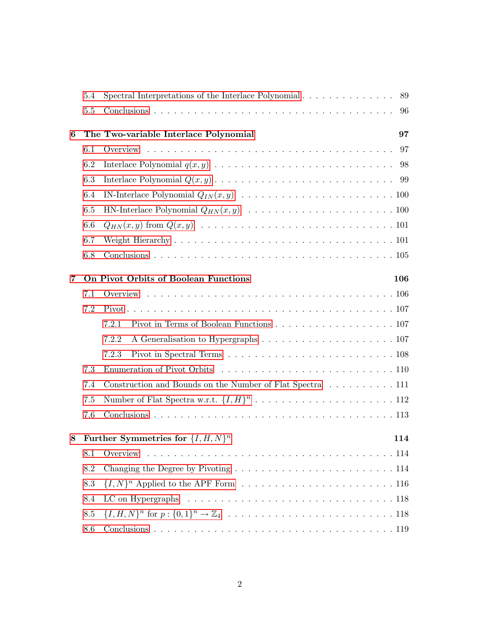|                | 5.4                                                | Spectral Interpretations of the Interlace Polynomial $\ldots \ldots \ldots \ldots$                    | 89  |  |  |
|----------------|----------------------------------------------------|-------------------------------------------------------------------------------------------------------|-----|--|--|
|                | 5.5                                                |                                                                                                       | 96  |  |  |
| 6              |                                                    | The Two-variable Interlace Polynomial                                                                 | 97  |  |  |
|                | 6.1                                                |                                                                                                       | 97  |  |  |
|                | 6.2                                                |                                                                                                       | 98  |  |  |
|                | 6.3                                                |                                                                                                       |     |  |  |
|                | 6.4                                                |                                                                                                       |     |  |  |
|                | 6.5                                                |                                                                                                       |     |  |  |
|                | 6.6                                                |                                                                                                       |     |  |  |
|                | 6.7                                                |                                                                                                       |     |  |  |
|                | 6.8                                                |                                                                                                       |     |  |  |
| $\overline{7}$ | On Pivot Orbits of Boolean Functions<br><b>106</b> |                                                                                                       |     |  |  |
|                | 7.1                                                |                                                                                                       |     |  |  |
|                | 7.2                                                |                                                                                                       |     |  |  |
|                |                                                    | Pivot in Terms of Boolean Functions $\ldots \ldots \ldots \ldots \ldots \ldots \ldots 107$<br>7.2.1   |     |  |  |
|                |                                                    | 7.2.2                                                                                                 |     |  |  |
|                |                                                    | Pivot in Spectral Terms $\ldots \ldots \ldots \ldots \ldots \ldots \ldots \ldots \ldots 108$<br>7.2.3 |     |  |  |
|                | 7.3                                                |                                                                                                       |     |  |  |
|                | 7.4                                                | Construction and Bounds on the Number of Flat Spectra 111                                             |     |  |  |
|                | 7.5                                                |                                                                                                       |     |  |  |
|                | 7.6                                                |                                                                                                       |     |  |  |
| 8              |                                                    | Further Symmetries for $\{I, H, N\}^n$                                                                | 114 |  |  |
|                | 8.1                                                |                                                                                                       |     |  |  |
|                | 8.2                                                | Changing the Degree by Pivoting $\ldots \ldots \ldots \ldots \ldots \ldots \ldots \ldots 114$         |     |  |  |
|                | 8.3                                                |                                                                                                       |     |  |  |
|                | 8.4                                                |                                                                                                       |     |  |  |
|                | 8.5                                                |                                                                                                       |     |  |  |
|                | 8.6                                                |                                                                                                       |     |  |  |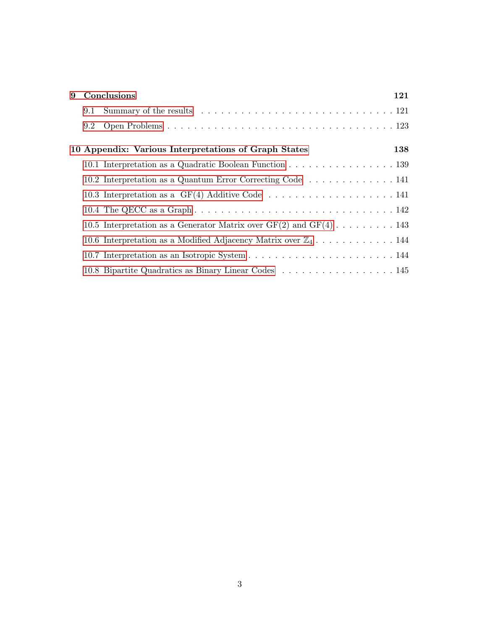| 9 |     | Conclusions                                                                                                                                                                                                                    | 121 |
|---|-----|--------------------------------------------------------------------------------------------------------------------------------------------------------------------------------------------------------------------------------|-----|
|   | 9.1 | Summary of the results results in the context of the results of the results of the results of the context of the results of the results of the results of the results of the results of the results of the results of the resu |     |
|   | 9.2 |                                                                                                                                                                                                                                |     |
|   |     | 10 Appendix: Various Interpretations of Graph States                                                                                                                                                                           | 138 |
|   |     | 10.1 Interpretation as a Quadratic Boolean Function 139                                                                                                                                                                        |     |
|   |     | 10.2 Interpretation as a Quantum Error Correcting Code  141                                                                                                                                                                    |     |
|   |     |                                                                                                                                                                                                                                |     |
|   |     |                                                                                                                                                                                                                                |     |
|   |     | 10.5 Interpretation as a Generator Matrix over $GF(2)$ and $GF(4)$ 143                                                                                                                                                         |     |
|   |     | 10.6 Interpretation as a Modified Adjacency Matrix over $\mathbb{Z}_4$ 144                                                                                                                                                     |     |
|   |     |                                                                                                                                                                                                                                |     |
|   |     |                                                                                                                                                                                                                                |     |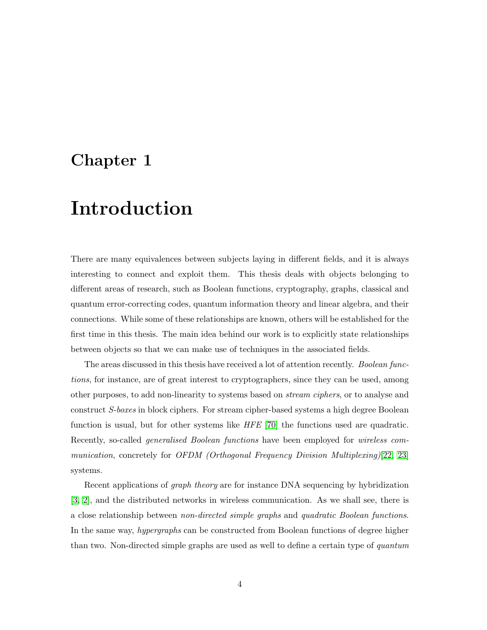### <span id="page-7-0"></span>Chapter 1

## Introduction

There are many equivalences between subjects laying in different fields, and it is always interesting to connect and exploit them. This thesis deals with objects belonging to different areas of research, such as Boolean functions, cryptography, graphs, classical and quantum error-correcting codes, quantum information theory and linear algebra, and their connections. While some of these relationships are known, others will be established for the first time in this thesis. The main idea behind our work is to explicitly state relationships between objects so that we can make use of techniques in the associated fields.

The areas discussed in this thesis have received a lot of attention recently. Boolean functions, for instance, are of great interest to cryptographers, since they can be used, among other purposes, to add non-linearity to systems based on stream ciphers, or to analyse and construct S-boxes in block ciphers. For stream cipher-based systems a high degree Boolean function is usual, but for other systems like HFE [\[70\]](#page-137-0) the functions used are quadratic. Recently, so-called generalised Boolean functions have been employed for wireless communication, concretely for OFDM (Orthogonal Frequency Division Multiplexing)[\[22,](#page-133-0) [23\]](#page-133-1) systems.

Recent applications of graph theory are for instance DNA sequencing by hybridization [\[3,](#page-131-0) [2\]](#page-131-1), and the distributed networks in wireless communication. As we shall see, there is a close relationship between non-directed simple graphs and quadratic Boolean functions. In the same way, hypergraphs can be constructed from Boolean functions of degree higher than two. Non-directed simple graphs are used as well to define a certain type of quantum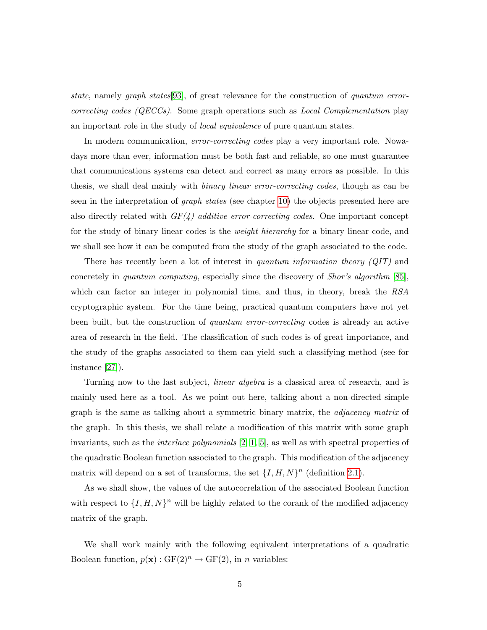state, namely graph states[\[93\]](#page-139-0), of great relevance for the construction of quantum errorcorrecting codes ( $QECCs$ ). Some graph operations such as *Local Complementation* play an important role in the study of local equivalence of pure quantum states.

In modern communication, *error-correcting codes* play a very important role. Nowadays more than ever, information must be both fast and reliable, so one must guarantee that communications systems can detect and correct as many errors as possible. In this thesis, we shall deal mainly with binary linear error-correcting codes, though as can be seen in the interpretation of graph states (see chapter [10\)](#page-141-0) the objects presented here are also directly related with  $GF(4)$  additive error-correcting codes. One important concept for the study of binary linear codes is the weight hierarchy for a binary linear code, and we shall see how it can be computed from the study of the graph associated to the code.

There has recently been a lot of interest in *quantum information theory (QIT)* and concretely in quantum computing, especially since the discovery of Shor's algorithm [\[85\]](#page-138-0), which can factor an integer in polynomial time, and thus, in theory, break the RSA cryptographic system. For the time being, practical quantum computers have not yet been built, but the construction of quantum error-correcting codes is already an active area of research in the field. The classification of such codes is of great importance, and the study of the graphs associated to them can yield such a classifying method (see for instance [\[27\]](#page-133-2)).

Turning now to the last subject, *linear algebra* is a classical area of research, and is mainly used here as a tool. As we point out here, talking about a non-directed simple graph is the same as talking about a symmetric binary matrix, the adjacency matrix of the graph. In this thesis, we shall relate a modification of this matrix with some graph invariants, such as the interlace polynomials [\[2,](#page-131-1) [1,](#page-131-2) [5\]](#page-131-3), as well as with spectral properties of the quadratic Boolean function associated to the graph. This modification of the adjacency matrix will depend on a set of transforms, the set  $\{I, H, N\}^n$  (definition [2.1\)](#page-23-2).

As we shall show, the values of the autocorrelation of the associated Boolean function with respect to  $\{I, H, N\}^n$  will be highly related to the corank of the modified adjacency matrix of the graph.

We shall work mainly with the following equivalent interpretations of a quadratic Boolean function,  $p(\mathbf{x}) : GF(2)^n \to GF(2)$ , in n variables: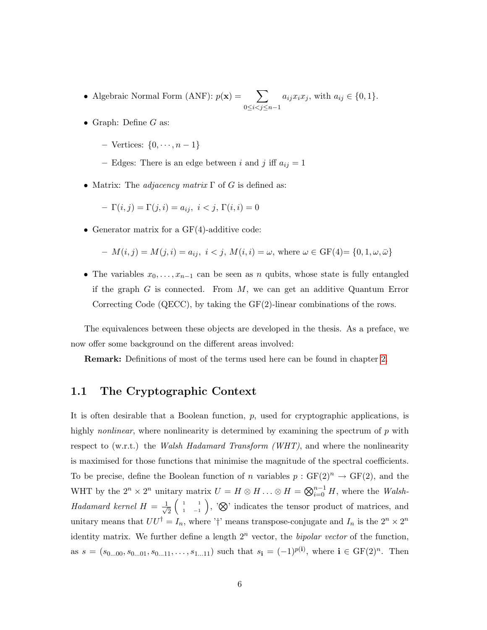- Algebraic Normal Form (ANF):  $p(\mathbf{x}) = \sum$ 0≤*i*<*j*≤*n*−1  $a_{ij}x_ix_j$ , with  $a_{ij} \in \{0,1\}.$
- Graph: Define  $G$  as:
	- Vertices:  $\{0, \cdots, n-1\}$
	- Edges: There is an edge between i and j iff  $a_{ij} = 1$
- Matrix: The *adjacency matrix*  $\Gamma$  of G is defined as:

$$
- \Gamma(i, j) = \Gamma(j, i) = a_{ij}, \ i < j, \ \Gamma(i, i) = 0
$$

• Generator matrix for a GF(4)-additive code:

$$
- M(i, j) = M(j, i) = a_{ij}, i < j, M(i, i) = \omega, \text{ where } \omega \in \text{GF}(4) = \{0, 1, \omega, \bar{\omega}\}\
$$

• The variables  $x_0, \ldots, x_{n-1}$  can be seen as n qubits, whose state is fully entangled if the graph  $G$  is connected. From  $M$ , we can get an additive Quantum Error Correcting Code (QECC), by taking the GF(2)-linear combinations of the rows.

The equivalences between these objects are developed in the thesis. As a preface, we now offer some background on the different areas involved:

Remark: Definitions of most of the terms used here can be found in chapter [2.](#page-23-0)

### <span id="page-9-0"></span>1.1 The Cryptographic Context

It is often desirable that a Boolean function,  $p$ , used for cryptographic applications, is highly *nonlinear*, where nonlinearity is determined by examining the spectrum of  $p$  with respect to (w.r.t.) the Walsh Hadamard Transform (WHT), and where the nonlinearity is maximised for those functions that minimise the magnitude of the spectral coefficients. To be precise, define the Boolean function of n variables  $p : GF(2)^n \to GF(2)$ , and the WHT by the  $2^n \times 2^n$  unitary matrix  $U = H \otimes H \ldots \otimes H = \bigotimes_{i=0}^{n-1} H$ , where the *Walsh*-Hadamard kernel  $H = \frac{1}{\sqrt{2}}$ 2  $\begin{pmatrix} 1 & 1 \end{pmatrix}$  $\begin{pmatrix} 1 & 1 \\ 1 & -1 \end{pmatrix}$ , ' $\otimes$ ' indicates the tensor product of matrices, and unitary means that  $UU^{\dagger} = I_n$ , where '†' means transpose-conjugate and  $I_n$  is the  $2^n \times 2^n$ identity matrix. We further define a length  $2^n$  vector, the *bipolar vector* of the function, as  $s = (s_{0...00}, s_{0...01}, s_{0...11}, \ldots, s_{1...11})$  such that  $s_i = (-1)^{p(i)}$ , where  $i \in \text{GF}(2)^n$ . Then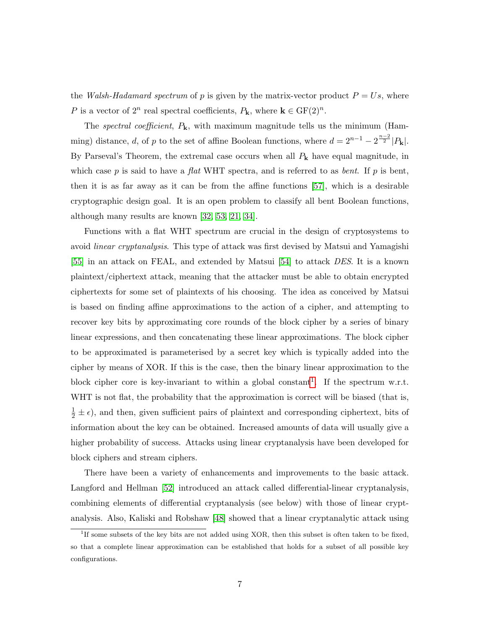the *Walsh-Hadamard spectrum* of p is given by the matrix-vector product  $P = Us$ , where P is a vector of  $2^n$  real spectral coefficients,  $P_k$ , where  $k \in \mathrm{GF}(2)^n$ .

The spectral coefficient,  $P_k$ , with maximum magnitude tells us the minimum (Hamming) distance, d, of p to the set of affine Boolean functions, where  $d = 2^{n-1} - 2^{\frac{n-2}{2}} |P_{\mathbf{k}}|$ . By Parseval's Theorem, the extremal case occurs when all  $P_{\mathbf{k}}$  have equal magnitude, in which case p is said to have a flat WHT spectra, and is referred to as bent. If p is bent, then it is as far away as it can be from the affine functions [\[57\]](#page-136-0), which is a desirable cryptographic design goal. It is an open problem to classify all bent Boolean functions, although many results are known [\[32,](#page-134-0) [53,](#page-135-0) [21,](#page-132-0) [34\]](#page-134-1).

Functions with a flat WHT spectrum are crucial in the design of cryptosystems to avoid linear cryptanalysis. This type of attack was first devised by Matsui and Yamagishi [\[55\]](#page-135-1) in an attack on FEAL, and extended by Matsui [\[54\]](#page-135-2) to attack DES. It is a known plaintext/ciphertext attack, meaning that the attacker must be able to obtain encrypted ciphertexts for some set of plaintexts of his choosing. The idea as conceived by Matsui is based on finding affine approximations to the action of a cipher, and attempting to recover key bits by approximating core rounds of the block cipher by a series of binary linear expressions, and then concatenating these linear approximations. The block cipher to be approximated is parameterised by a secret key which is typically added into the cipher by means of XOR. If this is the case, then the binary linear approximation to the block cipher core is key-invariant to within a global constant<sup>[1](#page-10-0)</sup>. If the spectrum w.r.t. WHT is not flat, the probability that the approximation is correct will be biased (that is,  $\frac{1}{2} \pm \epsilon$ , and then, given sufficient pairs of plaintext and corresponding ciphertext, bits of information about the key can be obtained. Increased amounts of data will usually give a higher probability of success. Attacks using linear cryptanalysis have been developed for block ciphers and stream ciphers.

There have been a variety of enhancements and improvements to the basic attack. Langford and Hellman [\[52\]](#page-135-3) introduced an attack called differential-linear cryptanalysis, combining elements of differential cryptanalysis (see below) with those of linear cryptanalysis. Also, Kaliski and Robshaw [\[48\]](#page-135-4) showed that a linear cryptanalytic attack using

<span id="page-10-0"></span><sup>&</sup>lt;sup>1</sup>If some subsets of the key bits are not added using XOR, then this subset is often taken to be fixed, so that a complete linear approximation can be established that holds for a subset of all possible key configurations.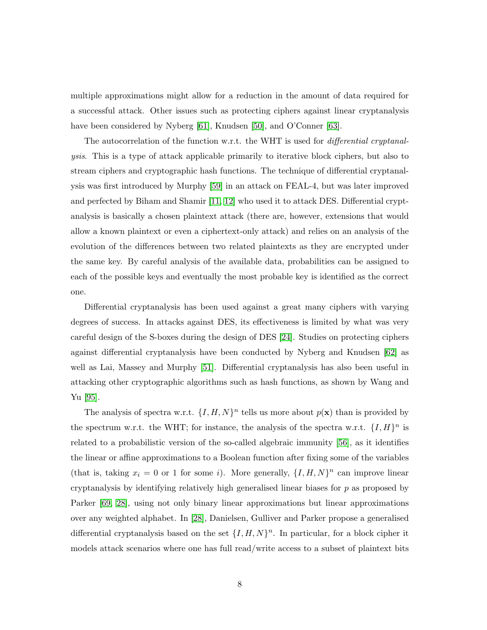multiple approximations might allow for a reduction in the amount of data required for a successful attack. Other issues such as protecting ciphers against linear cryptanalysis have been considered by Nyberg [\[61\]](#page-136-1), Knudsen [\[50\]](#page-135-5), and O'Conner [\[63\]](#page-136-2).

The autocorrelation of the function w.r.t. the WHT is used for *differential cryptanal*ysis. This is a type of attack applicable primarily to iterative block ciphers, but also to stream ciphers and cryptographic hash functions. The technique of differential cryptanalysis was first introduced by Murphy [\[59\]](#page-136-3) in an attack on FEAL-4, but was later improved and perfected by Biham and Shamir [\[11,](#page-132-1) [12\]](#page-132-2) who used it to attack DES. Differential cryptanalysis is basically a chosen plaintext attack (there are, however, extensions that would allow a known plaintext or even a ciphertext-only attack) and relies on an analysis of the evolution of the differences between two related plaintexts as they are encrypted under the same key. By careful analysis of the available data, probabilities can be assigned to each of the possible keys and eventually the most probable key is identified as the correct one.

Differential cryptanalysis has been used against a great many ciphers with varying degrees of success. In attacks against DES, its effectiveness is limited by what was very careful design of the S-boxes during the design of DES [\[24\]](#page-133-3). Studies on protecting ciphers against differential cryptanalysis have been conducted by Nyberg and Knudsen [\[62\]](#page-136-4) as well as Lai, Massey and Murphy [\[51\]](#page-135-6). Differential cryptanalysis has also been useful in attacking other cryptographic algorithms such as hash functions, as shown by Wang and Yu [\[95\]](#page-139-1).

The analysis of spectra w.r.t.  $\{I, H, N\}^n$  tells us more about  $p(\mathbf{x})$  than is provided by the spectrum w.r.t. the WHT; for instance, the analysis of the spectra w.r.t.  $\{I, H\}^n$  is related to a probabilistic version of the so-called algebraic immunity [\[56\]](#page-136-5), as it identifies the linear or affine approximations to a Boolean function after fixing some of the variables (that is, taking  $x_i = 0$  or 1 for some *i*). More generally,  $\{I, H, N\}^n$  can improve linear cryptanalysis by identifying relatively high generalised linear biases for  $p$  as proposed by Parker [\[69,](#page-137-1) [28\]](#page-133-4), using not only binary linear approximations but linear approximations over any weighted alphabet. In [\[28\]](#page-133-4), Danielsen, Gulliver and Parker propose a generalised differential cryptanalysis based on the set  $\{I, H, N\}^n$ . In particular, for a block cipher it models attack scenarios where one has full read/write access to a subset of plaintext bits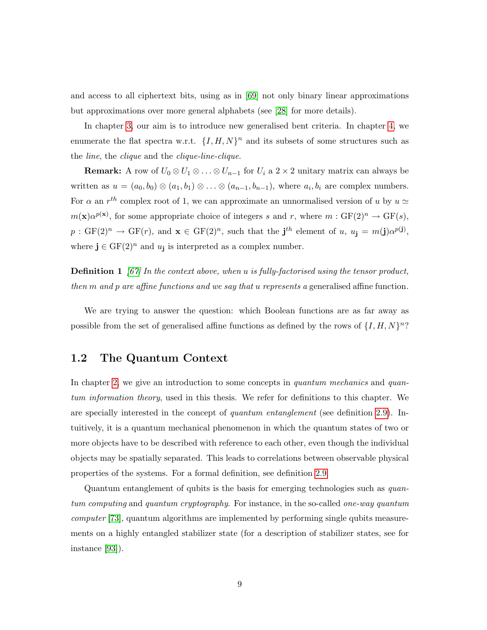and access to all ciphertext bits, using as in [\[69\]](#page-137-1) not only binary linear approximations but approximations over more general alphabets (see [\[28\]](#page-133-4) for more details).

In chapter [3,](#page-31-0) our aim is to introduce new generalised bent criteria. In chapter [4,](#page-57-0) we enumerate the flat spectra w.r.t.  $\{I, H, N\}^n$  and its subsets of some structures such as the line, the clique and the clique-line-clique.

**Remark:** A row of  $U_0 \otimes U_1 \otimes \ldots \otimes U_{n-1}$  for  $U_i$  a 2 × 2 unitary matrix can always be written as  $u = (a_0, b_0) \otimes (a_1, b_1) \otimes \ldots \otimes (a_{n-1}, b_{n-1}),$  where  $a_i, b_i$  are complex numbers. For  $\alpha$  an  $r^{th}$  complex root of 1, we can approximate an unnormalised version of u by  $u \simeq$  $m(\mathbf{x})\alpha^{p(\mathbf{x})}$ , for some appropriate choice of integers s and r, where  $m : GF(2)^n \to GF(s)$ ,  $p: GF(2)^n \to GF(r)$ , and  $\mathbf{x} \in GF(2)^n$ , such that the  $\mathbf{j}^{th}$  element of  $u, u_{\mathbf{j}} = m(\mathbf{j}) \alpha^{p(\mathbf{j})}$ , where  $\mathbf{j} \in \mathrm{GF}(2)^n$  and  $u_{\mathbf{j}}$  is interpreted as a complex number.

**Definition 1** [\[67\]](#page-137-2) In the context above, when u is fully-factorised using the tensor product, then  $m$  and  $p$  are affine functions and we say that u represents a generalised affine function.

We are trying to answer the question: which Boolean functions are as far away as possible from the set of generalised affine functions as defined by the rows of  $\{I, H, N\}^n$ ?

### <span id="page-12-0"></span>1.2 The Quantum Context

In chapter [2,](#page-23-0) we give an introduction to some concepts in *quantum mechanics* and *quan*tum information theory, used in this thesis. We refer for definitions to this chapter. We are specially interested in the concept of quantum entanglement (see definition [2.9\)](#page-25-0). Intuitively, it is a quantum mechanical phenomenon in which the quantum states of two or more objects have to be described with reference to each other, even though the individual objects may be spatially separated. This leads to correlations between observable physical properties of the systems. For a formal definition, see definition [2.9.](#page-25-0)

Quantum entanglement of qubits is the basis for emerging technologies such as quantum computing and quantum cryptography. For instance, in the so-called one-way quantum computer [\[73\]](#page-137-3), quantum algorithms are implemented by performing single qubits measurements on a highly entangled stabilizer state (for a description of stabilizer states, see for instance [\[93\]](#page-139-0)).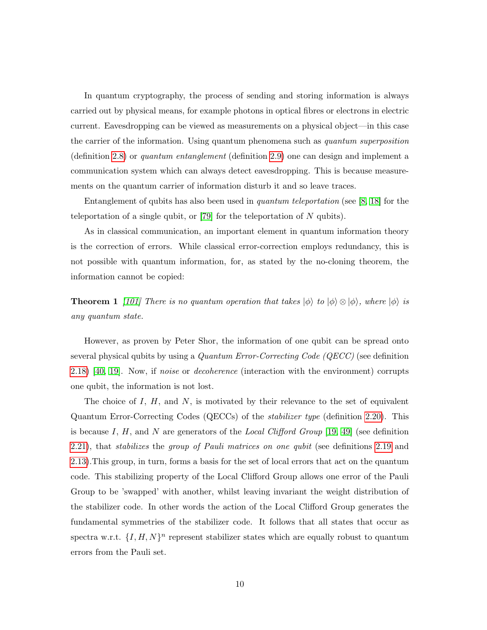In quantum cryptography, the process of sending and storing information is always carried out by physical means, for example photons in optical fibres or electrons in electric current. Eavesdropping can be viewed as measurements on a physical object—in this case the carrier of the information. Using quantum phenomena such as quantum superposition (definition [2.8\)](#page-25-1) or quantum entanglement (definition [2.9\)](#page-25-0) one can design and implement a communication system which can always detect eavesdropping. This is because measurements on the quantum carrier of information disturb it and so leave traces.

Entanglement of qubits has also been used in quantum teleportation (see [\[8,](#page-131-4) [18\]](#page-132-3) for the teleportation of a single qubit, or [\[79\]](#page-138-1) for the teleportation of  $N$  qubits).

As in classical communication, an important element in quantum information theory is the correction of errors. While classical error-correction employs redundancy, this is not possible with quantum information, for, as stated by the no-cloning theorem, the information cannot be copied:

**Theorem 1** [\[101\]](#page-140-0) There is no quantum operation that takes  $|\phi\rangle$  to  $|\phi\rangle \otimes |\phi\rangle$ , where  $|\phi\rangle$  is any quantum state.

However, as proven by Peter Shor, the information of one qubit can be spread onto several physical qubits by using a Quantum Error-Correcting Code (QECC) (see definition [2.18\)](#page-27-0) [\[40,](#page-134-2) [19\]](#page-132-4). Now, if noise or decoherence (interaction with the environment) corrupts one qubit, the information is not lost.

The choice of  $I, H$ , and  $N$ , is motivated by their relevance to the set of equivalent Quantum Error-Correcting Codes (QECCs) of the stabilizer type (definition [2.20\)](#page-28-0). This is because I, H, and N are generators of the Local Clifford Group [\[19,](#page-132-4) [49\]](#page-135-7) (see definition [2.21\)](#page-28-1), that stabilizes the group of Pauli matrices on one qubit (see definitions [2.19](#page-27-1) and [2.13\)](#page-26-0).This group, in turn, forms a basis for the set of local errors that act on the quantum code. This stabilizing property of the Local Clifford Group allows one error of the Pauli Group to be 'swapped' with another, whilst leaving invariant the weight distribution of the stabilizer code. In other words the action of the Local Clifford Group generates the fundamental symmetries of the stabilizer code. It follows that all states that occur as spectra w.r.t.  $\{I, H, N\}^n$  represent stabilizer states which are equally robust to quantum errors from the Pauli set.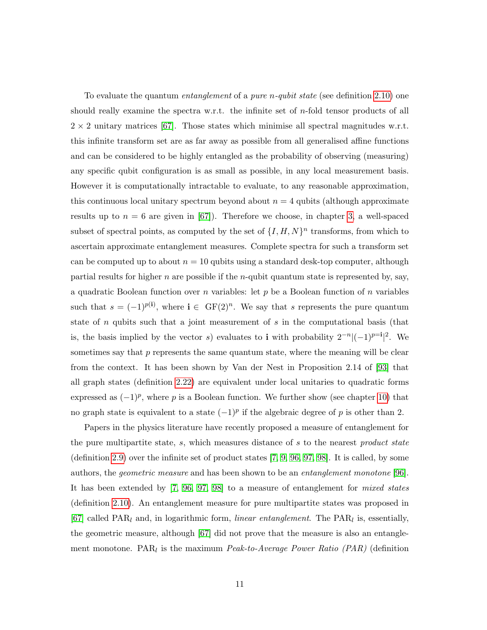To evaluate the quantum *entanglement* of a *pure n-qubit state* (see definition [2.10\)](#page-25-2) one should really examine the spectra w.r.t. the infinite set of n-fold tensor products of all  $2 \times 2$  unitary matrices [\[67\]](#page-137-2). Those states which minimise all spectral magnitudes w.r.t. this infinite transform set are as far away as possible from all generalised affine functions and can be considered to be highly entangled as the probability of observing (measuring) any specific qubit configuration is as small as possible, in any local measurement basis. However it is computationally intractable to evaluate, to any reasonable approximation, this continuous local unitary spectrum beyond about  $n = 4$  qubits (although approximate results up to  $n = 6$  are given in [\[67\]](#page-137-2)). Therefore we choose, in chapter [3,](#page-31-0) a well-spaced subset of spectral points, as computed by the set of  $\{I, H, N\}^n$  transforms, from which to ascertain approximate entanglement measures. Complete spectra for such a transform set can be computed up to about  $n = 10$  qubits using a standard desk-top computer, although partial results for higher n are possible if the n-qubit quantum state is represented by, say, a quadratic Boolean function over n variables: let  $p$  be a Boolean function of  $n$  variables such that  $s = (-1)^{p(i)}$ , where  $i \in \mathrm{GF}(2)^n$ . We say that s represents the pure quantum state of  $n$  qubits such that a joint measurement of  $s$  in the computational basis (that is, the basis implied by the vector s) evaluates to **i** with probability  $2^{-n}|(-1)^{p-1}|^2$ . We sometimes say that  $p$  represents the same quantum state, where the meaning will be clear from the context. It has been shown by Van der Nest in Proposition 2.14 of [\[93\]](#page-139-0) that all graph states (definition [2.22\)](#page-28-2) are equivalent under local unitaries to quadratic forms expressed as  $(-1)^p$ , where p is a Boolean function. We further show (see chapter [10\)](#page-141-0) that no graph state is equivalent to a state  $(-1)^p$  if the algebraic degree of p is other than 2.

Papers in the physics literature have recently proposed a measure of entanglement for the pure multipartite state, s, which measures distance of s to the nearest product state (definition [2.9\)](#page-25-0) over the infinite set of product states [\[7,](#page-131-5) [9,](#page-132-5) [96,](#page-139-2) [97,](#page-139-3) [98\]](#page-140-1). It is called, by some authors, the geometric measure and has been shown to be an entanglement monotone [\[96\]](#page-139-2). It has been extended by [\[7,](#page-131-5) [96,](#page-139-2) [97,](#page-139-3) [98\]](#page-140-1) to a measure of entanglement for mixed states (definition [2.10\)](#page-25-2). An entanglement measure for pure multipartite states was proposed in [\[67\]](#page-137-2) called  $\text{PAR}_l$  and, in logarithmic form, linear entanglement. The  $\text{PAR}_l$  is, essentially, the geometric measure, although [\[67\]](#page-137-2) did not prove that the measure is also an entanglement monotone. PAR<sub>l</sub> is the maximum *Peak-to-Average Power Ratio (PAR)* (definition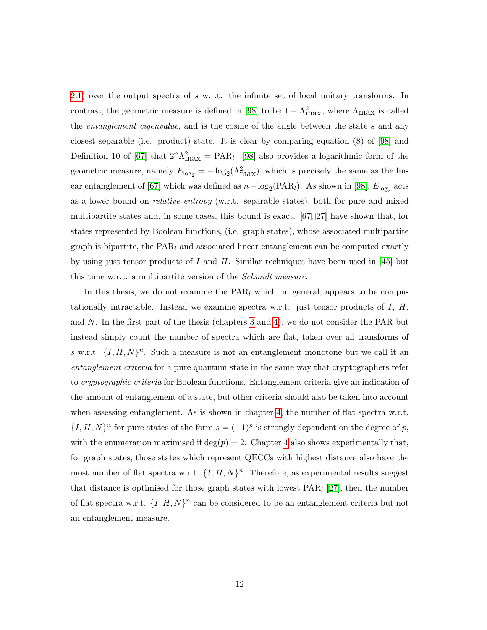[2.1\)](#page-24-1) over the output spectra of s w.r.t. the infinite set of local unitary transforms. In contrast, the geometric measure is defined in [\[98\]](#page-140-1) to be  $1 - \Lambda_{\text{max}}^2$ , where  $\Lambda_{\text{max}}$  is called the *entanglement eigenvalue*, and is the cosine of the angle between the state s and any closest separable (i.e. product) state. It is clear by comparing equation (8) of [\[98\]](#page-140-1) and Definition 10 of [\[67\]](#page-137-2) that  $2^n\Lambda_{\text{max}}^2 = \text{PAR}_l$ . [\[98\]](#page-140-1) also provides a logarithmic form of the geometric measure, namely  $E_{\log_2} = -\log_2(\Lambda_{\max}^2)$ , which is precisely the same as the lin-ear entanglement of [\[67\]](#page-137-2) which was defined as  $n - \log_2(\text{PAR}_l)$ . As shown in [\[98\]](#page-140-1),  $E_{\log_2}$  acts as a lower bound on relative entropy (w.r.t. separable states), both for pure and mixed multipartite states and, in some cases, this bound is exact. [\[67,](#page-137-2) [27\]](#page-133-2) have shown that, for states represented by Boolean functions, (i.e. graph states), whose associated multipartite graph is bipartite, the  $PAR_l$  and associated linear entanglement can be computed exactly by using just tensor products of I and H. Similar techniques have been used in [\[45\]](#page-135-8) but this time w.r.t. a multipartite version of the *Schmidt measure*.

In this thesis, we do not examine the  $PAR_l$  which, in general, appears to be computationally intractable. Instead we examine spectra w.r.t. just tensor products of  $I, H$ , and N. In the first part of the thesis (chapters [3](#page-31-0) and [4\)](#page-57-0), we do not consider the PAR but instead simply count the number of spectra which are flat, taken over all transforms of s w.r.t.  $\{I, H, N\}^n$ . Such a measure is not an entanglement monotone but we call it an entanglement criteria for a pure quantum state in the same way that cryptographers refer to cryptographic criteria for Boolean functions. Entanglement criteria give an indication of the amount of entanglement of a state, but other criteria should also be taken into account when assessing entanglement. As is shown in chapter [4,](#page-57-0) the number of flat spectra w.r.t.  $\{I, H, N\}^n$  for pure states of the form  $s = (-1)^p$  is strongly dependent on the degree of p, with the enumeration maximised if  $\deg(p) = 2$ . Chapter [4](#page-57-0) also shows experimentally that, for graph states, those states which represent QECCs with highest distance also have the most number of flat spectra w.r.t.  $\{I, H, N\}^n$ . Therefore, as experimental results suggest that distance is optimised for those graph states with lowest  $\text{PAR}_l$  [\[27\]](#page-133-2), then the number of flat spectra w.r.t.  $\{I, H, N\}^n$  can be considered to be an entanglement criteria but not an entanglement measure.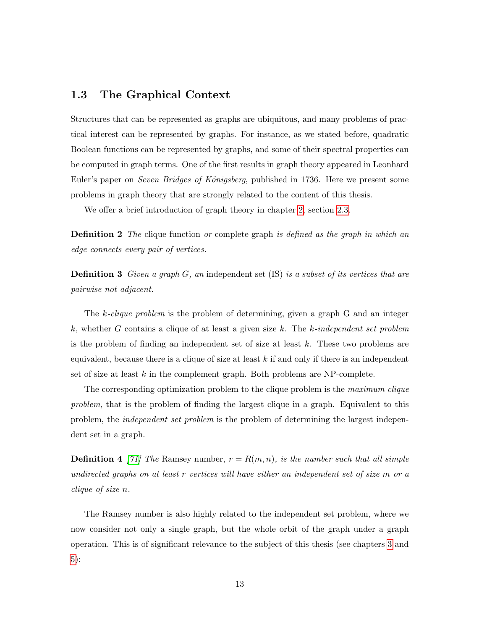### <span id="page-16-0"></span>1.3 The Graphical Context

Structures that can be represented as graphs are ubiquitous, and many problems of practical interest can be represented by graphs. For instance, as we stated before, quadratic Boolean functions can be represented by graphs, and some of their spectral properties can be computed in graph terms. One of the first results in graph theory appeared in Leonhard Euler's paper on Seven Bridges of Königsberg, published in 1736. Here we present some problems in graph theory that are strongly related to the content of this thesis.

We offer a brief introduction of graph theory in chapter [2,](#page-23-0) section [2.3.](#page-29-0)

**Definition 2** The clique function or complete graph is defined as the graph in which an edge connects every pair of vertices.

**Definition 3** Given a graph  $G$ , an independent set (IS) is a subset of its vertices that are pairwise not adjacent.

The k-clique problem is the problem of determining, given a graph G and an integer k, whether G contains a clique of at least a given size k. The k-independent set problem is the problem of finding an independent set of size at least  $k$ . These two problems are equivalent, because there is a clique of size at least  $k$  if and only if there is an independent set of size at least  $k$  in the complement graph. Both problems are NP-complete.

The corresponding optimization problem to the clique problem is the *maximum clique* problem, that is the problem of finding the largest clique in a graph. Equivalent to this problem, the independent set problem is the problem of determining the largest independent set in a graph.

**Definition 4** [\[71\]](#page-137-4) The Ramsey number,  $r = R(m, n)$ , is the number such that all simple undirected graphs on at least r vertices will have either an independent set of size m or a clique of size n.

The Ramsey number is also highly related to the independent set problem, where we now consider not only a single graph, but the whole orbit of the graph under a graph operation. This is of significant relevance to the subject of this thesis (see chapters [3](#page-31-0) and [5\)](#page-80-0):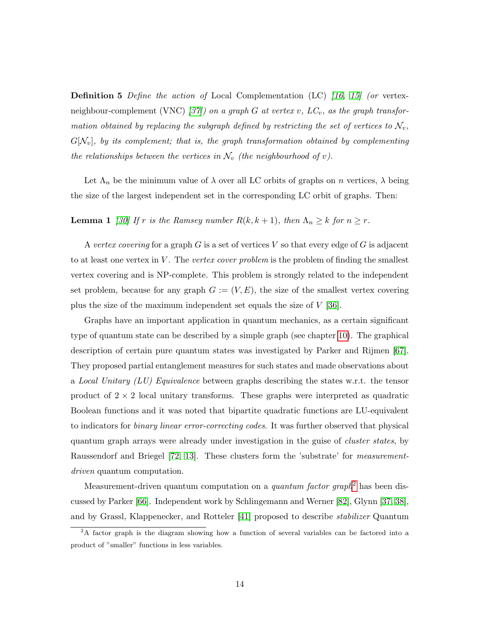**Definition 5** Define the action of Local Complementation (LC) [\[16,](#page-132-6) [15\]](#page-132-7) (or vertex-neighbour-complement (VNC) [\[37\]](#page-134-3)) on a graph G at vertex v,  $LC_v$ , as the graph transformation obtained by replacing the subgraph defined by restricting the set of vertices to  $\mathcal{N}_v$ ,  $G[N_v]$ , by its complement; that is, the graph transformation obtained by complementing the relationships between the vertices in  $\mathcal{N}_v$  (the neighbourhood of v).

Let  $\Lambda_n$  be the minimum value of  $\lambda$  over all LC orbits of graphs on n vertices,  $\lambda$  being the size of the largest independent set in the corresponding LC orbit of graphs. Then:

### **Lemma 1** [\[30\]](#page-133-5) If r is the Ramsey number  $R(k, k + 1)$ , then  $\Lambda_n \geq k$  for  $n \geq r$ .

A vertex covering for a graph G is a set of vertices V so that every edge of G is adjacent to at least one vertex in  $V$ . The vertex cover problem is the problem of finding the smallest vertex covering and is NP-complete. This problem is strongly related to the independent set problem, because for any graph  $G := (V, E)$ , the size of the smallest vertex covering plus the size of the maximum independent set equals the size of V [\[36\]](#page-134-4).

Graphs have an important application in quantum mechanics, as a certain significant type of quantum state can be described by a simple graph (see chapter [10\)](#page-141-0). The graphical description of certain pure quantum states was investigated by Parker and Rijmen [\[67\]](#page-137-2). They proposed partial entanglement measures for such states and made observations about a Local Unitary  $(LU)$  Equivalence between graphs describing the states w.r.t. the tensor product of  $2 \times 2$  local unitary transforms. These graphs were interpreted as quadratic Boolean functions and it was noted that bipartite quadratic functions are LU-equivalent to indicators for binary linear error-correcting codes. It was further observed that physical quantum graph arrays were already under investigation in the guise of cluster states, by Raussendorf and Briegel [\[72,](#page-137-5) [13\]](#page-132-8). These clusters form the 'substrate' for measurementdriven quantum computation.

Measurement-driven quantum computation on a *quantum factor graph*<sup>[2](#page-17-0)</sup> has been discussed by Parker [\[66\]](#page-136-6). Independent work by Schlingemann and Werner [\[82\]](#page-138-2), Glynn [\[37,](#page-134-3) [38\]](#page-134-5), and by Grassl, Klappenecker, and Rotteler [\[41\]](#page-134-6) proposed to describe stabilizer Quantum

<span id="page-17-0"></span><sup>2</sup>A factor graph is the diagram showing how a function of several variables can be factored into a product of "smaller" functions in less variables.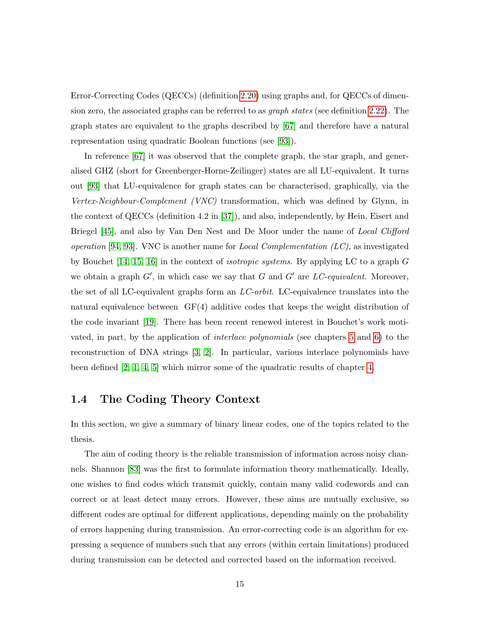Error-Correcting Codes (QECCs) (definition [2.20\)](#page-28-0) using graphs and, for QECCs of dimension zero, the associated graphs can be referred to as graph states (see definition [2.22\)](#page-28-2). The graph states are equivalent to the graphs described by [\[67\]](#page-137-2) and therefore have a natural representation using quadratic Boolean functions (see [\[93\]](#page-139-0)).

In reference [\[67\]](#page-137-2) it was observed that the complete graph, the star graph, and generalised GHZ (short for Greenberger-Horne-Zeilinger) states are all LU-equivalent. It turns out [\[93\]](#page-139-0) that LU-equivalence for graph states can be characterised, graphically, via the Vertex-Neighbour-Complement (VNC) transformation, which was defined by Glynn, in the context of QECCs (definition 4.2 in [\[37\]](#page-134-3)), and also, independently, by Hein, Eisert and Briegel [\[45\]](#page-135-8), and also by Van Den Nest and De Moor under the name of Local Clifford operation [\[94,](#page-139-4) [93\]](#page-139-0). VNC is another name for *Local Complementation (LC)*, as investigated by Bouchet [\[14,](#page-132-9) [15,](#page-132-7) [16\]](#page-132-6) in the context of isotropic systems. By applying LC to a graph G we obtain a graph  $G'$ , in which case we say that G and  $G'$  are LC-equivalent. Moreover, the set of all LC-equivalent graphs form an LC-orbit. LC-equivalence translates into the natural equivalence between  $GF(4)$  additive codes that keeps the weight distribution of the code invariant [\[19\]](#page-132-4). There has been recent renewed interest in Bouchet's work motivated, in part, by the application of interlace polynomials (see chapters [5](#page-80-0) and [6\)](#page-100-0) to the reconstruction of DNA strings [\[3,](#page-131-0) [2\]](#page-131-1). In particular, various interlace polynomials have been defined [\[2,](#page-131-1) [1,](#page-131-2) [4,](#page-131-6) [5\]](#page-131-3) which mirror some of the quadratic results of chapter [4.](#page-57-0)

### <span id="page-18-0"></span>1.4 The Coding Theory Context

In this section, we give a summary of binary linear codes, one of the topics related to the thesis.

The aim of coding theory is the reliable transmission of information across noisy channels. Shannon [\[83\]](#page-138-3) was the first to formulate information theory mathematically. Ideally, one wishes to find codes which transmit quickly, contain many valid codewords and can correct or at least detect many errors. However, these aims are mutually exclusive, so different codes are optimal for different applications, depending mainly on the probability of errors happening during transmission. An error-correcting code is an algorithm for expressing a sequence of numbers such that any errors (within certain limitations) produced during transmission can be detected and corrected based on the information received.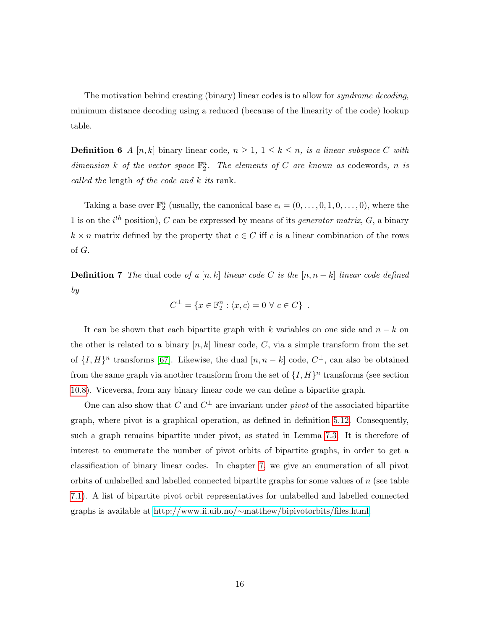The motivation behind creating (binary) linear codes is to allow for *syndrome decoding*, minimum distance decoding using a reduced (because of the linearity of the code) lookup table.

**Definition 6** A [n, k] binary linear code,  $n \geq 1$ ,  $1 \leq k \leq n$ , is a linear subspace C with dimension k of the vector space  $\mathbb{F}_2^n$ . The elements of C are known as codewords, n is called the length of the code and k its rank.

Taking a base over  $\mathbb{F}_2^n$  (usually, the canonical base  $e_i = (0, \ldots, 0, 1, 0, \ldots, 0)$ , where the 1 is on the  $i^{th}$  position), C can be expressed by means of its *generator matrix*, G, a binary  $k \times n$  matrix defined by the property that  $c \in C$  iff c is a linear combination of the rows of G.

**Definition 7** The dual code of a [n, k] linear code C is the  $[n, n-k]$  linear code defined by

$$
C^{\perp} = \{x \in \mathbb{F}_2^n : \langle x, c \rangle = 0 \,\,\forall \,\, c \in C\} \,.
$$

It can be shown that each bipartite graph with k variables on one side and  $n - k$  on the other is related to a binary  $[n, k]$  linear code, C, via a simple transform from the set of  $\{I, H\}^n$  transforms [\[67\]](#page-137-2). Likewise, the dual  $[n, n-k]$  code,  $C^{\perp}$ , can also be obtained from the same graph via another transform from the set of  $\{I, H\}^n$  transforms (see section [10.8\)](#page-148-0). Viceversa, from any binary linear code we can define a bipartite graph.

One can also show that C and  $C^{\perp}$  are invariant under *pivot* of the associated bipartite graph, where pivot is a graphical operation, as defined in definition [5.12.](#page-92-1) Consequently, such a graph remains bipartite under pivot, as stated in Lemma [7.3.](#page-110-3) It is therefore of interest to enumerate the number of pivot orbits of bipartite graphs, in order to get a classification of binary linear codes. In chapter [7,](#page-109-0) we give an enumeration of all pivot orbits of unlabelled and labelled connected bipartite graphs for some values of  $n$  (see table [7.1\)](#page-114-1). A list of bipartite pivot orbit representatives for unlabelled and labelled connected graphs is available at http://www.ii.uib.no/∼[matthew/bipivotorbits/files.html.](http://www.ii.uib.no/~matthew/bipivotorbits/files.html)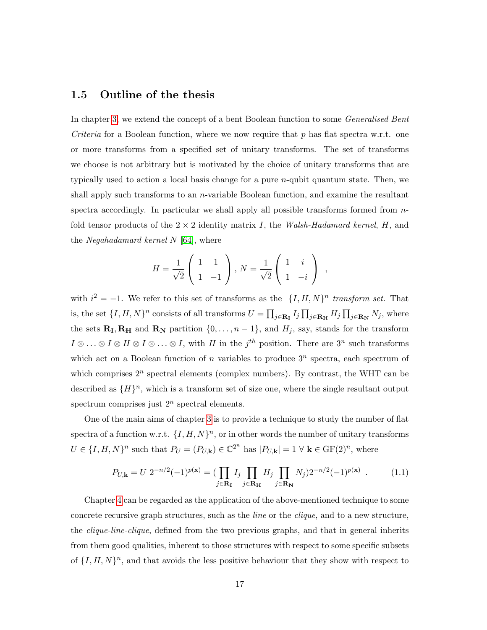### <span id="page-20-0"></span>1.5 Outline of the thesis

In chapter [3,](#page-31-0) we extend the concept of a bent Boolean function to some *Generalised Bent Criteria* for a Boolean function, where we now require that p has flat spectra w.r.t. one or more transforms from a specified set of unitary transforms. The set of transforms we choose is not arbitrary but is motivated by the choice of unitary transforms that are typically used to action a local basis change for a pure n-qubit quantum state. Then, we shall apply such transforms to an  $n$ -variable Boolean function, and examine the resultant spectra accordingly. In particular we shall apply all possible transforms formed from  $n$ fold tensor products of the  $2 \times 2$  identity matrix I, the Walsh-Hadamard kernel, H, and the Negahadamard kernel  $N$  [\[64\]](#page-136-7), where

$$
H = \frac{1}{\sqrt{2}} \begin{pmatrix} 1 & 1 \\ 1 & -1 \end{pmatrix}, N = \frac{1}{\sqrt{2}} \begin{pmatrix} 1 & i \\ 1 & -i \end{pmatrix} ,
$$

with  $i^2 = -1$ . We refer to this set of transforms as the  $\{I, H, N\}^n$  transform set. That is, the set  $\{I, H, N\}^n$  consists of all transforms  $U = \prod_{j \in \mathbf{R_I}} I_j \prod_{j \in \mathbf{R_H}} H_j \prod_{j \in \mathbf{R_N}} N_j$ , where the sets  $\mathbf{R}_{\text{I}}, \mathbf{R}_{\text{H}}$  and  $\mathbf{R}_{\text{N}}$  partition  $\{0, \ldots, n-1\}$ , and  $H_j$ , say, stands for the transform  $I \otimes \ldots \otimes I \otimes H \otimes I \otimes \ldots \otimes I$ , with H in the  $j<sup>th</sup>$  position. There are  $3<sup>n</sup>$  such transforms which act on a Boolean function of n variables to produce  $3^n$  spectra, each spectrum of which comprises  $2^n$  spectral elements (complex numbers). By contrast, the WHT can be described as  $\{H\}^n$ , which is a transform set of size one, where the single resultant output spectrum comprises just  $2^n$  spectral elements.

One of the main aims of chapter [3](#page-31-0) is to provide a technique to study the number of flat spectra of a function w.r.t.  $\{I, H, N\}^n$ , or in other words the number of unitary transforms  $U \in \{I, H, N\}^n$  such that  $P_U = (P_{U,\mathbf{k}}) \in \mathbb{C}^{2^n}$  has  $|P_{U,\mathbf{k}}| = 1 \forall \mathbf{k} \in \mathrm{GF}(2)^n$ , where

$$
P_{U,\mathbf{k}} = U \; 2^{-n/2} (-1)^{p(\mathbf{x})} = \left( \prod_{j \in \mathbf{R}_{\mathbf{I}}} I_j \prod_{j \in \mathbf{R}_{\mathbf{H}}} H_j \prod_{j \in \mathbf{R}_{\mathbf{N}}} N_j \right) 2^{-n/2} (-1)^{p(\mathbf{x})} \; . \tag{1.1}
$$

Chapter [4](#page-57-0) can be regarded as the application of the above-mentioned technique to some concrete recursive graph structures, such as the line or the clique, and to a new structure, the clique-line-clique, defined from the two previous graphs, and that in general inherits from them good qualities, inherent to those structures with respect to some specific subsets of  $\{I, H, N\}^n$ , and that avoids the less positive behaviour that they show with respect to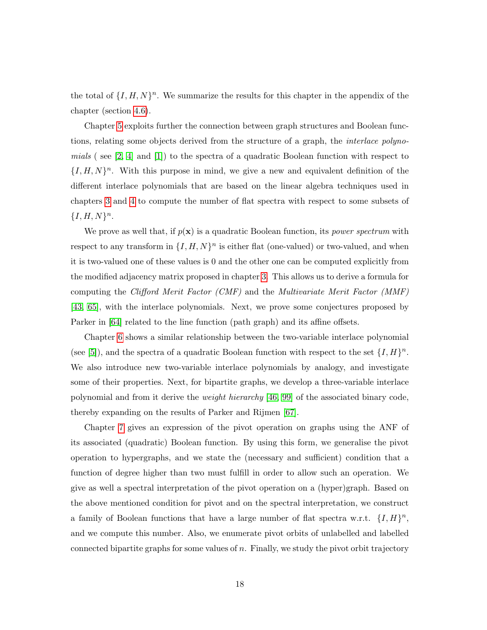the total of  $\{I, H, N\}^n$ . We summarize the results for this chapter in the appendix of the chapter (section [4.6\)](#page-76-0).

Chapter [5](#page-80-0) exploits further the connection between graph structures and Boolean functions, relating some objects derived from the structure of a graph, the interlace polynomials (see  $[2, 4]$  $[2, 4]$  and  $[1]$ ) to the spectra of a quadratic Boolean function with respect to  $\{I, H, N\}$ <sup>n</sup>. With this purpose in mind, we give a new and equivalent definition of the different interlace polynomials that are based on the linear algebra techniques used in chapters [3](#page-31-0) and [4](#page-57-0) to compute the number of flat spectra with respect to some subsets of  ${I, H, N}^n$ .

We prove as well that, if  $p(x)$  is a quadratic Boolean function, its *power spectrum* with respect to any transform in  $\{I, H, N\}^n$  is either flat (one-valued) or two-valued, and when it is two-valued one of these values is 0 and the other one can be computed explicitly from the modified adjacency matrix proposed in chapter [3.](#page-31-0) This allows us to derive a formula for computing the Clifford Merit Factor (CMF) and the Multivariate Merit Factor (MMF) [\[43,](#page-135-9) [65\]](#page-136-8), with the interlace polynomials. Next, we prove some conjectures proposed by Parker in [\[64\]](#page-136-7) related to the line function (path graph) and its affine offsets.

Chapter [6](#page-100-0) shows a similar relationship between the two-variable interlace polynomial (see [\[5\]](#page-131-3)), and the spectra of a quadratic Boolean function with respect to the set  $\{I, H\}^n$ . We also introduce new two-variable interlace polynomials by analogy, and investigate some of their properties. Next, for bipartite graphs, we develop a three-variable interlace polynomial and from it derive the weight hierarchy [\[46,](#page-135-10) [99\]](#page-140-2) of the associated binary code, thereby expanding on the results of Parker and Rijmen [\[67\]](#page-137-2).

Chapter [7](#page-109-0) gives an expression of the pivot operation on graphs using the ANF of its associated (quadratic) Boolean function. By using this form, we generalise the pivot operation to hypergraphs, and we state the (necessary and sufficient) condition that a function of degree higher than two must fulfill in order to allow such an operation. We give as well a spectral interpretation of the pivot operation on a (hyper)graph. Based on the above mentioned condition for pivot and on the spectral interpretation, we construct a family of Boolean functions that have a large number of flat spectra w.r.t.  $\{I, H\}^n$ , and we compute this number. Also, we enumerate pivot orbits of unlabelled and labelled connected bipartite graphs for some values of  $n$ . Finally, we study the pivot orbit trajectory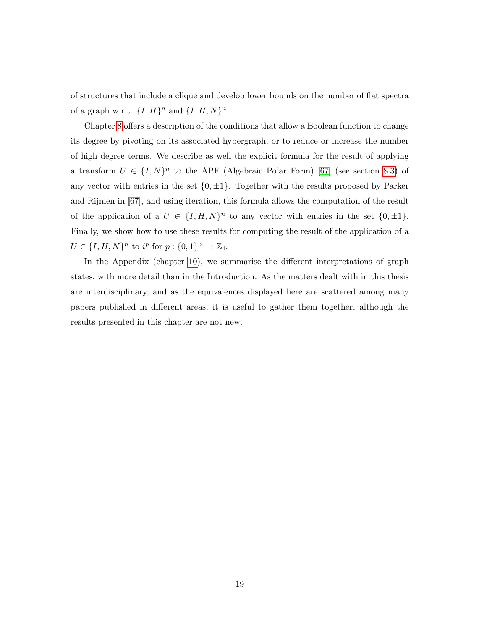of structures that include a clique and develop lower bounds on the number of flat spectra of a graph w.r.t.  $\{I, H\}^n$  and  $\{I, H, N\}^n$ .

Chapter [8](#page-117-0) offers a description of the conditions that allow a Boolean function to change its degree by pivoting on its associated hypergraph, or to reduce or increase the number of high degree terms. We describe as well the explicit formula for the result of applying a transform  $U \in \{I, N\}^n$  to the APF (Algebraic Polar Form) [\[67\]](#page-137-2) (see section [8.3\)](#page-119-0) of any vector with entries in the set  $\{0, \pm 1\}$ . Together with the results proposed by Parker and Rijmen in [\[67\]](#page-137-2), and using iteration, this formula allows the computation of the result of the application of a  $U \in \{I, H, N\}^n$  to any vector with entries in the set  $\{0, \pm 1\}$ . Finally, we show how to use these results for computing the result of the application of a  $U \in \{I, H, N\}^n$  to  $i^p$  for  $p: \{0, 1\}^n \to \mathbb{Z}_4$ .

In the Appendix (chapter [10\)](#page-141-0), we summarise the different interpretations of graph states, with more detail than in the Introduction. As the matters dealt with in this thesis are interdisciplinary, and as the equivalences displayed here are scattered among many papers published in different areas, it is useful to gather them together, although the results presented in this chapter are not new.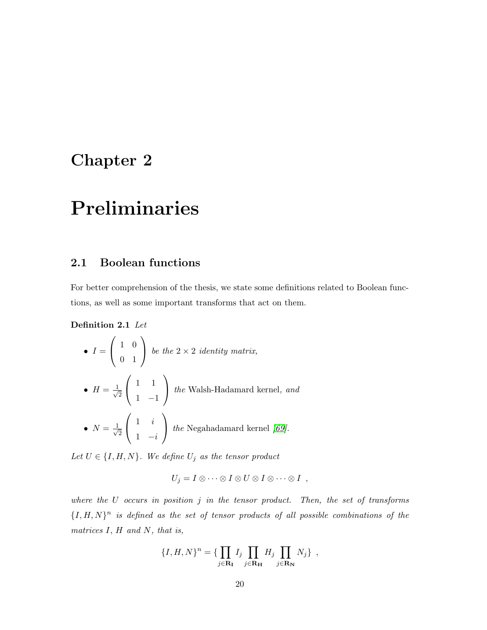### <span id="page-23-0"></span>Chapter 2

## Preliminaries

### <span id="page-23-1"></span>2.1 Boolean functions

For better comprehension of the thesis, we state some definitions related to Boolean functions, as well as some important transforms that act on them.

<span id="page-23-2"></span>Definition 2.1 Let

\n- \n
$$
I = \begin{pmatrix} 1 & 0 \\ 0 & 1 \end{pmatrix}
$$
\n*be the 2 × 2 identity matrix,*\n
\n- \n
$$
H = \frac{1}{\sqrt{2}} \begin{pmatrix} 1 & 1 \\ 1 & -1 \end{pmatrix}
$$
\n*the* Walsh-Hadamard kernel, *and*\n
\n- \n
$$
N = \frac{1}{\sqrt{2}} \begin{pmatrix} 1 & i \\ 1 & -i \end{pmatrix}
$$
\n*the* Negahadamard kernel *[69]*.\n
\n

Let  $U \in \{I, H, N\}$ . We define  $U_j$  as the tensor product

$$
U_j = I \otimes \cdots \otimes I \otimes U \otimes I \otimes \cdots \otimes I \ ,
$$

where the  $U$  occurs in position  $j$  in the tensor product. Then, the set of transforms  ${I, H, N}^n$  is defined as the set of tensor products of all possible combinations of the matrices  $I, H$  and  $N$ , that is,

$$
\{I, H, N\}^n = \{\prod_{j \in \mathbf{R_I}} I_j \prod_{j \in \mathbf{R_H}} H_j \prod_{j \in \mathbf{R_N}} N_j \},\,
$$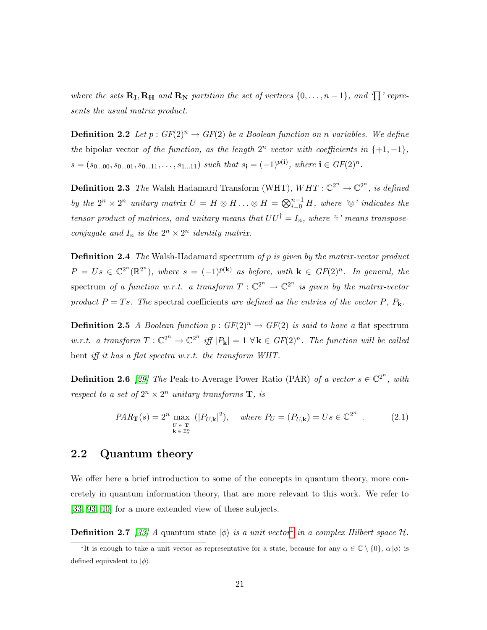where the sets  $\mathbf{R}_{\text{I}}, \mathbf{R}_{\text{H}}$  and  $\mathbf{R}_{\text{N}}$  partition the set of vertices  $\{0, \ldots, n-1\}$ , and  $\{\text{T}\}$  represents the usual matrix product.

**Definition 2.2** Let  $p: GF(2)^n \to GF(2)$  be a Boolean function on n variables. We define the bipolar vector of the function, as the length  $2^n$  vector with coefficients in  $\{+1, -1\}$ ,  $s = (s_{0...00}, s_{0...01}, s_{0...11}, \ldots, s_{1...11})$  such that  $s_i = (-1)^{p(i)}$ , where  $i \in GF(2)^n$ .

**Definition 2.3** The Walsh Hadamard Transform (WHT),  $WHT : \mathbb{C}^{2^n} \to \mathbb{C}^{2^n}$ , is defined by the  $2^n \times 2^n$  unitary matrix  $U = H \otimes H \ldots \otimes H = \bigotimes_{i=0}^{n-1} H$ , where ' $\otimes$ ' indicates the tensor product of matrices, and unitary means that  $UU^{\dagger} = I_n$ , where  $\dagger$ ' means transposeconjugate and  $I_n$  is the  $2^n \times 2^n$  identity matrix.

**Definition 2.4** The Walsh-Hadamard spectrum of p is given by the matrix-vector product  $P = Us \in \mathbb{C}^{2^n}(\mathbb{R}^{2^n})$ , where  $s = (-1)^{p(\mathbf{k})}$  as before, with  $\mathbf{k} \in GF(2)^n$ . In general, the spectrum of a function w.r.t. a transform  $T: \mathbb{C}^{2^n} \to \mathbb{C}^{2^n}$  is given by the matrix-vector product  $P = Ts$ . The spectral coefficients are defined as the entries of the vector P,  $P_k$ .

**Definition 2.5** A Boolean function  $p: GF(2)^n \rightarrow GF(2)$  is said to have a flat spectrum w.r.t. a transform  $T: \mathbb{C}^{2^n} \to \mathbb{C}^{2^n}$  iff  $|P_{\mathbf{k}}| = 1 \forall \mathbf{k} \in GF(2)^n$ . The function will be called bent iff it has a flat spectra w.r.t. the transform WHT.

**Definition 2.6** [\[29\]](#page-133-6) The Peak-to-Average Power Ratio (PAR) of a vector  $s \in \mathbb{C}^{2^n}$ , with respect to a set of  $2^n \times 2^n$  unitary transforms **T**, is

<span id="page-24-1"></span>
$$
PAR_{\mathbf{T}}(s) = 2^n \max_{\substack{U \in \mathbf{T} \\ \mathbf{k} \in \mathbb{Z}_2^n}} (|P_{U,\mathbf{k}}|^2), \quad \text{where } P_U = (P_{U,\mathbf{k}}) = Us \in \mathbb{C}^{2^n} \tag{2.1}
$$

### <span id="page-24-0"></span>2.2 Quantum theory

We offer here a brief introduction to some of the concepts in quantum theory, more concretely in quantum information theory, that are more relevant to this work. We refer to [\[33,](#page-134-7) [93,](#page-139-0) [40\]](#page-134-2) for a more extended view of these subjects.

**Definition 2.7** [\[33\]](#page-134-7) A quantum state  $|\phi\rangle$  is a unit vector<sup>[1](#page-24-2)</sup> in a complex Hilbert space H.

<span id="page-24-2"></span><sup>&</sup>lt;sup>1</sup>It is enough to take a unit vector as representative for a state, because for any  $\alpha \in \mathbb{C} \setminus \{0\}$ ,  $\alpha | \phi \rangle$  is defined equivalent to  $|\phi\rangle$ .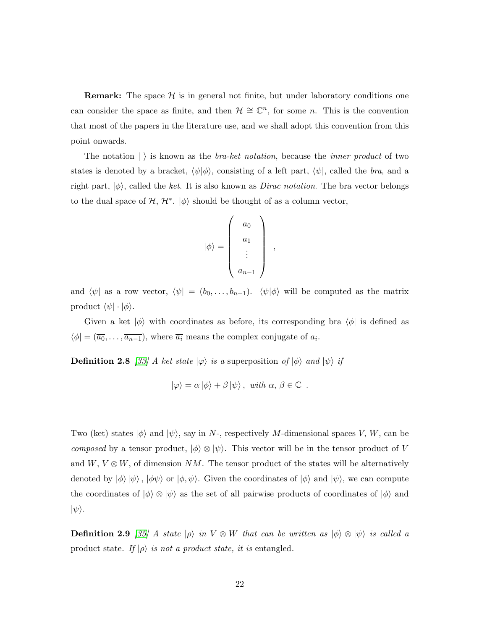**Remark:** The space  $\mathcal{H}$  is in general not finite, but under laboratory conditions one can consider the space as finite, and then  $\mathcal{H} \cong \mathbb{C}^n$ , for some n. This is the convention that most of the papers in the literature use, and we shall adopt this convention from this point onwards.

The notation  $|\rangle$  is known as the *bra-ket notation*, because the *inner product* of two states is denoted by a bracket,  $\langle \psi | \phi \rangle$ , consisting of a left part,  $\langle \psi |$ , called the bra, and a right part,  $|\phi\rangle$ , called the ket. It is also known as *Dirac notation*. The bra vector belongs to the dual space of  $H, H^*$ .  $|\phi\rangle$  should be thought of as a column vector,

$$
|\phi\rangle = \left(\begin{array}{c} a_0 \\ a_1 \\ \vdots \\ a_{n-1} \end{array}\right) ,
$$

and  $\langle \psi |$  as a row vector,  $\langle \psi | = (b_0, \ldots, b_{n-1})$ .  $\langle \psi | \phi \rangle$  will be computed as the matrix product  $\langle \psi | \cdot | \phi \rangle$ .

Given a ket  $|\phi\rangle$  with coordinates as before, its corresponding bra  $\langle\phi|$  is defined as  $\langle \phi | = (\overline{a_0}, \ldots, \overline{a_{n-1}}),$  where  $\overline{a_i}$  means the complex conjugate of  $a_i$ .

<span id="page-25-1"></span>**Definition 2.8** [\[33\]](#page-134-7) A ket state  $|\varphi\rangle$  is a superposition of  $|\phi\rangle$  and  $|\psi\rangle$  if

$$
|\varphi\rangle = \alpha |\phi\rangle + \beta |\psi\rangle
$$
, with  $\alpha, \beta \in \mathbb{C}$ .

Two (ket) states  $|\phi\rangle$  and  $|\psi\rangle$ , say in N-, respectively M-dimensional spaces V, W, can be composed by a tensor product,  $|\phi\rangle \otimes |\psi\rangle$ . This vector will be in the tensor product of V and  $W, V \otimes W$ , of dimension NM. The tensor product of the states will be alternatively denoted by  $|\phi\rangle |\psi\rangle$ ,  $|\phi\psi\rangle$  or  $|\phi, \psi\rangle$ . Given the coordinates of  $|\phi\rangle$  and  $|\psi\rangle$ , we can compute the coordinates of  $|\phi\rangle \otimes |\psi\rangle$  as the set of all pairwise products of coordinates of  $|\phi\rangle$  and  $|\psi\rangle$ .

<span id="page-25-2"></span><span id="page-25-0"></span>**Definition 2.9** [\[35\]](#page-134-8) A state  $|\rho\rangle$  in  $V \otimes W$  that can be written as  $|\phi\rangle \otimes |\psi\rangle$  is called a product state. If  $|\rho\rangle$  is not a product state, it is entangled.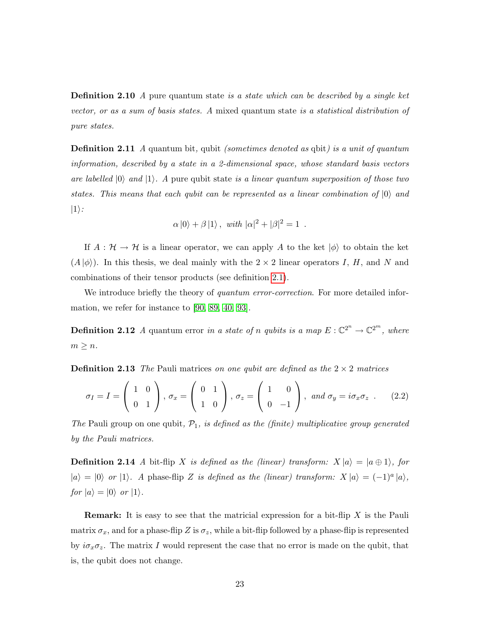**Definition 2.10** A pure quantum state is a state which can be described by a single ket vector, or as a sum of basis states. A mixed quantum state is a statistical distribution of pure states.

**Definition 2.11** A quantum bit, qubit *(sometimes denoted as qbit) is a unit of quantum* information, described by a state in a 2-dimensional space, whose standard basis vectors are labelled  $|0\rangle$  and  $|1\rangle$ . A pure qubit state is a linear quantum superposition of those two states. This means that each qubit can be represented as a linear combination of  $|0\rangle$  and  $|1\rangle$ :

$$
\alpha |0\rangle + \beta |1\rangle
$$
, with  $|\alpha|^2 + |\beta|^2 = 1$ .

If  $A : \mathcal{H} \to \mathcal{H}$  is a linear operator, we can apply A to the ket  $|\phi\rangle$  to obtain the ket  $(A | \phi)$ ). In this thesis, we deal mainly with the  $2 \times 2$  linear operators I, H, and N and combinations of their tensor products (see definition [2.1\)](#page-23-2).

We introduce briefly the theory of quantum error-correction. For more detailed information, we refer for instance to [\[90,](#page-139-5) [89,](#page-139-6) [40,](#page-134-2) [93\]](#page-139-0).

**Definition 2.12** A quantum error in a state of n qubits is a map  $E: \mathbb{C}^{2^n} \to \mathbb{C}^{2^m}$ , where  $m \geq n$ .

**Definition 2.13** The Pauli matrices on one qubit are defined as the  $2 \times 2$  matrices

<span id="page-26-0"></span>
$$
\sigma_I = I = \begin{pmatrix} 1 & 0 \\ 0 & 1 \end{pmatrix}, \sigma_x = \begin{pmatrix} 0 & 1 \\ 1 & 0 \end{pmatrix}, \sigma_z = \begin{pmatrix} 1 & 0 \\ 0 & -1 \end{pmatrix}, \text{ and } \sigma_y = i\sigma_x \sigma_z \tag{2.2}
$$

The Pauli group on one qubit,  $\mathcal{P}_1$ , is defined as the (finite) multiplicative group generated by the Pauli matrices.

**Definition 2.14** A bit-flip X is defined as the (linear) transform:  $X |a\rangle = |a \oplus 1\rangle$ , for  $|a\rangle = |0\rangle$  or  $|1\rangle$ . A phase-flip Z is defined as the (linear) transform:  $X|a\rangle = (-1)^{a}|a\rangle$ , for  $|a\rangle = |0\rangle$  or  $|1\rangle$ .

**Remark:** It is easy to see that the matricial expression for a bit-flip  $X$  is the Pauli matrix  $\sigma_x$ , and for a phase-flip Z is  $\sigma_z$ , while a bit-flip followed by a phase-flip is represented by  $i\sigma_x\sigma_z$ . The matrix I would represent the case that no error is made on the qubit, that is, the qubit does not change.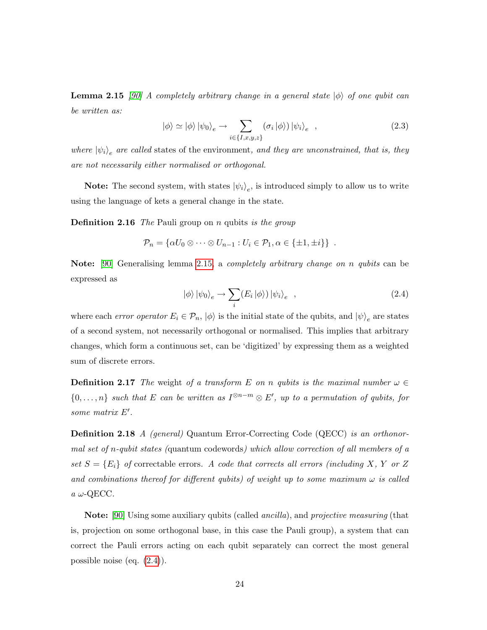**Lemma 2.15** [\[90\]](#page-139-5) A completely arbitrary change in a general state  $|\phi\rangle$  of one qubit can be written as:

<span id="page-27-2"></span>
$$
|\phi\rangle \simeq |\phi\rangle |\psi_0\rangle_e \to \sum_{i \in \{I, x, y, z\}} (\sigma_i |\phi\rangle) |\psi_i\rangle_e , \qquad (2.3)
$$

where  $|\psi_i\rangle_e$  are called states of the environment, and they are unconstrained, that is, they are not necessarily either normalised or orthogonal.

**Note:** The second system, with states  $|\psi_i\rangle_e$ , is introduced simply to allow us to write using the language of kets a general change in the state.

**Definition 2.16** The Pauli group on n qubits is the group

$$
\mathcal{P}_n = \{ \alpha U_0 \otimes \cdots \otimes U_{n-1} : U_i \in \mathcal{P}_1, \alpha \in \{\pm 1, \pm i\} \} .
$$

Note: [\[90\]](#page-139-5) Generalising lemma [2.15,](#page-27-2) a completely arbitrary change on n qubits can be expressed as

<span id="page-27-3"></span>
$$
|\phi\rangle |\psi_0\rangle_e \to \sum_i (E_i |\phi\rangle) |\psi_i\rangle_e , \qquad (2.4)
$$

where each *error operator*  $E_i \in \mathcal{P}_n$ ,  $|\phi\rangle$  is the initial state of the qubits, and  $|\psi\rangle_e$  are states of a second system, not necessarily orthogonal or normalised. This implies that arbitrary changes, which form a continuous set, can be 'digitized' by expressing them as a weighted sum of discrete errors.

**Definition 2.17** The weight of a transform E on n qubits is the maximal number  $\omega \in$  $\{0,\ldots,n\}$  such that E can be written as  $I^{\otimes n-m}\otimes E'$ , up to a permutation of qubits, for some matrix  $E'$ .

<span id="page-27-0"></span>Definition 2.18 A (general) Quantum Error-Correcting Code (QECC) is an orthonormal set of n-qubit states (quantum codewords) which allow correction of all members of a set  $S = \{E_i\}$  of correctable errors. A code that corrects all errors (including X, Y or Z and combinations thereof for different qubits) of weight up to some maximum  $\omega$  is called  $a \omega$ -QECC.

<span id="page-27-1"></span>Note: [\[90\]](#page-139-5) Using some auxiliary qubits (called *ancilla*), and *projective measuring* (that is, projection on some orthogonal base, in this case the Pauli group), a system that can correct the Pauli errors acting on each qubit separately can correct the most general possible noise (eq. [\(2.4\)](#page-27-3)).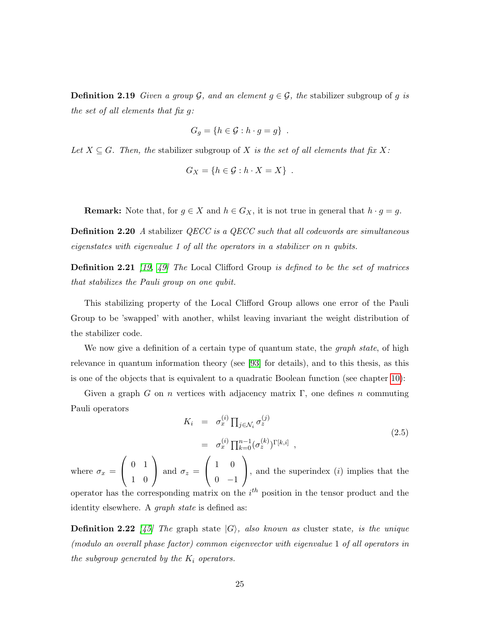**Definition 2.19** Given a group  $\mathcal{G}$ , and an element  $g \in \mathcal{G}$ , the stabilizer subgroup of g is the set of all elements that fix g:

$$
G_g = \{ h \in \mathcal{G} : h \cdot g = g \} .
$$

Let  $X \subseteq G$ . Then, the stabilizer subgroup of X is the set of all elements that fix X:

$$
G_X = \{ h \in \mathcal{G} : h \cdot X = X \} .
$$

**Remark:** Note that, for  $g \in X$  and  $h \in G_X$ , it is not true in general that  $h \cdot g = g$ .

<span id="page-28-0"></span>Definition 2.20 A stabilizer QECC is a QECC such that all codewords are simultaneous eigenstates with eigenvalue 1 of all the operators in a stabilizer on n qubits.

<span id="page-28-1"></span>**Definition 2.21** [\[19,](#page-132-4) [49\]](#page-135-7) The Local Clifford Group is defined to be the set of matrices that stabilizes the Pauli group on one qubit.

This stabilizing property of the Local Clifford Group allows one error of the Pauli Group to be 'swapped' with another, whilst leaving invariant the weight distribution of the stabilizer code.

We now give a definition of a certain type of quantum state, the *graph state*, of high relevance in quantum information theory (see [\[93\]](#page-139-0) for details), and to this thesis, as this is one of the objects that is equivalent to a quadratic Boolean function (see chapter [10\)](#page-141-0):

Given a graph G on n vertices with adjacency matrix  $\Gamma$ , one defines n commuting Pauli operators

$$
K_i = \sigma_x^{(i)} \prod_{j \in \mathcal{N}_i} \sigma_z^{(j)}
$$
  
= 
$$
\sigma_x^{(i)} \prod_{k=0}^{n-1} (\sigma_z^{(k)})^{\Gamma[k,i]},
$$
 (2.5)

where  $\sigma_x =$  $\sqrt{ }$  $\mathcal{L}$ 0 1 1 0  $\setminus$ and  $\sigma_z =$  $\sqrt{ }$  $\mathcal{L}$ 1 0  $0 -1$  $\setminus$ , and the superindex  $(i)$  implies that the operator has the corresponding matrix on the  $i<sup>th</sup>$  position in the tensor product and the identity elsewhere. A *graph state* is defined as:

<span id="page-28-2"></span>**Definition 2.22** [\[45\]](#page-135-8) The graph state  $|G\rangle$ , also known as cluster state, is the unique (modulo an overall phase factor) common eigenvector with eigenvalue 1 of all operators in the subgroup generated by the  $K_i$  operators.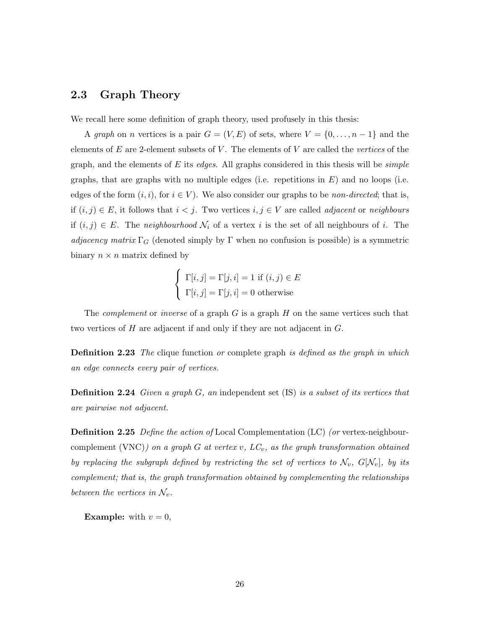### <span id="page-29-0"></span>2.3 Graph Theory

We recall here some definition of graph theory, used profusely in this thesis:

A graph on n vertices is a pair  $G = (V, E)$  of sets, where  $V = \{0, \ldots, n-1\}$  and the elements of  $E$  are 2-element subsets of  $V$ . The elements of  $V$  are called the vertices of the graph, and the elements of E its edges. All graphs considered in this thesis will be *simple* graphs, that are graphs with no multiple edges (i.e. repetitions in  $E$ ) and no loops (i.e. edges of the form  $(i, i)$ , for  $i \in V$ ). We also consider our graphs to be *non-directed*; that is, if  $(i, j) \in E$ , it follows that  $i < j$ . Two vertices  $i, j \in V$  are called *adjacent* or *neighbours* if  $(i, j) \in E$ . The neighbourhood  $\mathcal{N}_i$  of a vertex i is the set of all neighbours of i. The adjacency matrix  $\Gamma_G$  (denoted simply by  $\Gamma$  when no confusion is possible) is a symmetric binary  $n \times n$  matrix defined by

$$
\begin{cases} \Gamma[i,j] = \Gamma[j,i] = 1 \text{ if } (i,j) \in E \\ \Gamma[i,j] = \Gamma[j,i] = 0 \text{ otherwise} \end{cases}
$$

The *complement* or *inverse* of a graph  $G$  is a graph  $H$  on the same vertices such that two vertices of H are adjacent if and only if they are not adjacent in G.

**Definition 2.23** The clique function or complete graph is defined as the graph in which an edge connects every pair of vertices.

**Definition 2.24** Given a graph  $G$ , an independent set  $(IS)$  is a subset of its vertices that are pairwise not adjacent.

<span id="page-29-1"></span>**Definition 2.25** Define the action of Local Complementation (LC) (or vertex-neighbourcomplement (VNC)) on a graph G at vertex v,  $LC_v$ , as the graph transformation obtained by replacing the subgraph defined by restricting the set of vertices to  $\mathcal{N}_v,$   $G[\mathcal{N}_v],$  by its complement; that is, the graph transformation obtained by complementing the relationships between the vertices in  $\mathcal{N}_v$ .

**Example:** with  $v = 0$ ,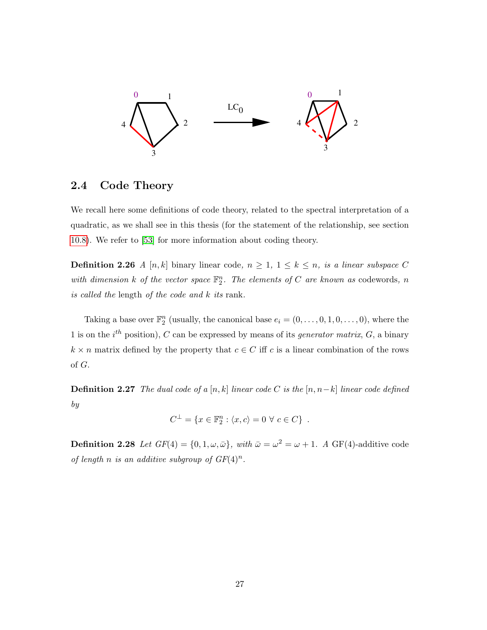

### <span id="page-30-0"></span>2.4 Code Theory

We recall here some definitions of code theory, related to the spectral interpretation of a quadratic, as we shall see in this thesis (for the statement of the relationship, see section [10.8\)](#page-148-0). We refer to [\[53\]](#page-135-0) for more information about coding theory.

**Definition 2.26** A [n, k] binary linear code,  $n \geq 1$ ,  $1 \leq k \leq n$ , is a linear subspace C with dimension k of the vector space  $\mathbb{F}_2^n$ . The elements of C are known as codewords, n is called the length of the code and k its rank.

Taking a base over  $\mathbb{F}_2^n$  (usually, the canonical base  $e_i = (0, \ldots, 0, 1, 0, \ldots, 0)$ , where the 1 is on the  $i^{th}$  position), C can be expressed by means of its *generator matrix*, G, a binary  $k \times n$  matrix defined by the property that  $c \in C$  iff c is a linear combination of the rows of G.

**Definition 2.27** The dual code of a [n, k] linear code C is the [n, n-k] linear code defined by

$$
C^{\perp} = \{x \in \mathbb{F}_2^n : \langle x, c \rangle = 0 \,\,\forall \,\, c \in C\} \,.
$$

**Definition 2.28** Let  $GF(4) = \{0, 1, \omega, \bar{\omega}\}\$ , with  $\bar{\omega} = \omega^2 = \omega + 1$ . A GF(4)-additive code of length n is an additive subgroup of  $GF(4)^n$ .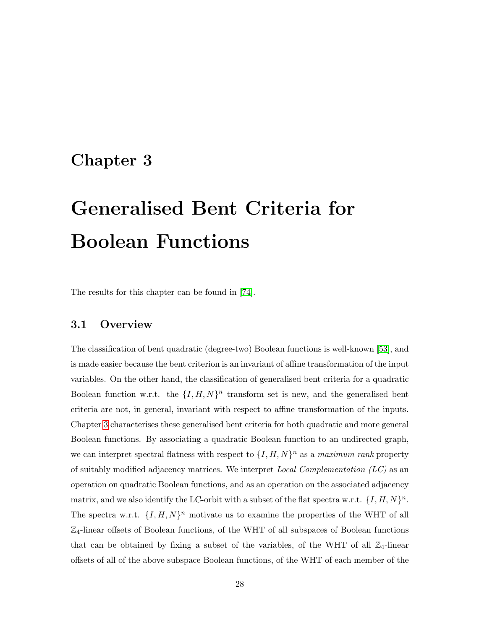### <span id="page-31-0"></span>Chapter 3

# Generalised Bent Criteria for Boolean Functions

The results for this chapter can be found in [\[74\]](#page-137-6).

#### <span id="page-31-1"></span>3.1 Overview

The classification of bent quadratic (degree-two) Boolean functions is well-known [\[53\]](#page-135-0), and is made easier because the bent criterion is an invariant of affine transformation of the input variables. On the other hand, the classification of generalised bent criteria for a quadratic Boolean function w.r.t. the  $\{I, H, N\}^n$  transform set is new, and the generalised bent criteria are not, in general, invariant with respect to affine transformation of the inputs. Chapter [3](#page-31-0) characterises these generalised bent criteria for both quadratic and more general Boolean functions. By associating a quadratic Boolean function to an undirected graph, we can interpret spectral flatness with respect to  $\{I, H, N\}^n$  as a maximum rank property of suitably modified adjacency matrices. We interpret *Local Complementation*  $(LC)$  as an operation on quadratic Boolean functions, and as an operation on the associated adjacency matrix, and we also identify the LC-orbit with a subset of the flat spectra w.r.t.  $\{I, H, N\}^n$ . The spectra w.r.t.  $\{I, H, N\}^n$  motivate us to examine the properties of the WHT of all  $\mathbb{Z}_4$ -linear offsets of Boolean functions, of the WHT of all subspaces of Boolean functions that can be obtained by fixing a subset of the variables, of the WHT of all  $\mathbb{Z}_4$ -linear offsets of all of the above subspace Boolean functions, of the WHT of each member of the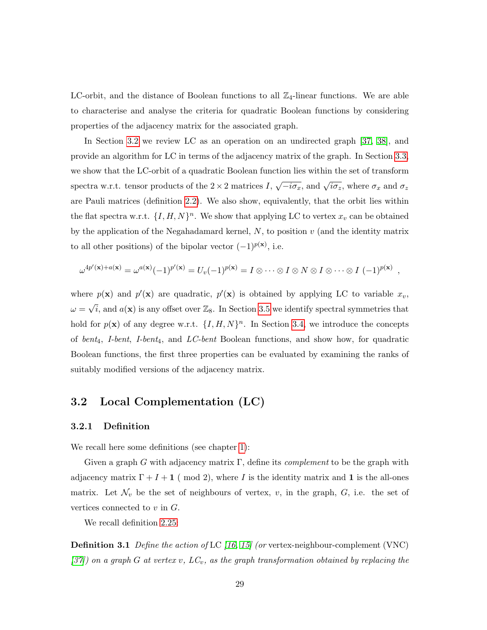LC-orbit, and the distance of Boolean functions to all  $\mathbb{Z}_4$ -linear functions. We are able to characterise and analyse the criteria for quadratic Boolean functions by considering properties of the adjacency matrix for the associated graph.

In Section [3.2](#page-32-0) we review LC as an operation on an undirected graph [\[37,](#page-134-3) [38\]](#page-134-5), and provide an algorithm for LC in terms of the adjacency matrix of the graph. In Section [3.3,](#page-34-0) we show that the LC-orbit of a quadratic Boolean function lies within the set of transform spectra w.r.t. tensor products of the  $2 \times 2$  matrices I,  $\sqrt{-i\sigma_x}$ , and  $\sqrt{i\sigma_z}$ , where  $\sigma_x$  and  $\sigma_z$ are Pauli matrices (definition [2.2\)](#page-26-0). We also show, equivalently, that the orbit lies within the flat spectra w.r.t.  $\{I, H, N\}^n$ . We show that applying LC to vertex  $x_v$  can be obtained by the application of the Negahadamard kernel,  $N$ , to position  $v$  (and the identity matrix to all other positions) of the bipolar vector  $(-1)^{p(x)}$ , i.e.

$$
\omega^{4p'(\mathbf{x})+a(\mathbf{x})} = \omega^{a(\mathbf{x})}(-1)^{p'(\mathbf{x})} = U_v(-1)^{p(\mathbf{x})} = I \otimes \cdots \otimes I \otimes N \otimes I \otimes \cdots \otimes I (-1)^{p(\mathbf{x})},
$$

where  $p(\mathbf{x})$  and  $p'(\mathbf{x})$  are quadratic,  $p'(\mathbf{x})$  is obtained by applying LC to variable  $x_v$ ,  $\omega =$  $\sqrt{i}$ , and  $a(\mathbf{x})$  is any offset over  $\mathbb{Z}_8$ . In Section [3.5](#page-53-0) we identify spectral symmetries that hold for  $p(\mathbf{x})$  of any degree w.r.t.  $\{I, H, N\}^n$ . In Section [3.4,](#page-42-0) we introduce the concepts of bent<sub>4</sub>, I-bent, I-bent<sub>4</sub>, and LC-bent Boolean functions, and show how, for quadratic Boolean functions, the first three properties can be evaluated by examining the ranks of suitably modified versions of the adjacency matrix.

### <span id="page-32-0"></span>3.2 Local Complementation (LC)

#### <span id="page-32-1"></span>3.2.1 Definition

We recall here some definitions (see chapter [1\)](#page-7-0):

Given a graph G with adjacency matrix  $\Gamma$ , define its *complement* to be the graph with adjacency matrix  $\Gamma + I + 1$  (mod 2), where I is the identity matrix and 1 is the all-ones matrix. Let  $\mathcal{N}_v$  be the set of neighbours of vertex, v, in the graph, G, i.e. the set of vertices connected to  $v$  in  $G$ .

We recall definition [2.25:](#page-29-1)

**Definition 3.1** Define the action of LC  $(16, 15)$  (or vertex-neighbour-complement (VNC) [\[37\]](#page-134-3)) on a graph G at vertex v,  $LC_v$ , as the graph transformation obtained by replacing the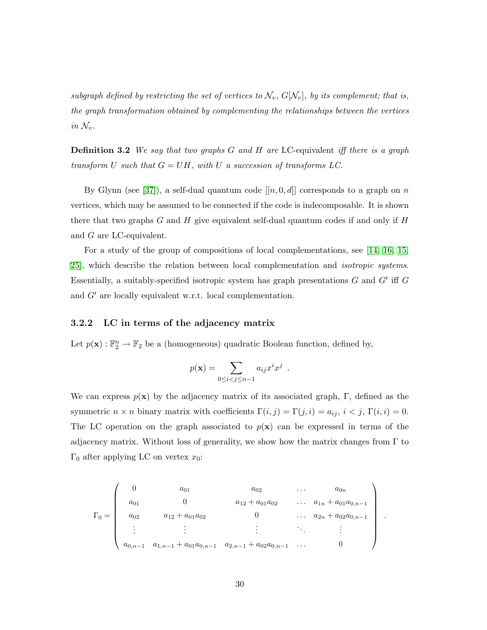subgraph defined by restricting the set of vertices to  $\mathcal{N}_v$ ,  $G[\mathcal{N}_v]$ , by its complement; that is, the graph transformation obtained by complementing the relationships between the vertices in  $\mathcal{N}_v$ .

Definition 3.2 We say that two graphs G and H are LC-equivalent iff there is a graph transform U such that  $G = UH$ , with U a succession of transforms LC.

By Glynn (see [\[37\]](#page-134-3)), a self-dual quantum code  $[[n, 0, d]]$  corresponds to a graph on n vertices, which may be assumed to be connected if the code is indecomposable. It is shown there that two graphs G and H give equivalent self-dual quantum codes if and only if  $H$ and G are LC-equivalent.

For a study of the group of compositions of local complementations, see [\[14,](#page-132-9) [16,](#page-132-6) [15,](#page-132-7) [25\]](#page-133-7), which describe the relation between local complementation and isotropic systems. Essentially, a suitably-specified isotropic system has graph presentations  $G$  and  $G'$  iff  $G$ and  $G'$  are locally equivalent w.r.t. local complementation.

#### <span id="page-33-0"></span>3.2.2 LC in terms of the adjacency matrix

Let  $p(\mathbf{x}) : \mathbb{F}_2^n \to \mathbb{F}_2$  be a (homogeneous) quadratic Boolean function, defined by,

$$
p(\mathbf{x}) = \sum_{0 \le i < j \le n-1} a_{ij} x^i x^j \enspace .
$$

We can express  $p(x)$  by the adjacency matrix of its associated graph, Γ, defined as the symmetric  $n \times n$  binary matrix with coefficients  $\Gamma(i, j) = \Gamma(j, i) = a_{ij}, i < j, \Gamma(i, i) = 0$ . The LC operation on the graph associated to  $p(x)$  can be expressed in terms of the adjacency matrix. Without loss of generality, we show how the matrix changes from  $\Gamma$  to Γ<sub>0</sub> after applying LC on vertex  $x_0$ :

$$
\Gamma_0 = \begin{pmatrix}\n0 & a_{01} & a_{02} & \cdots & a_{0n} \\
a_{01} & 0 & a_{12} + a_{01}a_{02} & \cdots & a_{1n} + a_{01}a_{0,n-1} \\
a_{02} & a_{12} + a_{01}a_{02} & 0 & \cdots & a_{2n} + a_{02}a_{0,n-1} \\
\vdots & \vdots & \vdots & \ddots & \vdots \\
a_{0,n-1} & a_{1,n-1} + a_{01}a_{0,n-1} & a_{2,n-1} + a_{02}a_{0,n-1} & \cdots & 0\n\end{pmatrix}.
$$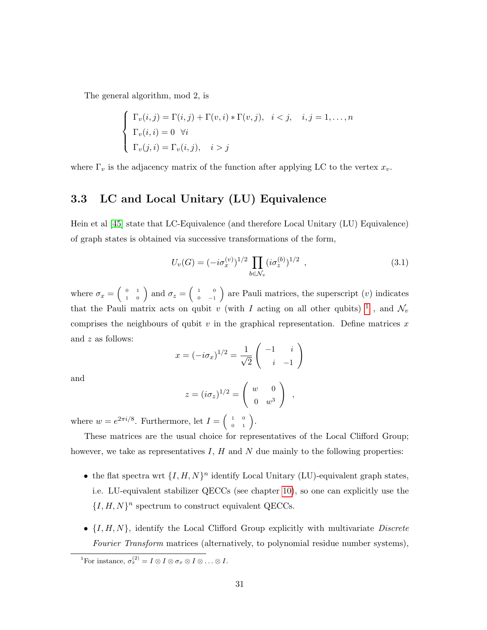The general algorithm, mod 2, is

$$
\begin{cases}\n\Gamma_v(i,j) = \Gamma(i,j) + \Gamma(v,i) * \Gamma(v,j), & i < j, \quad i,j = 1, \dots, n \\
\Gamma_v(i,i) = 0 \quad \forall i \\
\Gamma_v(j,i) = \Gamma_v(i,j), & i > j\n\end{cases}
$$

where  $\Gamma_v$  is the adjacency matrix of the function after applying LC to the vertex  $x_v$ .

### <span id="page-34-0"></span>3.3 LC and Local Unitary (LU) Equivalence

Hein et al [\[45\]](#page-135-8) state that LC-Equivalence (and therefore Local Unitary (LU) Equivalence) of graph states is obtained via successive transformations of the form,

$$
U_v(G) = (-i\sigma_x^{(v)})^{1/2} \prod_{b \in \mathcal{N}_v} (i\sigma_z^{(b)})^{1/2} , \qquad (3.1)
$$

where  $\sigma_x = \left(\begin{array}{cc} 0 & 1 \\ 1 & 0 \end{array}\right)$  and  $\sigma_z = \left(\begin{array}{cc} 1 & 0 \\ 0 & -1 \end{array}\right)$  $\begin{pmatrix} 1 & 0 \\ 0 & -1 \end{pmatrix}$  are Pauli matrices, the superscript  $(v)$  indicates that the Pauli matrix acts on qubit v (with I acting on all other qubits) <sup>[1](#page-34-1)</sup>, and  $\mathcal{N}_v$ comprises the neighbours of qubit  $v$  in the graphical representation. Define matrices  $x$ and z as follows:

$$
x = (-i\sigma_x)^{1/2} = \frac{1}{\sqrt{2}} \begin{pmatrix} -1 & i \\ i & -1 \end{pmatrix}
$$

and

$$
z = (i\sigma_z)^{1/2} = \begin{pmatrix} w & 0 \\ 0 & w^3 \end{pmatrix} ,
$$

where  $w = e^{2\pi i/8}$ . Furthermore, let  $I = \begin{pmatrix} 1 & 0 \\ 0 & 1 \end{pmatrix}$ .

These matrices are the usual choice for representatives of the Local Clifford Group; however, we take as representatives  $I, H$  and  $N$  due mainly to the following properties:

- the flat spectra wrt  $\{I, H, N\}^n$  identify Local Unitary (LU)-equivalent graph states, i.e. LU-equivalent stabilizer QECCs (see chapter [10\)](#page-141-0), so one can explicitly use the  ${I, H, N}^n$  spectrum to construct equivalent QECCs.
- $\{I, H, N\}$ , identify the Local Clifford Group explicitly with multivariate Discrete Fourier Transform matrices (alternatively, to polynomial residue number systems),

<span id="page-34-1"></span><sup>&</sup>lt;sup>1</sup>For instance,  $\sigma_x^{(2)} = I \otimes I \otimes \sigma_x \otimes I \otimes \ldots \otimes I$ .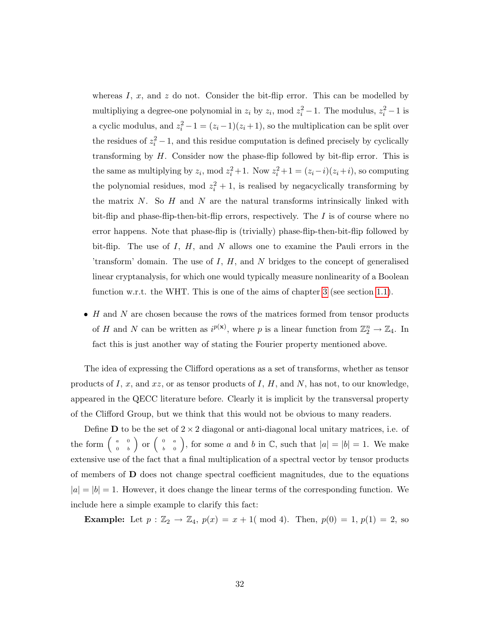whereas  $I, x$ , and  $z$  do not. Consider the bit-flip error. This can be modelled by multipliying a degree-one polynomial in  $z_i$  by  $z_i$ , mod  $z_i^2 - 1$ . The modulus,  $z_i^2 - 1$  is a cyclic modulus, and  $z_i^2 - 1 = (z_i - 1)(z_i + 1)$ , so the multiplication can be split over the residues of  $z_i^2 - 1$ , and this residue computation is defined precisely by cyclically transforming by  $H$ . Consider now the phase-flip followed by bit-flip error. This is the same as multiplying by  $z_i$ , mod  $z_i^2 + 1$ . Now  $z_i^2 + 1 = (z_i - i)(z_i + i)$ , so computing the polynomial residues, mod  $z_i^2 + 1$ , is realised by negacyclically transforming by the matrix  $N$ . So  $H$  and  $N$  are the natural transforms intrinsically linked with bit-flip and phase-flip-then-bit-flip errors, respectively. The  $I$  is of course where no error happens. Note that phase-flip is (trivially) phase-flip-then-bit-flip followed by bit-flip. The use of  $I, H$ , and  $N$  allows one to examine the Pauli errors in the 'transform' domain. The use of  $I, H$ , and  $N$  bridges to the concept of generalised linear cryptanalysis, for which one would typically measure nonlinearity of a Boolean function w.r.t. the WHT. This is one of the aims of chapter [3](#page-31-0) (see section [1.1\)](#page-9-0).

 $\bullet$  H and N are chosen because the rows of the matrices formed from tensor products of H and N can be written as  $i^{p(x)}$ , where p is a linear function from  $\mathbb{Z}_2^n \to \mathbb{Z}_4$ . In fact this is just another way of stating the Fourier property mentioned above.

The idea of expressing the Clifford operations as a set of transforms, whether as tensor products of  $I, x$ , and  $xz$ , or as tensor products of  $I, H$ , and  $N$ , has not, to our knowledge, appeared in the QECC literature before. Clearly it is implicit by the transversal property of the Clifford Group, but we think that this would not be obvious to many readers.

Define **D** to be the set of  $2 \times 2$  diagonal or anti-diagonal local unitary matrices, i.e. of the form  $\begin{pmatrix} a & 0 \\ 0 & b \end{pmatrix}$  $\left(\begin{array}{cc}a&0\0&b\end{array}\right)$  or  $\left(\begin{array}{cc}0&a\b&0\end{array}\right)$  $\begin{pmatrix} 0 & a \\ b & 0 \end{pmatrix}$ , for some a and b in C, such that  $|a| = |b| = 1$ . We make extensive use of the fact that a final multiplication of a spectral vector by tensor products of members of D does not change spectral coefficient magnitudes, due to the equations  $|a| = |b| = 1$ . However, it does change the linear terms of the corresponding function. We include here a simple example to clarify this fact:

**Example:** Let  $p : \mathbb{Z}_2 \to \mathbb{Z}_4$ ,  $p(x) = x + 1$  (mod 4). Then,  $p(0) = 1$ ,  $p(1) = 2$ , so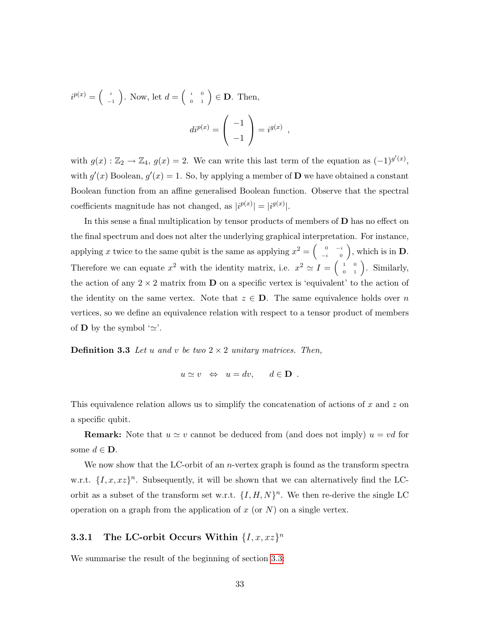$i^{p(x)} = \begin{pmatrix} i \end{pmatrix}$  $\begin{pmatrix} i \\ -1 \end{pmatrix}$ . Now, let  $d = \begin{pmatrix} i & 0 \\ 0 & 1 \end{pmatrix} \in \mathbf{D}$ . Then,  $di^{p(x)} =$  $\sqrt{ }$  $\mathcal{L}$ −1 −1  $\setminus$  $\Bigg| = i^{g(x)} \Bigg|,$ 

with  $g(x): \mathbb{Z}_2 \to \mathbb{Z}_4$ ,  $g(x) = 2$ . We can write this last term of the equation as  $(-1)^{g'(x)}$ , with  $g'(x)$  Boolean,  $g'(x) = 1$ . So, by applying a member of **D** we have obtained a constant Boolean function from an affine generalised Boolean function. Observe that the spectral coefficients magnitude has not changed, as  $|i^{p(x)}| = |i^{g(x)}|$ .

In this sense a final multiplication by tensor products of members of  **has no effect on** the final spectrum and does not alter the underlying graphical interpretation. For instance, applying x twice to the same qubit is the same as applying  $x^2 = \begin{pmatrix} 0 & -i \\ i & 0 \end{pmatrix}$  $\begin{pmatrix} 0 & -i \\ -i & 0 \end{pmatrix}$ , which is in **D**. Therefore we can equate  $x^2$  with the identity matrix, i.e.  $x^2 \simeq I = \begin{pmatrix} 1 & 0 \\ 0 & 1 \end{pmatrix}$ . Similarly, the action of any  $2 \times 2$  matrix from **D** on a specific vertex is 'equivalent' to the action of the identity on the same vertex. Note that  $z \in \mathbf{D}$ . The same equivalence holds over n vertices, so we define an equivalence relation with respect to a tensor product of members of **D** by the symbol  $'\simeq$ '.

**Definition 3.3** Let u and v be two  $2 \times 2$  unitary matrices. Then,

<span id="page-36-1"></span><span id="page-36-0"></span>
$$
u \simeq v \Leftrightarrow u = dv, \quad d \in \mathbf{D}
$$
.

This equivalence relation allows us to simplify the concatenation of actions of x and z on a specific qubit.

**Remark:** Note that  $u \simeq v$  cannot be deduced from (and does not imply)  $u = vd$  for some  $d \in \mathbf{D}$ .

We now show that the LC-orbit of an  $n$ -vertex graph is found as the transform spectra w.r.t.  $\{I, x, xz\}$ <sup>n</sup>. Subsequently, it will be shown that we can alternatively find the LCorbit as a subset of the transform set w.r.t.  $\{I, H, N\}^n$ . We then re-derive the single LC operation on a graph from the application of  $x$  (or  $N$ ) on a single vertex.

# <span id="page-36-2"></span>3.3.1 The LC-orbit Occurs Within  $\{I, x, xz\}^n$

We summarise the result of the beginning of section [3.3:](#page-34-0)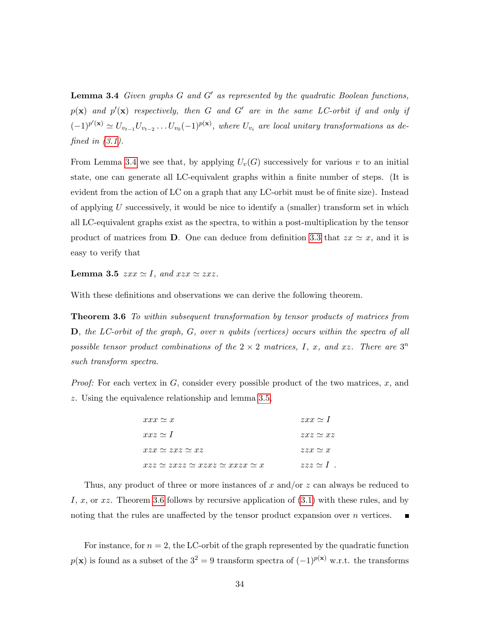**Lemma 3.4** Given graphs  $G$  and  $G'$  as represented by the quadratic Boolean functions,  $p(\mathbf{x})$  and  $p'(\mathbf{x})$  respectively, then G and G' are in the same LC-orbit if and only if  $(-1)^{p'(\mathbf{x})} \simeq U_{v_{t-1}}U_{v_{t-2}}\ldots U_{v_0}(-1)^{p(\mathbf{x})}$ , where  $U_{v_i}$  are local unitary transformations as defined in  $(3.1)$ .

From Lemma [3.4](#page-36-0) we see that, by applying  $U_v(G)$  successively for various v to an initial state, one can generate all LC-equivalent graphs within a finite number of steps. (It is evident from the action of LC on a graph that any LC-orbit must be of finite size). Instead of applying U successively, it would be nice to identify a (smaller) transform set in which all LC-equivalent graphs exist as the spectra, to within a post-multiplication by the tensor product of matrices from D. One can deduce from definition [3.3](#page-36-1) that  $zx \simeq x$ , and it is easy to verify that

<span id="page-37-0"></span>**Lemma 3.5**  $zxx \simeq I$ , and  $xzx \simeq zxz$ .

With these definitions and observations we can derive the following theorem.

Theorem 3.6 To within subsequent transformation by tensor products of matrices from D, the LC-orbit of the graph, G, over n qubits (vertices) occurs within the spectra of all possible tensor product combinations of the  $2 \times 2$  matrices, I, x, and xz. There are  $3^n$ such transform spectra.

*Proof:* For each vertex in  $G$ , consider every possible product of the two matrices,  $x$ , and z. Using the equivalence relationship and lemma [3.5,](#page-37-0)

<span id="page-37-1"></span>

| $xxx \simeq x$                                     | $zxx \simeq 1$   |
|----------------------------------------------------|------------------|
| $xxz \simeq 1$                                     | $zxz \simeq xz$  |
| $xzx \simeq zxz \simeq xz$                         | $zzx \simeq x$   |
| $xzz \simeq zxzz \simeq xzxz \simeq xxxx \simeq x$ | $zzz \simeq 1$ . |

Thus, any product of three or more instances of x and/or  $z$  can always be reduced to I, x, or  $xz$ . Theorem [3.6](#page-37-1) follows by recursive application of  $(3.1)$  with these rules, and by noting that the rules are unaffected by the tensor product expansion over  $n$  vertices.

For instance, for  $n = 2$ , the LC-orbit of the graph represented by the quadratic function  $p(x)$  is found as a subset of the  $3^2 = 9$  transform spectra of  $(-1)^{p(x)}$  w.r.t. the transforms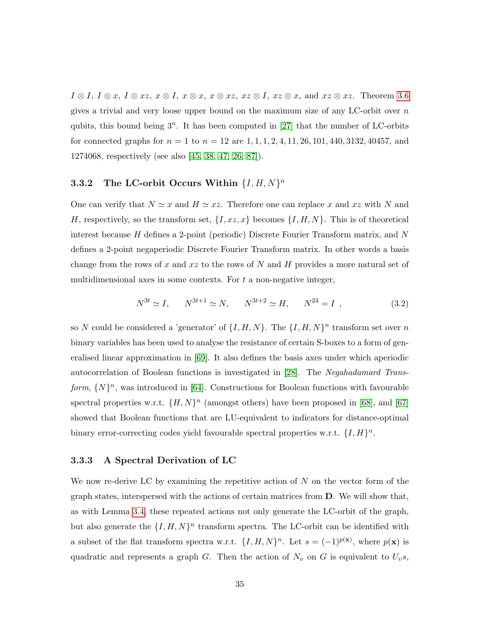$I \otimes I$ ,  $I \otimes x$ ,  $I \otimes xz$ ,  $x \otimes I$ ,  $x \otimes x$ ,  $x \otimes xz$ ,  $xz \otimes I$ ,  $xz \otimes x$ , and  $xz \otimes xz$ . Theorem [3.6](#page-37-1) gives a trivial and very loose upper bound on the maximum size of any LC-orbit over  $n$ qubits, this bound being  $3^n$ . It has been computed in [\[27\]](#page-133-0) that the number of LC-orbits for connected graphs for  $n = 1$  to  $n = 12$  are  $1, 1, 1, 2, 4, 11, 26, 101, 440, 3132, 40457,$  and 1274068, respectively (see also [\[45,](#page-135-0) [38,](#page-134-0) [47,](#page-135-1) [26,](#page-133-1) [87\]](#page-139-0)).

# <span id="page-38-1"></span>3.3.2 The LC-orbit Occurs Within  $\{I, H, N\}^n$

One can verify that  $N \simeq x$  and  $H \simeq xz$ . Therefore one can replace x and xz with N and H, respectively, so the transform set,  $\{I, xz, x\}$  becomes  $\{I, H, N\}$ . This is of theoretical interest because H defines a 2-point (periodic) Discrete Fourier Transform matrix, and N defines a 2-point negaperiodic Discrete Fourier Transform matrix. In other words a basis change from the rows of x and  $xz$  to the rows of N and H provides a more natural set of multidimensional axes in some contexts. For  $t$  a non-negative integer,

<span id="page-38-0"></span>
$$
N^{3t} \simeq I, \qquad N^{3t+1} \simeq N, \qquad N^{3t+2} \simeq H, \qquad N^{24} = I \tag{3.2}
$$

so N could be considered a 'generator' of  $\{I, H, N\}$ . The  $\{I, H, N\}^n$  transform set over n binary variables has been used to analyse the resistance of certain S-boxes to a form of generalised linear approximation in [\[69\]](#page-137-0). It also defines the basis axes under which aperiodic autocorrelation of Boolean functions is investigated in [\[28\]](#page-133-2). The Negahadamard Transform,  $\{N\}^n$ , was introduced in [\[64\]](#page-136-0). Constructions for Boolean functions with favourable spectral properties w.r.t.  $\{H, N\}^n$  (amongst others) have been proposed in [\[68\]](#page-137-1), and [\[67\]](#page-137-2) showed that Boolean functions that are LU-equivalent to indicators for distance-optimal binary error-correcting codes yield favourable spectral properties w.r.t.  $\{I, H\}^n$ .

## 3.3.3 A Spectral Derivation of LC

We now re-derive LC by examining the repetitive action of  $N$  on the vector form of the graph states, interspersed with the actions of certain matrices from D. We will show that, as with Lemma [3.4,](#page-36-0) these repeated actions not only generate the LC-orbit of the graph, but also generate the  $\{I, H, N\}^n$  transform spectra. The LC-orbit can be identified with a subset of the flat transform spectra w.r.t.  $\{I, H, N\}^n$ . Let  $s = (-1)^{p(\mathbf{x})}$ , where  $p(\mathbf{x})$  is quadratic and represents a graph G. Then the action of  $N_v$  on G is equivalent to  $U_v$ s,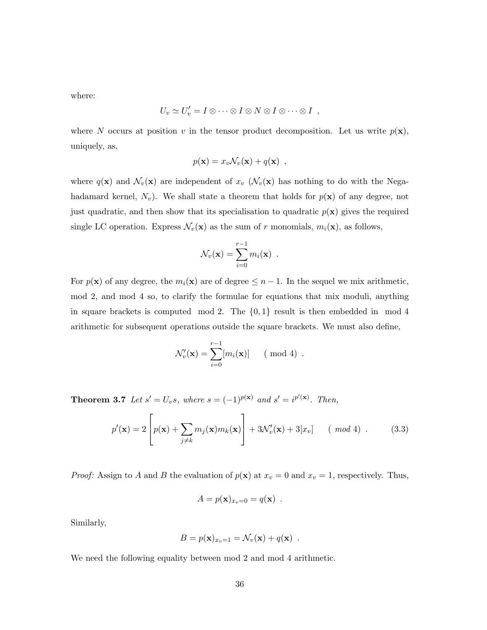where:

$$
U_v \simeq U'_v = I \otimes \cdots \otimes I \otimes N \otimes I \otimes \cdots \otimes I ,
$$

where N occurs at position v in the tensor product decomposition. Let us write  $p(x)$ , uniquely, as,

$$
p(\mathbf{x}) = x_v \mathcal{N}_v(\mathbf{x}) + q(\mathbf{x}) \enspace ,
$$

where  $q(\mathbf{x})$  and  $\mathcal{N}_v(\mathbf{x})$  are independent of  $x_v$  ( $\mathcal{N}_v(\mathbf{x})$ ) has nothing to do with the Negahadamard kernel,  $N_v$ ). We shall state a theorem that holds for  $p(x)$  of any degree, not just quadratic, and then show that its specialisation to quadratic  $p(x)$  gives the required single LC operation. Express  $\mathcal{N}_v(\mathbf{x})$  as the sum of r monomials,  $m_i(\mathbf{x})$ , as follows,

$$
\mathcal{N}_v(\mathbf{x}) = \sum_{i=0}^{r-1} m_i(\mathbf{x}) .
$$

For  $p(\mathbf{x})$  of any degree, the  $m_i(\mathbf{x})$  are of degree  $\leq n-1$ . In the sequel we mix arithmetic, mod 2, and mod 4 so, to clarify the formulae for equations that mix moduli, anything in square brackets is computed mod 2. The  $\{0,1\}$  result is then embedded in mod 4 arithmetic for subsequent operations outside the square brackets. We must also define,

$$
\mathcal{N}'_v(\mathbf{x}) = \sum_{i=0}^{r-1} [m_i(\mathbf{x})] \qquad (\text{mod } 4) .
$$

**Theorem 3.7** Let  $s' = U_v s$ , where  $s = (-1)^{p(\mathbf{x})}$  and  $s' = i^{p'(\mathbf{x})}$ . Then,

<span id="page-39-1"></span>
$$
p'(\mathbf{x}) = 2\left[p(\mathbf{x}) + \sum_{j \neq k} m_j(\mathbf{x})m_k(\mathbf{x})\right] + 3\mathcal{N}'_v(\mathbf{x}) + 3[x_v] \qquad (mod\ 4) \ . \tag{3.3}
$$

*Proof:* Assign to A and B the evaluation of  $p(\mathbf{x})$  at  $x_v = 0$  and  $x_v = 1$ , respectively. Thus,

<span id="page-39-0"></span>
$$
A = p(\mathbf{x})_{x_v=0} = q(\mathbf{x}) .
$$

Similarly,

$$
B = p(\mathbf{x})_{x_v=1} = \mathcal{N}_v(\mathbf{x}) + q(\mathbf{x}) \enspace .
$$

We need the following equality between mod 2 and mod 4 arithmetic.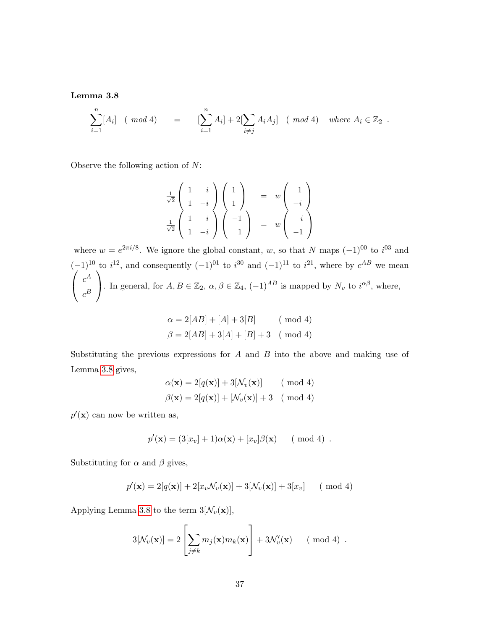Lemma 3.8

$$
\sum_{i=1}^{n} [A_i] \quad (\text{mod } 4) = \left[ \sum_{i=1}^{n} A_i \right] + 2 \left[ \sum_{i \neq j} A_i A_j \right] \quad (\text{mod } 4) \quad \text{where } A_i \in \mathbb{Z}_2 \; .
$$

Observe the following action of N:

$$
\frac{1}{\sqrt{2}} \begin{pmatrix} 1 & i \\ 1 & -i \\ 1 & i \end{pmatrix} \begin{pmatrix} 1 \\ 1 \\ 1 \end{pmatrix} = w \begin{pmatrix} 1 \\ -i \\ i \end{pmatrix}
$$

$$
\frac{1}{\sqrt{2}} \begin{pmatrix} 1 & i \\ 1 & -i \end{pmatrix} \begin{pmatrix} -1 \\ 1 \end{pmatrix} = w \begin{pmatrix} i \\ i \\ -1 \end{pmatrix}
$$

where  $w = e^{2\pi i/8}$ . We ignore the global constant, w, so that N maps  $(-1)^{00}$  to  $i^{03}$  and  $(-1)^{10}$  to  $i^{12}$ , and consequently  $(-1)^{01}$  to  $i^{30}$  and  $(-1)^{11}$  to  $i^{21}$ , where by  $c^{AB}$  we mean  $\sqrt{ }$  $\overline{1}$  $c^A$  $c^B$  $\setminus$ . In general, for  $A, B \in \mathbb{Z}_2$ ,  $\alpha, \beta \in \mathbb{Z}_4$ ,  $(-1)^{AB}$  is mapped by  $N_v$  to  $i^{\alpha\beta}$ , where,

$$
\alpha = 2[AB] + [A] + 3[B] \qquad (\text{mod } 4)
$$

$$
\beta = 2[AB] + 3[A] + [B] + 3 \quad (\text{mod } 4)
$$

Substituting the previous expressions for  $A$  and  $B$  into the above and making use of Lemma [3.8](#page-39-0) gives,

$$
\alpha(\mathbf{x}) = 2[q(\mathbf{x})] + 3[\mathcal{N}_v(\mathbf{x})] \quad (\text{mod } 4)
$$

$$
\beta(\mathbf{x}) = 2[q(\mathbf{x})] + [\mathcal{N}_v(\mathbf{x})] + 3 \quad (\text{mod } 4)
$$

 $p'(\mathbf{x})$  can now be written as,

$$
p'(\mathbf{x}) = (3[x_v] + 1)\alpha(\mathbf{x}) + [x_v]\beta(\mathbf{x})
$$
 (mod 4).

Substituting for  $\alpha$  and  $\beta$  gives,

$$
p'(\mathbf{x}) = 2[q(\mathbf{x})] + 2[x_v \mathcal{N}_v(\mathbf{x})] + 3[\mathcal{N}_v(\mathbf{x})] + 3[x_v] \quad (\text{ mod } 4)
$$

Applying Lemma [3.8](#page-39-0) to the term  $3[\mathcal{N}_v(\mathbf{x})],$ 

$$
3[\mathcal{N}_v(\mathbf{x})] = 2\left[\sum_{j\neq k} m_j(\mathbf{x})m_k(\mathbf{x})\right] + 3\mathcal{N}'_v(\mathbf{x}) \quad (\text{ mod } 4) .
$$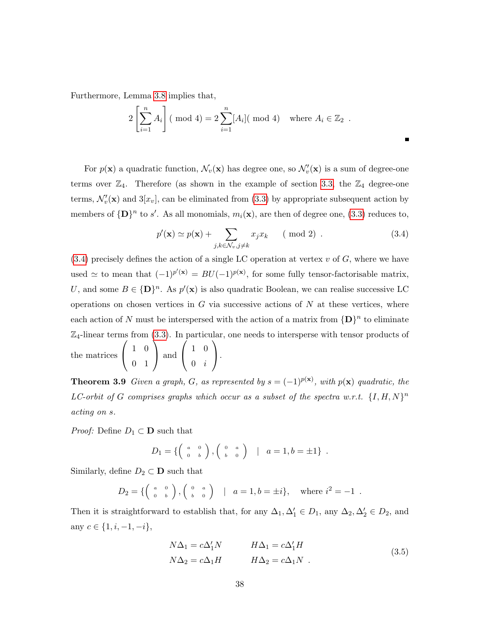Furthermore, Lemma [3.8](#page-39-0) implies that,

$$
2\left[\sum_{i=1}^{n} A_i\right] \text{ (mod 4)} = 2\sum_{i=1}^{n} [A_i] \text{ (mod 4)} \text{ where } A_i \in \mathbb{Z}_2.
$$

For  $p(\mathbf{x})$  a quadratic function,  $\mathcal{N}_v(\mathbf{x})$  has degree one, so  $\mathcal{N}_v'(\mathbf{x})$  is a sum of degree-one terms over  $\mathbb{Z}_4$ . Therefore (as shown in the example of section [3.3,](#page-34-0) the  $\mathbb{Z}_4$  degree-one terms,  $\mathcal{N}'_v(\mathbf{x})$  and  $3[x_v]$ , can be eliminated from [\(3.3\)](#page-39-1) by appropriate subsequent action by members of  $\{D\}^n$  to s'. As all monomials,  $m_i(\mathbf{x})$ , are then of degree one, [\(3.3\)](#page-39-1) reduces to,

<span id="page-41-0"></span>
$$
p'(\mathbf{x}) \simeq p(\mathbf{x}) + \sum_{j,k \in \mathcal{N}_v, j \neq k} x_j x_k \qquad (\text{mod } 2) . \tag{3.4}
$$

п

 $(3.4)$  precisely defines the action of a single LC operation at vertex v of G, where we have used  $\simeq$  to mean that  $(-1)^{p'(\mathbf{x})} = BU(-1)^{p(\mathbf{x})}$ , for some fully tensor-factorisable matrix, U, and some  $B \in {\{\mathbf{D}\}}^n$ . As  $p'(\mathbf{x})$  is also quadratic Boolean, we can realise successive LC operations on chosen vertices in  $G$  via successive actions of  $N$  at these vertices, where each action of N must be interspersed with the action of a matrix from  ${D}^n$  to eliminate  $\mathbb{Z}_4$ -linear terms from [\(3.3\)](#page-39-1). In particular, one needs to intersperse with tensor products of the matrices  $\sqrt{ }$  $\mathcal{L}$ 1 0 0 1  $\setminus$  and  $\sqrt{ }$  $\overline{1}$ 1 0  $0 \quad i$  $\setminus$  $\cdot$ 

**Theorem 3.9** Given a graph, G, as represented by  $s = (-1)^{p(x)}$ , with  $p(x)$  quadratic, the LC-orbit of G comprises graphs which occur as a subset of the spectra w.r.t.  $\{I, H, N\}^n$ acting on s.

*Proof:* Define  $D_1 \subset \mathbf{D}$  such that

$$
D_1 = \left\{ \left( \begin{array}{cc} a & 0 \\ 0 & b \end{array} \right), \left( \begin{array}{cc} 0 & a \\ b & 0 \end{array} \right) \quad | \quad a = 1, b = \pm 1 \right\} \; .
$$

Similarly, define  $D_2 \subset \mathbf{D}$  such that

$$
D_2 = \left\{ \left( \begin{array}{cc} a & 0 \\ 0 & b \end{array} \right), \left( \begin{array}{cc} 0 & a \\ b & 0 \end{array} \right) \quad | \quad a = 1, b = \pm i \right\}, \quad \text{where } i^2 = -1 \; .
$$

Then it is straightforward to establish that, for any  $\Delta_1, \Delta'_1 \in D_1$ , any  $\Delta_2, \Delta'_2 \in D_2$ , and any  $c \in \{1, i, -1, -i\},\$ 

<span id="page-41-1"></span>
$$
N\Delta_1 = c\Delta'_1 N \qquad H\Delta_1 = c\Delta'_1 H
$$
  
\n
$$
N\Delta_2 = c\Delta_1 H \qquad H\Delta_2 = c\Delta_1 N \qquad (3.5)
$$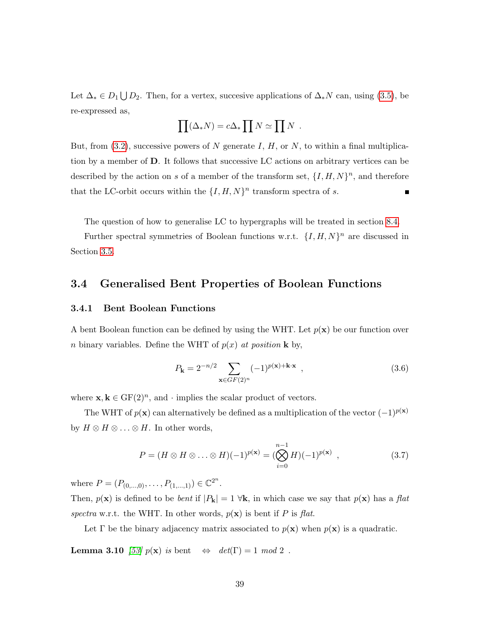Let  $\Delta_* \in D_1 \bigcup D_2$ . Then, for a vertex, succesive applications of  $\Delta_* N$  can, using [\(3.5\)](#page-41-1), be re-expressed as,

$$
\prod (\Delta_* N) = c \Delta_* \prod N \simeq \prod N \ .
$$

But, from  $(3.2)$ , successive powers of N generate I, H, or N, to within a final multiplication by a member of D. It follows that successive LC actions on arbitrary vertices can be described by the action on s of a member of the transform set,  $\{I, H, N\}^n$ , and therefore that the LC-orbit occurs within the  $\{I, H, N\}^n$  transform spectra of s.  $\blacksquare$ 

The question of how to generalise LC to hypergraphs will be treated in section [8.4.](#page-121-0)

Further spectral symmetries of Boolean functions w.r.t.  $\{I, H, N\}^n$  are discussed in Section [3.5.](#page-53-0)

# 3.4 Generalised Bent Properties of Boolean Functions

### 3.4.1 Bent Boolean Functions

A bent Boolean function can be defined by using the WHT. Let  $p(\mathbf{x})$  be our function over n binary variables. Define the WHT of  $p(x)$  at position **k** by,

<span id="page-42-0"></span>
$$
P_{\mathbf{k}} = 2^{-n/2} \sum_{\mathbf{x} \in GF(2)^n} (-1)^{p(\mathbf{x}) + \mathbf{k} \cdot \mathbf{x}} , \qquad (3.6)
$$

where  $\mathbf{x}, \mathbf{k} \in \mathrm{GF}(2)^n$ , and  $\cdot$  implies the scalar product of vectors.

The WHT of  $p(x)$  can alternatively be defined as a multiplication of the vector  $(-1)^{p(x)}$ by  $H \otimes H \otimes \ldots \otimes H$ . In other words,

$$
P = (H \otimes H \otimes \ldots \otimes H)(-1)^{p(\mathbf{x})} = (\bigotimes_{i=0}^{n-1} H)(-1)^{p(\mathbf{x})}, \qquad (3.7)
$$

where  $P = (P_{(0,\dots,0)}, \dots, P_{(1,\dots,1)}) \in \mathbb{C}^{2^n}$ .

Then,  $p(\mathbf{x})$  is defined to be *bent* if  $|P_{\mathbf{k}}| = 1 \forall \mathbf{k}$ , in which case we say that  $p(\mathbf{x})$  has a flat spectra w.r.t. the WHT. In other words,  $p(\mathbf{x})$  is bent if P is flat.

Let  $\Gamma$  be the binary adjacency matrix associated to  $p(\mathbf{x})$  when  $p(\mathbf{x})$  is a quadratic.

**Lemma 3.10** [\[53\]](#page-135-2)  $p(x)$  is bent  $\Leftrightarrow det(\Gamma) = 1 \mod 2$ .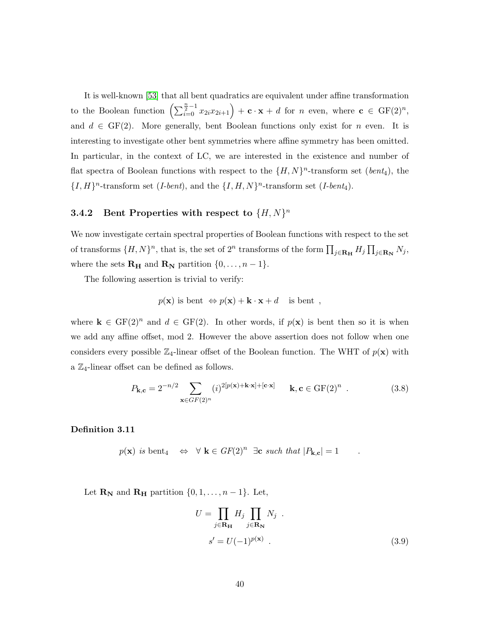It is well-known [\[53\]](#page-135-2) that all bent quadratics are equivalent under affine transformation to the Boolean function  $\left(\sum_{i=0}^{\frac{n}{2}-1} x_{2i}x_{2i+1}\right) + \mathbf{c} \cdot \mathbf{x} + d$  for n even, where  $\mathbf{c} \in \mathrm{GF}(2)^n$ , and  $d \in GF(2)$ . More generally, bent Boolean functions only exist for n even. It is interesting to investigate other bent symmetries where affine symmetry has been omitted. In particular, in the context of LC, we are interested in the existence and number of flat spectra of Boolean functions with respect to the  $\{H, N\}^n$ -transform set  $(bent_4)$ , the  ${I, H}$ <sup>n</sup>-transform set (*I-bent*), and the  ${I, H, N}$ <sup>n</sup>-transform set (*I-bent*<sub>4</sub>).

# **3.4.2** Bent Properties with respect to  $\{H, N\}^n$

We now investigate certain spectral properties of Boolean functions with respect to the set of transforms  $\{H, N\}^n$ , that is, the set of  $2^n$  transforms of the form  $\prod_{j\in \mathbf{R_H}} H_j \prod_{j\in \mathbf{R_N}} N_j$ , where the sets  $\mathbf{R}_{\mathbf{H}}$  and  $\mathbf{R}_{\mathbf{N}}$  partition  $\{0, \ldots, n-1\}$ .

The following assertion is trivial to verify:

$$
p(\mathbf{x})
$$
 is bent  $\Leftrightarrow p(\mathbf{x}) + \mathbf{k} \cdot \mathbf{x} + d$  is bent,

where  $\mathbf{k} \in \mathrm{GF}(2)^n$  and  $d \in \mathrm{GF}(2)$ . In other words, if  $p(\mathbf{x})$  is bent then so it is when we add any affine offset, mod 2. However the above assertion does not follow when one considers every possible  $\mathbb{Z}_4$ -linear offset of the Boolean function. The WHT of  $p(\mathbf{x})$  with a  $\mathbb{Z}_4$ -linear offset can be defined as follows.

<span id="page-43-1"></span>
$$
P_{\mathbf{k},\mathbf{c}} = 2^{-n/2} \sum_{\mathbf{x}\in GF(2)^n} (i)^{2[p(\mathbf{x})+\mathbf{k}\cdot\mathbf{x}]+[\mathbf{c}\cdot\mathbf{x}]} \qquad \mathbf{k}, \mathbf{c} \in GF(2)^n \tag{3.8}
$$

Definition 3.11

$$
p(\mathbf{x})
$$
 is bent<sub>4</sub>  $\Leftrightarrow \forall \mathbf{k} \in GF(2)^n \exists \mathbf{c} \text{ such that } |P_{\mathbf{k},\mathbf{c}}| = 1$ .

Let  $\mathbf{R}_{N}$  and  $\mathbf{R}_{H}$  partition  $\{0, 1, \ldots, n-1\}$ . Let,

<span id="page-43-0"></span>
$$
U = \prod_{j \in \mathbf{R}_{\mathbf{H}}} H_j \prod_{j \in \mathbf{R}_{\mathbf{N}}} N_j
$$
  

$$
s' = U(-1)^{p(\mathbf{x})}.
$$
 (3.9)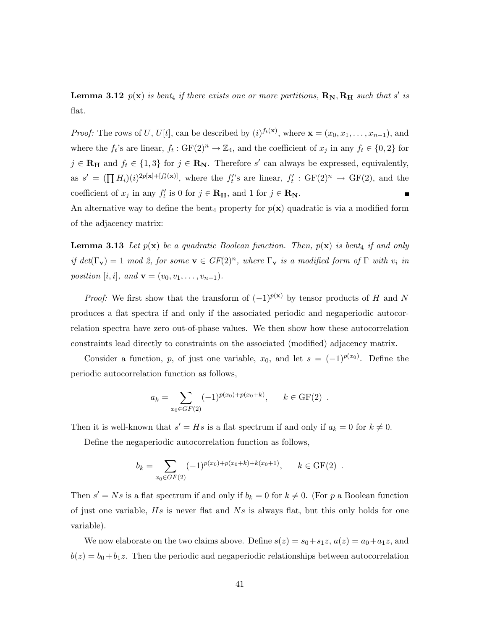**Lemma 3.12**  $p(\mathbf{x})$  is bent<sub>4</sub> if there exists one or more partitions,  $\mathbf{R_N}, \mathbf{R_H}$  such that s' is flat.

*Proof:* The rows of U, U[t], can be described by  $(i)^{f_t(\mathbf{x})}$ , where  $\mathbf{x} = (x_0, x_1, \dots, x_{n-1})$ , and where the  $f_t$ 's are linear,  $f_t: GF(2)^n \to \mathbb{Z}_4$ , and the coefficient of  $x_j$  in any  $f_t \in \{0,2\}$  for  $j \in \mathbf{R}_{\mathbf{H}}$  and  $f_t \in \{1,3\}$  for  $j \in \mathbf{R}_{\mathbf{N}}$ . Therefore s' can always be expressed, equivalently, as  $s' = (\prod H_i)(i)^{2p[\mathbf{x}]+[f'_t(\mathbf{x})]}$ , where the  $f'_t$ 's are linear,  $f'_t : GF(2)^n \to GF(2)$ , and the coefficient of  $x_j$  in any  $f'_t$  is 0 for  $j \in \mathbf{R}_{\mathbf{H}}$ , and 1 for  $j \in \mathbf{R}_{\mathbf{N}}$ .

<span id="page-44-0"></span>An alternative way to define the bent<sub>4</sub> property for  $p(\mathbf{x})$  quadratic is via a modified form of the adjacency matrix:

**Lemma 3.13** Let  $p(x)$  be a quadratic Boolean function. Then,  $p(x)$  is bent<sub>4</sub> if and only if  $det(\Gamma_{\mathbf{v}}) = 1 \mod 2$ , for some  $\mathbf{v} \in GF(2)^n$ , where  $\Gamma_{\mathbf{v}}$  is a modified form of  $\Gamma$  with  $v_i$  in position [i, i], and  $\mathbf{v} = (v_0, v_1, \dots, v_{n-1}).$ 

*Proof:* We first show that the transform of  $(-1)^{p(x)}$  by tensor products of H and N produces a flat spectra if and only if the associated periodic and negaperiodic autocorrelation spectra have zero out-of-phase values. We then show how these autocorrelation constraints lead directly to constraints on the associated (modified) adjacency matrix.

Consider a function, p, of just one variable,  $x_0$ , and let  $s = (-1)^{p(x_0)}$ . Define the periodic autocorrelation function as follows,

$$
a_k = \sum_{x_0 \in GF(2)} (-1)^{p(x_0) + p(x_0 + k)}, \quad k \in GF(2) .
$$

Then it is well-known that  $s' = Hs$  is a flat spectrum if and only if  $a_k = 0$  for  $k \neq 0$ .

Define the negaperiodic autocorrelation function as follows,

$$
b_k = \sum_{x_0 \in GF(2)} (-1)^{p(x_0) + p(x_0 + k) + k(x_0 + 1)}, \quad k \in GF(2) .
$$

Then  $s' = Ns$  is a flat spectrum if and only if  $b_k = 0$  for  $k \neq 0$ . (For p a Boolean function of just one variable,  $Hs$  is never flat and  $Ns$  is always flat, but this only holds for one variable).

We now elaborate on the two claims above. Define  $s(z) = s_0 + s_1z$ ,  $a(z) = a_0 + a_1z$ , and  $b(z) = b_0 + b_1 z$ . Then the periodic and negaperiodic relationships between autocorrelation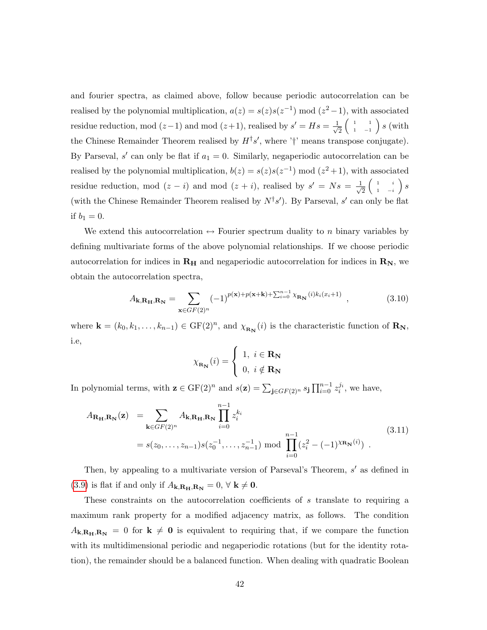and fourier spectra, as claimed above, follow because periodic autocorrelation can be realised by the polynomial multiplication,  $a(z) = s(z)s(z^{-1}) \mod (z^2-1)$ , with associated residue reduction, mod  $(z-1)$  and mod  $(z+1)$ , realised by  $s' = Hs = \frac{1}{\sqrt{2}}$ 2  $\begin{pmatrix} 1 & 1 \end{pmatrix}$  $\left(\begin{smallmatrix}1&&1\&1&-1\1&&-1&\end{smallmatrix}\right)s$  (with the Chinese Remainder Theorem realised by  $H^{\dagger}s'$ , where ' $\dagger$ ' means transpose conjugate). By Parseval,  $s'$  can only be flat if  $a_1 = 0$ . Similarly, negaperiodic autocorrelation can be realised by the polynomial multiplication,  $b(z) = s(z)s(z^{-1}) \mod (z^2+1)$ , with associated residue reduction, mod  $(z - i)$  and mod  $(z + i)$ , realised by  $s' = Ns = \frac{1}{\sqrt{2}}$ 2  $\begin{pmatrix} 1 & i \end{pmatrix}$  $\left(\begin{array}{cc} 1 & i \ 1 & -i \end{array}\right)\,S$ (with the Chinese Remainder Theorem realised by  $N^{\dagger}s'$ ). By Parseval, s' can only be flat if  $b_1 = 0$ .

We extend this autocorrelation  $\leftrightarrow$  Fourier spectrum duality to n binary variables by defining multivariate forms of the above polynomial relationships. If we choose periodic autocorrelation for indices in  $R_H$  and negaperiodic autocorrelation for indices in  $R_N$ , we obtain the autocorrelation spectra,

<span id="page-45-1"></span>
$$
A_{\mathbf{k},\mathbf{R}_{\mathbf{H}},\mathbf{R}_{\mathbf{N}}} = \sum_{\mathbf{x}\in GF(2)^n} (-1)^{p(\mathbf{x})+p(\mathbf{x}+\mathbf{k})+\sum_{i=0}^{n-1} \chi_{\mathbf{R}_{\mathbf{N}}}(i)k_i(x_i+1)}, \qquad (3.10)
$$

where  $\mathbf{k} = (k_0, k_1, \ldots, k_{n-1}) \in \mathrm{GF}(2)^n$ , and  $\chi_{\mathbf{R_N}}(i)$  is the characteristic function of  $\mathbf{R_N}$ , i.e,

$$
\chi_{\mathbf{R}_{\mathbf{N}}}(i) = \begin{cases} 1, i \in \mathbf{R}_{\mathbf{N}} \\ 0, i \notin \mathbf{R}_{\mathbf{N}} \end{cases}
$$

In polynomial terms, with  $\mathbf{z} \in \mathrm{GF}(2)^n$  and  $s(\mathbf{z}) = \sum_{\mathbf{j} \in GF(2)^n} s_{\mathbf{j}} \prod_{i=0}^{n-1} z_i^{j_i}$ , we have,

<span id="page-45-0"></span>
$$
A_{\mathbf{R}_{\mathbf{H}},\mathbf{R}_{\mathbf{N}}}(\mathbf{z}) = \sum_{\mathbf{k} \in GF(2)^n} A_{\mathbf{k},\mathbf{R}_{\mathbf{H}},\mathbf{R}_{\mathbf{N}}} \prod_{i=0}^{n-1} z_i^{k_i}
$$
  
=  $s(z_0, \dots, z_{n-1}) s(z_0^{-1}, \dots, z_{n-1}^{-1}) \text{ mod } \prod_{i=0}^{n-1} (z_i^2 - (-1)^{\chi_{\mathbf{R}_{\mathbf{N}}}(i)})$ . (3.11)

Then, by appealing to a multivariate version of Parseval's Theorem,  $s'$  as defined in [\(3.9\)](#page-43-0) is flat if and only if  $A_{\mathbf{k},\mathbf{R}_{\mathbf{H}},\mathbf{R}_{\mathbf{N}}}=0, \forall \mathbf{k} \neq \mathbf{0}$ .

These constraints on the autocorrelation coefficients of s translate to requiring a maximum rank property for a modified adjacency matrix, as follows. The condition  $A_{\mathbf{k},\mathbf{R}_{\mathbf{H}},\mathbf{R}_{\mathbf{N}}}=0$  for  $\mathbf{k}\neq 0$  is equivalent to requiring that, if we compare the function with its multidimensional periodic and negaperiodic rotations (but for the identity rotation), the remainder should be a balanced function. When dealing with quadratic Boolean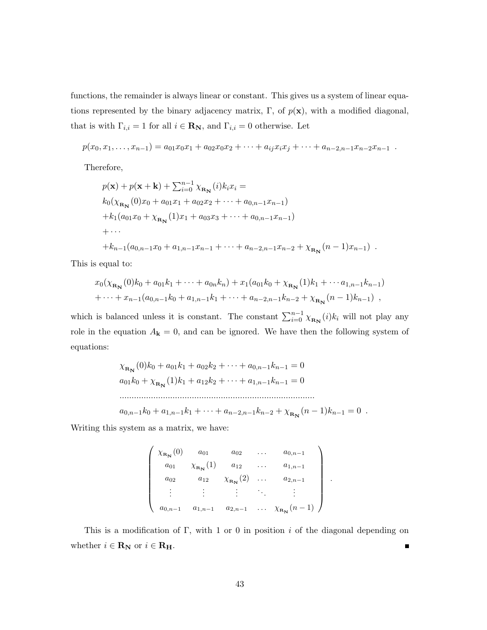functions, the remainder is always linear or constant. This gives us a system of linear equations represented by the binary adjacency matrix, Γ, of  $p(x)$ , with a modified diagonal, that is with  $\Gamma_{i,i} = 1$  for all  $i \in \mathbf{R}_{N}$ , and  $\Gamma_{i,i} = 0$  otherwise. Let

$$
p(x_0, x_1, \ldots, x_{n-1}) = a_{01}x_0x_1 + a_{02}x_0x_2 + \cdots + a_{ij}x_ix_j + \cdots + a_{n-2,n-1}x_{n-2}x_{n-1}.
$$

Therefore,

$$
p(\mathbf{x}) + p(\mathbf{x} + \mathbf{k}) + \sum_{i=0}^{n-1} \chi_{\mathbf{R_N}}(i) k_i x_i =
$$
  
\n
$$
k_0(\chi_{\mathbf{R_N}}(0)x_0 + a_{01}x_1 + a_{02}x_2 + \cdots + a_{0,n-1}x_{n-1})
$$
  
\n
$$
+ k_1(a_{01}x_0 + \chi_{\mathbf{R_N}}(1)x_1 + a_{03}x_3 + \cdots + a_{0,n-1}x_{n-1})
$$
  
\n
$$
+ \cdots
$$
  
\n
$$
+ k_{n-1}(a_{0,n-1}x_0 + a_{1,n-1}x_{n-1} + \cdots + a_{n-2,n-1}x_{n-2} + \chi_{\mathbf{R_N}}(n-1)x_{n-1}).
$$

This is equal to:

$$
x_0(\chi_{\mathbf{R_N}}(0)k_0 + a_{01}k_1 + \dots + a_{0n}k_n) + x_1(a_{01}k_0 + \chi_{\mathbf{R_N}}(1)k_1 + \dots + a_{1,n-1}k_{n-1})
$$
  
+ \dots + x\_{n-1}(a\_{0,n-1}k\_0 + a\_{1,n-1}k\_1 + \dots + a\_{n-2,n-1}k\_{n-2} + \chi\_{\mathbf{R\_N}}(n-1)k\_{n-1}),

which is balanced unless it is constant. The constant  $\sum_{i=0}^{n-1} \chi_{\mathbf{R}_{\mathbf{N}}}(i)k_i$  will not play any role in the equation  $A_{\bf k} = 0$ , and can be ignored. We have then the following system of equations:

$$
\chi_{\mathbf{R_N}}(0)k_0 + a_{01}k_1 + a_{02}k_2 + \dots + a_{0,n-1}k_{n-1} = 0
$$
  
\n
$$
a_{01}k_0 + \chi_{\mathbf{R_N}}(1)k_1 + a_{12}k_2 + \dots + a_{1,n-1}k_{n-1} = 0
$$
  
\n
$$
\dots
$$
  
\n
$$
a_{0,n-1}k_0 + a_{1,n-1}k_1 + \dots + a_{n-2,n-1}k_{n-2} + \chi_{\mathbf{R_N}}(n-1)k_{n-1} = 0
$$

Writing this system as a matrix, we have:

$$
\begin{pmatrix}\n\chi_{\mathbf{R_N}}(0) & a_{01} & a_{02} & \dots & a_{0,n-1} \\
a_{01} & \chi_{\mathbf{R_N}}(1) & a_{12} & \dots & a_{1,n-1} \\
a_{02} & a_{12} & \chi_{\mathbf{R_N}}(2) & \dots & a_{2,n-1} \\
\vdots & \vdots & \vdots & \ddots & \vdots \\
a_{0,n-1} & a_{1,n-1} & a_{2,n-1} & \dots & \chi_{\mathbf{R_N}}(n-1)\n\end{pmatrix}
$$

.

This is a modification of Γ, with 1 or 0 in position i of the diagonal depending on whether  $i \in \mathbf{R}_{\mathbf{N}}$  or  $i \in \mathbf{R}_{\mathbf{H}}$ .  $\blacksquare$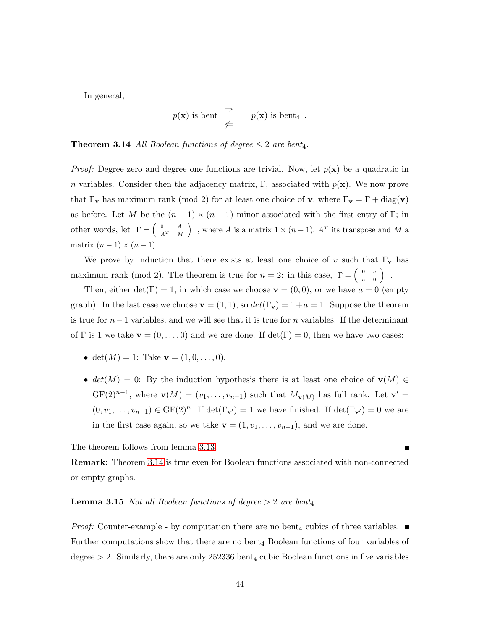In general,

$$
p(\mathbf{x})
$$
 is bent  $\Rightarrow$   $p(\mathbf{x})$  is bent<sub>4</sub>.

<span id="page-47-0"></span>**Theorem 3.14** All Boolean functions of degree  $\leq 2$  are bent<sub>4</sub>.

*Proof:* Degree zero and degree one functions are trivial. Now, let  $p(x)$  be a quadratic in n variables. Consider then the adjacency matrix, Γ, associated with  $p(\mathbf{x})$ . We now prove that  $\Gamma_{\mathbf{v}}$  has maximum rank (mod 2) for at least one choice of **v**, where  $\Gamma_{\mathbf{v}} = \Gamma + \text{diag}(\mathbf{v})$ as before. Let M be the  $(n-1) \times (n-1)$  minor associated with the first entry of Γ; in other words, let  $\Gamma = \begin{pmatrix} 0 & A \\ A^T & A \end{pmatrix}$  $\begin{pmatrix} 0 & A \\ A^T & M \end{pmatrix}$ , where A is a matrix  $1 \times (n-1)$ ,  $A^T$  its transpose and M a matrix  $(n-1) \times (n-1)$ .

We prove by induction that there exists at least one choice of v such that  $\Gamma_{\mathbf{v}}$  has maximum rank (mod 2). The theorem is true for  $n = 2$ : in this case,  $\Gamma = \begin{pmatrix} 0 & a \\ a & 0 \end{pmatrix}$  $\left(\begin{array}{cc} 0 & a \ a & 0 \end{array}\right) \quad .$ 

Then, either  $det(\Gamma) = 1$ , in which case we choose  $\mathbf{v} = (0,0)$ , or we have  $a = 0$  (empty graph). In the last case we choose  $\mathbf{v} = (1, 1)$ , so  $det(\Gamma_{\mathbf{v}}) = 1 + a = 1$ . Suppose the theorem is true for  $n-1$  variables, and we will see that it is true for n variables. If the determinant of  $\Gamma$  is 1 we take  $\mathbf{v} = (0, \ldots, 0)$  and we are done. If  $\det(\Gamma) = 0$ , then we have two cases:

- det( $M$ ) = 1: Take  $\mathbf{v} = (1, 0, \dots, 0)$ .
- $det(M) = 0$ : By the induction hypothesis there is at least one choice of  $\mathbf{v}(M) \in$  $GF(2)^{n-1}$ , where  $\mathbf{v}(M) = (v_1, \ldots, v_{n-1})$  such that  $M_{\mathbf{v}(M)}$  has full rank. Let  $\mathbf{v}' =$  $(0, v_1, \ldots, v_{n-1}) \in \mathrm{GF}(2)^n$ . If  $\det(\Gamma_{\mathbf{v}'} ) = 1$  we have finished. If  $\det(\Gamma_{\mathbf{v}'} ) = 0$  we are in the first case again, so we take  $\mathbf{v} = (1, v_1, \ldots, v_{n-1})$ , and we are done.

П

The theorem follows from lemma [3.13.](#page-44-0)

Remark: Theorem [3.14](#page-47-0) is true even for Boolean functions associated with non-connected or empty graphs.

#### <span id="page-47-1"></span>**Lemma 3.15** Not all Boolean functions of degree  $> 2$  are bent<sub>4</sub>.

*Proof:* Counter-example - by computation there are no bent<sub>4</sub> cubics of three variables.  $\blacksquare$ Further computations show that there are no bent<sub>4</sub> Boolean functions of four variables of degree  $> 2$ . Similarly, there are only 252336 bent<sub>4</sub> cubic Boolean functions in five variables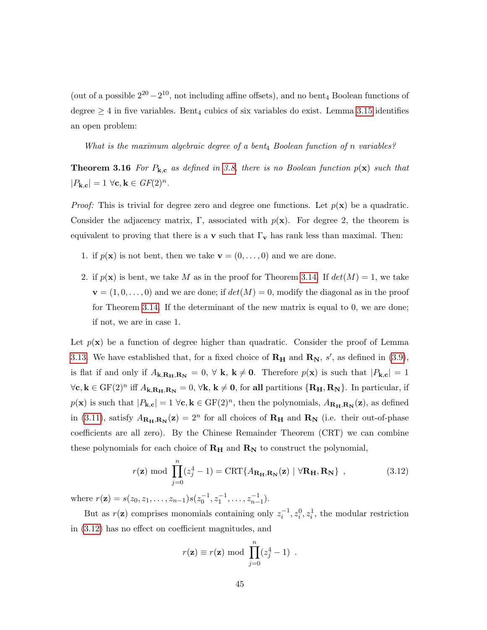(out of a possible  $2^{20} - 2^{10}$ , not including affine offsets), and no bent<sub>4</sub> Boolean functions of degree  $\geq 4$  in five variables. Bent<sub>4</sub> cubics of six variables do exist. Lemma [3.15](#page-47-1) identifies an open problem:

What is the maximum algebraic degree of a bent<sub>4</sub> Boolean function of n variables?

<span id="page-48-1"></span>**Theorem 3.16** For  $P_{k,c}$  as defined in [3.8,](#page-43-1) there is no Boolean function  $p(x)$  such that  $|P_{\mathbf{k},\mathbf{c}}| = 1 \,\forall \mathbf{c}, \mathbf{k} \in GF(2)^n.$ 

*Proof:* This is trivial for degree zero and degree one functions. Let  $p(x)$  be a quadratic. Consider the adjacency matrix, Γ, associated with  $p(x)$ . For degree 2, the theorem is equivalent to proving that there is a v such that  $\Gamma_{\mathbf{v}}$  has rank less than maximal. Then:

- 1. if  $p(\mathbf{x})$  is not bent, then we take  $\mathbf{v} = (0, \ldots, 0)$  and we are done.
- 2. if  $p(\mathbf{x})$  is bent, we take M as in the proof for Theorem [3.14.](#page-47-0) If  $det(M) = 1$ , we take  $\mathbf{v} = (1, 0, \dots, 0)$  and we are done; if  $det(M) = 0$ , modify the diagonal as in the proof for Theorem [3.14.](#page-47-0) If the determinant of the new matrix is equal to 0, we are done; if not, we are in case 1.

Let  $p(x)$  be a function of degree higher than quadratic. Consider the proof of Lemma [3.13.](#page-44-0) We have established that, for a fixed choice of  $\mathbf{R}_{\mathbf{H}}$  and  $\mathbf{R}_{\mathbf{N}}$ , s', as defined in [\(3.9\)](#page-43-0), is flat if and only if  $A_{\mathbf{k},\mathbf{R}_{\mathbf{H}},\mathbf{R}_{\mathbf{N}}}=0, \forall \mathbf{k}, \mathbf{k} \neq \mathbf{0}$ . Therefore  $p(\mathbf{x})$  is such that  $|P_{\mathbf{k},\mathbf{c}}|=1$  $\forall c, k \in \mathrm{GF}(2)^n \text{ iff } A_{k,\mathbf{R}_{\mathbf{H}},\mathbf{R}_{\mathbf{N}}} = 0, \forall k, k \neq \mathbf{0}, \text{ for all partitions } \{\mathbf{R}_{\mathbf{H}}, \mathbf{R}_{\mathbf{N}}\}.$  In particular, if  $p(\mathbf{x})$  is such that  $|P_{\mathbf{k},\mathbf{c}}| = 1 \ \forall \mathbf{c}, \mathbf{k} \in \mathrm{GF}(2)^n$ , then the polynomials,  $A_{\mathbf{R}_{\mathbf{H}},\mathbf{R}_{\mathbf{N}}}(\mathbf{z})$ , as defined in [\(3.11\)](#page-45-0), satisfy  $A_{\mathbf{R}_{\mathbf{H}},\mathbf{R}_{\mathbf{N}}}(\mathbf{z}) = 2^n$  for all choices of  $\mathbf{R}_{\mathbf{H}}$  and  $\mathbf{R}_{\mathbf{N}}$  (i.e. their out-of-phase coefficients are all zero). By the Chinese Remainder Theorem (CRT) we can combine these polynomials for each choice of  $R_H$  and  $R_N$  to construct the polynomial,

<span id="page-48-0"></span>
$$
r(\mathbf{z}) \bmod \prod_{j=0}^{n} (z_j^4 - 1) = \text{CRT}\{A_{\mathbf{R}_{\mathbf{H}}, \mathbf{R}_{\mathbf{N}}}(\mathbf{z}) \mid \forall \mathbf{R}_{\mathbf{H}}, \mathbf{R}_{\mathbf{N}}\},
$$
(3.12)

where  $r(\mathbf{z}) = s(z_0, z_1, \dots, z_{n-1}) s(z_0^{-1}, z_1^{-1}, \dots, z_{n-1}^{-1}).$ 

But as  $r(\mathbf{z})$  comprises monomials containing only  $z_i^{-1}, z_i^0, z_i^1$ , the modular restriction in [\(3.12\)](#page-48-0) has no effect on coefficient magnitudes, and

$$
r(\mathbf{z}) \equiv r(\mathbf{z}) \bmod \prod_{j=0}^{n} (z_j^4 - 1) .
$$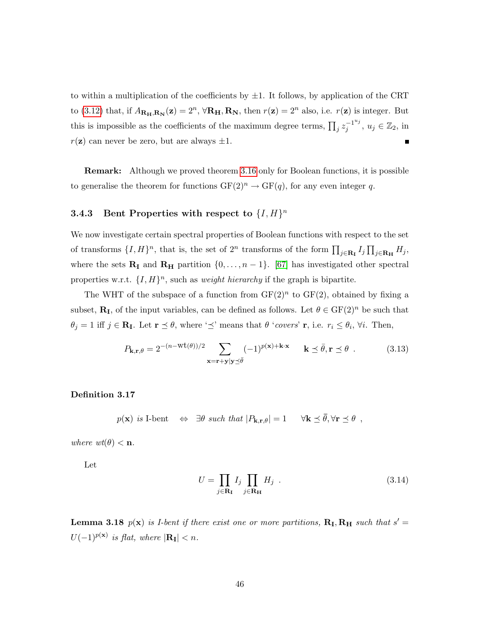to within a multiplication of the coefficients by  $\pm 1$ . It follows, by application of the CRT to [\(3.12\)](#page-48-0) that, if  $A_{\mathbf{R}_{\mathbf{H}},\mathbf{R}_{\mathbf{N}}}(\mathbf{z}) = 2^n$ ,  $\forall \mathbf{R}_{\mathbf{H}},\mathbf{R}_{\mathbf{N}},$  then  $r(\mathbf{z}) = 2^n$  also, i.e.  $r(\mathbf{z})$  is integer. But this is impossible as the coefficients of the maximum degree terms,  $\prod_j z_j^{-1^{u_j}}$  $j^{-1^{u_j}}, u_j \in \mathbb{Z}_2$ , in  $r(\mathbf{z})$  can never be zero, but are always  $\pm 1$ .  $\blacksquare$ 

Remark: Although we proved theorem [3.16](#page-48-1) only for Boolean functions, it is possible to generalise the theorem for functions  $GF(2)^n \to GF(q)$ , for any even integer q.

# **3.4.3** Bent Properties with respect to  $\{I, H\}^n$

We now investigate certain spectral properties of Boolean functions with respect to the set of transforms  $\{I, H\}^n$ , that is, the set of  $2^n$  transforms of the form  $\prod_{j\in \mathbf{R_I}} I_j \prod_{j\in \mathbf{R_H}} H_j$ , where the sets  $\mathbf{R}_{\mathbf{I}}$  and  $\mathbf{R}_{\mathbf{H}}$  partition  $\{0, \ldots, n-1\}$ . [\[67\]](#page-137-2) has investigated other spectral properties w.r.t.  $\{I, H\}^n$ , such as *weight hierarchy* if the graph is bipartite.

The WHT of the subspace of a function from  $GF(2)^n$  to  $GF(2)$ , obtained by fixing a subset,  $\mathbf{R}_{\text{I}}$ , of the input variables, can be defined as follows. Let  $\theta \in \text{GF}(2)^n$  be such that  $\theta_j = 1$  iff  $j \in \mathbf{R_I}$ . Let  $\mathbf{r} \preceq \theta$ , where ' $\preceq$ ' means that  $\theta$  'covers'  $\mathbf{r}$ , i.e.  $r_i \leq \theta_i$ ,  $\forall i$ . Then,

$$
P_{\mathbf{k},\mathbf{r},\theta} = 2^{-(n-\text{wt}(\theta))/2} \sum_{\mathbf{x}=\mathbf{r}+\mathbf{y}|\mathbf{y}\preceq\bar{\theta}} (-1)^{p(\mathbf{x})+\mathbf{k}\cdot\mathbf{x}} \qquad \mathbf{k}\preceq\bar{\theta}, \mathbf{r}\preceq\theta \tag{3.13}
$$

Definition 3.17

$$
p(\mathbf{x})
$$
 is I-bent  $\Leftrightarrow \exists \theta$  such that  $|P_{\mathbf{k},\mathbf{r},\theta}| = 1$   $\forall \mathbf{k} \preceq \overline{\theta}, \forall \mathbf{r} \preceq \theta$ ,

where  $wt(\theta) < n$ .

Let

<span id="page-49-0"></span>
$$
U = \prod_{j \in \mathbf{R}_{\mathbf{I}}} I_j \prod_{j \in \mathbf{R}_{\mathbf{H}}} H_j \tag{3.14}
$$

**Lemma 3.18**  $p(x)$  is *I-bent if there exist one or more partitions*,  $R_I, R_H$  such that  $s' =$  $U(-1)^{p(\mathbf{x})}$  is flat, where  $|\mathbf{R}_{\mathbf{I}}| < n$ .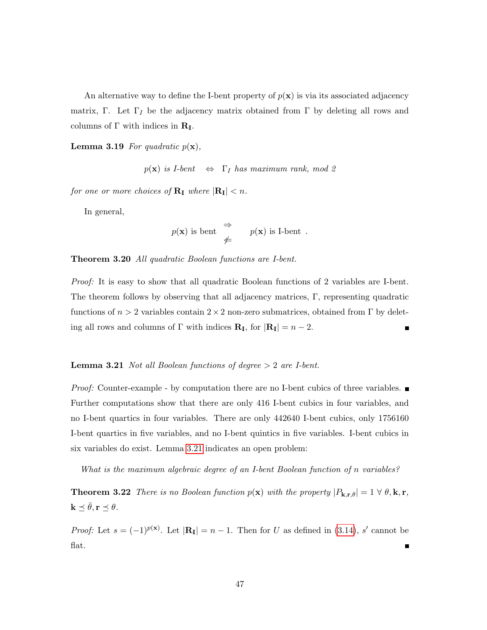An alternative way to define the I-bent property of  $p(x)$  is via its associated adjacency matrix, Γ. Let  $\Gamma_I$  be the adjacency matrix obtained from Γ by deleting all rows and columns of  $\Gamma$  with indices in  $\mathbf{R}_{\mathbf{I}}$ .

**Lemma 3.19** For quadratic  $p(\mathbf{x})$ ,

 $p(\mathbf{x})$  is I-bent  $\Leftrightarrow$   $\Gamma_I$  has maximum rank, mod 2

for one or more choices of  $\mathbf{R}_{\mathbf{I}}$  where  $|\mathbf{R}_{\mathbf{I}}| < n$ .

In general,

$$
p(\mathbf{x})
$$
 is bent  $\Rightarrow$   $p(\mathbf{x})$  is I-bent.

Theorem 3.20 All quadratic Boolean functions are I-bent.

Proof: It is easy to show that all quadratic Boolean functions of 2 variables are I-bent. The theorem follows by observing that all adjacency matrices, Γ, representing quadratic functions of  $n > 2$  variables contain  $2 \times 2$  non-zero submatrices, obtained from  $\Gamma$  by deleting all rows and columns of Γ with indices  $\mathbf{R}_{\mathbf{I}}$ , for  $|\mathbf{R}_{\mathbf{I}}| = n - 2$ . П

#### <span id="page-50-0"></span>**Lemma 3.21** Not all Boolean functions of degree  $> 2$  are I-bent.

*Proof:* Counter-example - by computation there are no I-bent cubics of three variables.  $\blacksquare$ Further computations show that there are only 416 I-bent cubics in four variables, and no I-bent quartics in four variables. There are only 442640 I-bent cubics, only 1756160 I-bent quartics in five variables, and no I-bent quintics in five variables. I-bent cubics in six variables do exist. Lemma [3.21](#page-50-0) indicates an open problem:

What is the maximum algebraic degree of an I-bent Boolean function of n variables?

<span id="page-50-1"></span>**Theorem 3.22** There is no Boolean function  $p(\mathbf{x})$  with the property  $|P_{\mathbf{k},\mathbf{r},\theta}| = 1 \forall \theta, \mathbf{k}, \mathbf{r}$ ,  $\mathbf{k} \preceq \bar{\theta}, \mathbf{r} \preceq \theta.$ 

*Proof:* Let  $s = (-1)^{p(x)}$ . Let  $|\mathbf{R}_{I}| = n - 1$ . Then for U as defined in [\(3.14\)](#page-49-0), s' cannot be flat.  $\blacksquare$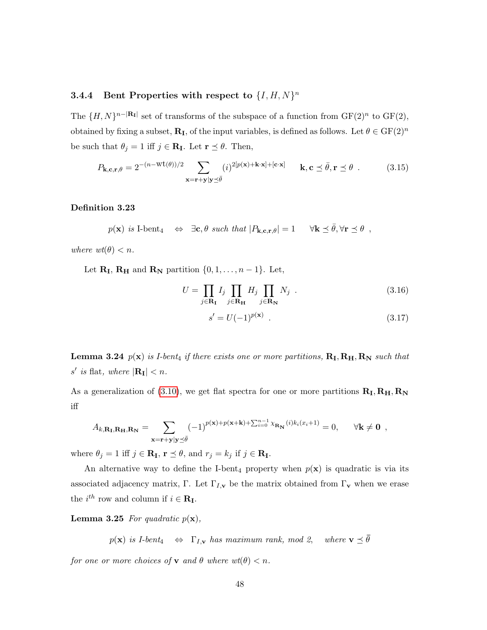# **3.4.4** Bent Properties with respect to  $\{I, H, N\}^n$

The  $\{H, N\}^{n-|\mathbf{R}_{\mathbf{I}}|}$  set of transforms of the subspace of a function from  $GF(2)^n$  to  $GF(2)$ , obtained by fixing a subset,  $\mathbf{R}_{\text{I}}$ , of the input variables, is defined as follows. Let  $\theta \in \text{GF}(2)^n$ be such that  $\theta_j = 1$  iff  $j \in \mathbf{R_I}$ . Let  $\mathbf{r} \preceq \theta$ . Then,

$$
P_{\mathbf{k},\mathbf{c},\mathbf{r},\theta} = 2^{-(n-\text{wt}(\theta))/2} \sum_{\mathbf{x}=\mathbf{r}+\mathbf{y}|\mathbf{y}\preceq\bar{\theta}} (i)^{2[p(\mathbf{x})+\mathbf{k}\cdot\mathbf{x}]+[\mathbf{c}\cdot\mathbf{x}]} \qquad \mathbf{k},\mathbf{c}\preceq\bar{\theta},\mathbf{r}\preceq\theta \tag{3.15}
$$

#### Definition 3.23

$$
p(\mathbf{x})
$$
 is I-bent<sub>4</sub>  $\Leftrightarrow \exists \mathbf{c}, \theta$  such that  $|P_{\mathbf{k}, \mathbf{c}, \mathbf{r}, \theta}| = 1 \quad \forall \mathbf{k} \preceq \bar{\theta}, \forall \mathbf{r} \preceq \theta$ ,

where  $wt(\theta) < n$ .

Let  $\mathbf{R}_{\mathbf{I}}, \mathbf{R}_{\mathbf{H}}$  and  $\mathbf{R}_{\mathbf{N}}$  partition  $\{0, 1, \ldots, n-1\}$ . Let,

$$
U = \prod_{j \in \mathbf{R}_{\mathbf{I}}} I_j \prod_{j \in \mathbf{R}_{\mathbf{H}}} H_j \prod_{j \in \mathbf{R}_{\mathbf{N}}} N_j \tag{3.16}
$$

$$
s' = U(-1)^{p(\mathbf{x})} \tag{3.17}
$$

**Lemma 3.24**  $p(x)$  is I-bent<sub>4</sub> if there exists one or more partitions,  $R_I, R_H, R_N$  such that s' is flat, where  $|\mathbf{R}_{\mathbf{I}}| < n$ .

As a generalization of [\(3.10\)](#page-45-1), we get flat spectra for one or more partitions  $\mathbf{R}_{\text{I}}, \mathbf{R}_{\text{H}}, \mathbf{R}_{\text{N}}$ iff

$$
A_{k,\mathbf{R}_{\mathbf{I}},\mathbf{R}_{\mathbf{H}},\mathbf{R}_{\mathbf{N}}} = \sum_{\mathbf{x}=\mathbf{r}+\mathbf{y}|\mathbf{y}\preceq\bar{\theta}} (-1)^{p(\mathbf{x})+p(\mathbf{x}+\mathbf{k})+\sum_{i=0}^{n-1} \chi_{\mathbf{R}_{\mathbf{N}}}(i)k_i(x_i+1)} = 0, \quad \forall \mathbf{k} \neq \mathbf{0} ,
$$

where  $\theta_j = 1$  iff  $j \in \mathbf{R_I}$ ,  $\mathbf{r} \preceq \theta$ , and  $r_j = k_j$  if  $j \in \mathbf{R_I}$ .

An alternative way to define the I-bent<sub>4</sub> property when  $p(x)$  is quadratic is via its associated adjacency matrix, Γ. Let  $\Gamma_{I,\mathbf{v}}$  be the matrix obtained from  $\Gamma_{\mathbf{v}}$  when we erase the  $i^{th}$  row and column if  $i \in \mathbf{R}_{\mathbf{I}}$ .

**Lemma 3.25** For quadratic  $p(\mathbf{x})$ ,

 $p(\mathbf{x})$  is I-bent<sub>4</sub>  $\Leftrightarrow$   $\Gamma_{I,\mathbf{v}}$  has maximum rank, mod 2, where  $\mathbf{v} \preceq \overline{\theta}$ 

for one or more choices of **v** and  $\theta$  where  $wt(\theta) < n$ .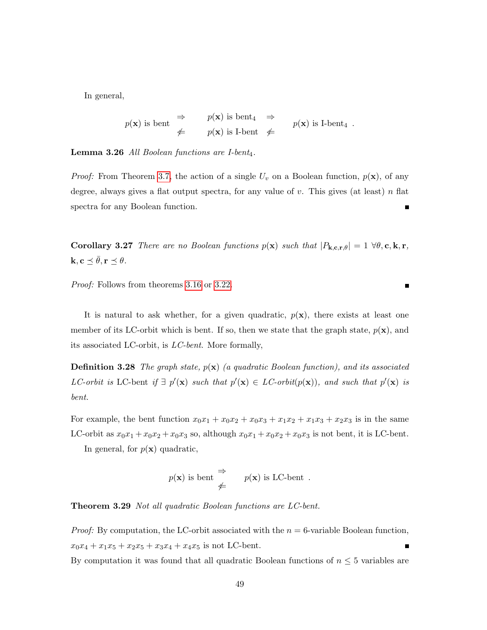In general,

$$
p(\mathbf{x})
$$
 is bent  $\begin{array}{rcl}\n\Rightarrow & p(\mathbf{x}) \text{ is bent}_4 \Rightarrow \\
\neq & p(\mathbf{x}) \text{ is I-bent} \neq\n\end{array}$   $p(\mathbf{x})$  is I-bent<sub>4</sub>.

**Lemma 3.26** All Boolean functions are I-bent<sub>4</sub>.

*Proof:* From Theorem [3.7,](#page-39-1) the action of a single  $U_v$  on a Boolean function,  $p(\mathbf{x})$ , of any degree, always gives a flat output spectra, for any value of  $v$ . This gives (at least)  $n$  flat spectra for any Boolean function.  $\blacksquare$ 

Corollary 3.27 There are no Boolean functions  $p(x)$  such that  $|P_{k,c,r,\theta}| = 1 \ \forall \theta, c, k, r$ ,  $\mathbf{k}, \mathbf{c} \preceq \bar{\theta}, \mathbf{r} \preceq \theta.$ 

 $\blacksquare$ 

Proof: Follows from theorems [3.16](#page-48-1) or [3.22.](#page-50-1)

It is natural to ask whether, for a given quadratic,  $p(x)$ , there exists at least one member of its LC-orbit which is bent. If so, then we state that the graph state,  $p(x)$ , and its associated LC-orbit, is LC-bent. More formally,

**Definition 3.28** The graph state,  $p(x)$  (a quadratic Boolean function), and its associated LC-orbit is LC-bent if  $\exists p'(\mathbf{x})$  such that  $p'(\mathbf{x}) \in LC$ -orbit $(p(\mathbf{x}))$ , and such that  $p'(\mathbf{x})$  is bent.

For example, the bent function  $x_0x_1 + x_0x_2 + x_0x_3 + x_1x_2 + x_1x_3 + x_2x_3$  is in the same LC-orbit as  $x_0x_1 + x_0x_2 + x_0x_3$  so, although  $x_0x_1 + x_0x_2 + x_0x_3$  is not bent, it is LC-bent.

In general, for  $p(\mathbf{x})$  quadratic,

$$
p(\mathbf{x})
$$
 is bent  $\Rightarrow$   $p(\mathbf{x})$  is LC-bent.

Theorem 3.29 Not all quadratic Boolean functions are LC-bent.

*Proof:* By computation, the LC-orbit associated with the  $n = 6$ -variable Boolean function,  $x_0x_4 + x_1x_5 + x_2x_5 + x_3x_4 + x_4x_5$  is not LC-bent.

By computation it was found that all quadratic Boolean functions of  $n \leq 5$  variables are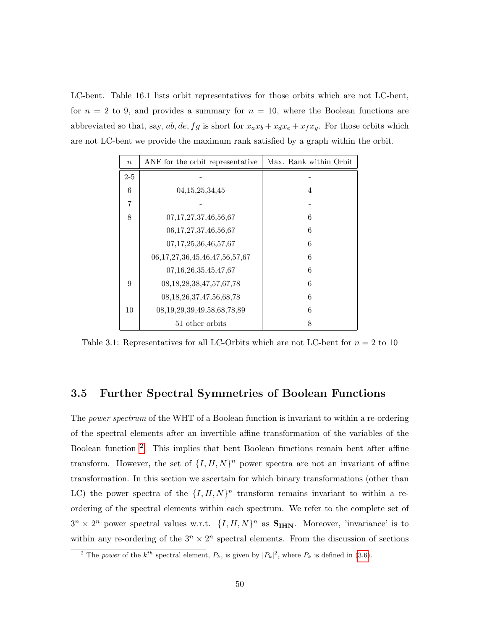LC-bent. Table 16.1 lists orbit representatives for those orbits which are not LC-bent, for  $n = 2$  to 9, and provides a summary for  $n = 10$ , where the Boolean functions are abbreviated so that, say, ab, de, fg is short for  $x_a x_b + x_d x_e + x_f x_g$ . For those orbits which are not LC-bent we provide the maximum rank satisfied by a graph within the orbit.

| $\boldsymbol{n}$ | ANF for the orbit representative       | Max. Rank within Orbit |
|------------------|----------------------------------------|------------------------|
| $2 - 5$          |                                        |                        |
| 6                | 04, 15, 25, 34, 45                     | 4                      |
| 7                |                                        |                        |
| 8                | 07, 17, 27, 37, 46, 56, 67             | 6                      |
|                  | 06, 17, 27, 37, 46, 56, 67             | 6                      |
|                  | 07, 17, 25, 36, 46, 57, 67             | 6                      |
|                  | 06, 17, 27, 36, 45, 46, 47, 56, 57, 67 | 6                      |
|                  | 07, 16, 26, 35, 45, 47, 67             | 6                      |
| 9                | 08, 18, 28, 38, 47, 57, 67, 78         | 6                      |
|                  | 08, 18, 26, 37, 47, 56, 68, 78         | 6                      |
| 10               | 08, 19, 29, 39, 49, 58, 68, 78, 89     | 6                      |
|                  | 51 other orbits                        | 8                      |

Table 3.1: Representatives for all LC-Orbits which are not LC-bent for  $n = 2$  to 10

# <span id="page-53-0"></span>3.5 Further Spectral Symmetries of Boolean Functions

The power spectrum of the WHT of a Boolean function is invariant to within a re-ordering of the spectral elements after an invertible affine transformation of the variables of the Boolean function [2](#page-53-1) . This implies that bent Boolean functions remain bent after affine transform. However, the set of  $\{I, H, N\}^n$  power spectra are not an invariant of affine transformation. In this section we ascertain for which binary transformations (other than LC) the power spectra of the  $\{I, H, N\}^n$  transform remains invariant to within a reordering of the spectral elements within each spectrum. We refer to the complete set of  $3^n \times 2^n$  power spectral values w.r.t.  $\{I, H, N\}^n$  as  $S_{IHN}$ . Moreover, 'invariance' is to within any re-ordering of the  $3^n \times 2^n$  spectral elements. From the discussion of sections

<span id="page-53-1"></span><sup>&</sup>lt;sup>2</sup> The power of the  $k^{th}$  spectral element,  $P_k$ , is given by  $|P_k|^2$ , where  $P_k$  is defined in [\(3.6\)](#page-42-0).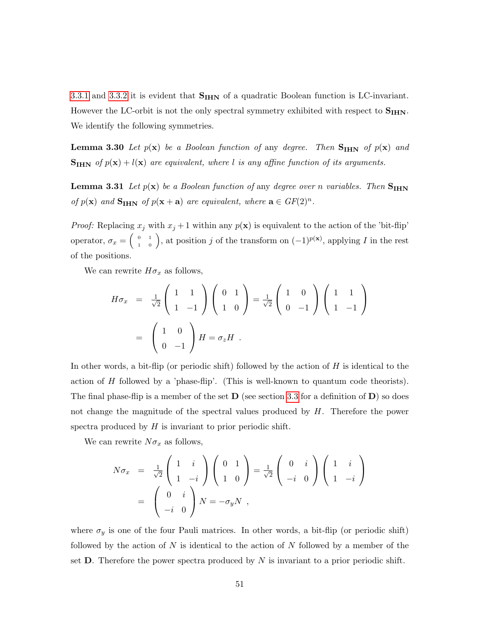[3.3.1](#page-36-2) and [3.3.2](#page-38-1) it is evident that  $S<sub>IHN</sub>$  of a quadratic Boolean function is LC-invariant. However the LC-orbit is not the only spectral symmetry exhibited with respect to  $S_{\text{IHN}}$ . We identify the following symmetries.

**Lemma 3.30** Let  $p(x)$  be a Boolean function of any degree. Then  $S_{H}$  of  $p(x)$  and  $S_{IHN}$  of  $p(x) + l(x)$  are equivalent, where l is any affine function of its arguments.

**Lemma 3.31** Let  $p(x)$  be a Boolean function of any degree over n variables. Then  $S<sub>IHN</sub>$ of  $p(\mathbf{x})$  and  $\mathbf{S}_{\text{IHN}}$  of  $p(\mathbf{x} + \mathbf{a})$  are equivalent, where  $\mathbf{a} \in GF(2)^n$ .

*Proof:* Replacing  $x_j$  with  $x_j + 1$  within any  $p(x)$  is equivalent to the action of the 'bit-flip' operator,  $\sigma_x = \begin{pmatrix} 0 & 1 \\ 1 & 0 \end{pmatrix}$ , at position j of the transform on  $(-1)^{p(x)}$ , applying I in the rest of the positions.

We can rewrite  $H\sigma_x$  as follows,

$$
H\sigma_x = \frac{1}{\sqrt{2}} \begin{pmatrix} 1 & 1 \\ 1 & -1 \end{pmatrix} \begin{pmatrix} 0 & 1 \\ 1 & 0 \end{pmatrix} = \frac{1}{\sqrt{2}} \begin{pmatrix} 1 & 0 \\ 0 & -1 \end{pmatrix} \begin{pmatrix} 1 & 1 \\ 1 & -1 \end{pmatrix}
$$

$$
= \begin{pmatrix} 1 & 0 \\ 0 & -1 \end{pmatrix} H = \sigma_z H .
$$

In other words, a bit-flip (or periodic shift) followed by the action of  $H$  is identical to the action of  $H$  followed by a 'phase-flip'. (This is well-known to quantum code theorists). The final phase-flip is a member of the set  $\bf{D}$  (see section [3.3](#page-34-0) for a definition of  $\bf{D}$ ) so does not change the magnitude of the spectral values produced by  $H$ . Therefore the power spectra produced by  $H$  is invariant to prior periodic shift.

We can rewrite  $N\sigma_x$  as follows,

$$
N\sigma_x = \frac{1}{\sqrt{2}} \begin{pmatrix} 1 & i \\ 1 & -i \end{pmatrix} \begin{pmatrix} 0 & 1 \\ 1 & 0 \end{pmatrix} = \frac{1}{\sqrt{2}} \begin{pmatrix} 0 & i \\ -i & 0 \end{pmatrix} \begin{pmatrix} 1 & i \\ 1 & -i \end{pmatrix}
$$

$$
= \begin{pmatrix} 0 & i \\ -i & 0 \end{pmatrix} N = -\sigma_y N ,
$$

where  $\sigma_y$  is one of the four Pauli matrices. In other words, a bit-flip (or periodic shift) followed by the action of  $N$  is identical to the action of  $N$  followed by a member of the set **. Therefore the power spectra produced by N is invariant to a prior periodic shift.**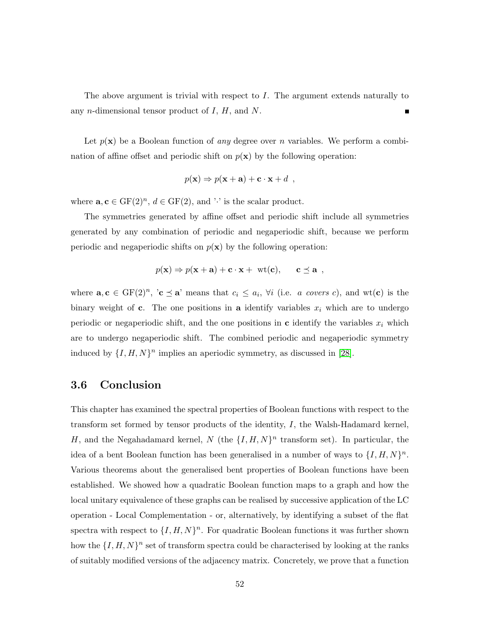The above argument is trivial with respect to  $I$ . The argument extends naturally to any *n*-dimensional tensor product of  $I, H$ , and  $N$ . П

Let  $p(x)$  be a Boolean function of any degree over n variables. We perform a combination of affine offset and periodic shift on  $p(x)$  by the following operation:

$$
p(\mathbf{x}) \Rightarrow p(\mathbf{x} + \mathbf{a}) + \mathbf{c} \cdot \mathbf{x} + d \enspace ,
$$

where  $\mathbf{a}, \mathbf{c} \in \mathrm{GF}(2)^n$ ,  $d \in \mathrm{GF}(2)$ , and '·' is the scalar product.

The symmetries generated by affine offset and periodic shift include all symmetries generated by any combination of periodic and negaperiodic shift, because we perform periodic and negaperiodic shifts on  $p(x)$  by the following operation:

$$
p(\mathbf{x}) \Rightarrow p(\mathbf{x} + \mathbf{a}) + \mathbf{c} \cdot \mathbf{x} + \text{wt}(\mathbf{c}), \quad \mathbf{c} \preceq \mathbf{a} ,
$$

where  $\mathbf{a}, \mathbf{c} \in \mathrm{GF}(2)^n$ , ' $\mathbf{c} \preceq \mathbf{a}$ ' means that  $c_i \leq a_i$ ,  $\forall i$  (i.e. *a covers c*), and wt(**c**) is the binary weight of c. The one positions in a identify variables  $x_i$  which are to undergo periodic or negaperiodic shift, and the one positions in  $\bf{c}$  identify the variables  $x_i$  which are to undergo negaperiodic shift. The combined periodic and negaperiodic symmetry induced by  $\{I, H, N\}^n$  implies an aperiodic symmetry, as discussed in [\[28\]](#page-133-2).

# 3.6 Conclusion

This chapter has examined the spectral properties of Boolean functions with respect to the transform set formed by tensor products of the identity, I, the Walsh-Hadamard kernel, H, and the Negahadamard kernel, N (the  $\{I, H, N\}^n$  transform set). In particular, the idea of a bent Boolean function has been generalised in a number of ways to  $\{I, H, N\}^n$ . Various theorems about the generalised bent properties of Boolean functions have been established. We showed how a quadratic Boolean function maps to a graph and how the local unitary equivalence of these graphs can be realised by successive application of the LC operation - Local Complementation - or, alternatively, by identifying a subset of the flat spectra with respect to  $\{I, H, N\}^n$ . For quadratic Boolean functions it was further shown how the  $\{I, H, N\}^n$  set of transform spectra could be characterised by looking at the ranks of suitably modified versions of the adjacency matrix. Concretely, we prove that a function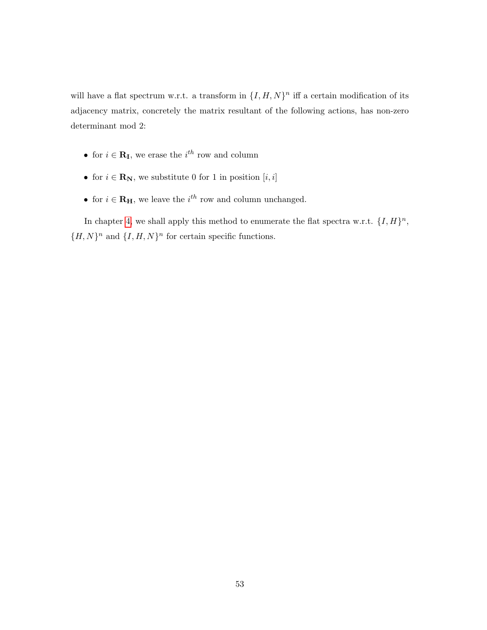will have a flat spectrum w.r.t. a transform in  $\{I, H, N\}^n$  iff a certain modification of its adjacency matrix, concretely the matrix resultant of the following actions, has non-zero determinant mod 2:

- for  $i \in \mathbf{R}_{\mathbf{I}}$ , we erase the  $i^{th}$  row and column
- for  $i \in \mathbf{R}_{\mathbf{N}}$ , we substitute 0 for 1 in position  $[i, i]$
- for  $i \in \mathbf{R}_{\mathbf{H}}$ , we leave the  $i^{th}$  row and column unchanged.

In chapter [4,](#page-57-0) we shall apply this method to enumerate the flat spectra w.r.t.  $\{I, H\}^n$ ,  ${H, N}^n$  and  ${I, H, N}^n$  for certain specific functions.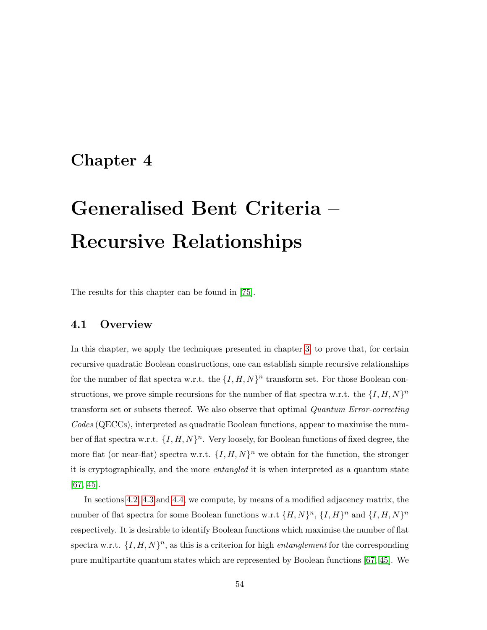# <span id="page-57-0"></span>Chapter 4

# Generalised Bent Criteria – Recursive Relationships

The results for this chapter can be found in [\[75\]](#page-137-3).

# 4.1 Overview

In this chapter, we apply the techniques presented in chapter [3,](#page-31-0) to prove that, for certain recursive quadratic Boolean constructions, one can establish simple recursive relationships for the number of flat spectra w.r.t. the  $\{I, H, N\}^n$  transform set. For those Boolean constructions, we prove simple recursions for the number of flat spectra w.r.t. the  $\{I, H, N\}^n$ transform set or subsets thereof. We also observe that optimal Quantum Error-correcting Codes (QECCs), interpreted as quadratic Boolean functions, appear to maximise the number of flat spectra w.r.t.  $\{I, H, N\}^n$ . Very loosely, for Boolean functions of fixed degree, the more flat (or near-flat) spectra w.r.t.  $\{I, H, N\}^n$  we obtain for the function, the stronger it is cryptographically, and the more entangled it is when interpreted as a quantum state [\[67,](#page-137-2) [45\]](#page-135-0).

In sections [4.2,](#page-58-0) [4.3](#page-64-0) and [4.4,](#page-69-0) we compute, by means of a modified adjacency matrix, the number of flat spectra for some Boolean functions w.r.t  $\{H, N\}^n$ ,  $\{I, H\}^n$  and  $\{I, H, N\}^n$ respectively. It is desirable to identify Boolean functions which maximise the number of flat spectra w.r.t.  $\{I, H, N\}^n$ , as this is a criterion for high *entanglement* for the corresponding pure multipartite quantum states which are represented by Boolean functions [\[67,](#page-137-2) [45\]](#page-135-0). We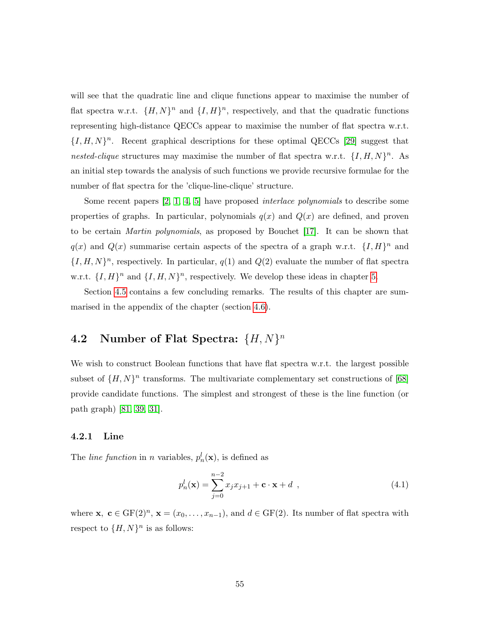will see that the quadratic line and clique functions appear to maximise the number of flat spectra w.r.t.  $\{H, N\}^n$  and  $\{I, H\}^n$ , respectively, and that the quadratic functions representing high-distance QECCs appear to maximise the number of flat spectra w.r.t.  ${I, H, N}^n$ . Recent graphical descriptions for these optimal QECCs [\[29\]](#page-133-3) suggest that nested-clique structures may maximise the number of flat spectra w.r.t.  $\{I, H, N\}^n$ . As an initial step towards the analysis of such functions we provide recursive formulae for the number of flat spectra for the 'clique-line-clique' structure.

Some recent papers  $[2, 1, 4, 5]$  $[2, 1, 4, 5]$  $[2, 1, 4, 5]$  $[2, 1, 4, 5]$  have proposed *interlace polynomials* to describe some properties of graphs. In particular, polynomials  $q(x)$  and  $Q(x)$  are defined, and proven to be certain Martin polynomials, as proposed by Bouchet [\[17\]](#page-132-0). It can be shown that  $q(x)$  and  $Q(x)$  summarise certain aspects of the spectra of a graph w.r.t.  $\{I, H\}^n$  and  $\{I, H, N\}^n$ , respectively. In particular,  $q(1)$  and  $Q(2)$  evaluate the number of flat spectra w.r.t.  $\{I, H\}^n$  and  $\{I, H, N\}^n$ , respectively. We develop these ideas in chapter [5.](#page-80-0)

Section [4.5](#page-75-0) contains a few concluding remarks. The results of this chapter are summarised in the appendix of the chapter (section [4.6\)](#page-76-0).

# <span id="page-58-0"></span>4.2 Number of Flat Spectra:  $\{H, N\}^n$

We wish to construct Boolean functions that have flat spectra w.r.t. the largest possible subset of  $\{H, N\}^n$  transforms. The multivariate complementary set constructions of [\[68\]](#page-137-1) provide candidate functions. The simplest and strongest of these is the line function (or path graph) [\[81,](#page-138-0) [39,](#page-134-1) [31\]](#page-133-4).

### 4.2.1 Line

The *line function* in *n* variables,  $p_n^l(\mathbf{x})$ , is defined as

<span id="page-58-1"></span>
$$
p_n^l(\mathbf{x}) = \sum_{j=0}^{n-2} x_j x_{j+1} + \mathbf{c} \cdot \mathbf{x} + d \tag{4.1}
$$

<span id="page-58-2"></span>where  $\mathbf{x}, \mathbf{c} \in \mathrm{GF}(2)^n$ ,  $\mathbf{x} = (x_0, \ldots, x_{n-1})$ , and  $d \in \mathrm{GF}(2)$ . Its number of flat spectra with respect to  $\{H, N\}^n$  is as follows: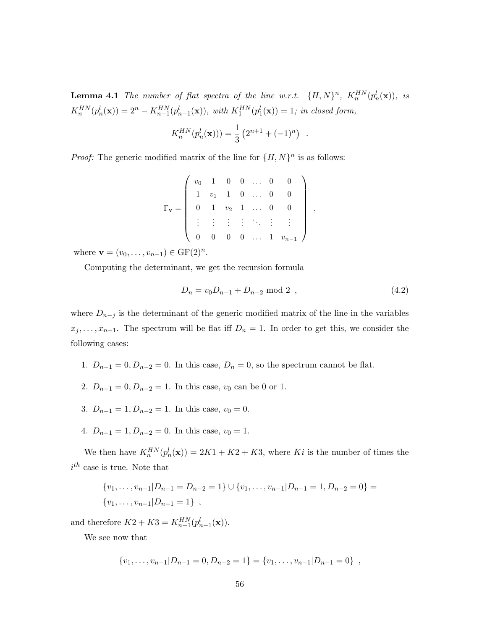**Lemma 4.1** The number of flat spectra of the line w.r.t.  $\{H, N\}^n$ ,  $K_n^{HN}(p_n^l(\mathbf{x}))$ , is  $K_n^{HN}(p_n^l(\mathbf{x})) = 2^n - K_{n-1}^{HN}(p_{n-1}^l(\mathbf{x}))$ , with  $K_1^{HN}(p_1^l(\mathbf{x})) = 1$ ; in closed form,

$$
K_n^{HN}(p_n^l(\mathbf{x}))) = \frac{1}{3} (2^{n+1} + (-1)^n) .
$$

*Proof:* The generic modified matrix of the line for  $\{H, N\}^n$  is as follows:

| $\Gamma_{\mathbf{v}} =$ |  |  |                                 |                                                                                                                                                                                                                         |  |
|-------------------------|--|--|---------------------------------|-------------------------------------------------------------------------------------------------------------------------------------------------------------------------------------------------------------------------|--|
|                         |  |  |                                 | $\left.\begin{array}{cccccc} v_0 & 1 & 0 & 0 & \ldots & 0 & 0 \ 1 & v_1 & 1 & 0 & \ldots & 0 & 0 \ 0 & 1 & v_2 & 1 & \ldots & 0 & 0 \ \vdots & \vdots & \vdots & \vdots & \ddots & \vdots & \vdots \end{array}\right\}$ |  |
|                         |  |  | $0 \quad 0 \quad \dots \quad 1$ | $v_{n-1}$                                                                                                                                                                                                               |  |

where  $\mathbf{v} = (v_0, \dots, v_{n-1}) \in \text{GF}(2)^n$ .

Computing the determinant, we get the recursion formula

<span id="page-59-0"></span>
$$
D_n = v_0 D_{n-1} + D_{n-2} \text{ mod } 2 \tag{4.2}
$$

,

where  $D_{n-j}$  is the determinant of the generic modified matrix of the line in the variables  $x_j, \ldots, x_{n-1}$ . The spectrum will be flat iff  $D_n = 1$ . In order to get this, we consider the following cases:

- 1.  $D_{n-1} = 0, D_{n-2} = 0$ . In this case,  $D_n = 0$ , so the spectrum cannot be flat.
- 2.  $D_{n-1} = 0, D_{n-2} = 1$ . In this case,  $v_0$  can be 0 or 1.
- 3.  $D_{n-1} = 1, D_{n-2} = 1$ . In this case,  $v_0 = 0$ .
- 4.  $D_{n-1} = 1, D_{n-2} = 0$ . In this case,  $v_0 = 1$ .

We then have  $K_n^{HN}(p_n^l(\mathbf{x})) = 2K1 + K2 + K3$ , where Ki is the number of times the  $i^{th}$  case is true. Note that

{
$$
v_1, ..., v_{n-1}|D_{n-1} = D_{n-2} = 1
$$
}  $\cup$  { $v_1, ..., v_{n-1}|D_{n-1} = 1, D_{n-2} = 0$ } = { $v_1, ..., v_{n-1}|D_{n-1} = 1$  },

and therefore  $K2 + K3 = K_{n-1}^{HN}(p_{n-1}^l(\mathbf{x})).$ 

We see now that

$$
\{v_1,\ldots,v_{n-1}|D_{n-1}=0,D_{n-2}=1\} = \{v_1,\ldots,v_{n-1}|D_{n-1}=0\},\;
$$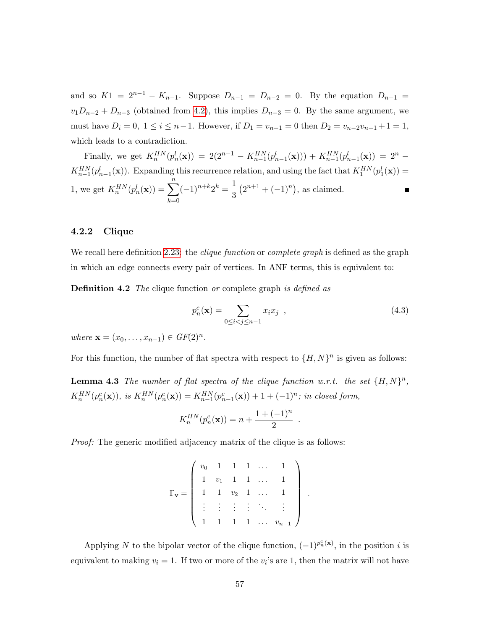and so  $K1 = 2^{n-1} - K_{n-1}$ . Suppose  $D_{n-1} = D_{n-2} = 0$ . By the equation  $D_{n-1} =$  $v_1D_{n-2} + D_{n-3}$  (obtained from [4.2\)](#page-59-0), this implies  $D_{n-3} = 0$ . By the same argument, we must have  $D_i = 0, 1 \le i \le n-1$ . However, if  $D_1 = v_{n-1} = 0$  then  $D_2 = v_{n-2}v_{n-1} + 1 = 1$ , which leads to a contradiction.

Finally, we get  $K_n^{HN}(p_n^l(\mathbf{x})) = 2(2^{n-1} - K_{n-1}^{HN}(p_{n-1}^l(\mathbf{x}))) + K_{n-1}^{HN}(p_{n-1}^l(\mathbf{x})) = 2^n K_{n-1}^{HN}(p_{n-1}^l(\mathbf{x}))$ . Expanding this recurrence relation, and using the fact that  $K_1^{HN}(p_1^l(\mathbf{x}))$  = 1, we get  $K_n^{HN}(p_n^l(\mathbf{x})) = \sum_{n=1}^n$  $(-1)^{n+k}2^k = \frac{1}{2}$  $(2^{n+1} + (-1)^n)$ , as claimed.  $\blacksquare$ 3  $k=0$ 

### 4.2.2 Clique

We recall here definition [2.23:](#page-29-0) the *clique function* or *complete graph* is defined as the graph in which an edge connects every pair of vertices. In ANF terms, this is equivalent to:

Definition 4.2 The clique function or complete graph is defined as

<span id="page-60-1"></span>
$$
p_n^c(\mathbf{x}) = \sum_{0 \le i < j \le n-1} x_i x_j \tag{4.3}
$$

.

.

where  $\mathbf{x} = (x_0, \dots, x_{n-1}) \in GF(2)^n$ .

<span id="page-60-0"></span>For this function, the number of flat spectra with respect to  $\{H, N\}^n$  is given as follows:

**Lemma 4.3** The number of flat spectra of the clique function w.r.t. the set  $\{H, N\}^n$ ,  $K_n^{HN}(p_n^c(\mathbf{x})),$  is  $K_n^{HN}(p_n^c(\mathbf{x})) = K_{n-1}^{HN}(p_{n-1}^c(\mathbf{x})) + 1 + (-1)^n$ ; in closed form,

$$
K_n^{HN}(p_n^c(\mathbf{x})) = n + \frac{1 + (-1)^n}{2}
$$

Proof: The generic modified adjacency matrix of the clique is as follows:

$$
\Gamma_{\mathbf{v}} = \left( \begin{array}{cccccc} v_0 & 1 & 1 & 1 & \dots & 1 \\ 1 & v_1 & 1 & 1 & \dots & 1 \\ 1 & 1 & v_2 & 1 & \dots & 1 \\ \vdots & \vdots & \vdots & \vdots & \ddots & \vdots \\ 1 & 1 & 1 & 1 & \dots & v_{n-1} \end{array} \right)
$$

Applying N to the bipolar vector of the clique function,  $(-1)^{p_n^c(\mathbf{x})}$ , in the position i is equivalent to making  $v_i = 1$ . If two or more of the  $v_i$ 's are 1, then the matrix will not have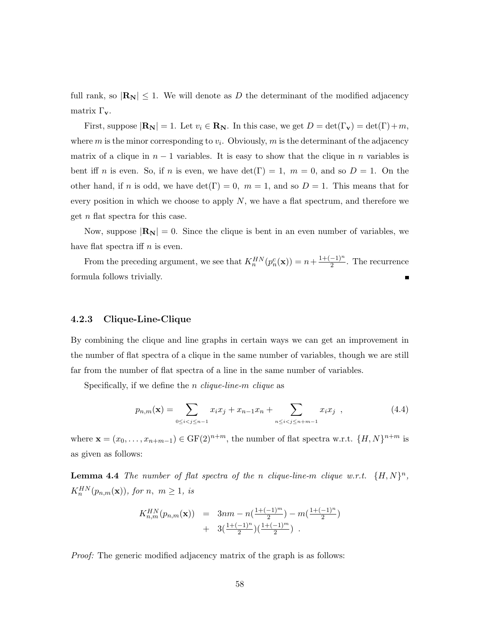full rank, so  $|\mathbf{R}_{N}| \leq 1$ . We will denote as D the determinant of the modified adjacency matrix  $\Gamma_{\mathbf{v}}$ .

First, suppose  $|\mathbf{R}_{N}| = 1$ . Let  $v_i \in \mathbf{R}_{N}$ . In this case, we get  $D = \det(\Gamma_{\mathbf{v}}) = \det(\Gamma) + m$ , where  $m$  is the minor corresponding to  $v_i$ . Obviously,  $m$  is the determinant of the adjacency matrix of a clique in  $n-1$  variables. It is easy to show that the clique in n variables is bent iff n is even. So, if n is even, we have  $\det(\Gamma) = 1$ ,  $m = 0$ , and so  $D = 1$ . On the other hand, if n is odd, we have  $\det(\Gamma) = 0$ ,  $m = 1$ , and so  $D = 1$ . This means that for every position in which we choose to apply  $N$ , we have a flat spectrum, and therefore we get n flat spectra for this case.

Now, suppose  $|\mathbf{R}_{N}| = 0$ . Since the clique is bent in an even number of variables, we have flat spectra if  $n$  is even.

From the preceding argument, we see that  $K_n^{HN}(p_n^c(\mathbf{x})) = n + \frac{1+(-1)^n}{2}$  $\frac{-1)^n}{2}$ . The recurrence formula follows trivially.

### 4.2.3 Clique-Line-Clique

By combining the clique and line graphs in certain ways we can get an improvement in the number of flat spectra of a clique in the same number of variables, though we are still far from the number of flat spectra of a line in the same number of variables.

Specifically, if we define the *n* clique-line-m clique as

<span id="page-61-1"></span><span id="page-61-0"></span>
$$
p_{n,m}(\mathbf{x}) = \sum_{0 \le i < j \le n-1} x_i x_j + x_{n-1} x_n + \sum_{n \le i < j \le n+m-1} x_i x_j \quad , \tag{4.4}
$$

where  $\mathbf{x} = (x_0, \dots, x_{n+m-1}) \in \mathrm{GF}(2)^{n+m}$ , the number of flat spectra w.r.t.  $\{H, N\}^{n+m}$  is as given as follows:

**Lemma 4.4** The number of flat spectra of the n clique-line-m clique w.r.t.  $\{H, N\}^n$ ,  $K_n^{HN}(p_{n,m}(\mathbf{x})),$  for  $n, m \geq 1$ , is

$$
K_{n,m}^{HN}(p_{n,m}(\mathbf{x})) = 3nm - n(\frac{1+(-1)^m}{2}) - m(\frac{1+(-1)^n}{2}) + 3(\frac{1+(-1)^n}{2})(\frac{1+(-1)^m}{2})
$$

Proof: The generic modified adjacency matrix of the graph is as follows: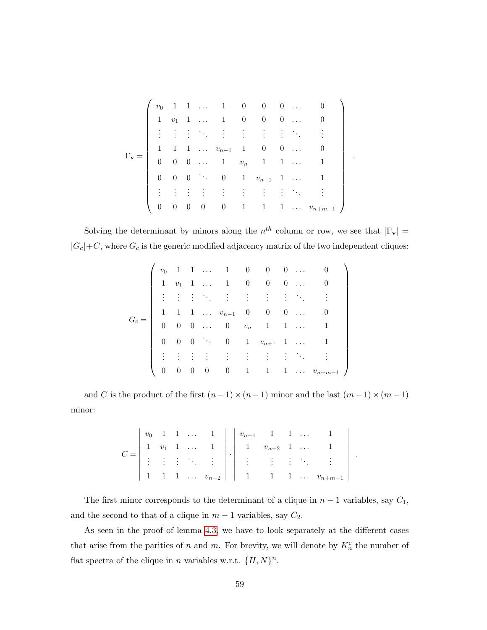|                       |                |  | $v_0 \quad 1 \quad 1 \quad \ldots \qquad 1 \qquad 0 \qquad 0 \qquad 0 \quad \ldots \qquad 0$ |  |  |                                                          |  |  |
|-----------------------|----------------|--|----------------------------------------------------------------------------------------------|--|--|----------------------------------------------------------|--|--|
|                       |                |  | $1 \quad v_1 \quad 1 \quad \dots \quad 1 \quad 0 \quad 0 \quad 0 \quad \dots$                |  |  |                                                          |  |  |
|                       |                |  | 主任主任 生活的生活的                                                                                  |  |  |                                                          |  |  |
|                       |                |  | $1 \quad 1 \quad 1 \quad \ldots \quad v_{n-1} \quad 1 \quad 0 \quad 0 \quad \ldots$          |  |  |                                                          |  |  |
| $\Gamma_{\mathbf{v}}$ |                |  | $0 \quad 0 \quad 0 \quad \ldots \qquad 1 \qquad v_n \qquad 1 \qquad 1 \quad \ldots$          |  |  |                                                          |  |  |
|                       |                |  | 0 0 0 $\cdot$ 0 1 $v_{n+1}$ 1                                                                |  |  |                                                          |  |  |
|                       |                |  | 主任主任 法一主人主义主义                                                                                |  |  |                                                          |  |  |
|                       | $\overline{0}$ |  |                                                                                              |  |  | $0 \t 0 \t 0 \t 0 \t 1 \t 1 \t 1 \t \ldots \t v_{n+m-1}$ |  |  |

.

.

Solving the determinant by minors along the  $n^{th}$  column or row, we see that  $|\Gamma_{\mathbf{v}}| =$  $|G_c|+C$ , where  $G_c$  is the generic modified adjacency matrix of the two independent cliques:

$$
G_c = \left(\begin{array}{ccccccccc} v_0 & 1 & 1 & \ldots & 1 & 0 & 0 & 0 & \ldots & 0 \\ 1 & v_1 & 1 & \ldots & 1 & 0 & 0 & 0 & \ldots & 0 \\ \vdots & \vdots & \vdots & \ddots & \vdots & \vdots & \vdots & \vdots & \ddots & \vdots \\ 1 & 1 & 1 & \ldots & v_{n-1} & 0 & 0 & 0 & \ldots & 0 \\ 0 & 0 & 0 & \ldots & 0 & v_n & 1 & 1 & \ldots & 1 \\ 0 & 0 & 0 & \ddots & 0 & 1 & v_{n+1} & 1 & \ldots & 1 \\ \vdots & \vdots & \vdots & \vdots & \vdots & \vdots & \vdots & \vdots & \ddots & \vdots \\ 0 & 0 & 0 & 0 & 0 & 1 & 1 & 1 & \ldots & v_{n+m-1} \end{array}\right)
$$

and  $C$  is the product of the first  $(n-1)\times(n-1)$  minor and the last  $(m-1)\times(m-1)$ minor:

|  |  |  |  | $v_0$ 1 1  1 $\vert v_{n+1}$ 1 1                         |  |                                                                                                                                                                                                                           |
|--|--|--|--|----------------------------------------------------------|--|---------------------------------------------------------------------------------------------------------------------------------------------------------------------------------------------------------------------------|
|  |  |  |  |                                                          |  |                                                                                                                                                                                                                           |
|  |  |  |  |                                                          |  | $\begin{array}{ccccccccc} 1 & v_1 & 1 & \ldots & 1 \\ \vdots & \vdots & \vdots & \ddots & \vdots \end{array}$ $\begin{array}{ccc} 1 & v_{n+2} & 1 & \ldots & 1 \\ \vdots & \vdots & \vdots & \ddots & \vdots \end{array}$ |
|  |  |  |  | $1 \quad 1 \quad \ldots \quad v_{n-2} \mid \cdot \mid 1$ |  | 1 1 $v_{n+m-1}$                                                                                                                                                                                                           |

The first minor corresponds to the determinant of a clique in  $n-1$  variables, say  $C_1$ , and the second to that of a clique in  $m-1$  variables, say  $C_2$ .

As seen in the proof of lemma [4.3,](#page-60-0) we have to look separately at the different cases that arise from the parities of n and m. For brevity, we will denote by  $K_n^c$  the number of flat spectra of the clique in *n* variables w.r.t.  $\{H, N\}^n$ .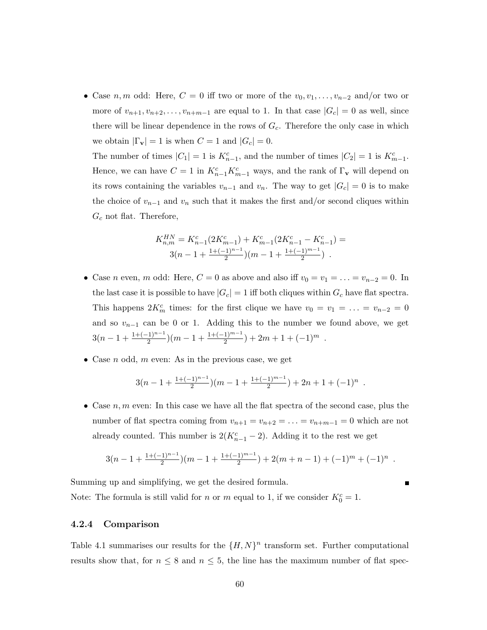• Case n, m odd: Here,  $C = 0$  iff two or more of the  $v_0, v_1, \ldots, v_{n-2}$  and/or two or more of  $v_{n+1}, v_{n+2}, \ldots, v_{n+m-1}$  are equal to 1. In that case  $|G_c| = 0$  as well, since there will be linear dependence in the rows of  $G_c$ . Therefore the only case in which we obtain  $|\Gamma_{\mathbf{v}}| = 1$  is when  $C = 1$  and  $|G_c| = 0$ .

The number of times  $|C_1| = 1$  is  $K_{n-1}^c$ , and the number of times  $|C_2| = 1$  is  $K_{m-1}^c$ . Hence, we can have  $C = 1$  in  $K_{n-1}^c K_{m-1}^c$  ways, and the rank of  $\Gamma_{\mathbf{v}}$  will depend on its rows containing the variables  $v_{n-1}$  and  $v_n$ . The way to get  $|G_c| = 0$  is to make the choice of  $v_{n-1}$  and  $v_n$  such that it makes the first and/or second cliques within  $G_c$  not flat. Therefore,

$$
K_{n,m}^{HN} = K_{n-1}^c(2K_{m-1}^c) + K_{m-1}^c(2K_{n-1}^c - K_{n-1}^c) =
$$
  
 
$$
3(n-1+\frac{1+(-1)^{n-1}}{2})(m-1+\frac{1+(-1)^{m-1}}{2}) .
$$

- Case *n* even, *m* odd: Here,  $C = 0$  as above and also iff  $v_0 = v_1 = \ldots = v_{n-2} = 0$ . In the last case it is possible to have  $|G_c| = 1$  iff both cliques within  $G_c$  have flat spectra. This happens  $2K_m^c$  times: for the first clique we have  $v_0 = v_1 = \ldots = v_{n-2} = 0$ and so  $v_{n-1}$  can be 0 or 1. Adding this to the number we found above, we get  $3(n-1+\frac{1+(-1)^{n-1}}{2})(m-1+\frac{1+(-1)^{m-1}}{2})+2m+1+(-1)^m$ .
- Case *n* odd, *m* even: As in the previous case, we get

$$
3(n-1+\frac{1+(-1)^{n-1}}{2})(m-1+\frac{1+(-1)^{m-1}}{2})+2n+1+(-1)^n
$$

.

• Case  $n, m$  even: In this case we have all the flat spectra of the second case, plus the number of flat spectra coming from  $v_{n+1} = v_{n+2} = \ldots = v_{n+m-1} = 0$  which are not already counted. This number is  $2(K_{n-1}^c - 2)$ . Adding it to the rest we get

$$
3(n-1+\frac{1+(-1)^{n-1}}{2})(m-1+\frac{1+(-1)^{m-1}}{2})+2(m+n-1)+(-1)^m+(-1)^n.
$$

Summing up and simplifying, we get the desired formula.

Note: The formula is still valid for *n* or *m* equal to 1, if we consider  $K_0^c = 1$ .

### 4.2.4 Comparison

Table 4.1 summarises our results for the  $\{H, N\}^n$  transform set. Further computational results show that, for  $n \leq 8$  and  $n \leq 5$ , the line has the maximum number of flat spec-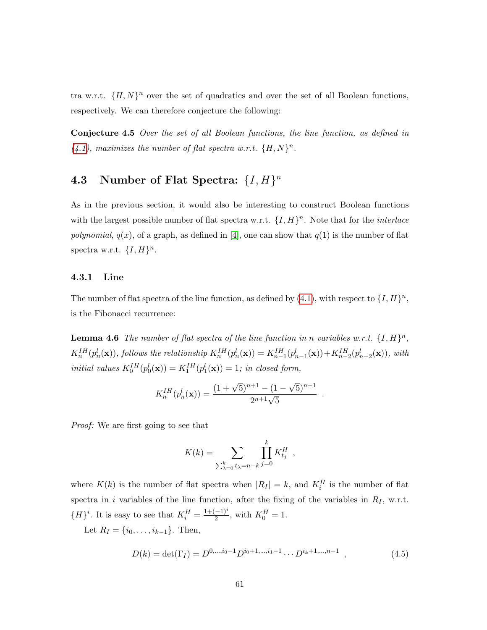tra w.r.t.  $\{H, N\}^n$  over the set of quadratics and over the set of all Boolean functions, respectively. We can therefore conjecture the following:

Conjecture 4.5 Over the set of all Boolean functions, the line function, as defined in  $(4.1)$ , maximizes the number of flat spectra w.r.t.  $\{H, N\}^n$ .

# <span id="page-64-0"></span>4.3 Number of Flat Spectra:  $\{I, H\}^n$

As in the previous section, it would also be interesting to construct Boolean functions with the largest possible number of flat spectra w.r.t.  $\{I, H\}^n$ . Note that for the *interlace* polynomial,  $q(x)$ , of a graph, as defined in [\[4\]](#page-131-2), one can show that  $q(1)$  is the number of flat spectra w.r.t.  $\{I, H\}^n$ .

### 4.3.1 Line

The number of flat spectra of the line function, as defined by  $(4.1)$ , with respect to  $\{I, H\}^n$ , is the Fibonacci recurrence:

<span id="page-64-2"></span>**Lemma 4.6** The number of flat spectra of the line function in n variables w.r.t.  $\{I, H\}^n$ ,  $K_n^{IH}(p_n^l(\mathbf{x}))$ , follows the relationship  $K_n^{IH}(p_n^l(\mathbf{x})) = K_{n-1}^{IH}(p_{n-1}^l(\mathbf{x})) + K_{n-2}^{IH}(p_{n-2}^l(\mathbf{x}))$ , with initial values  $K_0^{IH}(p_0^l(\mathbf{x})) = K_1^{IH}(p_1^l(\mathbf{x})) = 1$ ; in closed form,

$$
K_n^{IH}(p_n^l(\mathbf{x})) = \frac{(1+\sqrt{5})^{n+1} - (1-\sqrt{5})^{n+1}}{2^{n+1}\sqrt{5}}
$$

.

Proof: We are first going to see that

$$
K(k) = \sum_{\sum_{\lambda=0}^k t_{\lambda} = n-k} \prod_{j=0}^k K_{t_j}^H ,
$$

where  $K(k)$  is the number of flat spectra when  $|R_I| = k$ , and  $K_i^H$  is the number of flat spectra in i variables of the line function, after the fixing of the variables in  $R_I$ , w.r.t.  ${H}^i$ . It is easy to see that  $K_i^H = \frac{1+(-1)^i}{2}$  $\frac{(-1)^i}{2}$ , with  $K_0^H = 1$ .

Let  $R_I = \{i_0, \ldots, i_{k-1}\}.$  Then,

<span id="page-64-1"></span>
$$
D(k) = \det(\Gamma_I) = D^{0,\dots,i_0-1} D^{i_0+1,\dots,i_1-1} \cdots D^{i_k+1,\dots,n-1} , \qquad (4.5)
$$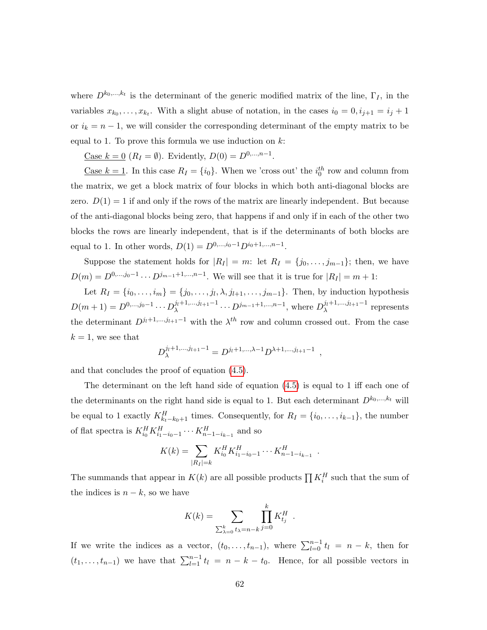where  $D^{k_0,\dots,k_t}$  is the determinant of the generic modified matrix of the line,  $\Gamma_I$ , in the variables  $x_{k_0}, \ldots, x_{k_t}$ . With a slight abuse of notation, in the cases  $i_0 = 0, i_{j+1} = i_j + 1$ or  $i_k = n - 1$ , we will consider the corresponding determinant of the empty matrix to be equal to 1. To prove this formula we use induction on  $k$ :

Case  $k = 0$   $(R_I = \emptyset)$ . Evidently,  $D(0) = D^{0,...,n-1}$ .

<u>Case  $k = 1$ </u>. In this case  $R_I = \{i_0\}$ . When we 'cross out' the  $i_0<sup>th</sup>$  row and column from the matrix, we get a block matrix of four blocks in which both anti-diagonal blocks are zero.  $D(1) = 1$  if and only if the rows of the matrix are linearly independent. But because of the anti-diagonal blocks being zero, that happens if and only if in each of the other two blocks the rows are linearly independent, that is if the determinants of both blocks are equal to 1. In other words,  $D(1) = D^{0,...,i_0-1}D^{i_0+1,...,n-1}$ .

Suppose the statement holds for  $|R_I| = m$ : let  $R_I = \{j_0, \ldots, j_{m-1}\}$ ; then, we have  $D(m) = D^{0,...,j_0-1} \cdots D^{j_{m-1}+1,...,n-1}$ . We will see that it is true for  $|R_I| = m + 1$ :

Let  $R_I = \{i_0, \ldots, i_m\} = \{j_0, \ldots, j_l, \lambda, j_{l+1}, \ldots, j_{m-1}\}.$  Then, by induction hypothesis  $D(m+1) = D^{0, \ldots, j_0-1} \cdots D_{\lambda}^{j_l+1, \ldots, j_{l+1}-1}$  $j_l+1,...,j_{l+1}-1$  ...,  $D^{j_{m-1}+1,...,n-1}$ , where  $D_{\lambda}^{j_l+1,...,j_{l+1}-1}$  $\lambda^{\frac{J(l+1,\dots,Jl+1)}{\lambda}}$  represents the determinant  $D^{j_l+1,\dots,j_{l+1}-1}$  with the  $\lambda^{th}$  row and column crossed out. From the case  $k = 1$ , we see that

$$
D_{\lambda}^{j_l+1,\dots,j_{l+1}-1} = D^{j_l+1,\dots,\lambda-1} D^{\lambda+1,\dots,j_{l+1}-1} ,
$$

and that concludes the proof of equation [\(4.5\)](#page-64-1).

The determinant on the left hand side of equation [\(4.5\)](#page-64-1) is equal to 1 iff each one of the determinants on the right hand side is equal to 1. But each determinant  $D^{k_0,\dots,k_t}$  will be equal to 1 exactly  $K_{k_t-k_0+1}^H$  times. Consequently, for  $R_I = \{i_0, \ldots, i_{k-1}\}\$ , the number of flat spectra is  $K_{i_0}^H K_{i_1 - i_0 - 1}^H \cdots K_{n-1 - i_{k-1}}^H$  and so

$$
K(k) = \sum_{|R_I| = k} K_{i_0}^H K_{i_1 - i_0 - 1}^H \cdots K_{n-1 - i_{k-1}}^H.
$$

The summands that appear in  $K(k)$  are all possible products  $\prod K_i^H$  such that the sum of the indices is  $n - k$ , so we have

$$
K(k) = \sum_{\sum_{\lambda=0}^{k} t_{\lambda} = n-k} \prod_{j=0}^{k} K_{t_j}^H.
$$

If we write the indices as a vector,  $(t_0, \ldots, t_{n-1})$ , where  $\sum_{l=0}^{n-1} t_l = n - k$ , then for  $(t_1, \ldots, t_{n-1})$  we have that  $\sum_{l=1}^{n-1} t_l = n - k - t_0$ . Hence, for all possible vectors in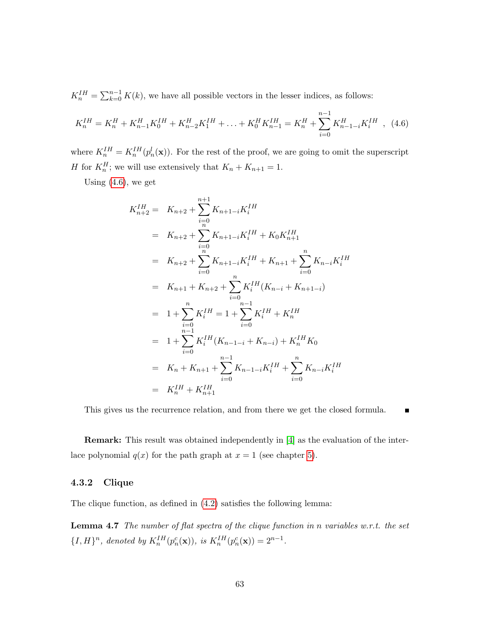$K_n^{IH} = \sum_{k=0}^{n-1} K(k)$ , we have all possible vectors in the lesser indices, as follows:

<span id="page-66-0"></span>
$$
K_n^{IH} = K_n^H + K_{n-1}^H K_0^{IH} + K_{n-2}^H K_1^{IH} + \ldots + K_0^H K_{n-1}^{IH} = K_n^H + \sum_{i=0}^{n-1} K_{n-1-i}^H K_i^{IH} , \tag{4.6}
$$

where  $K_n^{IH} = K_n^{IH}(p_n^l(\mathbf{x}))$ . For the rest of the proof, we are going to omit the superscript *H* for  $K_n^H$ ; we will use extensively that  $K_n + K_{n+1} = 1$ .

Using  $(4.6)$ , we get

$$
K_{n+2}^{IH} = K_{n+2} + \sum_{i=0}^{n+1} K_{n+1-i} K_i^{IH}
$$
  
\n
$$
= K_{n+2} + \sum_{i=0}^{n} K_{n+1-i} K_i^{IH} + K_0 K_{n+1}^{IH}
$$
  
\n
$$
= K_{n+2} + \sum_{i=0}^{n} K_{n+1-i} K_i^{IH} + K_{n+1} + \sum_{i=0}^{n} K_{n-i} K_i^{IH}
$$
  
\n
$$
= K_{n+1} + K_{n+2} + \sum_{i=0}^{n} K_i^{IH} (K_{n-i} + K_{n+1-i})
$$
  
\n
$$
= 1 + \sum_{i=0}^{n} K_i^{IH} = 1 + \sum_{i=0}^{n-1} K_i^{IH} + K_n^{IH}
$$
  
\n
$$
= 1 + \sum_{i=0}^{n-1} K_i^{IH} (K_{n-1-i} + K_{n-i}) + K_n^{IH} K_0
$$
  
\n
$$
= K_n + K_{n+1} + \sum_{i=0}^{n-1} K_{n-1-i} K_i^{IH} + \sum_{i=0}^{n} K_{n-i} K_i^{IH}
$$
  
\n
$$
= K_n^{IH} + K_{n+1}^{IH}
$$

<span id="page-66-1"></span>This gives us the recurrence relation, and from there we get the closed formula.  $\blacksquare$ 

Remark: This result was obtained independently in [\[4\]](#page-131-2) as the evaluation of the interlace polynomial  $q(x)$  for the path graph at  $x = 1$  (see chapter [5\)](#page-80-0).

### 4.3.2 Clique

The clique function, as defined in [\(4.2\)](#page-60-1) satisfies the following lemma:

**Lemma 4.7** The number of flat spectra of the clique function in n variables w.r.t. the set  $\{I, H\}^n$ , denoted by  $K_n^{IH}(p_n^c(\mathbf{x}))$ , is  $K_n^{IH}(p_n^c(\mathbf{x})) = 2^{n-1}$ .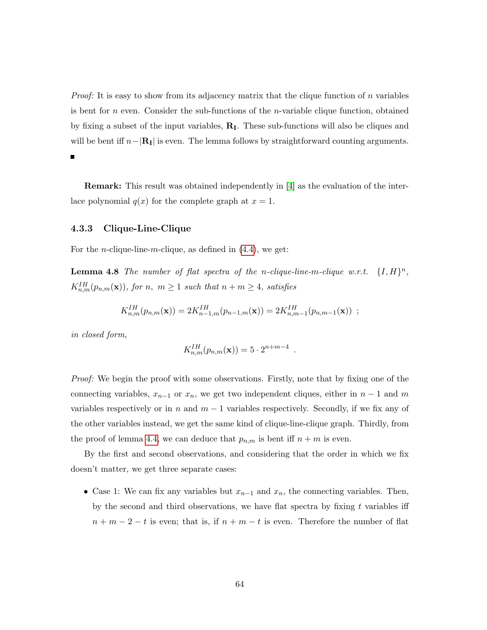*Proof:* It is easy to show from its adjacency matrix that the clique function of n variables is bent for  $n$  even. Consider the sub-functions of the *n*-variable clique function, obtained by fixing a subset of the input variables,  $\mathbf{R}_{\text{I}}$ . These sub-functions will also be cliques and will be bent iff  $n-|\mathbf{R}_I|$  is even. The lemma follows by straightforward counting arguments.

Remark: This result was obtained independently in [\[4\]](#page-131-2) as the evaluation of the interlace polynomial  $q(x)$  for the complete graph at  $x = 1$ .

### 4.3.3 Clique-Line-Clique

For the *n*-clique-line-*m*-clique, as defined in  $(4.4)$ , we get:

**Lemma 4.8** The number of flat spectra of the n-clique-line-m-clique w.r.t.  $\{I, H\}^n$ ,  $K_{n,m}^{IH}(p_{n,m}(\mathbf{x}))$ , for n,  $m \geq 1$  such that  $n + m \geq 4$ , satisfies

$$
K_{n,m}^{IH}(p_{n,m}(\mathbf{x})) = 2K_{n-1,m}^{IH}(p_{n-1,m}(\mathbf{x})) = 2K_{n,m-1}^{IH}(p_{n,m-1}(\mathbf{x})),
$$

in closed form,

$$
K_{n,m}^{IH}(p_{n,m}(\mathbf{x})) = 5 \cdot 2^{n+m-4}
$$

.

Proof: We begin the proof with some observations. Firstly, note that by fixing one of the connecting variables,  $x_{n-1}$  or  $x_n$ , we get two independent cliques, either in  $n-1$  and m variables respectively or in n and  $m-1$  variables respectively. Secondly, if we fix any of the other variables instead, we get the same kind of clique-line-clique graph. Thirdly, from the proof of lemma [4.4,](#page-61-1) we can deduce that  $p_{n,m}$  is bent iff  $n + m$  is even.

By the first and second observations, and considering that the order in which we fix doesn't matter, we get three separate cases:

• Case 1: We can fix any variables but  $x_{n-1}$  and  $x_n$ , the connecting variables. Then, by the second and third observations, we have flat spectra by fixing  $t$  variables iff  $n + m - 2 - t$  is even; that is, if  $n + m - t$  is even. Therefore the number of flat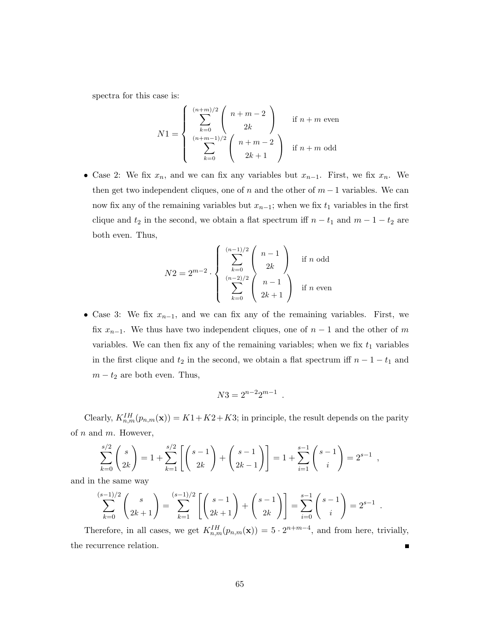spectra for this case is:

$$
N1 = \begin{cases} \sum_{k=0}^{(n+m)/2} \binom{n+m-2}{2k} & \text{if } n+m \text{ even} \\ \sum_{k=0}^{(n+m-1)/2} \binom{n+m-2}{2k+1} & \text{if } n+m \text{ odd} \end{cases}
$$

• Case 2: We fix  $x_n$ , and we can fix any variables but  $x_{n-1}$ . First, we fix  $x_n$ . We then get two independent cliques, one of  $n$  and the other of  $m-1$  variables. We can now fix any of the remaining variables but  $x_{n-1}$ ; when we fix  $t_1$  variables in the first clique and  $t_2$  in the second, we obtain a flat spectrum iff  $n - t_1$  and  $m - 1 - t_2$  are both even. Thus,

$$
N2 = 2^{m-2} \cdot \begin{cases} \sum_{k=0}^{(n-1)/2} \binom{n-1}{2k} & \text{if } n \text{ odd} \\ \sum_{k=0}^{(n-2)/2} \binom{n-1}{2k+1} & \text{if } n \text{ even} \end{cases}
$$

• Case 3: We fix  $x_{n-1}$ , and we can fix any of the remaining variables. First, we fix  $x_{n-1}$ . We thus have two independent cliques, one of  $n-1$  and the other of m variables. We can then fix any of the remaining variables; when we fix  $t_1$  variables in the first clique and  $t_2$  in the second, we obtain a flat spectrum iff  $n - 1 - t_1$  and  $m - t_2$  are both even. Thus,

$$
N3 = 2^{n-2}2^{m-1}.
$$

Clearly,  $K_{n,m}^{IH}(p_{n,m}(\mathbf{x})) = K1 + K2 + K3$ ; in principle, the result depends on the parity of  $n$  and  $m$ . However,

$$
\sum_{k=0}^{s/2} {s \choose 2k} = 1 + \sum_{k=1}^{s/2} \left[ {s-1 \choose 2k} + {s-1 \choose 2k-1} \right] = 1 + \sum_{i=1}^{s-1} {s-1 \choose i} = 2^{s-1},
$$

and in the same way

$$
\sum_{k=0}^{(s-1)/2} \binom{s}{2k+1} = \sum_{k=1}^{(s-1)/2} \left[ \binom{s-1}{2k+1} + \binom{s-1}{2k} \right] = \sum_{i=0}^{s-1} \binom{s-1}{i} = 2^{s-1}.
$$

Therefore, in all cases, we get  $K_{n,m}^{IH}(p_{n,m}(\mathbf{x})) = 5 \cdot 2^{n+m-4}$ , and from here, trivially, the recurrence relation.  $\blacksquare$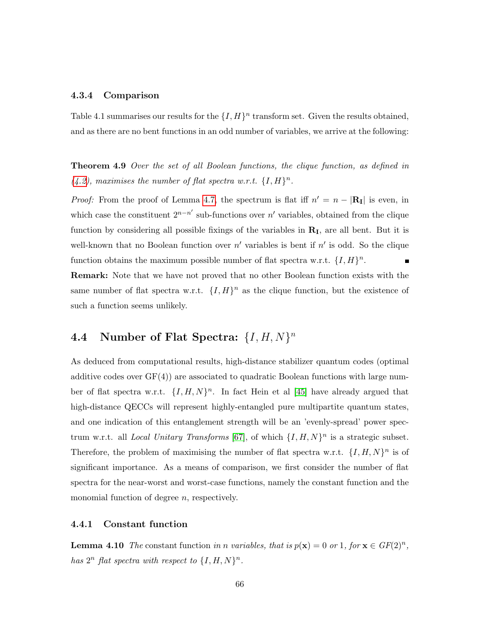#### 4.3.4 Comparison

Table 4.1 summarises our results for the  $\{I, H\}^n$  transform set. Given the results obtained, and as there are no bent functions in an odd number of variables, we arrive at the following:

Theorem 4.9 Over the set of all Boolean functions, the clique function, as defined in  $(4.2)$ , maximises the number of flat spectra w.r.t.  $\{I, H\}^n$ .

*Proof:* From the proof of Lemma [4.7,](#page-66-1) the spectrum is flat iff  $n' = n - |R_I|$  is even, in which case the constituent  $2^{n-n'}$  sub-functions over n' variables, obtained from the clique function by considering all possible fixings of the variables in  $\mathbf{R}_{\text{I}}$ , are all bent. But it is well-known that no Boolean function over  $n'$  variables is bent if  $n'$  is odd. So the clique function obtains the maximum possible number of flat spectra w.r.t.  $\{I, H\}^n$ .  $\blacksquare$ 

Remark: Note that we have not proved that no other Boolean function exists with the same number of flat spectra w.r.t.  $\{I, H\}^n$  as the clique function, but the existence of such a function seems unlikely.

# <span id="page-69-0"></span>4.4 Number of Flat Spectra:  $\{I, H, N\}^n$

As deduced from computational results, high-distance stabilizer quantum codes (optimal additive codes over  $GF(4)$  are associated to quadratic Boolean functions with large number of flat spectra w.r.t.  $\{I, H, N\}^n$ . In fact Hein et al [\[45\]](#page-135-0) have already argued that high-distance QECCs will represent highly-entangled pure multipartite quantum states, and one indication of this entanglement strength will be an 'evenly-spread' power spectrum w.r.t. all *Local Unitary Transforms* [\[67\]](#page-137-2), of which  $\{I, H, N\}^n$  is a strategic subset. Therefore, the problem of maximising the number of flat spectra w.r.t.  $\{I, H, N\}^n$  is of significant importance. As a means of comparison, we first consider the number of flat spectra for the near-worst and worst-case functions, namely the constant function and the monomial function of degree  $n$ , respectively.

### 4.4.1 Constant function

**Lemma 4.10** The constant function in n variables, that is  $p(\mathbf{x}) = 0$  or 1, for  $\mathbf{x} \in GF(2)^n$ , has  $2^n$  flat spectra with respect to  $\{I, H, N\}^n$ .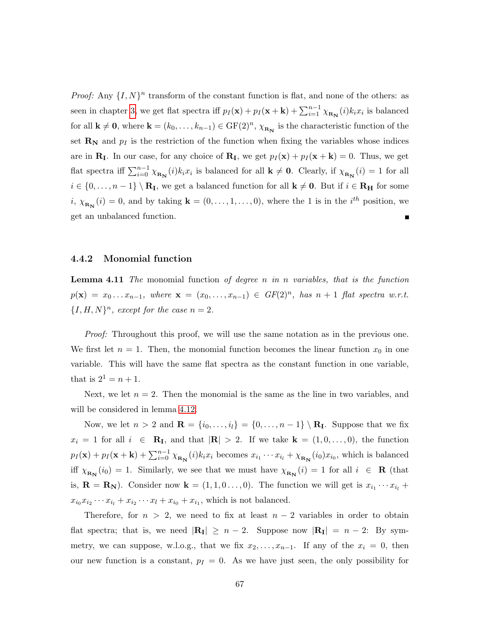*Proof:* Any  $\{I, N\}^n$  transform of the constant function is flat, and none of the others: as seen in chapter [3,](#page-31-0) we get flat spectra iff  $p_I(\mathbf{x}) + p_I(\mathbf{x} + \mathbf{k}) + \sum_{i=1}^{n-1} \chi_{\mathbf{R_N}}(i) k_i x_i$  is balanced for all  $\mathbf{k} \neq \mathbf{0}$ , where  $\mathbf{k} = (k_0, \ldots, k_{n-1}) \in \mathrm{GF}(2)^n$ ,  $\chi_{\mathbf{R_N}}$  is the characteristic function of the set  $\mathbf{R}_{\mathbf{N}}$  and  $p_I$  is the restriction of the function when fixing the variables whose indices are in  $\mathbf{R}_{\mathbf{I}}$ . In our case, for any choice of  $\mathbf{R}_{\mathbf{I}}$ , we get  $p_I(\mathbf{x}) + p_I(\mathbf{x} + \mathbf{k}) = 0$ . Thus, we get flat spectra iff  $\sum_{i=0}^{n-1} \chi_{\mathbf{R}_{N}}(i) k_i x_i$  is balanced for all  $\mathbf{k} \neq \mathbf{0}$ . Clearly, if  $\chi_{\mathbf{R}_{N}}(i) = 1$  for all  $i \in \{0, \ldots, n-1\} \setminus \mathbf{R}_{\mathbf{I}}$ , we get a balanced function for all  $\mathbf{k} \neq \mathbf{0}$ . But if  $i \in \mathbf{R}_{\mathbf{H}}$  for some  $i, \chi_{\mathbf{R}_{\mathbf{N}}}(i) = 0$ , and by taking  $\mathbf{k} = (0, \ldots, 1, \ldots, 0)$ , where the 1 is in the  $i^{th}$  position, we get an unbalanced function.  $\blacksquare$ 

### 4.4.2 Monomial function

**Lemma 4.11** The monomial function of degree n in n variables, that is the function  $p(\mathbf{x}) = x_0 \dots x_{n-1}$ , where  $\mathbf{x} = (x_0, \dots, x_{n-1}) \in GF(2)^n$ , has  $n+1$  flat spectra w.r.t.  ${I, H, N}^n$ , except for the case  $n = 2$ .

Proof: Throughout this proof, we will use the same notation as in the previous one. We first let  $n = 1$ . Then, the monomial function becomes the linear function  $x_0$  in one variable. This will have the same flat spectra as the constant function in one variable, that is  $2^1 = n + 1$ .

Next, we let  $n = 2$ . Then the monomial is the same as the line in two variables, and will be considered in lemma [4.12.](#page-71-0)

Now, we let  $n > 2$  and  $\mathbf{R} = \{i_0, \ldots, i_l\} = \{0, \ldots, n-1\} \setminus \mathbf{R}_{\mathbf{I}}$ . Suppose that we fix  $x_i = 1$  for all  $i \in \mathbb{R}_I$ , and that  $|\mathbb{R}| > 2$ . If we take  $\mathbf{k} = (1, 0, \ldots, 0)$ , the function  $p_I(\mathbf{x}) + p_I(\mathbf{x} + \mathbf{k}) + \sum_{i=0}^{n-1} \chi_{\mathbf{R_N}}(i) k_i x_i$  becomes  $x_{i_1} \cdots x_{i_l} + \chi_{\mathbf{R_N}}(i_0) x_{i_0}$ , which is balanced iff  $\chi_{\mathbf{R}_{\mathbf{N}}}(i_0) = 1$ . Similarly, we see that we must have  $\chi_{\mathbf{R}_{\mathbf{N}}}(i) = 1$  for all  $i \in \mathbf{R}$  (that is,  $\mathbf{R} = \mathbf{R}_{N}$ ). Consider now  $\mathbf{k} = (1, 1, 0, \ldots, 0)$ . The function we will get is  $x_{i_1} \cdots x_{i_l}$  +  $x_{i_0}x_{i_2}\cdots x_{i_l} + x_{i_2}\cdots x_l + x_{i_0} + x_{i_1}$ , which is not balanced.

Therefore, for  $n > 2$ , we need to fix at least  $n - 2$  variables in order to obtain flat spectra; that is, we need  $|\mathbf{R}_{\mathbf{I}}| \geq n-2$ . Suppose now  $|\mathbf{R}_{\mathbf{I}}| = n-2$ : By symmetry, we can suppose, w.l.o.g., that we fix  $x_2, \ldots, x_{n-1}$ . If any of the  $x_i = 0$ , then our new function is a constant,  $p_I = 0$ . As we have just seen, the only possibility for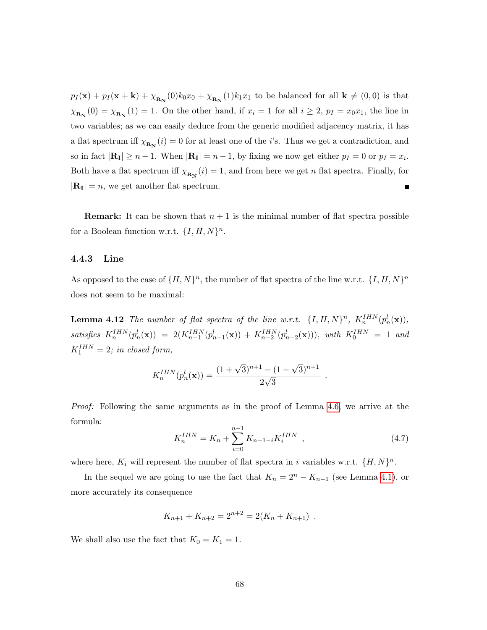$p_I(\mathbf{x}) + p_I(\mathbf{x} + \mathbf{k}) + \chi_{\mathbf{R_N}}(0)k_0x_0 + \chi_{\mathbf{R_N}}(1)k_1x_1$  to be balanced for all  $\mathbf{k} \neq (0,0)$  is that  $\chi_{\mathbf{R}_{\mathbf{N}}}(0) = \chi_{\mathbf{R}_{\mathbf{N}}}(1) = 1$ . On the other hand, if  $x_i = 1$  for all  $i \geq 2$ ,  $p_I = x_0 x_1$ , the line in two variables; as we can easily deduce from the generic modified adjacency matrix, it has a flat spectrum iff  $\chi_{R_N}(i) = 0$  for at least one of the *i*'s. Thus we get a contradiction, and so in fact  $|\mathbf{R}_{\mathbf{I}}| \ge n - 1$ . When  $|\mathbf{R}_{\mathbf{I}}| = n - 1$ , by fixing we now get either  $p_I = 0$  or  $p_I = x_i$ . Both have a flat spectrum iff  $\chi_{\mathbf{R}_{\mathbf{N}}}(i) = 1$ , and from here we get n flat spectra. Finally, for  $|\mathbf{R}_{\mathbf{I}}| = n$ , we get another flat spectrum. Ē

**Remark:** It can be shown that  $n + 1$  is the minimal number of flat spectra possible for a Boolean function w.r.t.  $\{I, H, N\}^n$ .

### 4.4.3 Line

As opposed to the case of  $\{H, N\}^n$ , the number of flat spectra of the line w.r.t.  $\{I, H, N\}^n$ does not seem to be maximal:

<span id="page-71-0"></span>**Lemma 4.12** The number of flat spectra of the line w.r.t.  $\{I, H, N\}^n$ ,  $K_n^{IHN}(p_n^l(\mathbf{x}))$ , satisfies  $K_n^{IHN}(p_n^l(\mathbf{x})) = 2(K_{n-1}^{IHN}(p_{n-1}^l(\mathbf{x})) + K_{n-2}^{IHN}(p_{n-2}^l(\mathbf{x}))),$  with  $K_0^{IHN} = 1$  and  $K_1^{IHN} = 2$ ; in closed form,

$$
K_n^{IHN}(p_n^l(\mathbf{x})) = \frac{(1+\sqrt{3})^{n+1} - (1-\sqrt{3})^{n+1}}{2\sqrt{3}}
$$

Proof: Following the same arguments as in the proof of Lemma [4.6,](#page-64-2) we arrive at the formula:

$$
K_n^{IHN} = K_n + \sum_{i=0}^{n-1} K_{n-1-i} K_i^{IHN} \quad , \tag{4.7}
$$

.

where here,  $K_i$  will represent the number of flat spectra in i variables w.r.t.  $\{H, N\}^n$ .

In the sequel we are going to use the fact that  $K_n = 2^n - K_{n-1}$  (see Lemma [4.1\)](#page-58-2), or more accurately its consequence

$$
K_{n+1} + K_{n+2} = 2^{n+2} = 2(K_n + K_{n+1}) .
$$

We shall also use the fact that  $K_0 = K_1 = 1$ .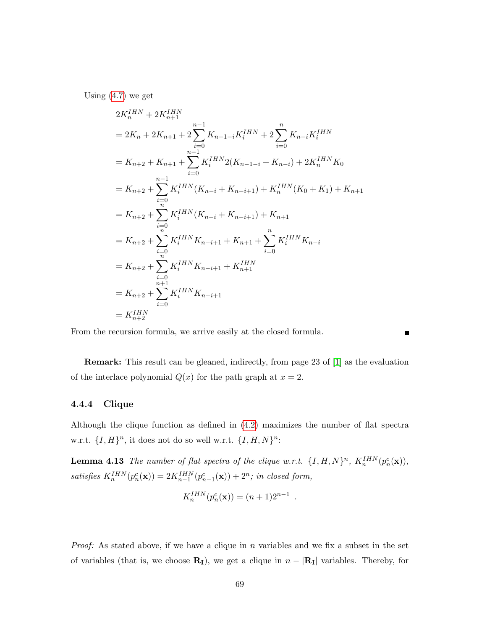Using  $(4.7)$  we get

$$
2K_n^{IHN} + 2K_{n+1}^{IHN}
$$
  
=  $2K_n + 2K_{n+1} + 2\sum_{i=0}^{n-1} K_{n-1-i}K_i^{IHN} + 2\sum_{i=0}^{n} K_{n-i}K_i^{IHN}$   
=  $K_{n+2} + K_{n+1} + \sum_{i=0}^{n-1} K_i^{IHN} 2(K_{n-1-i} + K_{n-i}) + 2K_n^{IHN} K_0$   
=  $K_{n+2} + \sum_{i=0}^{n-1} K_i^{IHN} (K_{n-i} + K_{n-i+1}) + K_n^{IHN} (K_0 + K_1) + K_{n+1}$   
=  $K_{n+2} + \sum_{i=0}^{n} K_i^{IHN} (K_{n-i} + K_{n-i+1}) + K_{n+1}$   
=  $K_{n+2} + \sum_{i=0}^{n} K_i^{IHN} K_{n-i+1} + K_{n+1} + \sum_{i=0}^{n} K_i^{IHN} K_{n-i}$   
=  $K_{n+2} + \sum_{i=0}^{n+1} K_i^{IHN} K_{n-i+1} + K_{n+1}^{IHN}$   
=  $K_{n+2} + \sum_{i=0}^{n+1} K_i^{IHN} K_{n-i+1}$   
=  $K_{n+2}^{IHN}$ 

From the recursion formula, we arrive easily at the closed formula.

Remark: This result can be gleaned, indirectly, from page 23 of [\[1\]](#page-131-0) as the evaluation of the interlace polynomial  $Q(x)$  for the path graph at  $x = 2$ .

### 4.4.4 Clique

Although the clique function as defined in [\(4.2\)](#page-60-0) maximizes the number of flat spectra w.r.t.  $\{I, H\}^n$ , it does not do so well w.r.t.  $\{I, H, N\}^n$ :

<span id="page-72-0"></span>**Lemma 4.13** The number of flat spectra of the clique w.r.t.  $\{I, H, N\}^n$ ,  $K_n^{IHN}(p_n^c(\mathbf{x}))$ , satisfies  $K_n^{IHN}(p_n^c(\mathbf{x})) = 2K_{n-1}^{IHN}(p_{n-1}^c(\mathbf{x})) + 2^n$ ; in closed form,

$$
K_n^{IHN}(p_n^c(\mathbf{x})) = (n+1)2^{n-1}
$$

.

 $\blacksquare$ 

*Proof:* As stated above, if we have a clique in n variables and we fix a subset in the set of variables (that is, we choose  $\mathbf{R}_{\mathbf{I}}$ ), we get a clique in  $n - |\mathbf{R}_{\mathbf{I}}|$  variables. Thereby, for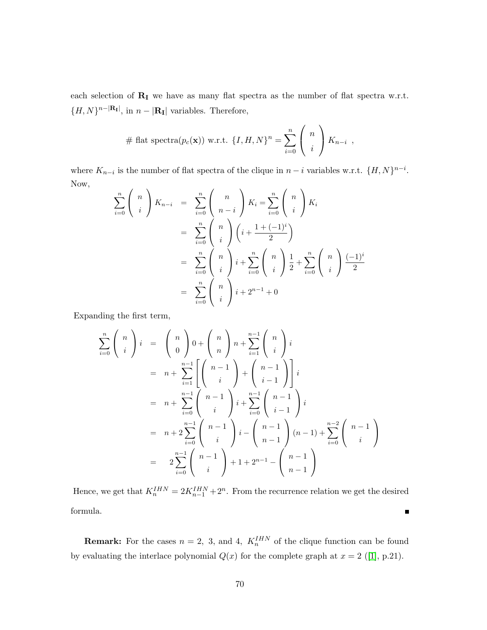each selection of  $\mathbf{R}_{\text{I}}$  we have as many flat spectra as the number of flat spectra w.r.t.  ${H, N}^{n-|\mathbf{R}_{\mathbf{I}}|}$ , in  $n-|\mathbf{R}_{\mathbf{I}}|$  variables. Therefore,

# flat spectra(
$$
p_c(\mathbf{x})
$$
) w.r.t. { $I, H, N$ }<sup>n</sup> =  $\sum_{i=0}^{n} {n \choose i} K_{n-i}$ ,

where  $K_{n-i}$  is the number of flat spectra of the clique in  $n-i$  variables w.r.t.  $\{H, N\}^{n-i}$ . Now,

$$
\sum_{i=0}^{n} {n \choose i} K_{n-i} = \sum_{i=0}^{n} {n \choose n-i} K_i = \sum_{i=0}^{n} {n \choose i} K_i
$$
  
= 
$$
\sum_{i=0}^{n} {n \choose i} (i + \frac{1 + (-1)^i}{2})
$$
  
= 
$$
\sum_{i=0}^{n} {n \choose i} i + \sum_{i=0}^{n} {n \choose i} \frac{1}{2} + \sum_{i=0}^{n} {n \choose i} \frac{(-1)^i}{2}
$$
  
= 
$$
\sum_{i=0}^{n} {n \choose i} i + 2^{n-1} + 0
$$

Expanding the first term,

$$
\sum_{i=0}^{n} {n \choose i} i = {n \choose 0} 0 + {n \choose n} n + \sum_{i=1}^{n-1} {n \choose i} i
$$
  
=  $n + \sum_{i=1}^{n-1} {n-1 \choose i} + {n-1 \choose i-1} i$   
=  $n + \sum_{i=0}^{n-1} {n-1 \choose i} i + \sum_{i=0}^{n-1} {n-1 \choose i-1} i$   
=  $n + 2 \sum_{i=0}^{n-1} {n-1 \choose i} i - {n-1 \choose n-1} (n-1) + \sum_{i=0}^{n-2} {n-1 \choose i}$   
=  $2 \sum_{i=0}^{n-1} {n-1 \choose i} + 1 + 2^{n-1} - {n-1 \choose n-1}$ 

Hence, we get that  $K_n^{IHN} = 2K_{n-1}^{IHN} + 2^n$ . From the recurrence relation we get the desired formula. 

**Remark:** For the cases  $n = 2$ , 3, and 4,  $K_n^{IHN}$  of the clique function can be found byevaluating the interlace polynomial  $Q(x)$  for the complete graph at  $x = 2$  ([\[1\]](#page-131-0), p.21).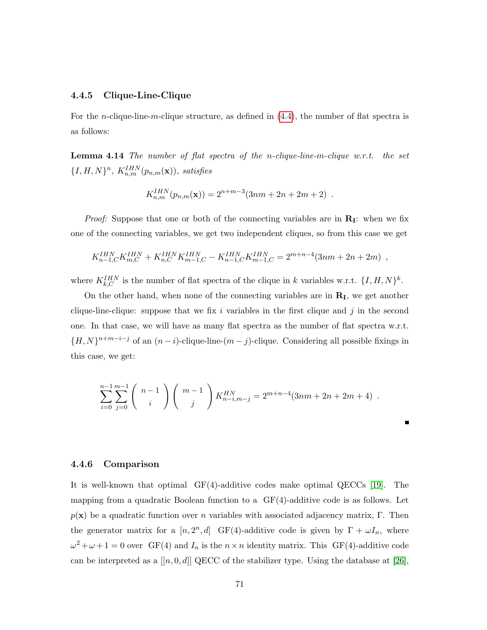### 4.4.5 Clique-Line-Clique

For the *n*-clique-line-*m*-clique structure, as defined in  $(4.4)$ , the number of flat spectra is as follows:

**Lemma 4.14** The number of flat spectra of the n-clique-line-m-clique w.r.t. the set  $\{I, H, N\}^n$ ,  $K_{n,m}^{IHN}(p_{n,m}(\mathbf{x}))$ , satisfies

$$
K_{n,m}^{IHN}(p_{n,m}(\mathbf{x})) = 2^{n+m-3}(3nm+2n+2m+2) .
$$

*Proof:* Suppose that one or both of the connecting variables are in  $\mathbf{R}_{I}$ : when we fix one of the connecting variables, we get two independent cliques, so from this case we get

$$
K_{n-1,C}^{IHN} K_{m,C}^{IHN} + K_{n,C}^{IHN} K_{m-1,C}^{IHN} - K_{n-1,C}^{IHN} K_{m-1,C}^{IHN} = 2^{m+n-4} (3nm + 2n + 2m) ,
$$

where  $K_{k,C}^{IHN}$  is the number of flat spectra of the clique in k variables w.r.t.  $\{I, H, N\}^k$ .

On the other hand, when none of the connecting variables are in  $\mathbf{R}_{\text{I}}$ , we get another clique-line-clique: suppose that we fix i variables in the first clique and j in the second one. In that case, we will have as many flat spectra as the number of flat spectra w.r.t.  ${H, N}^{n+m-i-j}$  of an  $(n-i)$ -clique-line- $(m-j)$ -clique. Considering all possible fixings in this case, we get:

$$
\sum_{i=0}^{n-1} \sum_{j=0}^{m-1} {n-1 \choose i} {m-1 \choose j} K_{n-i,m-j}^{HN} = 2^{m+n-4} (3nm + 2n + 2m + 4).
$$

Г

### 4.4.6 Comparison

It is well-known that optimal  $GF(4)$ -additive codes make optimal QECCs [\[19\]](#page-132-0). The mapping from a quadratic Boolean function to a GF(4)-additive code is as follows. Let  $p(x)$  be a quadratic function over n variables with associated adjacency matrix, Γ. Then the generator matrix for a  $[n, 2^n, d]$  GF(4)-additive code is given by  $\Gamma + \omega I_n$ , where  $\omega^2 + \omega + 1 = 0$  over GF(4) and  $I_n$  is the  $n \times n$  identity matrix. This GF(4)-additive code can be interpreted as a  $[[n, 0, d]]$  QECC of the stabilizer type. Using the database at [\[26\]](#page-133-0),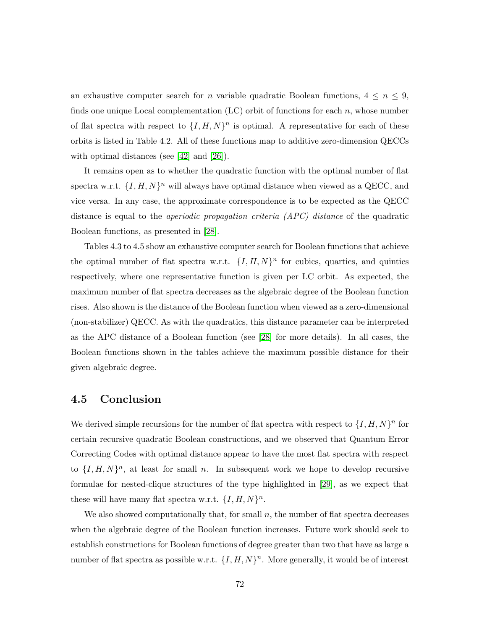an exhaustive computer search for n variable quadratic Boolean functions,  $4 \le n \le 9$ , finds one unique Local complementation  $(LC)$  orbit of functions for each n, whose number of flat spectra with respect to  $\{I, H, N\}^n$  is optimal. A representative for each of these orbits is listed in Table 4.2. All of these functions map to additive zero-dimension QECCs with optimal distances (see [\[42\]](#page-134-0) and [\[26\]](#page-133-0)).

It remains open as to whether the quadratic function with the optimal number of flat spectra w.r.t.  $\{I, H, N\}^n$  will always have optimal distance when viewed as a QECC, and vice versa. In any case, the approximate correspondence is to be expected as the QECC distance is equal to the aperiodic propagation criteria (APC) distance of the quadratic Boolean functions, as presented in [\[28\]](#page-133-1).

Tables 4.3 to 4.5 show an exhaustive computer search for Boolean functions that achieve the optimal number of flat spectra w.r.t.  $\{I, H, N\}^n$  for cubics, quartics, and quintics respectively, where one representative function is given per LC orbit. As expected, the maximum number of flat spectra decreases as the algebraic degree of the Boolean function rises. Also shown is the distance of the Boolean function when viewed as a zero-dimensional (non-stabilizer) QECC. As with the quadratics, this distance parameter can be interpreted as the APC distance of a Boolean function (see [\[28\]](#page-133-1) for more details). In all cases, the Boolean functions shown in the tables achieve the maximum possible distance for their given algebraic degree.

### 4.5 Conclusion

We derived simple recursions for the number of flat spectra with respect to  $\{I, H, N\}^n$  for certain recursive quadratic Boolean constructions, and we observed that Quantum Error Correcting Codes with optimal distance appear to have the most flat spectra with respect to  $\{I, H, N\}^n$ , at least for small n. In subsequent work we hope to develop recursive formulae for nested-clique structures of the type highlighted in [\[29\]](#page-133-2), as we expect that these will have many flat spectra w.r.t.  $\{I, H, N\}^n$ .

We also showed computationally that, for small  $n$ , the number of flat spectra decreases when the algebraic degree of the Boolean function increases. Future work should seek to establish constructions for Boolean functions of degree greater than two that have as large a number of flat spectra as possible w.r.t.  $\{I, H, N\}^n$ . More generally, it would be of interest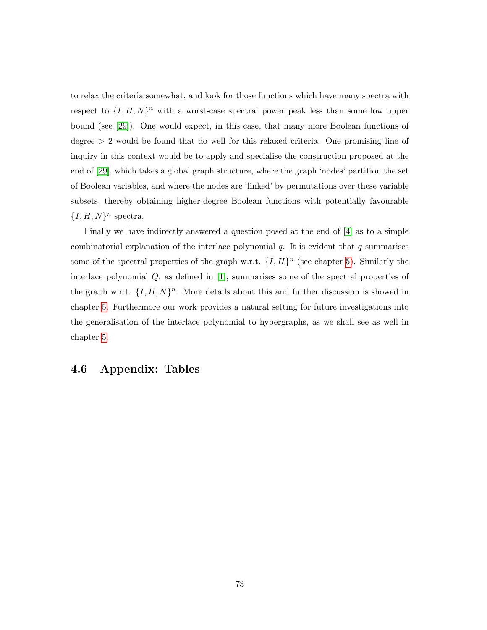to relax the criteria somewhat, and look for those functions which have many spectra with respect to  $\{I, H, N\}^n$  with a worst-case spectral power peak less than some low upper bound (see [\[29\]](#page-133-2)). One would expect, in this case, that many more Boolean functions of degree  $> 2$  would be found that do well for this relaxed criteria. One promising line of inquiry in this context would be to apply and specialise the construction proposed at the end of [\[29\]](#page-133-2), which takes a global graph structure, where the graph 'nodes' partition the set of Boolean variables, and where the nodes are 'linked' by permutations over these variable subsets, thereby obtaining higher-degree Boolean functions with potentially favourable  ${I, H, N}^n$  spectra.

Finally we have indirectly answered a question posed at the end of [\[4\]](#page-131-1) as to a simple combinatorial explanation of the interlace polynomial  $q$ . It is evident that q summarises some of the spectral properties of the graph w.r.t.  $\{I, H\}^n$  (see chapter [5\)](#page-80-0). Similarly the interlace polynomial Q, as defined in [\[1\]](#page-131-0), summarises some of the spectral properties of the graph w.r.t.  $\{I, H, N\}^n$ . More details about this and further discussion is showed in chapter [5.](#page-80-0) Furthermore our work provides a natural setting for future investigations into the generalisation of the interlace polynomial to hypergraphs, as we shall see as well in chapter [5.](#page-80-0)

# 4.6 Appendix: Tables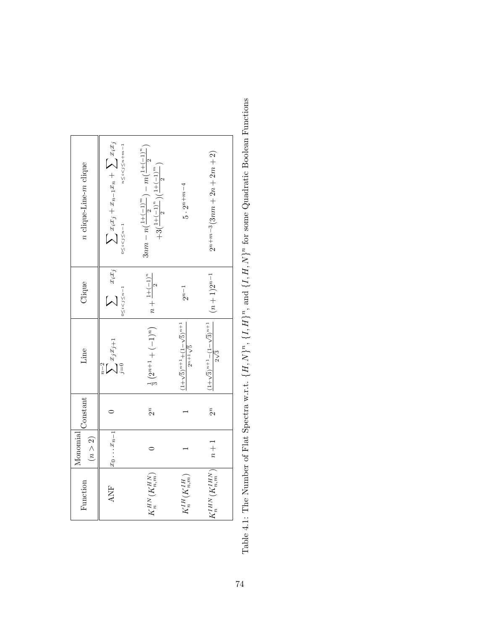| <i>n</i> clique-Line- <i>m</i> clique       | $\sum x_i x_j + x_{n-1} x_n + \sum x_i x_j$<br>$n \leq i < j \leq n+m-1$<br>$0 \leq i < j \leq n-1$ | $3nm - n\left(\frac{1+(-1)^m}{2}\right) - m\left(\frac{1+(-1)^n}{2}\right)$<br>$+3\left(\frac{1+(-1)^n}{2}\right)\left(\frac{1+(-1)^m}{2}\right)$ | $5 \cdot 2^{n+m-4}$                                          | $2^{n+m-3}(3nm+2n+2m+2)$                               |
|---------------------------------------------|-----------------------------------------------------------------------------------------------------|---------------------------------------------------------------------------------------------------------------------------------------------------|--------------------------------------------------------------|--------------------------------------------------------|
| Clique                                      | $\sum_{x_ix_j}$<br>$0 \le i < j \le n-1$                                                            |                                                                                                                                                   | $2^{n-1}$                                                    | $(n+1)2^{n-1}$                                         |
| $\sum_{j=0} x_j x_{j+1}$<br>Line<br>$n - 2$ |                                                                                                     | $\frac{1}{3}(2^{n+1}+(-1)^n)$ $\left  n+\frac{1+(-1)^n}{2}\right $                                                                                | $(1+\sqrt{5})^{n+1}+(1-\sqrt{5})^{n+1}$<br>$2^{n+1}\sqrt{5}$ | $(1+\sqrt{3})^{n+1}-(1-\sqrt{3})^{n+1}$<br>$2\sqrt{3}$ |
| Constant                                    |                                                                                                     | $2^n$                                                                                                                                             |                                                              | $\tilde{c}$                                            |
| $\binom{n}{2}$<br>Monomial                  | $x_0 \ldots x_{n-1}$                                                                                |                                                                                                                                                   |                                                              | $n + 1$                                                |
| Function<br>ANF                             |                                                                                                     | $K_n^{HN}(K_{n,m}^{HN})$                                                                                                                          | $K_n^{IH}\left(K_{n,m}^{IH}\right)$                          | $K_n^{IHN}(K_{n,m}^{IHN})$                             |

Table 4.1: The Number of Flat Spectra w.r.t.  $\{H, N\}^n$ ,  $\{I, H\}^n$ , and  $\{I, H, N\}^n$  for some Quadratic Boolean Functions Table 4.1: The Number of Flat Spectra w.r.t.  $\{H, N\}^n$ ,  $\{I, H\}^n$ , and  $\{I, M\}^n$  for some Quadratic Boolean Functions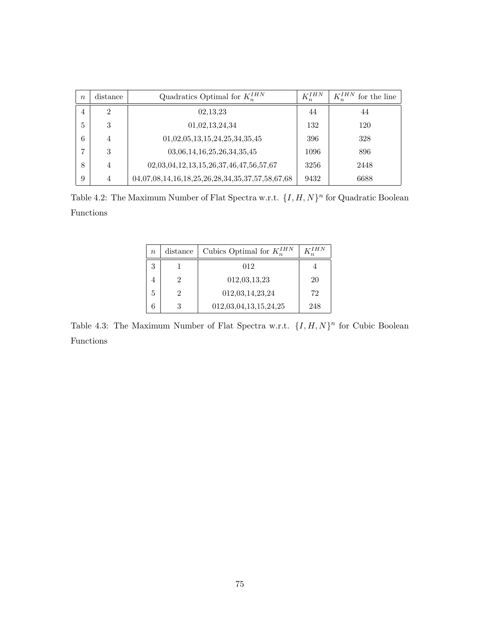| $\boldsymbol{n}$ | distance       | Quadratics Optimal for $K_n^{IHN}$              | $K_{n}^{IHN}$ | $K_n^{IHN}$<br>for the line |
|------------------|----------------|-------------------------------------------------|---------------|-----------------------------|
| $\overline{4}$   | $\mathfrak{D}$ | 02,13,23                                        | 44            | 44                          |
| 5                | 3              | 01,02,13,24,34                                  | 132           | 120                         |
| 6                | 4              | 01,02,05,13,15,24,25,34,35,45                   | 396           | 328                         |
| ,                | 3              | 03,06,14,16,25,26,34,35,45                      | 1096          | 896                         |
| 8                | 4              | 02,03,04,12,13,15,26,37,46,47,56,57,67          | 3256          | 2448                        |
| 9                | $\overline{4}$ | 04,07,08,14,16,18,25,26,28,34,35,37,57,58,67,68 | 9432          | 6688                        |

Table 4.2: The Maximum Number of Flat Spectra w.r.t.  $\{I, H, N\}^n$  for Quadratic Boolean Functions

| $\it{n}$ | distance | Cubics Optimal for $K_n^{IHN}$ | I H N |
|----------|----------|--------------------------------|-------|
| 3        |          | 012                            |       |
|          | 2        | 012,03,13,23                   | 20    |
| 5        | 2        | 012,03,14,23,24                | 72    |
|          |          | 012,03,04,13,15,24,25          | 248   |

Table 4.3: The Maximum Number of Flat Spectra w.r.t.  $\{I, H, N\}^n$  for Cubic Boolean Functions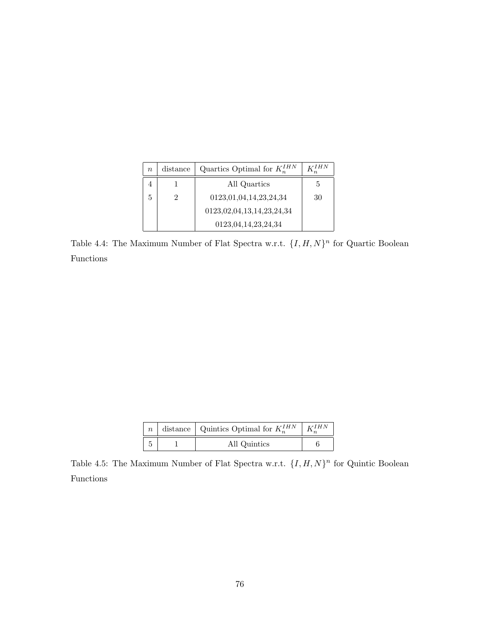| $n_{\cdot}$ | distance | Quartics Optimal for $K_n^{IHN}$ |    |
|-------------|----------|----------------------------------|----|
|             |          | All Quartics                     | .5 |
| 5           |          | 0123,01,04,14,23,24,34           | 30 |
|             |          | 0123,02,04,13,14,23,24,34        |    |
|             |          | 0123,04,14,23,24,34              |    |

Table 4.4: The Maximum Number of Flat Spectra w.r.t.  $\{I, H, N\}^n$  for Quartic Boolean Functions

|  | $\mid n \mid$ distance $\mid$ Quintics Optimal for $K_n^{IHN}$ | L <sub>Z</sub> H N |
|--|----------------------------------------------------------------|--------------------|
|  | All Quintics                                                   |                    |

Table 4.5: The Maximum Number of Flat Spectra w.r.t.  $\{I, H, N\}^n$  for Quintic Boolean Functions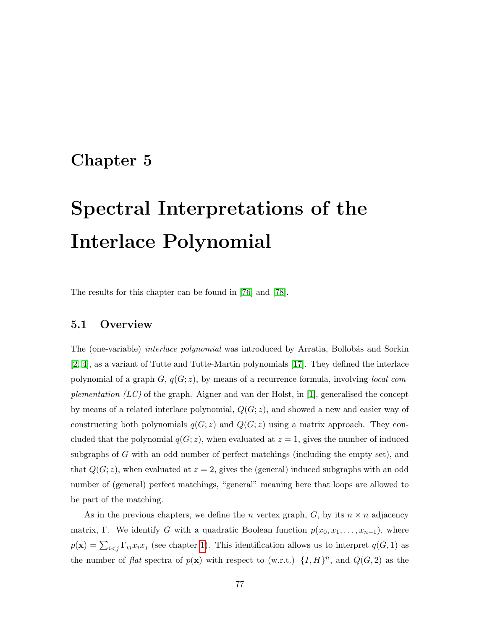# <span id="page-80-0"></span>Chapter 5

# Spectral Interpretations of the Interlace Polynomial

The results for this chapter can be found in [\[76\]](#page-138-0) and [\[78\]](#page-138-1).

### 5.1 Overview

The (one-variable) *interlace polynomial* was introduced by Arratia, Bollobás and Sorkin [\[2,](#page-131-2) [4\]](#page-131-1), as a variant of Tutte and Tutte-Martin polynomials [\[17\]](#page-132-1). They defined the interlace polynomial of a graph  $G, q(G; z)$ , by means of a recurrence formula, involving *local com*plementation  $(LC)$  of the graph. Aigner and van der Holst, in [\[1\]](#page-131-0), generalised the concept by means of a related interlace polynomial,  $Q(G; z)$ , and showed a new and easier way of constructing both polynomials  $q(G; z)$  and  $Q(G; z)$  using a matrix approach. They concluded that the polynomial  $q(G; z)$ , when evaluated at  $z = 1$ , gives the number of induced subgraphs of G with an odd number of perfect matchings (including the empty set), and that  $Q(G; z)$ , when evaluated at  $z = 2$ , gives the (general) induced subgraphs with an odd number of (general) perfect matchings, "general" meaning here that loops are allowed to be part of the matching.

As in the previous chapters, we define the *n* vertex graph,  $G$ , by its  $n \times n$  adjacency matrix, Γ. We identify G with a quadratic Boolean function  $p(x_0, x_1, \ldots, x_{n-1})$ , where  $p(\mathbf{x}) = \sum_{i < j} \Gamma_{ij} x_i x_j$  (see chapter [1\)](#page-7-0). This identification allows us to interpret  $q(G, 1)$  as the number of flat spectra of  $p(\mathbf{x})$  with respect to (w.r.t.)  $\{I, H\}^n$ , and  $Q(G, 2)$  as the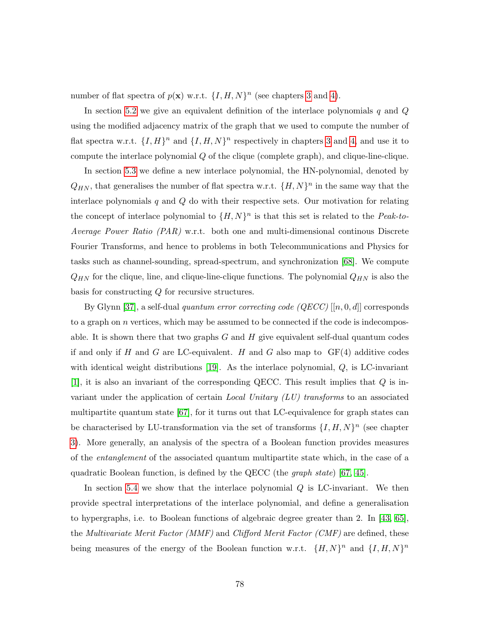number of flat spectra of  $p(\mathbf{x})$  w.r.t.  $\{I, H, N\}^n$  (see chapters [3](#page-31-0) and [4\)](#page-57-0).

In section [5.2](#page-82-0) we give an equivalent definition of the interlace polynomials  $q$  and  $Q$ using the modified adjacency matrix of the graph that we used to compute the number of flat spectra w.r.t.  $\{I, H\}^n$  and  $\{I, H, N\}^n$  respectively in chapters [3](#page-31-0) and [4,](#page-57-0) and use it to compute the interlace polynomial Q of the clique (complete graph), and clique-line-clique.

In section [5.3](#page-86-0) we define a new interlace polynomial, the HN-polynomial, denoted by  $Q_{HN}$ , that generalises the number of flat spectra w.r.t.  $\{H, N\}^n$  in the same way that the interlace polynomials  $q$  and  $Q$  do with their respective sets. Our motivation for relating the concept of interlace polynomial to  $\{H, N\}^n$  is that this set is related to the Peak-to-Average Power Ratio (PAR) w.r.t. both one and multi-dimensional continous Discrete Fourier Transforms, and hence to problems in both Telecommunications and Physics for tasks such as channel-sounding, spread-spectrum, and synchronization [\[68\]](#page-137-0). We compute  $Q_{HN}$  for the clique, line, and clique-line-clique functions. The polynomial  $Q_{HN}$  is also the basis for constructing Q for recursive structures.

By Glynn [\[37\]](#page-134-1), a self-dual quantum error correcting code  $(QECC)$  [[n, 0, d]] corresponds to a graph on  $n$  vertices, which may be assumed to be connected if the code is indecomposable. It is shown there that two graphs  $G$  and  $H$  give equivalent self-dual quantum codes if and only if H and G are LC-equivalent. H and G also map to  $GF(4)$  additive codes with identical weight distributions [\[19\]](#page-132-0). As the interlace polynomial,  $Q$ , is LC-invariant [\[1\]](#page-131-0), it is also an invariant of the corresponding QECC. This result implies that Q is invariant under the application of certain *Local Unitary (LU) transforms* to an associated multipartite quantum state [\[67\]](#page-137-1), for it turns out that LC-equivalence for graph states can be characterised by LU-transformation via the set of transforms  $\{I, H, N\}^n$  (see chapter [3\)](#page-31-0). More generally, an analysis of the spectra of a Boolean function provides measures of the entanglement of the associated quantum multipartite state which, in the case of a quadratic Boolean function, is defined by the QECC (the *graph state*) [\[67,](#page-137-1) [45\]](#page-135-0).

In section [5.4](#page-92-0) we show that the interlace polynomial  $Q$  is LC-invariant. We then provide spectral interpretations of the interlace polynomial, and define a generalisation to hypergraphs, i.e. to Boolean functions of algebraic degree greater than 2. In [\[43,](#page-135-1) [65\]](#page-136-0), the Multivariate Merit Factor (MMF) and Clifford Merit Factor (CMF) are defined, these being measures of the energy of the Boolean function w.r.t.  $\{H, N\}^n$  and  $\{I, H, N\}^n$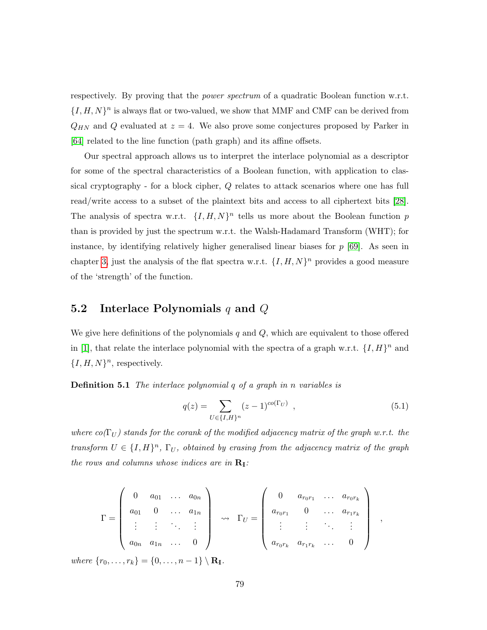respectively. By proving that the *power spectrum* of a quadratic Boolean function w.r.t.  $\{I, H, N\}^n$  is always flat or two-valued, we show that MMF and CMF can be derived from  $Q_{HN}$  and Q evaluated at  $z = 4$ . We also prove some conjectures proposed by Parker in [\[64\]](#page-136-1) related to the line function (path graph) and its affine offsets.

Our spectral approach allows us to interpret the interlace polynomial as a descriptor for some of the spectral characteristics of a Boolean function, with application to classical cryptography - for a block cipher, Q relates to attack scenarios where one has full read/write access to a subset of the plaintext bits and access to all ciphertext bits [\[28\]](#page-133-1). The analysis of spectra w.r.t.  $\{I, H, N\}^n$  tells us more about the Boolean function p than is provided by just the spectrum w.r.t. the Walsh-Hadamard Transform (WHT); for instance, by identifying relatively higher generalised linear biases for  $p$  [\[69\]](#page-137-2). As seen in chapter [3,](#page-31-0) just the analysis of the flat spectra w.r.t.  $\{I, H, N\}^n$  provides a good measure of the 'strength' of the function.

## <span id="page-82-0"></span>5.2 Interlace Polynomials  $q$  and  $Q$

We give here definitions of the polynomials q and  $Q$ , which are equivalent to those offered in [\[1\]](#page-131-0), that relate the interlace polynomial with the spectra of a graph w.r.t.  $\{I, H\}^n$  and  $\{I, H, N\}^n$ , respectively.

Definition 5.1 The interlace polynomial q of a graph in n variables is

<span id="page-82-1"></span>
$$
q(z) = \sum_{U \in \{I, H\}^n} (z - 1)^{co(\Gamma_U)} \quad , \tag{5.1}
$$

where  $co(\Gamma_U)$  stands for the corank of the modified adjacency matrix of the graph w.r.t. the transform  $U \in \{I, H\}^n$ ,  $\Gamma_U$ , obtained by erasing from the adjacency matrix of the graph the rows and columns whose indices are in  $\mathbf{R}_{\text{I}}$ :

$$
\Gamma = \begin{pmatrix} 0 & a_{01} & \dots & a_{0n} \\ a_{01} & 0 & \dots & a_{1n} \\ \vdots & \vdots & \ddots & \vdots \\ a_{0n} & a_{1n} & \dots & 0 \end{pmatrix} \rightarrow \Gamma_U = \begin{pmatrix} 0 & a_{r_0r_1} & \dots & a_{r_0r_k} \\ a_{r_0r_1} & 0 & \dots & a_{r_1r_k} \\ \vdots & \vdots & \ddots & \vdots \\ a_{r_0r_k} & a_{r_1r_k} & \dots & 0 \end{pmatrix} ,
$$

where  $\{r_0, \ldots, r_k\} = \{0, \ldots, n-1\} \setminus \mathbf{R}_{\mathbf{I}}.$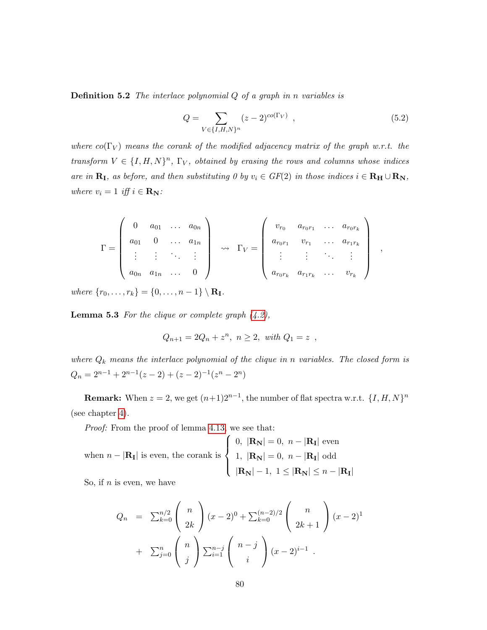**Definition 5.2** The interlace polynomial  $Q$  of a graph in n variables is

<span id="page-83-1"></span>
$$
Q = \sum_{V \in \{I, H, N\}^n} (z - 2)^{co(\Gamma_V)}, \qquad (5.2)
$$

where  $co(\Gamma_V)$  means the corank of the modified adjacency matrix of the graph w.r.t. the transform  $V \in \{I, H, N\}^n$ ,  $\Gamma_V$ , obtained by erasing the rows and columns whose indices are in  $\mathbf{R}_{\mathbf{I}}$ , as before, and then substituting 0 by  $v_i \in GF(2)$  in those indices  $i \in \mathbf{R}_{\mathbf{H}} \cup \mathbf{R}_{\mathbf{N}}$ , where  $v_i = 1$  iff  $i \in \mathbf{R}_\mathbf{N}$ :

$$
\Gamma = \left(\begin{array}{cccc} 0 & a_{01} & \dots & a_{0n} \\ a_{01} & 0 & \dots & a_{1n} \\ \vdots & \vdots & \ddots & \vdots \\ a_{0n} & a_{1n} & \dots & 0 \end{array}\right) \rightarrow \Gamma_V = \left(\begin{array}{cccc} v_{r_0} & a_{r_0r_1} & \dots & a_{r_0r_k} \\ a_{r_0r_1} & v_{r_1} & \dots & a_{r_1r_k} \\ \vdots & \vdots & \ddots & \vdots \\ a_{r_0r_k} & a_{r_1r_k} & \dots & v_{r_k} \end{array}\right) ,
$$

where  $\{r_0, \ldots, r_k\} = \{0, \ldots, n-1\} \setminus \mathbf{R}_{\mathbf{I}}.$ 

<span id="page-83-0"></span>**Lemma 5.3** For the clique or complete graph  $(4.2)$ ,

$$
Q_{n+1} = 2Q_n + z^n, \ n \ge 2, \ \text{with } Q_1 = z ,
$$

where  $Q_k$  means the interlace polynomial of the clique in n variables. The closed form is  $Q_n = 2^{n-1} + 2^{n-1}(z-2) + (z-2)^{-1}(z^n - 2^n)$ 

**Remark:** When  $z = 2$ , we get  $(n+1)2^{n-1}$ , the number of flat spectra w.r.t.  $\{I, H, N\}^n$ (see chapter [4\)](#page-57-0).

Proof: From the proof of lemma [4.13,](#page-72-0) we see that:

when 
$$
n - |\mathbf{R}_{\mathbf{I}}|
$$
 is even, the corank is 
$$
\begin{cases} 0, |\mathbf{R}_{\mathbf{N}}| = 0, n - |\mathbf{R}_{\mathbf{I}}| \text{ even} \\ 1, |\mathbf{R}_{\mathbf{N}}| = 0, n - |\mathbf{R}_{\mathbf{I}}| \text{ odd} \\ |\mathbf{R}_{\mathbf{N}}| - 1, 1 \leq |\mathbf{R}_{\mathbf{N}}| \leq n - |\mathbf{R}_{\mathbf{I}}| \end{cases}
$$

So, if  $n$  is even, we have

$$
Q_n = \sum_{k=0}^{n/2} {n \choose 2k} (x-2)^0 + \sum_{k=0}^{(n-2)/2} {n \choose 2k+1} (x-2)^1
$$
  
+ 
$$
\sum_{j=0}^{n} {n \choose j} \sum_{i=1}^{n-j} {n-j \choose i} (x-2)^{i-1}.
$$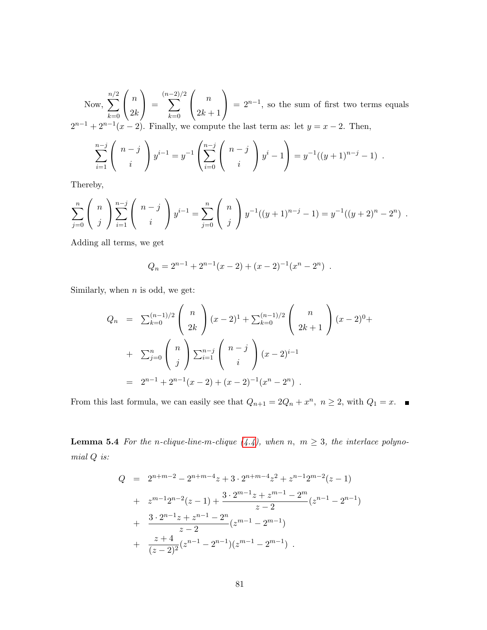Now,  $\sum$  $n/2$  $_{k=0}$  $\sqrt{ }$  $\overline{1}$ n  $2k$  $\setminus$  $\Big\} =$  $\sum^{(n-2)/2}$  $_{k=0}$  $\sqrt{ }$  $\overline{1}$ n  $2k+1$  $\setminus$  $= 2^{n-1}$ , so the sum of first two terms equals  $2^{n-1} + 2^{n-1}(x-2)$ . Finally, we compute the last term as: let  $y = x - 2$ . Then,

$$
\sum_{i=1}^{n-j} {n-j \choose i} y^{i-1} = y^{-1} \left( \sum_{i=0}^{n-j} {n-j \choose i} y^i - 1 \right) = y^{-1}((y+1)^{n-j} - 1) .
$$

Thereby,

$$
\sum_{j=0}^{n} {n \choose j} \sum_{i=1}^{n-j} {n-j \choose i} y^{i-1} = \sum_{j=0}^{n} {n \choose j} y^{-1}((y+1)^{n-j}-1) = y^{-1}((y+2)^{n}-2^{n}).
$$

Adding all terms, we get

$$
Q_n = 2^{n-1} + 2^{n-1}(x-2) + (x-2)^{-1}(x^n - 2^n) .
$$

Similarly, when  $n$  is odd, we get:

$$
Q_n = \sum_{k=0}^{(n-1)/2} \binom{n}{2k} (x-2)^1 + \sum_{k=0}^{(n-1)/2} \binom{n}{2k+1} (x-2)^0 +
$$
  
+ 
$$
\sum_{j=0}^n \binom{n}{j} \sum_{i=1}^{n-j} \binom{n-j}{i} (x-2)^{i-1}
$$
  
= 
$$
2^{n-1} + 2^{n-1}(x-2) + (x-2)^{-1}(x^n - 2^n).
$$

From this last formula, we can easily see that  $Q_{n+1} = 2Q_n + x^n$ ,  $n \ge 2$ , with  $Q_1 = x$ .

**Lemma 5.4** For the n-clique-line-m-clique  $(4.4)$ , when n,  $m \geq 3$ , the interlace polynomial Q is:

$$
Q = 2^{n+m-2} - 2^{n+m-4}z + 3 \cdot 2^{n+m-4}z^2 + z^{n-1}2^{m-2}(z-1)
$$
  
+ 
$$
z^{m-1}2^{n-2}(z-1) + \frac{3 \cdot 2^{m-1}z + z^{m-1} - 2^m}{z-2}(z^{n-1} - 2^{n-1})
$$
  
+ 
$$
\frac{3 \cdot 2^{n-1}z + z^{n-1} - 2^n}{z-2}(z^{m-1} - 2^{m-1})
$$
  
+ 
$$
\frac{z+4}{(z-2)^2}(z^{n-1} - 2^{n-1})(z^{m-1} - 2^{m-1}).
$$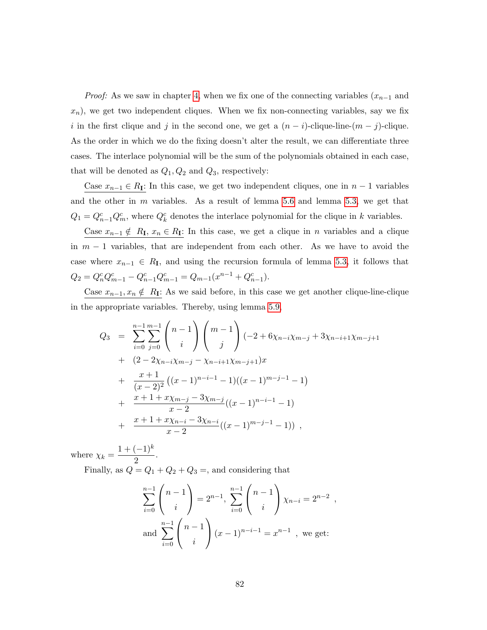*Proof:* As we saw in chapter [4,](#page-57-0) when we fix one of the connecting variables  $(x_{n-1}$  and  $x_n$ ), we get two independent cliques. When we fix non-connecting variables, say we fix i in the first clique and j in the second one, we get a  $(n - i)$ -clique-line- $(m - j)$ -clique. As the order in which we do the fixing doesn't alter the result, we can differentiate three cases. The interlace polynomial will be the sum of the polynomials obtained in each case, that will be denoted as  $Q_1, Q_2$  and  $Q_3$ , respectively:

Case  $x_{n-1} \in R_I$ : In this case, we get two independent cliques, one in  $n-1$  variables and the other in  $m$  variables. As a result of lemma [5.6](#page-86-1) and lemma [5.3,](#page-83-0) we get that  $Q_1 = Q_{n-1}^c Q_m^c$ , where  $Q_k^c$  denotes the interlace polynomial for the clique in k variables.

Case  $x_{n-1} \notin R_I$ ,  $x_n \in R_I$ : In this case, we get a clique in n variables and a clique in  $m-1$  variables, that are independent from each other. As we have to avoid the case where  $x_{n-1} \in R_I$ , and using the recursion formula of lemma [5.3,](#page-83-0) it follows that  $Q_2 = Q_n^c Q_{m-1}^c - Q_{n-1}^c Q_{m-1}^c = Q_{m-1}(x^{n-1} + Q_{n-1}^c).$ 

Case  $x_{n-1}, x_n \notin R_I$ : As we said before, in this case we get another clique-line-clique in the appropriate variables. Thereby, using lemma [5.9,](#page-89-0)

$$
Q_3 = \sum_{i=0}^{n-1} \sum_{j=0}^{m-1} {n-1 \choose i} {m-1 \choose j} (-2 + 6\chi_{n-i}\chi_{m-j} + 3\chi_{n-i+1}\chi_{m-j+1}
$$
  
+ 
$$
(2 - 2\chi_{n-i}\chi_{m-j} - \chi_{n-i+1}\chi_{m-j+1})x
$$
  
+ 
$$
\frac{x+1}{(x-2)^2} ((x-1)^{n-i-1} - 1)((x-1)^{m-j-1} - 1)
$$
  
+ 
$$
\frac{x+1+x\chi_{m-j} - 3\chi_{m-j}}{x-2} ((x-1)^{n-i-1} - 1)
$$
  
+ 
$$
\frac{x+1+x\chi_{n-i} - 3\chi_{n-i}}{x-2} ((x-1)^{m-j-1} - 1)),
$$

where  $\chi_k =$  $1 + (-1)^k$  $\frac{(1)}{2}$ .

Finally, as  $Q = Q_1 + Q_2 + Q_3 =$ , and considering that

$$
\sum_{i=0}^{n-1} {n-1 \choose i} = 2^{n-1}, \sum_{i=0}^{n-1} {n-1 \choose i} \chi_{n-i} = 2^{n-2},
$$
  
and 
$$
\sum_{i=0}^{n-1} {n-1 \choose i} (x-1)^{n-i-1} = x^{n-1}, \text{ we get:}
$$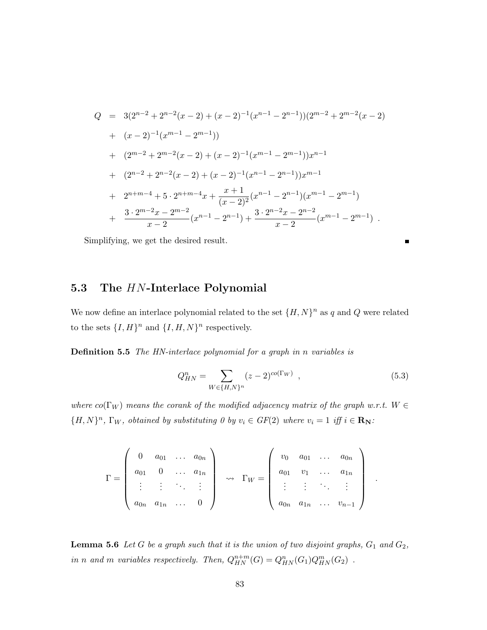$$
Q = 3(2^{n-2} + 2^{n-2}(x-2) + (x-2)^{-1}(x^{n-1} - 2^{n-1}))(2^{m-2} + 2^{m-2}(x-2)
$$
  
+  $(x-2)^{-1}(x^{m-1} - 2^{m-1}))$   
+  $(2^{m-2} + 2^{m-2}(x-2) + (x-2)^{-1}(x^{m-1} - 2^{m-1}))x^{n-1}$   
+  $(2^{n-2} + 2^{n-2}(x-2) + (x-2)^{-1}(x^{n-1} - 2^{n-1}))x^{m-1}$   
+  $2^{n+m-4} + 5 \cdot 2^{n+m-4}x + \frac{x+1}{(x-2)^2}(x^{n-1} - 2^{n-1})(x^{m-1} - 2^{m-1})$   
+  $\frac{3 \cdot 2^{m-2}x - 2^{m-2}}{x-2}(x^{n-1} - 2^{n-1}) + \frac{3 \cdot 2^{n-2}x - 2^{n-2}}{x-2}(x^{m-1} - 2^{m-1}).$ 

Simplifying, we get the desired result.

### <span id="page-86-0"></span>5.3 The HN-Interlace Polynomial

We now define an interlace polynomial related to the set  $\{H, N\}^n$  as q and Q were related to the sets  $\{I, H\}^n$  and  $\{I, H, N\}^n$  respectively.

Definition 5.5 The HN-interlace polynomial for a graph in n variables is

$$
Q_{HN}^{n} = \sum_{W \in \{H, N\}^{n}} (z - 2)^{co(\Gamma_W)}, \qquad (5.3)
$$

.

where  $co(\Gamma_W)$  means the corank of the modified adjacency matrix of the graph w.r.t.  $W \in$  ${H, N}^n$ ,  $\Gamma_W$ , obtained by substituting 0 by  $v_i \in GF(2)$  where  $v_i = 1$  iff  $i \in \mathbf{R}_N$ :

$$
\Gamma = \left(\begin{array}{cccc} 0 & a_{01} & \dots & a_{0n} \\ a_{01} & 0 & \dots & a_{1n} \\ \vdots & \vdots & \ddots & \vdots \\ a_{0n} & a_{1n} & \dots & 0 \end{array}\right) \rightarrow \Gamma_W = \left(\begin{array}{cccc} v_0 & a_{01} & \dots & a_{0n} \\ a_{01} & v_1 & \dots & a_{1n} \\ \vdots & \vdots & \ddots & \vdots \\ a_{0n} & a_{1n} & \dots & v_{n-1} \end{array}\right)
$$

<span id="page-86-1"></span>**Lemma 5.6** Let  $G$  be a graph such that it is the union of two disjoint graphs,  $G_1$  and  $G_2$ , in n and m variables respectively. Then,  $Q_{HN}^{n+m}(G) = Q_{HN}^n(G_1)Q_{HN}^m(G_2)$ .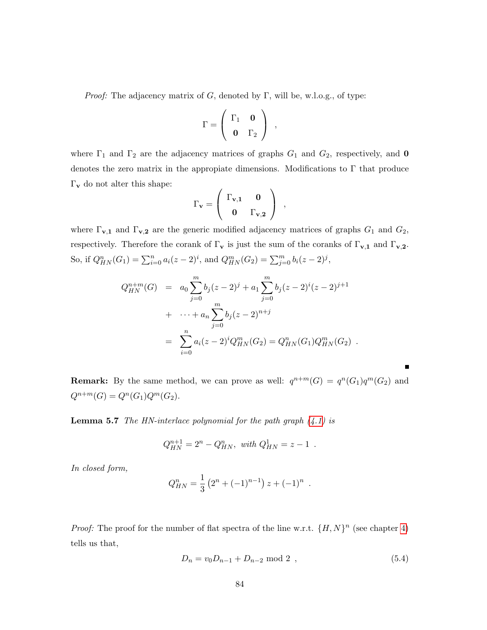*Proof:* The adjacency matrix of G, denoted by  $\Gamma$ , will be, w.l.o.g., of type:

$$
\Gamma = \left(\begin{array}{cc} \Gamma_1 & \mathbf{0} \\ \mathbf{0} & \Gamma_2 \end{array}\right) ,
$$

where  $\Gamma_1$  and  $\Gamma_2$  are the adjacency matrices of graphs  $G_1$  and  $G_2$ , respectively, and **0** denotes the zero matrix in the appropiate dimensions. Modifications to  $\Gamma$  that produce  $\Gamma_{\mathbf{v}}$  do not alter this shape:

$$
\Gamma_{\mathbf{v}} = \left( \begin{array}{cc} \Gamma_{\mathbf{v},1} & \mathbf{0} \\ \mathbf{0} & \Gamma_{\mathbf{v},2} \end{array} \right) \ ,
$$

where  $\Gamma_{\mathbf{v},\mathbf{1}}$  and  $\Gamma_{\mathbf{v},\mathbf{2}}$  are the generic modified adjacency matrices of graphs  $G_1$  and  $G_2$ , respectively. Therefore the corank of  $\Gamma_{\mathbf{v}}$  is just the sum of the coranks of  $\Gamma_{\mathbf{v},1}$  and  $\Gamma_{\mathbf{v},2}$ . So, if  $Q_{HN}^n(G_1) = \sum_{i=0}^n a_i(z-2)^i$ , and  $Q_{HN}^m(G_2) = \sum_{j=0}^m b_i(z-2)^j$ ,

$$
Q_{HN}^{n+m}(G) = a_0 \sum_{j=0}^{m} b_j (z-2)^j + a_1 \sum_{j=0}^{m} b_j (z-2)^i (z-2)^{j+1}
$$
  
+ ... +  $a_n \sum_{j=0}^{m} b_j (z-2)^{n+j}$   
=  $\sum_{i=0}^{n} a_i (z-2)^i Q_{HN}^m(G_2) = Q_{HN}^n(G_1) Q_{HN}^m(G_2)$ .

**Remark:** By the same method, we can prove as well:  $q^{n+m}(G) = q^n(G_1)q^m(G_2)$  and  $Q^{n+m}(G) = Q^n(G_1)Q^m(G_2).$ 

<span id="page-87-1"></span>**Lemma 5.7** The HN-interlace polynomial for the path graph  $(4.1)$  is

$$
Q_{HN}^{n+1} = 2^n - Q_{HN}^n, \text{ with } Q_{HN}^1 = z - 1.
$$

In closed form,

$$
Q_{HN}^{n} = \frac{1}{3} \left( 2^{n} + (-1)^{n-1} \right) z + (-1)^{n} .
$$

*Proof:* The proof for the number of flat spectra of the line w.r.t.  $\{H, N\}^n$  (see chapter [4\)](#page-57-0) tells us that,

<span id="page-87-0"></span>
$$
D_n = v_0 D_{n-1} + D_{n-2} \text{ mod } 2 \tag{5.4}
$$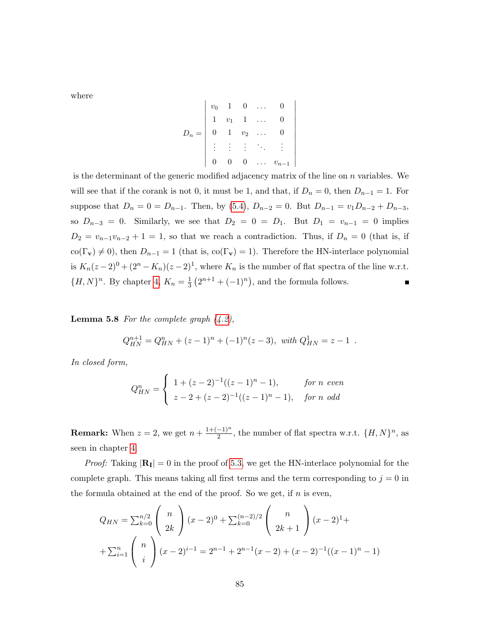where

$$
D_n = \begin{bmatrix} v_0 & 1 & 0 & \dots & 0 \\ 1 & v_1 & 1 & \dots & 0 \\ 0 & 1 & v_2 & \dots & 0 \\ \vdots & \vdots & \vdots & \ddots & \vdots \\ 0 & 0 & 0 & \dots & v_{n-1} \end{bmatrix}
$$

is the determinant of the generic modified adjacency matrix of the line on  $n$  variables. We will see that if the corank is not 0, it must be 1, and that, if  $D_n = 0$ , then  $D_{n-1} = 1$ . For suppose that  $D_n = 0 = D_{n-1}$ . Then, by [\(5.4\)](#page-87-0),  $D_{n-2} = 0$ . But  $D_{n-1} = v_1 D_{n-2} + D_{n-3}$ , so  $D_{n-3} = 0$ . Similarly, we see that  $D_2 = 0 = D_1$ . But  $D_1 = v_{n-1} = 0$  implies  $D_2 = v_{n-1}v_{n-2} + 1 = 1$ , so that we reach a contradiction. Thus, if  $D_n = 0$  (that is, if  $co(\Gamma_{\mathbf{v}}) \neq 0$ , then  $D_{n-1} = 1$  (that is,  $co(\Gamma_{\mathbf{v}}) = 1$ ). Therefore the HN-interlace polynomial is  $K_n(z-2)^0 + (2^n - K_n)(z-2)^1$ , where  $K_n$  is the number of flat spectra of the line w.r.t.  ${H, N}^n$ . By chapter [4,](#page-57-0)  $K_n = \frac{1}{3}$  $\frac{1}{3}(2^{n+1} + (-1)^n)$ , and the formula follows.  $\blacksquare$ 

**Lemma 5.8** For the complete graph  $(4.2)$ ,

$$
Q_{HN}^{n+1} = Q_{HN}^{n} + (z-1)^{n} + (-1)^{n}(z-3), \text{ with } Q_{HN}^{1} = z-1.
$$

In closed form,

$$
Q_{HN}^{n} = \begin{cases} 1 + (z - 2)^{-1}((z - 1)^{n} - 1), & \text{for } n \text{ even} \\ z - 2 + (z - 2)^{-1}((z - 1)^{n} - 1), & \text{for } n \text{ odd} \end{cases}
$$

**Remark:** When  $z = 2$ , we get  $n + \frac{1+(-1)^n}{2}$  $\frac{(-1)^n}{2}$ , the number of flat spectra w.r.t.  $\{H, N\}^n$ , as seen in chapter [4.](#page-57-0)

*Proof:* Taking  $|\mathbf{R}_{\mathbf{I}}| = 0$  in the proof of [5.3,](#page-83-0) we get the HN-interlace polynomial for the complete graph. This means taking all first terms and the term corresponding to  $j = 0$  in the formula obtained at the end of the proof. So we get, if  $n$  is even,

$$
Q_{HN} = \sum_{k=0}^{n/2} {n \choose 2k} (x-2)^0 + \sum_{k=0}^{(n-2)/2} {n \choose 2k+1} (x-2)^1 +
$$
  
+ 
$$
\sum_{i=1}^{n} {n \choose i} (x-2)^{i-1} = 2^{n-1} + 2^{n-1}(x-2) + (x-2)^{-1}((x-1)^n - 1)
$$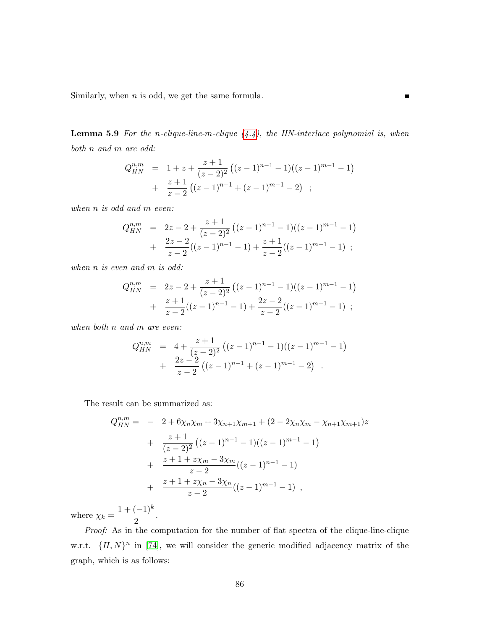Similarly, when  $n$  is odd, we get the same formula.

<span id="page-89-0"></span>**Lemma 5.9** For the n-clique-line-m-clique  $(4.4)$ , the HN-interlace polynomial is, when both n and m are odd:

 $\blacksquare$ 

$$
Q_{HN}^{n,m} = 1 + z + \frac{z+1}{(z-2)^2} ((z-1)^{n-1} - 1)((z-1)^{m-1} - 1)
$$
  
+ 
$$
\frac{z+1}{z-2} ((z-1)^{n-1} + (z-1)^{m-1} - 2) ;
$$

when *n* is odd and *m* even:

$$
Q_{HN}^{n,m} = 2z - 2 + \frac{z+1}{(z-2)^2} ((z-1)^{n-1} - 1)((z-1)^{m-1} - 1)
$$
  
+ 
$$
\frac{2z-2}{z-2} ((z-1)^{n-1} - 1) + \frac{z+1}{z-2} ((z-1)^{m-1} - 1);
$$

when *n* is even and *m* is odd:

$$
Q_{HN}^{n,m} = 2z - 2 + \frac{z+1}{(z-2)^2} ((z-1)^{n-1} - 1)((z-1)^{m-1} - 1)
$$
  
+ 
$$
\frac{z+1}{z-2}((z-1)^{n-1} - 1) + \frac{2z-2}{z-2}((z-1)^{m-1} - 1) ;
$$

when both n and m are even:

$$
Q_{HN}^{n,m} = 4 + \frac{z+1}{(z-2)^2} ((z-1)^{n-1} - 1)((z-1)^{m-1} - 1)
$$
  
+ 
$$
\frac{2z-2}{z-2} ((z-1)^{n-1} + (z-1)^{m-1} - 2).
$$

The result can be summarized as:

$$
Q_{HN}^{n,m} = -2 + 6\chi_n\chi_m + 3\chi_{n+1}\chi_{m+1} + (2 - 2\chi_n\chi_m - \chi_{n+1}\chi_{m+1})z
$$
  
+ 
$$
\frac{z+1}{(z-2)^2} ((z-1)^{n-1} - 1)((z-1)^{m-1} - 1)
$$
  
+ 
$$
\frac{z+1+z\chi_m - 3\chi_m}{z-2} ((z-1)^{n-1} - 1)
$$
  
+ 
$$
\frac{z+1+z\chi_n - 3\chi_n}{z-2} ((z-1)^{m-1} - 1),
$$

where  $\chi_k =$  $1 + (-1)^k$  $\frac{(1)}{2}$ .

Proof: As in the computation for the number of flat spectra of the clique-line-clique w.r.t.  $\{H, N\}^n$  in [\[74\]](#page-137-3), we will consider the generic modified adjacency matrix of the graph, which is as follows: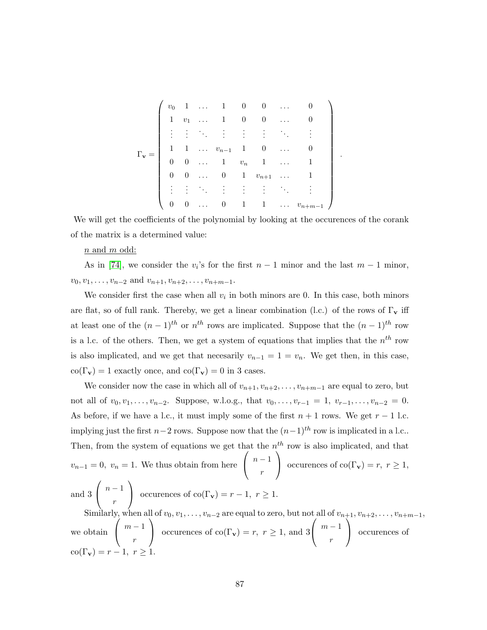|  |  |  | $\begin{array}{cccccccccccc} v_0 & 1 & \ldots & 1 & 0 & 0 & \ldots \\ 1 & v_1 & \ldots & 1 & 0 & 0 & \ldots \end{array}$    |                                     |  |
|--|--|--|-----------------------------------------------------------------------------------------------------------------------------|-------------------------------------|--|
|  |  |  | <b>EXPERIENCE</b>                                                                                                           |                                     |  |
|  |  |  | $\begin{array}{ccccccccc}\n1 & 1 & \ldots & v_{n-1} & 1 & 0 & \ldots \\ 0 & 0 & \ldots & 1 & v_n & 1 & \ldots\n\end{array}$ |                                     |  |
|  |  |  |                                                                                                                             |                                     |  |
|  |  |  | $0 \quad 0 \quad \ldots \quad 0 \quad 1 \quad v_{n+1}$                                                                      |                                     |  |
|  |  |  | 的复数形式 医单位的                                                                                                                  |                                     |  |
|  |  |  |                                                                                                                             | $\cdots$ 0 1 1 $\cdots$ $v_{n+m-1}$ |  |

.

We will get the coefficients of the polynomial by looking at the occurences of the corank of the matrix is a determined value:

#### $n$  and  $m$  odd:

As in [\[74\]](#page-137-3), we consider the  $v_i$ 's for the first  $n-1$  minor and the last  $m-1$  minor,  $v_0, v_1, \ldots, v_{n-2}$  and  $v_{n+1}, v_{n+2}, \ldots, v_{n+m-1}$ .

We consider first the case when all  $v_i$  in both minors are 0. In this case, both minors are flat, so of full rank. Thereby, we get a linear combination (l.c.) of the rows of  $\Gamma_{\mathbf{v}}$  iff at least one of the  $(n-1)$ <sup>th</sup> or  $n<sup>th</sup>$  rows are implicated. Suppose that the  $(n-1)$ <sup>th</sup> row is a l.c. of the others. Then, we get a system of equations that implies that the  $n^{th}$  row is also implicated, and we get that necesarily  $v_{n-1} = 1 = v_n$ . We get then, in this case,  $co(\Gamma_{\mathbf{v}}) = 1$  exactly once, and  $co(\Gamma_{\mathbf{v}}) = 0$  in 3 cases.

We consider now the case in which all of  $v_{n+1}, v_{n+2}, \ldots, v_{n+m-1}$  are equal to zero, but not all of  $v_0, v_1, \ldots, v_{n-2}$ . Suppose, w.l.o.g., that  $v_0, \ldots, v_{r-1} = 1, v_{r-1}, \ldots, v_{n-2} = 0$ . As before, if we have a l.c., it must imply some of the first  $n + 1$  rows. We get  $r - 1$  l.c. implying just the first  $n-2$  rows. Suppose now that the  $(n-1)^{th}$  row is implicated in a l.c.. Then, from the system of equations we get that the  $n^{th}$  row is also implicated, and that  $v_{n-1} = 0$ ,  $v_n = 1$ . We thus obtain from here  $\sqrt{ }$  $\mathcal{L}$  $n-1$ r  $\setminus$ occurences of co(Γ<sub>v</sub>) = r, r ≥ 1, and 3  $\sqrt{ }$  $\mathcal{L}$  $n-1$ r  $\setminus$ occurences of co(Γ<sub>v</sub>) =  $r - 1$ ,  $r ≥ 1$ . Similarly, when all of  $v_0, v_1, \ldots, v_{n-2}$  are equal to zero, but not all of  $v_{n+1}, v_{n+2}, \ldots, v_{n+m-1}$ , we obtain  $\sqrt{ }$  $\mathcal{L}$  $m-1$ r  $\setminus$ occurences of co(Γ<sub>v</sub>) = r, r ≥ 1, and 3  $\sqrt{ }$  $\mathcal{L}$  $m-1$ r  $\setminus$  occurences of  $\operatorname{co}(\Gamma_{\mathbf{v}}) = r - 1, r > 1$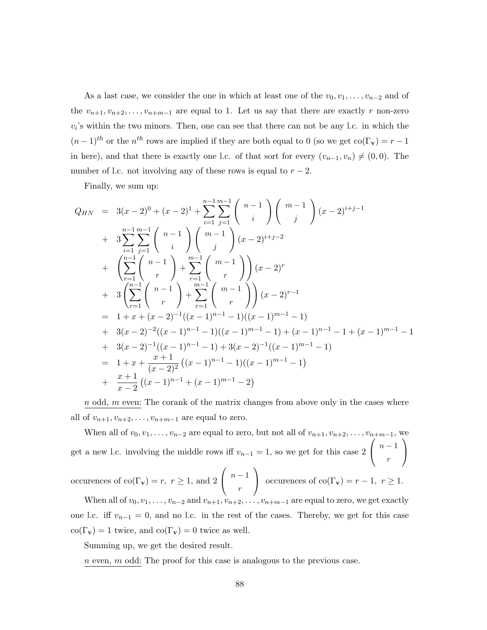As a last case, we consider the one in which at least one of the  $v_0, v_1, \ldots, v_{n-2}$  and of the  $v_{n+1}, v_{n+2}, \ldots, v_{n+m-1}$  are equal to 1. Let us say that there are exactly r non-zero  $v_i$ 's within the two minors. Then, one can see that there can not be any l.c. in which the  $(n-1)$ <sup>th</sup> or the n<sup>th</sup> rows are implied if they are both equal to 0 (so we get co( $\Gamma_{\mathbf{v}}$ ) = r - 1 in here), and that there is exactly one l.c. of that sort for every  $(v_{n-1}, v_n) \neq (0, 0)$ . The number of l.c. not involving any of these rows is equal to  $r - 2$ .

Finally, we sum up:

$$
Q_{HN} = 3(x-2)^{0} + (x-2)^{1} + \sum_{i=1}^{n-1} \sum_{j=1}^{m-1} {n-1 \choose i} {m-1 \choose j} (x-2)^{i+j-1}
$$
  
+ 
$$
3 \sum_{i=1}^{n-1} \sum_{j=1}^{m-1} {n-1 \choose i} {m-1 \choose j} (x-2)^{i+j-2}
$$
  
+ 
$$
\left(\sum_{r=1}^{n-1} {n-1 \choose r} + \sum_{r=1}^{m-1} {m-1 \choose r} (x-2)^{r}
$$
  
+ 
$$
3 \left(\sum_{r=1}^{n-1} {n-1 \choose r} + \sum_{r=1}^{m-1} {m-1 \choose r} (x-2)^{r-1} \right)
$$
  
= 
$$
1 + x + (x - 2)^{-1}((x - 1)^{n-1} - 1)((x - 1)^{m-1} - 1) + (x - 1)^{n-1} - 1 + (x - 1)^{m-1} - 1
$$
  
+ 
$$
3(x - 2)^{-2}((x - 1)^{n-1} - 1) + 3(x - 2)^{-1}((x - 1)^{m-1} - 1)
$$
  
= 
$$
1 + x + \frac{x + 1}{(x - 2)^{2}} ((x - 1)^{n-1} - 1)((x - 1)^{m-1} - 1)
$$
  
+ 
$$
\frac{x + 1}{x - 2} ((x - 1)^{n-1} + (x - 1)^{m-1} - 2)
$$

 $n$  odd,  $m$  even: The corank of the matrix changes from above only in the cases where all of  $v_{n+1}, v_{n+2}, \ldots, v_{n+m-1}$  are equal to zero.

When all of  $v_0, v_1, \ldots, v_{n-2}$  are equal to zero, but not all of  $v_{n+1}, v_{n+2}, \ldots, v_{n+m-1}$ get a new l.c. involving the middle rows iff  $v_{n-1} = 1$ , so we get for this case 2  $\sqrt{ }$  $\mathcal{L}$  $n-1$ r  $\setminus$  $\overline{1}$ occurences of  $\text{co}(\Gamma_{\mathbf{v}}) = r, r \geq 1$ , and 2  $\sqrt{ }$  $\mathcal{L}$  $n-1$ r  $\setminus$ occurences of co( $\Gamma_{\mathbf{v}}$ ) =  $r - 1$ ,  $r \ge 1$ .

When all of  $v_0, v_1, \ldots, v_{n-2}$  and  $v_{n+1}, v_{n+2}, \ldots, v_{n+m-1}$  are equal to zero, we get exactly one l.c. iff  $v_{n-1} = 0$ , and no l.c. in the rest of the cases. Thereby, we get for this case  $co(\Gamma_{\mathbf{v}}) = 1$  twice, and  $co(\Gamma_{\mathbf{v}}) = 0$  twice as well.

Summing up, we get the desired result.

 $n$  even,  $m$  odd: The proof for this case is analogous to the previous case.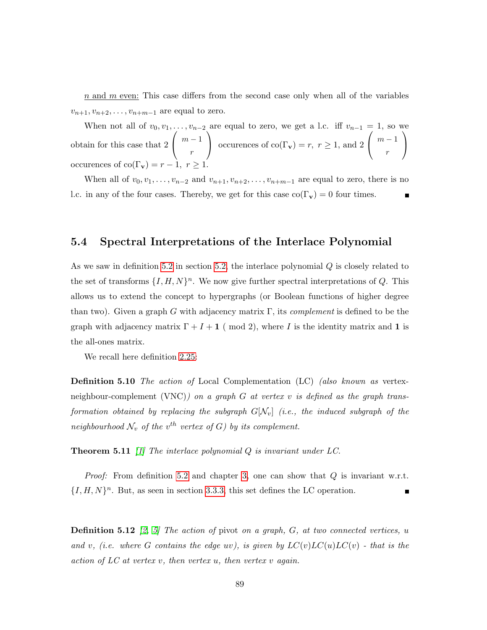$n$  and  $m$  even: This case differs from the second case only when all of the variables  $v_{n+1}, v_{n+2}, \ldots, v_{n+m-1}$  are equal to zero.

When not all of  $v_0, v_1, \ldots, v_{n-2}$  are equal to zero, we get a l.c. iff  $v_{n-1} = 1$ , so we obtain for this case that 2  $\sqrt{ }$  $\mathcal{L}$  $m-1$ r  $\setminus$ occurences of co(Γ<sub>v</sub>) = r, r ≥ 1, and 2  $\sqrt{ }$  $\mathcal{L}$  $m-1$ r  $\setminus$  $\overline{1}$ occurences of  $\text{co}(\Gamma_{\mathbf{v}}) = r - 1, r \geq 1$ 

When all of  $v_0, v_1, \ldots, v_{n-2}$  and  $v_{n+1}, v_{n+2}, \ldots, v_{n+m-1}$  are equal to zero, there is no l.c. in any of the four cases. Thereby, we get for this case  $\text{co}(\Gamma_{\mathbf{v}}) = 0$  four times.

### <span id="page-92-0"></span>5.4 Spectral Interpretations of the Interlace Polynomial

As we saw in definition [5.2](#page-83-1) in section [5.2,](#page-82-0) the interlace polynomial Q is closely related to the set of transforms  $\{I, H, N\}^n$ . We now give further spectral interpretations of Q. This allows us to extend the concept to hypergraphs (or Boolean functions of higher degree than two). Given a graph G with adjacency matrix  $\Gamma$ , its *complement* is defined to be the graph with adjacency matrix  $\Gamma + I + 1$  (mod 2), where I is the identity matrix and 1 is the all-ones matrix.

We recall here definition [2.25:](#page-29-0)

Definition 5.10 The action of Local Complementation (LC) (also known as vertexneighbour-complement (VNC)) on a graph G at vertex v is defined as the graph transformation obtained by replacing the subgraph  $G[N_v]$  (i.e., the induced subgraph of the neighbourhood  $\mathcal{N}_v$  of the  $v^{th}$  vertex of G) by its complement.

**Theorem 5.11** [\[1\]](#page-131-0) The interlace polynomial  $Q$  is invariant under  $LC$ .

*Proof:* From definition [5.2](#page-83-1) and chapter [3,](#page-31-0) one can show that  $Q$  is invariant w.r.t.  $\{I, H, N\}$ <sup>n</sup>. But, as seen in section [3.3.3,](#page-38-0) this set defines the LC operation. П

**Definition 5.12** [\[2,](#page-131-2) [5\]](#page-131-3) The action of pivot on a graph,  $G$ , at two connected vertices, u and v, (i.e. where G contains the edge uv), is given by  $LC(v)LC(u)LC(v)$  - that is the action of  $LC$  at vertex v, then vertex u, then vertex v again.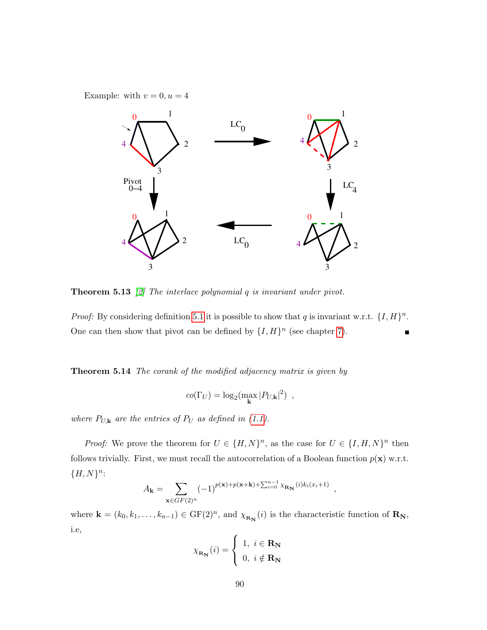Example: with  $v = 0, u = 4$ 



**Theorem 5.13** [\[2\]](#page-131-2) The interlace polynomial  $q$  is invariant under pivot.

*Proof:* By considering definition [5.1](#page-82-1) it is possible to show that q is invariant w.r.t.  $\{I, H\}^n$ . One can then show that pivot can be defined by  $\{I, H\}^n$  (see chapter [7\)](#page-109-0).

<span id="page-93-0"></span>Theorem 5.14 The corank of the modified adjacency matrix is given by

$$
co(\Gamma_U) = \log_2(\max_{\mathbf{k}} |P_{U,\mathbf{k}}|^2) ,
$$

where  $P_{U,\mathbf{k}}$  are the entries of  $P_U$  as defined in [\(1.1\)](#page-20-0).

*Proof:* We prove the theorem for  $U \in \{H, N\}^n$ , as the case for  $U \in \{I, H, N\}^n$  then follows trivially. First, we must recall the autocorrelation of a Boolean function  $p(\mathbf{x})$  w.r.t.  ${H, N}^n$ :

$$
A_{\mathbf{k}} = \sum_{\mathbf{x} \in GF(2)^n} (-1)^{p(\mathbf{x}) + p(\mathbf{x} + \mathbf{k}) + \sum_{i=0}^{n-1} \chi_{\mathbf{R}_{\mathbf{N}}}(i) k_i(x_i+1)},
$$

where  $\mathbf{k} = (k_0, k_1, \ldots, k_{n-1}) \in \mathrm{GF}(2)^n$ , and  $\chi_{\mathbf{R_N}}(i)$  is the characteristic function of  $\mathbf{R_N}$ , i.e,

$$
\chi_{\mathbf{R}_{\mathbf{N}}}(i) = \begin{cases} 1, i \in \mathbf{R}_{\mathbf{N}} \\ 0, i \notin \mathbf{R}_{\mathbf{N}} \end{cases}
$$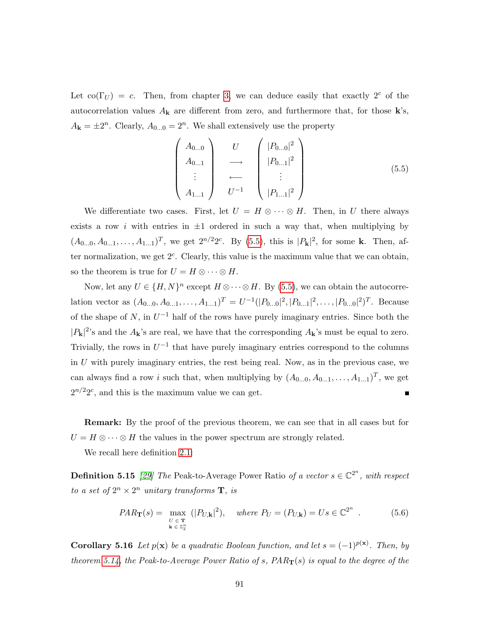Let  $\text{co}(\Gamma_U) = c$ . Then, from chapter [3,](#page-31-0) we can deduce easily that exactly  $2^c$  of the autocorrelation values  $A_{\mathbf{k}}$  are different from zero, and furthermore that, for those  $\mathbf{k}$ 's,  $A_{\mathbf{k}} = \pm 2^n$ . Clearly,  $A_{0...0} = 2^n$ . We shall extensively use the property

<span id="page-94-0"></span>
$$
\begin{pmatrix} A_{0...0} \\ A_{0...1} \\ \vdots \\ A_{1...1} \end{pmatrix} \xrightarrow{U} \begin{pmatrix} |P_{0...0}|^2 \\ |P_{0...1}|^2 \\ \vdots \\ |P_{1...1}|^2 \end{pmatrix}
$$
 (5.5)

We differentiate two cases. First, let  $U = H \otimes \cdots \otimes H$ . Then, in U there always exists a row i with entries in  $\pm 1$  ordered in such a way that, when multiplying by  $(A_{0...0}, A_{0...1}, \ldots, A_{1...1})^T$ , we get  $2^{n/2}2^c$ . By [\(5.5\)](#page-94-0), this is  $|P_{\mathbf{k}}|^2$ , for some k. Then, after normalization, we get  $2<sup>c</sup>$ . Clearly, this value is the maximum value that we can obtain, so the theorem is true for  $U = H \otimes \cdots \otimes H$ .

Now, let any  $U \in \{H, N\}^n$  except  $H \otimes \cdots \otimes H$ . By [\(5.5\)](#page-94-0), we can obtain the autocorrelation vector as  $(A_{0...0}, A_{0...1}, \ldots, A_{1...1})^T = U^{-1}(|P_{0...0}|^2, |P_{0...1}|^2, \ldots, |P_{0...0}|^2)^T$ . Because of the shape of N, in  $U^{-1}$  half of the rows have purely imaginary entries. Since both the  $|P_{\mathbf{k}}|^2$ 's and the  $A_{\mathbf{k}}$ 's are real, we have that the corresponding  $A_{\mathbf{k}}$ 's must be equal to zero. Trivially, the rows in  $U^{-1}$  that have purely imaginary entries correspond to the columns in U with purely imaginary entries, the rest being real. Now, as in the previous case, we can always find a row *i* such that, when multiplying by  $(A_{0...0}, A_{0...1}, \ldots, A_{1...1})^T$ , we get  $2^{n/2}2^c$ , and this is the maximum value we can get.

Remark: By the proof of the previous theorem, we can see that in all cases but for  $U = H \otimes \cdots \otimes H$  the values in the power spectrum are strongly related.

We recall here definition [2.1:](#page-24-0)

**Definition 5.15** [\[29\]](#page-133-2) The Peak-to-Average Power Ratio of a vector  $s \in \mathbb{C}^{2^n}$ , with respect to a set of  $2^n \times 2^n$  unitary transforms **T**, is

$$
PAR_{\mathbf{T}}(s) = \max_{\substack{U \in \mathbf{T} \\ \mathbf{k} \in \mathbb{Z}_2^n}} (|P_{U,\mathbf{k}}|^2), \quad \text{where } P_U = (P_{U,\mathbf{k}}) = Us \in \mathbb{C}^{2^n} \tag{5.6}
$$

<span id="page-94-1"></span>**Corollary 5.16** Let  $p(x)$  be a quadratic Boolean function, and let  $s = (-1)^{p(x)}$ . Then, by theorem [5.14,](#page-93-0) the Peak-to-Average Power Ratio of s,  $PAR_T(s)$  is equal to the degree of the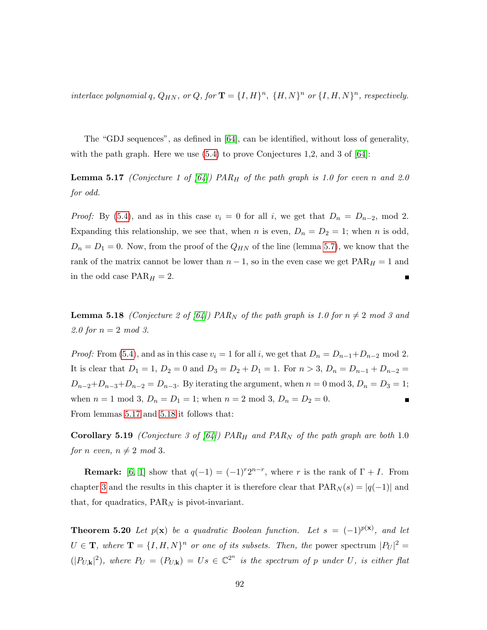interlace polynomial q,  $Q_{HN}$ , or  $Q$ , for  $\mathbf{T} = \{I, H\}^n$ ,  $\{H, N\}^n$  or  $\{I, H, N\}^n$ , respectively.

The "GDJ sequences", as defined in [\[64\]](#page-136-1), can be identified, without loss of generality, with the path graph. Here we use  $(5.4)$  to prove Conjectures 1,2, and 3 of  $[64]$ :

<span id="page-95-0"></span>**Lemma 5.17** (Conjecture 1 of  $(64)$ ) PAR<sub>H</sub> of the path graph is 1.0 for even n and 2.0 for odd.

*Proof:* By [\(5.4\)](#page-87-0), and as in this case  $v_i = 0$  for all i, we get that  $D_n = D_{n-2}$ , mod 2. Expanding this relationship, we see that, when n is even,  $D_n = D_2 = 1$ ; when n is odd,  $D_n = D_1 = 0$ . Now, from the proof of the  $Q_{HN}$  of the line (lemma [5.7\)](#page-87-1), we know that the rank of the matrix cannot be lower than  $n - 1$ , so in the even case we get  $PAR_H = 1$  and in the odd case  $PAR_H = 2$ .

<span id="page-95-1"></span>**Lemma 5.18** (Conjecture 2 of [\[64\]](#page-136-1)) PAR<sub>N</sub> of the path graph is 1.0 for  $n \neq 2$  mod 3 and 2.0 for  $n = 2 \mod 3$ .

*Proof:* From [\(5.4\)](#page-87-0), and as in this case  $v_i = 1$  for all i, we get that  $D_n = D_{n-1} + D_{n-2}$  mod 2. It is clear that  $D_1 = 1$ ,  $D_2 = 0$  and  $D_3 = D_2 + D_1 = 1$ . For  $n > 3$ ,  $D_n = D_{n-1} + D_{n-2} =$  $D_{n-2}+D_{n-3}+D_{n-2}=D_{n-3}$ . By iterating the argument, when  $n=0 \mod 3$ ,  $D_n=D_3=1$ ; when  $n = 1 \text{ mod } 3$ ,  $D_n = D_1 = 1$ ; when  $n = 2 \text{ mod } 3$ ,  $D_n = D_2 = 0$ .  $\blacksquare$ From lemmas [5.17](#page-95-0) and [5.18](#page-95-1) it follows that:

**Corollary 5.19** (Conjecture 3 of [\[64\]](#page-136-1)) PAR<sub>H</sub> and PAR<sub>N</sub> of the path graph are both 1.0 for n even,  $n \neq 2 \mod 3$ .

**Remark:** [\[6,](#page-131-4) [1\]](#page-131-0) show that  $q(-1) = (-1)^{r}2^{n-r}$ , where r is the rank of  $\Gamma + I$ . From chapter [3](#page-31-0) and the results in this chapter it is therefore clear that  $\text{PAR}_N(s) = |q(-1)|$  and that, for quadratics,  $PAR_N$  is pivot-invariant.

<span id="page-95-2"></span>**Theorem 5.20** Let  $p(x)$  be a quadratic Boolean function. Let  $s = (-1)^{p(x)}$ , and let  $U \in \mathbf{T}$ , where  $\mathbf{T} = \{I, H, N\}^n$  or one of its subsets. Then, the power spectrum  $|P_U|^2 =$  $(|P_{U,\mathbf{k}}|^2)$ , where  $P_U = (P_{U,\mathbf{k}}) = Us \in \mathbb{C}^{2^n}$  is the spectrum of p under U, is either flat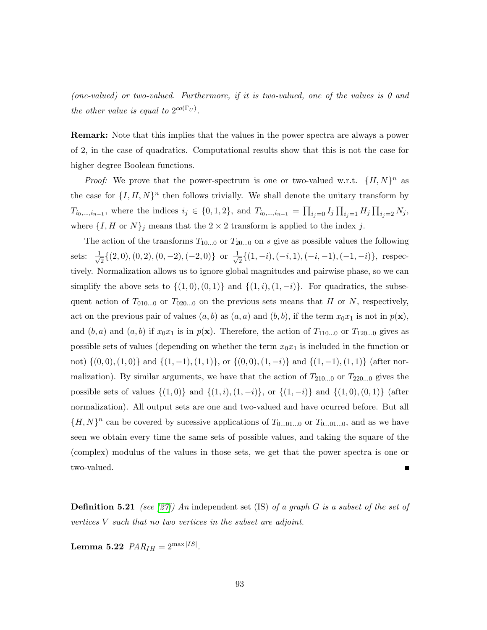(one-valued) or two-valued. Furthermore, if it is two-valued, one of the values is 0 and the other value is equal to  $2^{co(\Gamma_U)}$ .

Remark: Note that this implies that the values in the power spectra are always a power of 2, in the case of quadratics. Computational results show that this is not the case for higher degree Boolean functions.

*Proof:* We prove that the power-spectrum is one or two-valued w.r.t.  $\{H, N\}^n$  as the case for  $\{I, H, N\}^n$  then follows trivially. We shall denote the unitary transform by  $T_{i_0,\dots,i_{n-1}}$ , where the indices  $i_j \in \{0,1,2\}$ , and  $T_{i_0,\dots,i_{n-1}} = \prod_{i_j=0} I_j \prod_{i_j=1} H_j \prod_{i_j=2} N_j$ , where  $\{I, H \text{ or } N\}_j$  means that the  $2 \times 2$  transform is applied to the index j.

The action of the transforms  $T_{10...0}$  or  $T_{20...0}$  on s give as possible values the following sets:  $\frac{1}{\sqrt{2}}$  $\frac{1}{2}\{(2,0), (0,2), (0,-2), (-2,0)\}$  or  $\frac{1}{\sqrt{2}}$  $\frac{1}{2}\{(1,-i),(-i,1),(-i,-1),(-1,-i)\}\text{, respectively.}$ tively. Normalization allows us to ignore global magnitudes and pairwise phase, so we can simplify the above sets to  $\{(1,0),(0,1)\}$  and  $\{(1,i),(1,-i)\}$ . For quadratics, the subsequent action of  $T_{010...0}$  or  $T_{020...0}$  on the previous sets means that H or N, respectively, act on the previous pair of values  $(a, b)$  as  $(a, a)$  and  $(b, b)$ , if the term  $x_0x_1$  is not in  $p(x)$ , and  $(b, a)$  and  $(a, b)$  if  $x_0x_1$  is in  $p(x)$ . Therefore, the action of  $T_{110...0}$  or  $T_{120...0}$  gives as possible sets of values (depending on whether the term  $x_0x_1$  is included in the function or not)  $\{(0,0), (1,0)\}\$  and  $\{(1,-1), (1,1)\}\$ , or  $\{(0,0), (1,-i)\}\$  and  $\{(1,-1), (1,1)\}\$  (after normalization). By similar arguments, we have that the action of  $T_{210...0}$  or  $T_{220...0}$  gives the possible sets of values  $\{(1,0)\}\$  and  $\{(1,i),(1,-i)\}\$ , or  $\{(1,-i)\}\$  and  $\{(1,0),(0,1)\}\$  (after normalization). All output sets are one and two-valued and have ocurred before. But all  $\{H, N\}^n$  can be covered by sucessive applications of  $T_{0...01...0}$  or  $T_{0...01...0}$ , and as we have seen we obtain every time the same sets of possible values, and taking the square of the (complex) modulus of the values in those sets, we get that the power spectra is one or two-valued.

**Definition 5.21** (see [\[27\]](#page-133-3)) An independent set (IS) of a graph G is a subset of the set of vertices V such that no two vertices in the subset are adjoint.

<span id="page-96-0"></span>Lemma 5.22  $PAR_{IH}=2^{\max|IS|}.$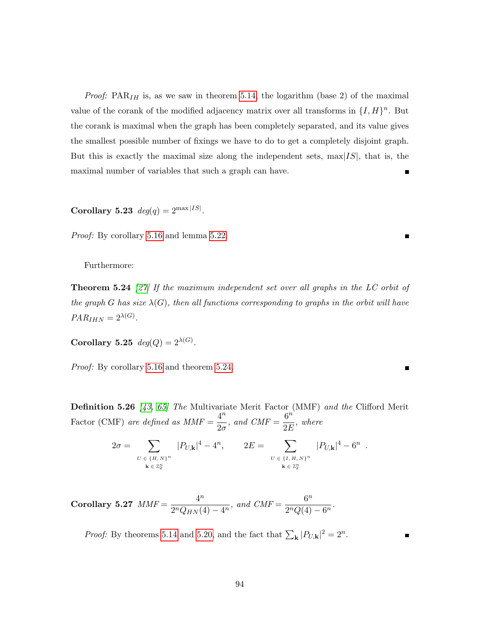*Proof:*  $PAR<sub>IH</sub>$  is, as we saw in theorem [5.14,](#page-93-0) the logarithm (base 2) of the maximal value of the corank of the modified adjacency matrix over all transforms in  $\{I, H\}^n$ . But the corank is maximal when the graph has been completely separated, and its value gives the smallest possible number of fixings we have to do to get a completely disjoint graph. But this is exactly the maximal size along the independent sets,  $\max|IS|$ , that is, the maximal number of variables that such a graph can have.

Corollary 5.23  $deg(q) = 2^{\max |IS|}$ .

Proof: By corollary [5.16](#page-94-1) and lemma [5.22.](#page-96-0)

<span id="page-97-0"></span>Furthermore:

**Theorem 5.24** [\[27\]](#page-133-3) If the maximum independent set over all graphs in the LC orbit of the graph G has size  $\lambda(G)$ , then all functions corresponding to graphs in the orbit will have  $PAR_{IHN} = 2^{\lambda(G)}$ .

Corollary 5.25  $deg(Q) = 2^{\lambda(G)}$ .

Proof: By corollary [5.16](#page-94-1) and theorem [5.24.](#page-97-0)

Definition 5.26 [\[43,](#page-135-1) [65\]](#page-136-0) The Multivariate Merit Factor (MMF) and the Clifford Merit Factor (CMF) are defined as  $MMF = \frac{4^n}{2^n}$  $rac{4^n}{2\sigma}$ , and  $CMF = \frac{6^n}{2E}$  $rac{0}{2E}$ , where

$$
2\sigma = \sum_{\substack{U \in \{H, N\}^n \\ \mathbf{k} \in \mathbb{Z}_2^n}} |P_{U, \mathbf{k}}|^4 - 4^n, \qquad 2E = \sum_{\substack{U \in \{I, H, N\}^n \\ \mathbf{k} \in \mathbb{Z}_2^n}} |P_{U, \mathbf{k}}|^4 - 6^n
$$

.

 $\blacksquare$ 

Corollary 5.27  $MMF = \frac{4^n}{2 \pi G}$  $\frac{4^n}{2^n Q_{HN}(4) - 4^n}$ , and  $CMF = \frac{6^n}{2^n Q(4)}$  $\frac{6}{2^nQ(4)-6^n}.$ 

*Proof:* By theorems [5.14](#page-93-0) and [5.20,](#page-95-2) and the fact that  $\sum_{\mathbf{k}} |P_{U,\mathbf{k}}|^2 = 2^n$ .

94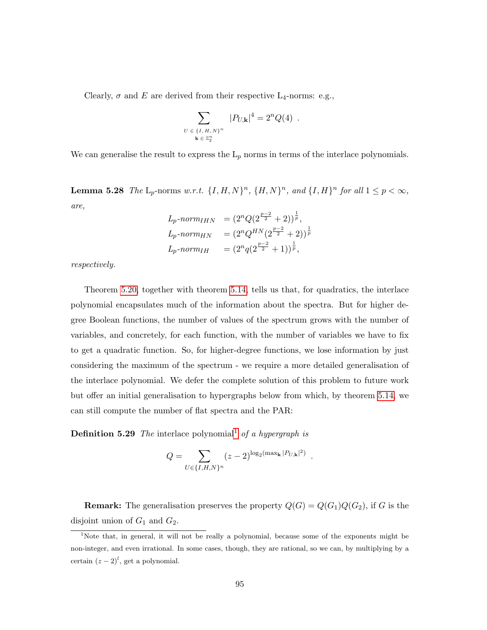Clearly,  $\sigma$  and E are derived from their respective L<sub>4</sub>-norms: e.g.,

$$
\sum_{\substack{U \in \{I, H, N\}^n \\ \mathbf{k} \in \mathbb{Z}_2^n}} |P_{U, \mathbf{k}}|^4 = 2^n Q(4) .
$$

We can generalise the result to express the  $L_p$  norms in terms of the interlace polynomials.

**Lemma 5.28** The  $L_p$ -norms w.r.t.  $\{I, H, N\}^n$ ,  $\{H, N\}^n$ , and  $\{I, H\}^n$  for all  $1 \leq p < \infty$ , are,

| $L_p$ -norm $_{IHN}$   | $=(2^nQ(2^{\frac{p-2}{2}}+2))^{\frac{1}{p}},$     |
|------------------------|---------------------------------------------------|
| $L_p$ -norm $_{HN}$    | $=(2^nQ^{HN}(2^{\frac{p-2}{2}}+2))^{\frac{1}{p}}$ |
| $L_p\text{-}norm_{IH}$ | $=(2^nq(2^{\frac{p-2}{2}}+1))^{\frac{1}{p}},$     |

respectively.

Theorem [5.20,](#page-95-2) together with theorem [5.14,](#page-93-0) tells us that, for quadratics, the interlace polynomial encapsulates much of the information about the spectra. But for higher degree Boolean functions, the number of values of the spectrum grows with the number of variables, and concretely, for each function, with the number of variables we have to fix to get a quadratic function. So, for higher-degree functions, we lose information by just considering the maximum of the spectrum - we require a more detailed generalisation of the interlace polynomial. We defer the complete solution of this problem to future work but offer an initial generalisation to hypergraphs below from which, by theorem [5.14,](#page-93-0) we can still compute the number of flat spectra and the PAR:

**Definition 5.29** The interlace polynomial<sup>[1](#page-98-0)</sup> of a hypergraph is

$$
Q = \sum_{U \in \{I, H, N\}^n} (z - 2)^{\log_2(\max_{\mathbf{k}} |P_{U, \mathbf{k}}|^2)}
$$

.

**Remark:** The generalisation preserves the property  $Q(G) = Q(G_1)Q(G_2)$ , if G is the disjoint union of  $G_1$  and  $G_2$ .

<span id="page-98-0"></span><sup>&</sup>lt;sup>1</sup>Note that, in general, it will not be really a polynomial, because some of the exponents might be non-integer, and even irrational. In some cases, though, they are rational, so we can, by multiplying by a certain  $(z-2)^l$ , get a polynomial.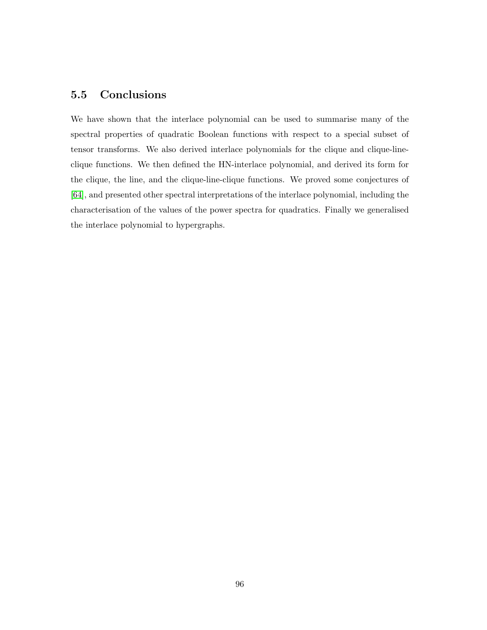## 5.5 Conclusions

We have shown that the interlace polynomial can be used to summarise many of the spectral properties of quadratic Boolean functions with respect to a special subset of tensor transforms. We also derived interlace polynomials for the clique and clique-lineclique functions. We then defined the HN-interlace polynomial, and derived its form for the clique, the line, and the clique-line-clique functions. We proved some conjectures of [\[64\]](#page-136-1), and presented other spectral interpretations of the interlace polynomial, including the characterisation of the values of the power spectra for quadratics. Finally we generalised the interlace polynomial to hypergraphs.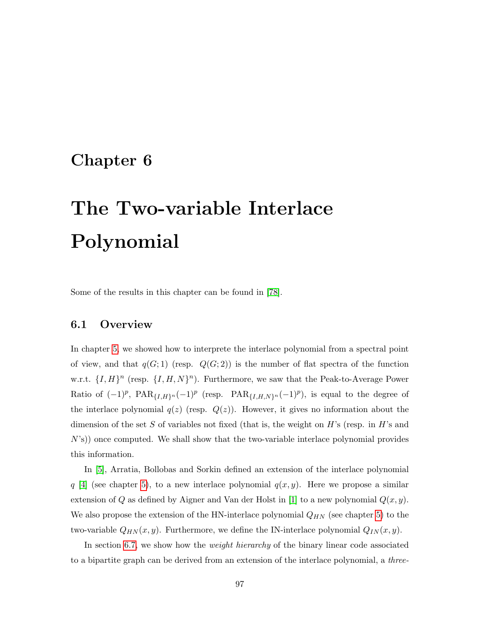# Chapter 6

# The Two-variable Interlace Polynomial

Some of the results in this chapter can be found in [\[78\]](#page-138-1).

### 6.1 Overview

In chapter [5,](#page-80-0) we showed how to interprete the interlace polynomial from a spectral point of view, and that  $q(G; 1)$  (resp.  $Q(G; 2)$ ) is the number of flat spectra of the function w.r.t.  $\{I, H\}^n$  (resp.  $\{I, H, N\}^n$ ). Furthermore, we saw that the Peak-to-Average Power Ratio of  $(-1)^p$ ,  $\text{PAR}_{\{I,H\}^n}(-1)^p$  (resp.  $\text{PAR}_{\{I,H,N\}^n}(-1)^p$ ), is equal to the degree of the interlace polynomial  $q(z)$  (resp.  $Q(z)$ ). However, it gives no information about the dimension of the set S of variables not fixed (that is, the weight on  $H$ 's (resp. in  $H$ 's and N's)) once computed. We shall show that the two-variable interlace polynomial provides this information.

In [\[5\]](#page-131-3), Arratia, Bollobas and Sorkin defined an extension of the interlace polynomial q [\[4\]](#page-131-1) (see chapter [5\)](#page-80-0), to a new interlace polynomial  $q(x, y)$ . Here we propose a similar extension of Q as defined by Aigner and Van der Holst in [\[1\]](#page-131-0) to a new polynomial  $Q(x, y)$ . We also propose the extension of the HN-interlace polynomial  $Q_{HN}$  (see chapter [5\)](#page-80-0) to the two-variable  $Q_{HN}(x, y)$ . Furthermore, we define the IN-interlace polynomial  $Q_{IN}(x, y)$ .

In section [6.7,](#page-104-0) we show how the *weight hierarchy* of the binary linear code associated to a bipartite graph can be derived from an extension of the interlace polynomial, a three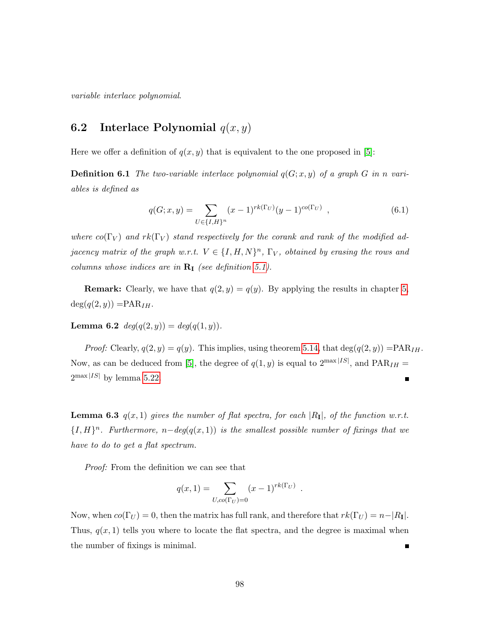variable interlace polynomial.

# <span id="page-101-0"></span>**6.2** Interlace Polynomial  $q(x, y)$

Here we offer a definition of  $q(x, y)$  that is equivalent to the one proposed in [\[5\]](#page-131-3):

**Definition 6.1** The two-variable interlace polynomial  $q(G; x, y)$  of a graph G in n variables is defined as

$$
q(G; x, y) = \sum_{U \in \{I, H\}^n} (x - 1)^{rk(\Gamma_U)} (y - 1)^{co(\Gamma_U)}, \qquad (6.1)
$$

where  $co(\Gamma_V)$  and  $rk(\Gamma_V)$  stand respectively for the corank and rank of the modified adjacency matrix of the graph w.r.t.  $V \in \{I, H, N\}^n$ ,  $\Gamma_V$ , obtained by erasing the rows and columns whose indices are in  $\mathbf{R}_{\mathbf{I}}$  (see definition [5.1\)](#page-82-1).

**Remark:** Clearly, we have that  $q(2, y) = q(y)$ . By applying the results in chapter [5,](#page-80-0)  $deg(q(2, y)) = PAR_{IH}.$ 

Lemma 6.2  $deg(q(2, y)) = deg(q(1, y)).$ 

*Proof:* Clearly,  $q(2, y) = q(y)$ . This implies, using theorem [5.14,](#page-93-0) that  $deg(q(2, y)) = PAR<sub>IH</sub>$ . Now, as can be deduced from [\[5\]](#page-131-3), the degree of  $q(1, y)$  is equal to  $2^{\max|IS|}$ , and  $\text{PAR}_{IH} =$  $2^{\max|IS|}$  by lemma [5.22.](#page-96-0)  $\blacksquare$ 

**Lemma 6.3**  $q(x, 1)$  gives the number of flat spectra, for each  $|R_1|$ , of the function w.r.t.  ${I, H}^n$ . Furthermore, n-deg(q(x, 1)) is the smallest possible number of fixings that we have to do to get a flat spectrum.

Proof: From the definition we can see that

$$
q(x, 1) = \sum_{U, co(\Gamma_U) = 0} (x - 1)^{rk(\Gamma_U)}.
$$

Now, when  $co(\Gamma_U) = 0$ , then the matrix has full rank, and therefore that  $rk(\Gamma_U) = n-|R_1|$ . Thus,  $q(x, 1)$  tells you where to locate the flat spectra, and the degree is maximal when the number of fixings is minimal.  $\blacksquare$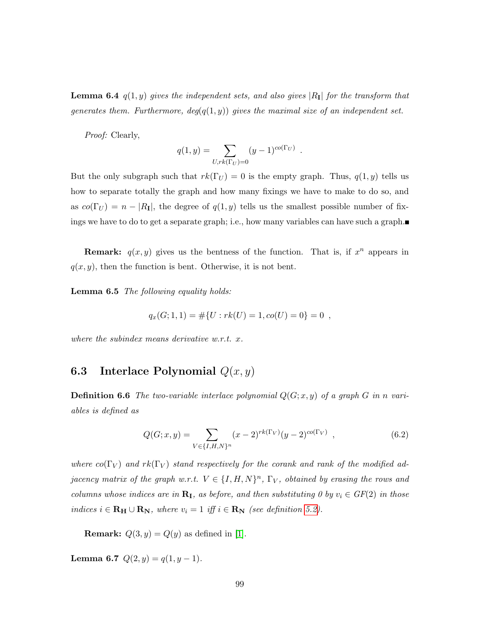**Lemma 6.4**  $q(1, y)$  gives the independent sets, and also gives  $|R_1|$  for the transform that generates them. Furthermore,  $deg(q(1, y))$  gives the maximal size of an independent set.

Proof: Clearly,

$$
q(1, y) = \sum_{U, rk(\Gamma_U) = 0} (y - 1)^{co(\Gamma_U)}
$$

.

But the only subgraph such that  $rk(\Gamma_U) = 0$  is the empty graph. Thus,  $q(1, y)$  tells us how to separate totally the graph and how many fixings we have to make to do so, and as  $co(\Gamma_U) = n - |R_I|$ , the degree of  $q(1, y)$  tells us the smallest possible number of fixings we have to do to get a separate graph; i.e., how many variables can have such a graph.

**Remark:**  $q(x, y)$  gives us the bentness of the function. That is, if  $x^n$  appears in  $q(x, y)$ , then the function is bent. Otherwise, it is not bent.

Lemma 6.5 The following equality holds:

$$
q_x(G; 1, 1) = #{U : rk(U) = 1, co(U) = 0} = 0 ,
$$

where the subindex means derivative w.r.t. x.

### **6.3** Interlace Polynomial  $Q(x, y)$

**Definition 6.6** The two-variable interlace polynomial  $Q(G; x, y)$  of a graph G in n variables is defined as

$$
Q(G; x, y) = \sum_{V \in \{I, H, N\}^n} (x - 2)^{rk(\Gamma_V)} (y - 2)^{co(\Gamma_V)}, \qquad (6.2)
$$

where  $co(\Gamma_V)$  and  $rk(\Gamma_V)$  stand respectively for the corank and rank of the modified adjacency matrix of the graph w.r.t.  $V \in \{I, H, N\}^n$ ,  $\Gamma_V$ , obtained by erasing the rows and columns whose indices are in  $\mathbf{R}_{\text{I}}$ , as before, and then substituting 0 by  $v_i \in GF(2)$  in those indices  $i \in \mathbf{R_H} \cup \mathbf{R_N}$ , where  $v_i = 1$  iff  $i \in \mathbf{R_N}$  (see definition [5.2\)](#page-83-1).

**Remark:**  $Q(3, y) = Q(y)$  as defined in [\[1\]](#page-131-0).

Lemma 6.7  $Q(2, y) = q(1, y - 1)$ .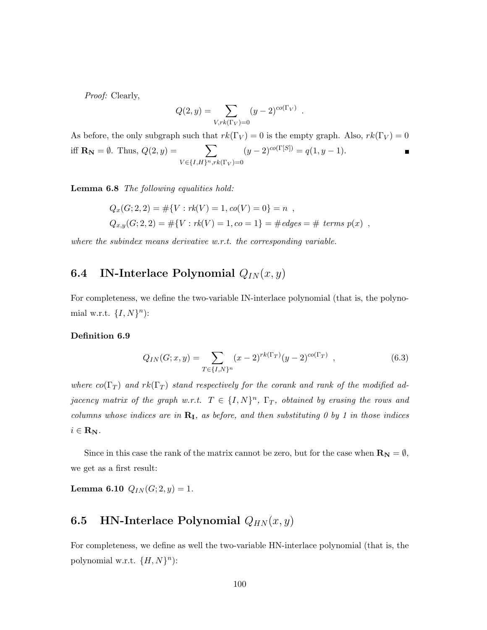Proof: Clearly,

$$
Q(2, y) = \sum_{V, rk(\Gamma_V) = 0} (y - 2)^{co(\Gamma_V)}
$$

.

As before, the only subgraph such that  $rk(\Gamma_V) = 0$  is the empty graph. Also,  $rk(\Gamma_V) = 0$ iff  $\mathbf{R}_{N} = \emptyset$ . Thus,  $Q(2, y) = \sum$  $(y-2)^{co(\Gamma[S])} = q(1, y-1).$  $\blacksquare$  $V \in \{I, H\}^n, rk(\Gamma_V)=0$ 

Lemma 6.8 The following equalities hold:

$$
Q_x(G; 2, 2) = #{V : rk(V) = 1, co(V) = 0} = n ,
$$
  
\n
$$
Q_{x,y}(G; 2, 2) = #{V : rk(V) = 1, co = 1} = # edges = # terms p(x) ,
$$

where the subindex means derivative w.r.t. the corresponding variable.

# 6.4 IN-Interlace Polynomial  $Q_{IN}(x, y)$

For completeness, we define the two-variable IN-interlace polynomial (that is, the polynomial w.r.t.  $\{I, N\}^n$ :

### Definition 6.9

$$
Q_{IN}(G; x, y) = \sum_{T \in \{I, N\}^n} (x - 2)^{rk(\Gamma_T)} (y - 2)^{co(\Gamma_T)}, \qquad (6.3)
$$

where  $co(\Gamma_T)$  and  $rk(\Gamma_T)$  stand respectively for the corank and rank of the modified adjacency matrix of the graph w.r.t.  $T \in \{I, N\}^n$ ,  $\Gamma_T$ , obtained by erasing the rows and columns whose indices are in  $\mathbf{R}_{\text{I}}$ , as before, and then substituting 0 by 1 in those indices  $i \in \mathbf{R_N}$ .

Since in this case the rank of the matrix cannot be zero, but for the case when  $\mathbf{R}_{N} = \emptyset$ , we get as a first result:

**Lemma 6.10**  $Q_{IN}(G; 2, y) = 1$ .

### **6.5** HN-Interlace Polynomial  $Q_{HN}(x, y)$

For completeness, we define as well the two-variable HN-interlace polynomial (that is, the polynomial w.r.t.  $\{H, N\}^n$ :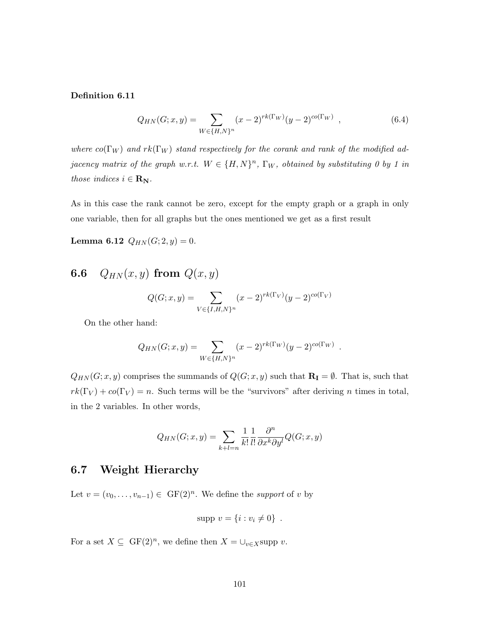Definition 6.11

$$
Q_{HN}(G; x, y) = \sum_{W \in \{H, N\}^n} (x - 2)^{rk(\Gamma_W)} (y - 2)^{co(\Gamma_W)}, \qquad (6.4)
$$

where  $co(\Gamma_W)$  and  $rk(\Gamma_W)$  stand respectively for the corank and rank of the modified adjacency matrix of the graph w.r.t.  $W \in \{H, N\}^n$ ,  $\Gamma_W$ , obtained by substituting 0 by 1 in those indices  $i \in \mathbf{R_N}$ .

As in this case the rank cannot be zero, except for the empty graph or a graph in only one variable, then for all graphs but the ones mentioned we get as a first result

Lemma 6.12  $Q_{HN}(G; 2, y) = 0$ .

# 6.6  $Q_{HN}(x, y)$  from  $Q(x, y)$

$$
Q(G; x, y) = \sum_{V \in \{I, H, N\}^n} (x - 2)^{rk(\Gamma_V)} (y - 2)^{co(\Gamma_V)}
$$

On the other hand:

$$
Q_{HN}(G; x, y) = \sum_{W \in \{H, N\}^n} (x - 2)^{rk(\Gamma_W)} (y - 2)^{co(\Gamma_W)}
$$

.

 $Q_{HN}(G; x, y)$  comprises the summands of  $Q(G; x, y)$  such that  $\mathbf{R}_{\mathbf{I}} = \emptyset$ . That is, such that  $rk(\Gamma_V) + \text{co}(\Gamma_V) = n$ . Such terms will be the "survivors" after deriving n times in total, in the 2 variables. In other words,

$$
Q_{HN}(G; x, y) = \sum_{k+l=n} \frac{1}{k!} \frac{1}{l!} \frac{\partial^n}{\partial x^k \partial y^l} Q(G; x, y)
$$

### <span id="page-104-0"></span>6.7 Weight Hierarchy

Let  $v = (v_0, \ldots, v_{n-1}) \in \mathrm{GF}(2)^n$ . We define the support of v by

$$
supp v = \{i : v_i \neq 0\} .
$$

For a set  $X \subseteq \text{GF}(2)^n$ , we define then  $X = \bigcup_{v \in X} \text{supp } v$ .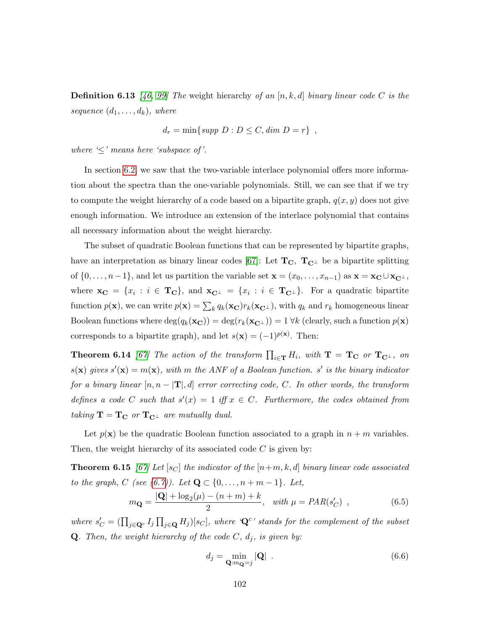**Definition 6.13** [\[46,](#page-135-2) [99\]](#page-140-0) The weight hierarchy of an [n, k, d] binary linear code C is the sequence  $(d_1, \ldots, d_k)$ , where

$$
d_r = \min\{ \text{supp } D : D \leq C, \dim D = r \},
$$

where  $\leq$ ' means here 'subspace of'.

In section [6.2,](#page-101-0) we saw that the two-variable interlace polynomial offers more information about the spectra than the one-variable polynomials. Still, we can see that if we try to compute the weight hierarchy of a code based on a bipartite graph,  $q(x, y)$  does not give enough information. We introduce an extension of the interlace polynomial that contains all necessary information about the weight hierarchy.

The subset of quadratic Boolean functions that can be represented by bipartite graphs, have an interpretation as binary linear codes [\[67\]](#page-137-1): Let  $T_{C}$ ,  $T_{C}$  be a bipartite splitting of  $\{0, \ldots, n-1\}$ , and let us partition the variable set  $\mathbf{x} = (x_0, \ldots, x_{n-1})$  as  $\mathbf{x} = \mathbf{x_C} \cup \mathbf{x_{C^{\perp}}}$ , where  $\mathbf{x_C} = \{x_i : i \in \mathbf{T_C}\}\$ , and  $\mathbf{x_{C^{\perp}}} = \{x_i : i \in \mathbf{T_{C^{\perp}}}\}\$ . For a quadratic bipartite function  $p(\mathbf{x})$ , we can write  $p(\mathbf{x}) = \sum_k q_k(\mathbf{x_C}) r_k(\mathbf{x_C})$ , with  $q_k$  and  $r_k$  homogeneous linear Boolean functions where  $deg(q_k(\mathbf{x_C})) = deg(r_k(\mathbf{x_C})) = 1 \forall k$  (clearly, such a function  $p(\mathbf{x})$ ) corresponds to a bipartite graph), and let  $s(\mathbf{x}) = (-1)^{p(\mathbf{x})}$ . Then:

**Theorem 6.14** [\[67\]](#page-137-1) The action of the transform  $\prod_{i\in\mathbf{T}}H_i$ , with  $\mathbf{T} = \mathbf{T_C}$  or  $\mathbf{T_{C^{\perp}}}$ , on  $s(\mathbf{x})$  gives  $s'(\mathbf{x}) = m(\mathbf{x})$ , with m the ANF of a Boolean function. s' is the binary indicator for a binary linear  $[n, n - \mathbf{T}], d$  error correcting code, C. In other words, the transform defines a code C such that  $s'(x) = 1$  iff  $x \in C$ . Furthermore, the codes obtained from taking  $T = T_C$  or  $T_{C^{\perp}}$  are mutually dual.

Let  $p(\mathbf{x})$  be the quadratic Boolean function associated to a graph in  $n + m$  variables. Then, the weight hierarchy of its associated code  $C$  is given by:

**Theorem 6.15** [\[67\]](#page-137-1) Let  $[s_C]$  the indicator of the  $[n+m, k, d]$  binary linear code associated to the graph, C (see [\(6.7\)](#page-106-0)). Let  $\mathbf{Q} \subset \{0, ..., n + m - 1\}$ . Let,

<span id="page-105-0"></span>
$$
m_{\mathbf{Q}} = \frac{|\mathbf{Q}| + \log_2(\mu) - (n+m) + k}{2}, \quad \text{with } \mu = PAR(s_C') \quad , \tag{6.5}
$$

where  $s'_C = (\prod_{j \in \mathbf{Q}^c} I_j \prod_{j \in \mathbf{Q}} H_j)[s_C]$ , where ' $\mathbf{Q}^c$ ' stands for the complement of the subset **Q**. Then, the weight hierarchy of the code  $C$ ,  $d_j$ , is given by:

$$
d_j = \min_{\mathbf{Q}:m_{\mathbf{Q}}=j} |\mathbf{Q}| \tag{6.6}
$$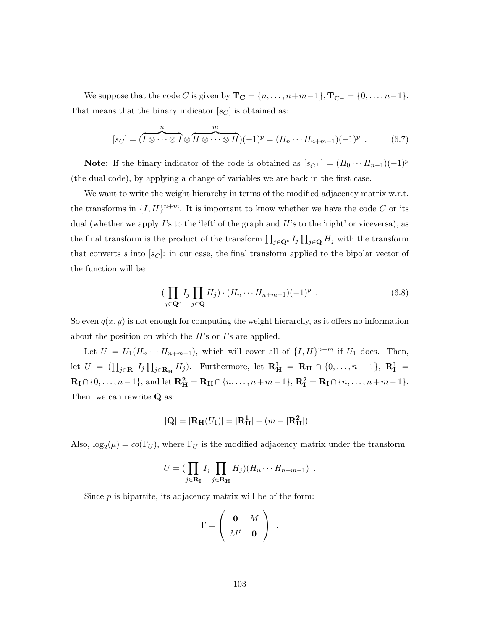We suppose that the code C is given by  $\mathbf{T_C} = \{n, \ldots, n+m-1\}, \mathbf{T_{C^{\perp}}} = \{0, \ldots, n-1\}.$ That means that the binary indicator  $[s_C]$  is obtained as:

<span id="page-106-0"></span>
$$
[s_C] = (\overbrace{I \otimes \cdots \otimes I}^n \otimes \overbrace{H \otimes \cdots \otimes H}^m)(-1)^p = (H_n \cdots H_{n+m-1})(-1)^p . \qquad (6.7)
$$

**Note:** If the binary indicator of the code is obtained as  $[s_{C^{\perp}}] = (H_0 \cdots H_{n-1})(-1)^p$ (the dual code), by applying a change of variables we are back in the first case.

We want to write the weight hierarchy in terms of the modified adjacency matrix w.r.t. the transforms in  $\{I, H\}^{n+m}$ . It is important to know whether we have the code C or its dual (whether we apply  $\Gamma$ 's to the 'left' of the graph and  $H$ 's to the 'right' or viceversa), as the final transform is the product of the transform  $\prod_{j\in\mathbf{Q}^c} I_j \prod_{j\in\mathbf{Q}} H_j$  with the transform that converts s into  $[s_C]$ : in our case, the final transform applied to the bipolar vector of the function will be

$$
\left(\prod_{j\in\mathbf{Q}^c} I_j \prod_{j\in\mathbf{Q}} H_j\right) \cdot \left(H_n \cdots H_{n+m-1}\right)(-1)^p \tag{6.8}
$$

So even  $q(x, y)$  is not enough for computing the weight hierarchy, as it offers no information about the position on which the  $H$ 's or  $I$ 's are applied.

Let  $U = U_1(H_n \cdots H_{n+m-1})$ , which will cover all of  $\{I, H\}^{n+m}$  if  $U_1$  does. Then, let  $U = (\prod_{j\in \mathbf{R}_{\mathbf{I}}} I_j \prod_{j\in \mathbf{R}_{\mathbf{H}}} H_j)$ . Furthermore, let  $\mathbf{R}_{\mathbf{H}}^1 = \mathbf{R}_{\mathbf{H}} \cap \{0,\ldots,n-1\}$ ,  $\mathbf{R}_{\mathbf{I}}^1 =$  $\mathbf{R}_{\mathbf{I}} \cap \{0, \ldots, n-1\}$ , and let  $\mathbf{R}_{\mathbf{H}}^2 = \mathbf{R}_{\mathbf{H}} \cap \{n, \ldots, n+m-1\}$ ,  $\mathbf{R}_{\mathbf{I}}^2 = \mathbf{R}_{\mathbf{I}} \cap \{n, \ldots, n+m-1\}$ . Then, we can rewrite Q as:

$$
|\mathbf{Q}| = |\mathbf{R}_{\mathbf{H}}(U_1)| = |\mathbf{R}_{\mathbf{H}}^1| + (m - |\mathbf{R}_{\mathbf{H}}^2|)
$$
.

Also,  $\log_2(\mu) = co(\Gamma_U)$ , where  $\Gamma_U$  is the modified adjacency matrix under the transform

$$
U = (\prod_{j \in \mathbf{R}_{\mathbf{I}}} I_j \prod_{j \in \mathbf{R}_{\mathbf{H}}} H_j)(H_n \cdots H_{n+m-1}) \ .
$$

Since  $p$  is bipartite, its adjacency matrix will be of the form:

$$
\Gamma = \left(\begin{array}{cc} \mathbf{0} & M \\ M^t & \mathbf{0} \end{array}\right) .
$$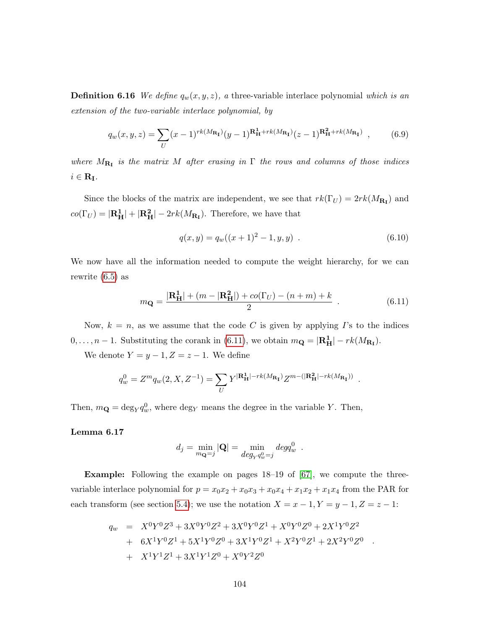**Definition 6.16** We define  $q_w(x, y, z)$ , a three-variable interlace polynomial which is an extension of the two-variable interlace polynomial, by

$$
q_w(x,y,z) = \sum_U (x-1)^{rk(M_{\mathbf{R_I}})}(y-1)^{\mathbf{R}_{\mathbf{H}}^1 + rk(M_{\mathbf{R_I}})}(z-1)^{\mathbf{R}_{\mathbf{H}}^2 + rk(M_{\mathbf{R_I}})},
$$
(6.9)

where  $M_{\mathbf{R}_{\mathbf{I}}}$  is the matrix M after erasing in  $\Gamma$  the rows and columns of those indices  $i \in \mathbf{R}_{\mathbf{I}}$ .

Since the blocks of the matrix are independent, we see that  $rk(\Gamma_U) = 2rk(M_{\mathbf{R}_I})$  and  $co(\Gamma_U) = |\mathbf{R}_{\mathbf{H}}^1| + |\mathbf{R}_{\mathbf{H}}^2| - 2rk(M_{\mathbf{R}_{\mathbf{I}}}).$  Therefore, we have that

$$
q(x, y) = q_w((x + 1)^2 - 1, y, y) . \t\t(6.10)
$$

.

.

We now have all the information needed to compute the weight hierarchy, for we can rewrite [\(6.5\)](#page-105-0) as

<span id="page-107-0"></span>
$$
m_{\mathbf{Q}} = \frac{|\mathbf{R}_{\mathbf{H}}^{1}| + (m - |\mathbf{R}_{\mathbf{H}}^{2}|) + co(\Gamma_{U}) - (n + m) + k}{2} \tag{6.11}
$$

Now,  $k = n$ , as we assume that the code C is given by applying I's to the indices  $0, \ldots, n-1$ . Substituting the corank in [\(6.11\)](#page-107-0), we obtain  $m_{\mathbf{Q}} = |\mathbf{R}_{\mathbf{H}}^1| - rk(M_{\mathbf{R}_{\mathbf{I}}}).$ 

We denote  $Y = y - 1, Z = z - 1$ . We define

$$
q_w^0 = Z^m q_w(2, X, Z^{-1}) = \sum_U Y^{|\mathbf{R}_{\mathbf{H}}^1| - rk(M_{\mathbf{R}_{\mathbf{I}}})} Z^{m - (|\mathbf{R}_{\mathbf{H}}^2| - rk(M_{\mathbf{R}_{\mathbf{I}}}))}
$$

Then,  $m_{\mathbf{Q}} = \deg_Y q_w^0$ , where  $\deg_Y$  means the degree in the variable Y. Then,

### Lemma 6.17

$$
d_j = \min_{m_\mathbf{Q}=j} |\mathbf{Q}| = \min_{deg_Y q_w^0 = j} deg q_w^0.
$$

**Example:** Following the example on pages  $18-19$  of  $[67]$ , we compute the threevariable interlace polynomial for  $p = x_0x_2 + x_0x_3 + x_0x_4 + x_1x_2 + x_1x_4$  from the PAR for each transform (see section [5.4\)](#page-92-0); we use the notation  $X = x - 1, Y = y - 1, Z = z - 1$ :

$$
q_w = X^0 Y^0 Z^3 + 3X^0 Y^0 Z^2 + 3X^0 Y^0 Z^1 + X^0 Y^0 Z^0 + 2X^1 Y^0 Z^2
$$
  
+ 
$$
6X^1 Y^0 Z^1 + 5X^1 Y^0 Z^0 + 3X^1 Y^0 Z^1 + X^2 Y^0 Z^1 + 2X^2 Y^0 Z^0
$$
  
+ 
$$
X^1 Y^1 Z^1 + 3X^1 Y^1 Z^0 + X^0 Y^2 Z^0
$$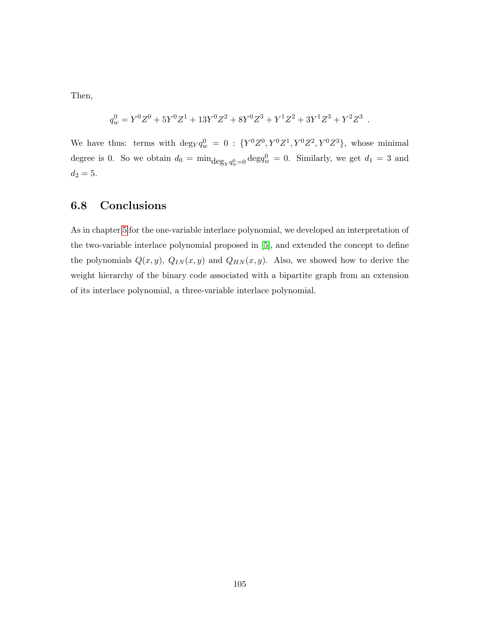Then,

$$
q_w^0 = Y^0 Z^0 + 5 Y^0 Z^1 + 13 Y^0 Z^2 + 8 Y^0 Z^3 + Y^1 Z^2 + 3 Y^1 Z^3 + Y^2 Z^3.
$$

We have thus: terms with  $\deg Y q_w^0 = 0$ :  $\{Y^0 Z^0, Y^0 Z^1, Y^0 Z^2, Y^0 Z^3\}$ , whose minimal degree is 0. So we obtain  $d_0 = \min_{\substack{\text{deg}_Y q_w^0 = 0}} \text{deg}_w^0 = 0$ . Similarly, we get  $d_1 = 3$  and  $d_2 = 5.$ 

### 6.8 Conclusions

As in chapter [5](#page-80-0) for the one-variable interlace polynomial, we developed an interpretation of the two-variable interlace polynomial proposed in [\[5\]](#page-131-0), and extended the concept to define the polynomials  $Q(x, y)$ ,  $Q_{IN}(x, y)$  and  $Q_{HN}(x, y)$ . Also, we showed how to derive the weight hierarchy of the binary code associated with a bipartite graph from an extension of its interlace polynomial, a three-variable interlace polynomial.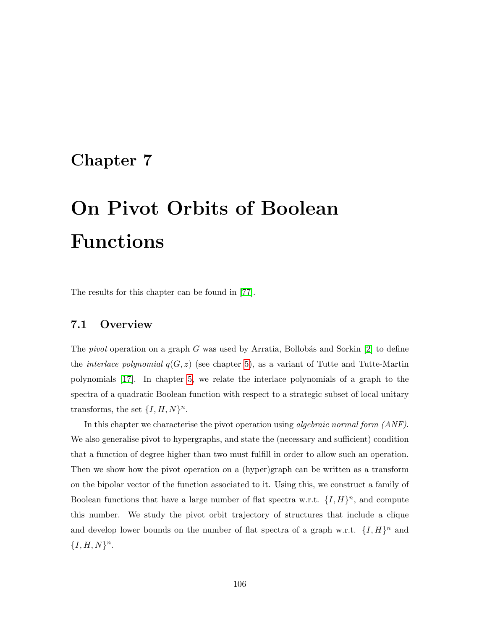# <span id="page-109-0"></span>Chapter 7

# On Pivot Orbits of Boolean Functions

The results for this chapter can be found in [\[77\]](#page-138-0).

### 7.1 Overview

The *pivot* operation on a graph G was used by Arratia, Bollobás and Sorkin  $[2]$  to define the *interlace polynomial*  $q(G, z)$  (see chapter [5\)](#page-80-0), as a variant of Tutte and Tutte-Martin polynomials [\[17\]](#page-132-0). In chapter [5,](#page-80-0) we relate the interlace polynomials of a graph to the spectra of a quadratic Boolean function with respect to a strategic subset of local unitary transforms, the set  $\{I, H, N\}^n$ .

In this chapter we characterise the pivot operation using *algebraic normal form (ANF)*. We also generalise pivot to hypergraphs, and state the (necessary and sufficient) condition that a function of degree higher than two must fulfill in order to allow such an operation. Then we show how the pivot operation on a (hyper)graph can be written as a transform on the bipolar vector of the function associated to it. Using this, we construct a family of Boolean functions that have a large number of flat spectra w.r.t.  $\{I, H\}^n$ , and compute this number. We study the pivot orbit trajectory of structures that include a clique and develop lower bounds on the number of flat spectra of a graph w.r.t.  $\{I, H\}^n$  and  ${I, H, N}^n$ .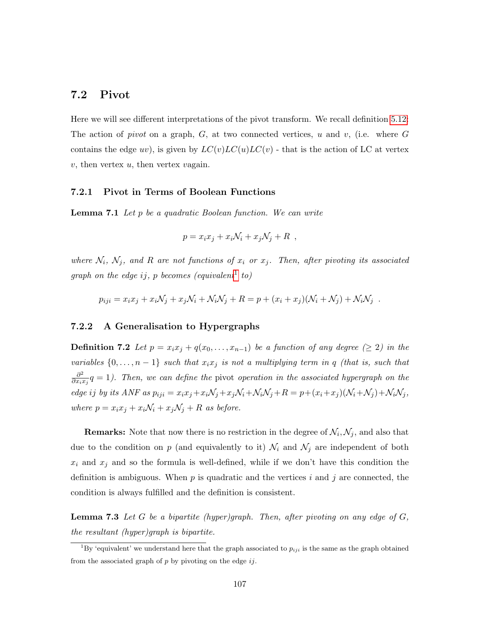#### 7.2 Pivot

Here we will see different interpretations of the pivot transform. We recall definition [5.12:](#page-92-0) The action of *pivot* on a graph,  $G$ , at two connected vertices, u and v, (i.e. where  $G$ contains the edge uv), is given by  $LC(v)LC(u)LC(v)$  - that is the action of LC at vertex  $v$ , then vertex  $u$ , then vertex vagain.

#### 7.2.1 Pivot in Terms of Boolean Functions

Lemma 7.1 Let p be a quadratic Boolean function. We can write

$$
p = x_i x_j + x_i \mathcal{N}_i + x_j \mathcal{N}_j + R \ ,
$$

where  $N_i$ ,  $N_j$ , and R are not functions of  $x_i$  or  $x_j$ . Then, after pivoting its associated graph on the edge ij, p becomes (equivalent<sup>[1](#page-110-0)</sup> to)

$$
p_{iji} = x_i x_j + x_i \mathcal{N}_j + x_j \mathcal{N}_i + \mathcal{N}_i \mathcal{N}_j + R = p + (x_i + x_j)(\mathcal{N}_i + \mathcal{N}_j) + \mathcal{N}_i \mathcal{N}_j.
$$

#### 7.2.2 A Generalisation to Hypergraphs

<span id="page-110-1"></span>**Definition 7.2** Let  $p = x_i x_j + q(x_0, \ldots, x_{n-1})$  be a function of any degree ( $\geq 2$ ) in the variables  $\{0, \ldots, n-1\}$  such that  $x_i x_j$  is not a multiplying term in q (that is, such that  $\partial^2$  $\frac{\partial^2}{\partial x_i x_j} q = 1$ ). Then, we can define the pivot operation in the associated hypergraph on the edge ij by its ANF as  $p_{iji} = x_i x_j + x_i \mathcal{N}_j + x_j \mathcal{N}_i + \mathcal{N}_i \mathcal{N}_j + R = p + (x_i + x_j)(\mathcal{N}_i + \mathcal{N}_j) + \mathcal{N}_i \mathcal{N}_j$ , where  $p = x_i x_j + x_i N_i + x_j N_j + R$  as before.

**Remarks:** Note that now there is no restriction in the degree of  $\mathcal{N}_i, \mathcal{N}_j$ , and also that due to the condition on p (and equivalently to it)  $\mathcal{N}_i$  and  $\mathcal{N}_j$  are independent of both  $x_i$  and  $x_j$  and so the formula is well-defined, while if we don't have this condition the definition is ambiguous. When  $p$  is quadratic and the vertices i and j are connected, the condition is always fulfilled and the definition is consistent.

<span id="page-110-2"></span>**Lemma 7.3** Let  $G$  be a bipartite (hyper)graph. Then, after pivoting on any edge of  $G$ , the resultant (hyper)graph is bipartite.

<span id="page-110-0"></span><sup>&</sup>lt;sup>1</sup>By 'equivalent' we understand here that the graph associated to  $p_{ij}$  is the same as the graph obtained from the associated graph of  $p$  by pivoting on the edge  $ij$ .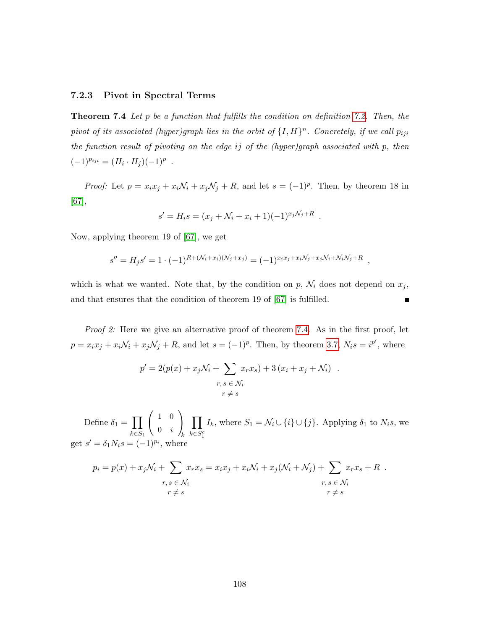#### 7.2.3 Pivot in Spectral Terms

<span id="page-111-0"></span>**Theorem 7.4** Let p be a function that fulfills the condition on definition [7.2.](#page-110-1) Then, the pivot of its associated (hyper)graph lies in the orbit of  $\{I, H\}^n$ . Concretely, if we call  $p_{ij}$ the function result of pivoting on the edge ij of the (hyper)graph associated with p, then  $(-1)^{p_{iji}} = (H_i \cdot H_j)(-1)^p$ .

*Proof:* Let  $p = x_i x_j + x_i \mathcal{N}_i + x_j \mathcal{N}_j + R$ , and let  $s = (-1)^p$ . Then, by theorem 18 in [\[67\]](#page-137-0),

$$
s' = H_i s = (x_j + \mathcal{N}_i + x_i + 1)(-1)^{x_j \mathcal{N}_j + R}.
$$

Now, applying theorem 19 of [\[67\]](#page-137-0), we get

$$
s'' = H_j s' = 1 \cdot (-1)^{R + (\mathcal{N}_i + x_i)(\mathcal{N}_j + x_j)} = (-1)^{x_i x_j + x_i \mathcal{N}_j + x_j \mathcal{N}_i + \mathcal{N}_i \mathcal{N}_j + R} ,
$$

which is what we wanted. Note that, by the condition on  $p$ ,  $\mathcal{N}_i$  does not depend on  $x_j$ , and that ensures that the condition of theorem 19 of [\[67\]](#page-137-0) is fulfilled.  $\blacksquare$ 

Proof 2: Here we give an alternative proof of theorem [7.4.](#page-111-0) As in the first proof, let  $p = x_i x_j + x_i \mathcal{N}_i + x_j \mathcal{N}_j + R$ , and let  $s = (-1)^p$ . Then, by theorem [3.7,](#page-39-0)  $N_i s = i^{p'}$ , where

$$
p' = 2(p(x) + x_j \mathcal{N}_i + \sum_{\substack{r,s \in \mathcal{N}_i \\ r \neq s}} x_r x_s) + 3(x_i + x_j + \mathcal{N}_i) .
$$

Define  $\delta_1 = \prod$  $k \in S_1$  $\begin{pmatrix} 1 & 0 \end{pmatrix}$  $0 \quad i$  $\setminus$ k  $\Pi$  $k \in S_1^c$ I<sub>k</sub>, where  $S_1 = \mathcal{N}_i \cup \{i\} \cup \{j\}$ . Applying  $\delta_1$  to  $N_i$ s, we get  $s' = \delta_1 N_i s = (-1)^{p_i}$ , where

$$
p_i = p(x) + x_j \mathcal{N}_i + \sum_{r,s \in \mathcal{N}_i} x_r x_s = x_i x_j + x_i \mathcal{N}_i + x_j (\mathcal{N}_i + \mathcal{N}_j) + \sum_{\substack{r,s \in \mathcal{N}_i \\ r \neq s}} x_r x_s + R
$$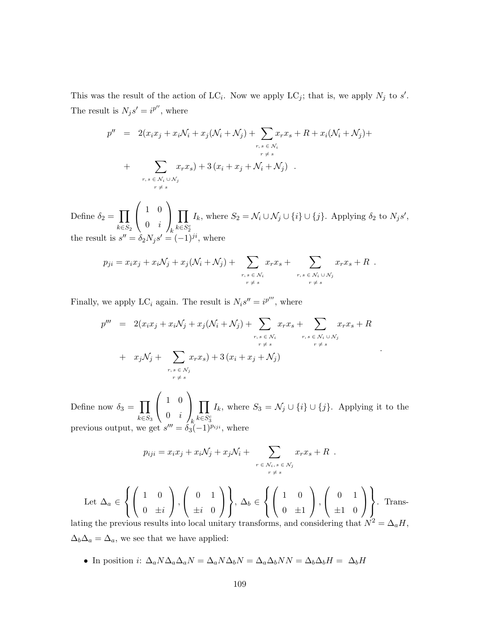This was the result of the action of LC<sub>i</sub>. Now we apply LC<sub>j</sub>; that is, we apply  $N_j$  to s'. The result is  $N_j s' = i^{p''}$ , where

$$
p'' = 2(x_i x_j + x_i N_i + x_j (N_i + N_j) + \sum_{\substack{r, s \in N_i \\ r \neq s}} x_r x_s + R + x_i (N_i + N_j) + \sum_{\substack{r, s \in N_i \\ r \neq s}} x_r x_s) + 3 (x_i + x_j + N_i + N_j).
$$

Define  $\delta_2 = \prod$  $k \in S_2$  $\sqrt{ }$  $\mathcal{L}$ 1 0  $0 \quad i$  $\setminus$  $\overline{1}$ k  $\Pi$  $k \in S^c_2$ I<sub>k</sub>, where  $S_2 = \mathcal{N}_i \cup \mathcal{N}_j \cup \{i\} \cup \{j\}$ . Applying  $\delta_2$  to  $N_j s'$ , the result is  $s'' = \delta_2 N_j s' = (-1)^{ji}$ , where

$$
p_{ji} = x_i x_j + x_i \mathcal{N}_j + x_j (\mathcal{N}_i + \mathcal{N}_j) + \sum_{\substack{r,s \in \mathcal{N}_i \\ r \neq s}} x_r x_s + \sum_{\substack{r,s \in \mathcal{N}_i \cup \mathcal{N}_j \\ r \neq s}} x_r x_s + R.
$$

Finally, we apply LC<sub>i</sub> again. The result is  $N_i s'' = i^{p'''}$ , where

$$
p''' = 2(x_i x_j + x_i N_j + x_j (N_i + N_j) + \sum_{\substack{r,s \in N_i \\ r \neq s}} x_r x_s + \sum_{\substack{r,s \in N_i \\ r \neq s}} x_r x_s + R
$$
  
+  $x_j N_j + \sum_{\substack{r,s \in N_j \\ r \neq s}} x_r x_s + 3 (x_i + x_j + N_j)$ 

.

Define now  $\delta_3 = \prod$  $k \in S_3$  $\sqrt{ }$  $\mathcal{L}$ 1 0  $0 \quad i$  $\setminus$  $\overline{1}$ k  $\Pi$  $k \in S_3^c$ I<sub>k</sub>, where  $S_3 = \mathcal{N}_j \cup \{i\} \cup \{j\}$ . Applying it to the previous output, we get  $s''' = \delta_3$  $\omega'' = \delta_3(-1)^{p_{ij}}$ , where

$$
p_{iji} = x_i x_j + x_i \mathcal{N}_j + x_j \mathcal{N}_i + \sum_{\substack{r \in \mathcal{N}_i, s \in \mathcal{N}_j \\ r \neq s}} x_r x_s + R.
$$

Let  $\Delta_a \in$  $\sqrt{ }$ J  $\mathcal{L}$  $\sqrt{ }$  $\mathcal{L}$ 1 0 0  $\pm i$  $\setminus$  $\vert$ ,  $\sqrt{ }$  $\mathcal{L}$ 0 1  $\pm i$  0  $\setminus$  $\overline{1}$  $\mathcal{L}$  $\mathcal{L}$ J ,  $\Delta_b \in$  $\sqrt{ }$ J  $\mathcal{L}$  $\sqrt{ }$  $\mathcal{L}$ 1 0  $0 \pm 1$  $\setminus$  $\vert$ ,  $\sqrt{ }$  $\mathcal{L}$ 0 1  $\pm 1$  0  $\setminus$  $\overline{1}$  $\mathcal{L}$  $\mathcal{L}$ J . Trans-

lating the previous results into local unitary transforms, and considering that  $N^2 = \Delta_a H$ ,  $\Delta_b\Delta_a = \Delta_a$ , we see that we have applied:

• In position *i*:  $\Delta_a N \Delta_a \Delta_a N = \Delta_a N \Delta_b N = \Delta_a \Delta_b NN = \Delta_b \Delta_b H = \Delta_b H$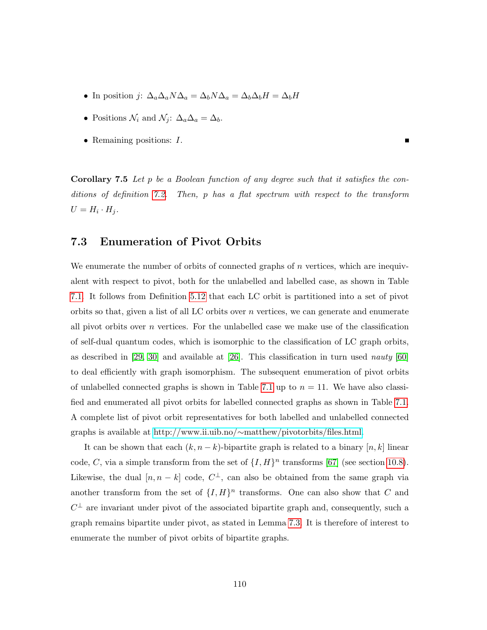- In position j:  $\Delta_a \Delta_a N \Delta_a = \Delta_b N \Delta_a = \Delta_b \Delta_b H = \Delta_b H$
- Positions  $\mathcal{N}_i$  and  $\mathcal{N}_j$ :  $\Delta_a\Delta_a = \Delta_b$ .
- Remaining positions:  $I$ .

Corollary 7.5 Let p be a Boolean function of any degree such that it satisfies the conditions of definition [7.2.](#page-110-1) Then, p has a flat spectrum with respect to the transform  $U = H_i \cdot H_j.$ 

### 7.3 Enumeration of Pivot Orbits

We enumerate the number of orbits of connected graphs of  $n$  vertices, which are inequivalent with respect to pivot, both for the unlabelled and labelled case, as shown in Table [7.1.](#page-114-0) It follows from Definition [5.12](#page-92-0) that each LC orbit is partitioned into a set of pivot orbits so that, given a list of all LC orbits over  $n$  vertices, we can generate and enumerate all pivot orbits over n vertices. For the unlabelled case we make use of the classification of self-dual quantum codes, which is isomorphic to the classification of LC graph orbits, as described in [\[29,](#page-133-0) [30\]](#page-133-1) and available at [\[26\]](#page-133-2). This classification in turn used nauty [\[60\]](#page-136-0) to deal efficiently with graph isomorphism. The subsequent enumeration of pivot orbits of unlabelled connected graphs is shown in Table [7.1](#page-114-0) up to  $n = 11$ . We have also classified and enumerated all pivot orbits for labelled connected graphs as shown in Table [7.1.](#page-114-0) A complete list of pivot orbit representatives for both labelled and unlabelled connected graphs is available at http://www.ii.uib.no/∼[matthew/pivotorbits/files.html.](http://www.ii.uib.no/~matthew/pivotorbits/files.html)

It can be shown that each  $(k, n - k)$ -bipartite graph is related to a binary  $[n, k]$  linear code, C, via a simple transform from the set of  $\{I, H\}^n$  transforms [\[67\]](#page-137-0) (see section [10.8\)](#page-148-0). Likewise, the dual  $[n, n-k]$  code,  $C^{\perp}$ , can also be obtained from the same graph via another transform from the set of  $\{I, H\}^n$  transforms. One can also show that C and  $C^{\perp}$  are invariant under pivot of the associated bipartite graph and, consequently, such a graph remains bipartite under pivot, as stated in Lemma [7.3.](#page-110-2) It is therefore of interest to enumerate the number of pivot orbits of bipartite graphs.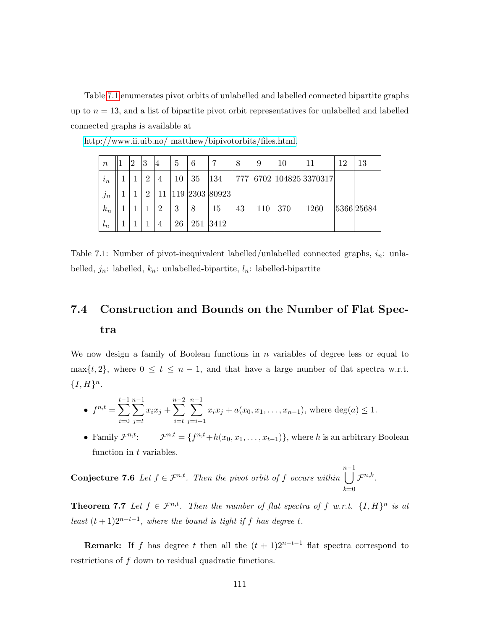Table [7.1](#page-114-0) enumerates pivot orbits of unlabelled and labelled connected bipartite graphs up to  $n = 13$ , and a list of bipartite pivot orbit representatives for unlabelled and labelled connected graphs is available at

| $\boldsymbol{n}$ |       | $\overline{2}$ | 3              | 4 | 5  | 6   |                | 8   | 9   | 10  |                     | 19 | 13         |
|------------------|-------|----------------|----------------|---|----|-----|----------------|-----|-----|-----|---------------------|----|------------|
| $i_n$            |       |                | $\overline{2}$ | 4 | 10 | 35  | 134            | 777 |     |     | 6702 104825 3370317 |    |            |
| $j_n$            |       |                | $\mathcal{D}$  |   |    |     | 119 2303 80923 |     |     |     |                     |    |            |
|                  | $k_n$ |                |                | 2 | 3  |     | 15             | 43  | 110 | 370 | 1260                |    | 5366 25684 |
| $\iota_n$        |       |                |                | 4 | 26 | 251 | 3412           |     |     |     |                     |    |            |

[http://www.ii.uib.no/ matthew/bipivotorbits/files.html.](http://www.ii.uib.no/~matthew/bipivotorbits/files.html)

<span id="page-114-0"></span>Table 7.1: Number of pivot-inequivalent labelled/unlabelled connected graphs,  $i_n$ : unlabelled,  $j_n$ : labelled,  $k_n$ : unlabelled-bipartite,  $l_n$ : labelled-bipartite

# 7.4 Construction and Bounds on the Number of Flat Spectra

We now design a family of Boolean functions in  $n$  variables of degree less or equal to max $\{t, 2\}$ , where  $0 \le t \le n - 1$ , and that have a large number of flat spectra w.r.t.  ${I, H}<sup>n</sup>.$ 

• 
$$
f^{n,t} = \sum_{i=0}^{t-1} \sum_{j=t}^{n-1} x_i x_j + \sum_{i=t}^{n-2} \sum_{j=i+1}^{n-1} x_i x_j + a(x_0, x_1, \dots, x_{n-1}),
$$
 where  $deg(a) \le 1$ .

• Family  $\mathcal{F}^{n,t}$ : <sup>n,t</sup>:  $\mathcal{F}^{n,t} = \{f^{n,t}+h(x_0, x_1, \ldots, x_{t-1})\},\$  where h is an arbitrary Boolean function in t variables.

**Conjecture 7.6** Let  $f \in \mathcal{F}^{n,t}$ . Then the pivot orbit of f occurs within n[−1  $_{k=0}$  $\mathcal{F}^{n,k}$  .

**Theorem 7.7** Let  $f \in \mathcal{F}^{n,t}$ . Then the number of flat spectra of f w.r.t.  $\{I, H\}^n$  is at least  $(t + 1)2^{n-t-1}$ , where the bound is tight if f has degree t.

**Remark:** If f has degree t then all the  $(t + 1)2^{n-t-1}$  flat spectra correspond to restrictions of f down to residual quadratic functions.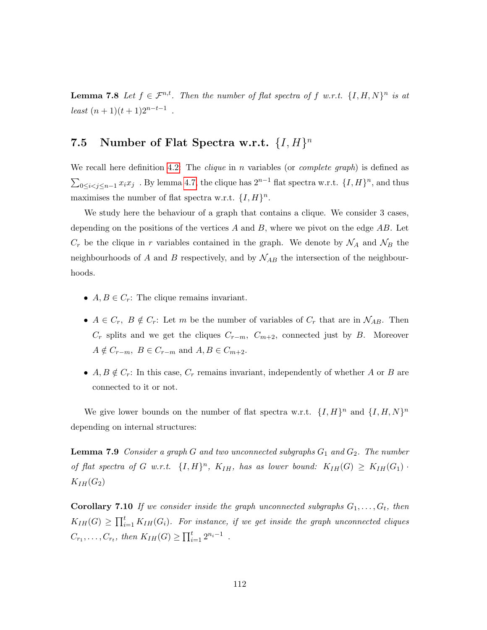**Lemma 7.8** Let  $f \in \mathcal{F}^{n,t}$ . Then the number of flat spectra of f w.r.t.  $\{I, H, N\}^n$  is at  $least (n + 1)(t + 1)2^{n-t-1}$ .

## 7.5 Number of Flat Spectra w.r.t.  $\{I, H\}^n$

We recall here definition [4.2:](#page-60-0) The *clique* in n variables (or *complete graph*) is defined as  $\sum_{0 \leq i < j \leq n-1} x_i x_j$ . By lemma [4.7,](#page-66-0) the clique has  $2^{n-1}$  flat spectra w.r.t.  $\{I, H\}^n$ , and thus maximises the number of flat spectra w.r.t.  $\{I, H\}^n$ .

We study here the behaviour of a graph that contains a clique. We consider 3 cases, depending on the positions of the vertices  $A$  and  $B$ , where we pivot on the edge  $AB$ . Let  $C_r$  be the clique in r variables contained in the graph. We denote by  $\mathcal{N}_A$  and  $\mathcal{N}_B$  the neighbourhoods of A and B respectively, and by  $\mathcal{N}_{AB}$  the intersection of the neighbourhoods.

- $A, B \in C_r$ : The clique remains invariant.
- $A \in C_r$ ,  $B \notin C_r$ : Let m be the number of variables of  $C_r$  that are in  $\mathcal{N}_{AB}$ . Then  $C_r$  splits and we get the cliques  $C_{r-m}$ ,  $C_{m+2}$ , connected just by B. Moreover  $A \notin C_{r-m}$ ,  $B \in C_{r-m}$  and  $A, B \in C_{m+2}$ .
- $A, B \notin C_r$ : In this case,  $C_r$  remains invariant, independently of whether A or B are connected to it or not.

We give lower bounds on the number of flat spectra w.r.t.  $\{I, H\}^n$  and  $\{I, H, N\}^n$ depending on internal structures:

**Lemma 7.9** Consider a graph G and two unconnected subgraphs  $G_1$  and  $G_2$ . The number of flat spectra of G w.r.t.  $\{I, H\}^n$ ,  $K_{IH}$ , has as lower bound:  $K_{IH}(G) \geq K_{IH}(G_1)$ .  $K_{IH}(G_2)$ 

**Corollary 7.10** If we consider inside the graph unconnected subgraphs  $G_1, \ldots, G_t$ , then  $K_{IH}(G) \geq \prod_{i=1}^{t} K_{IH}(G_i)$ . For instance, if we get inside the graph unconnected cliques  $C_{r_1}, \ldots, C_{r_t}$ , then  $K_{IH}(G) \ge \prod_{i=1}^t 2^{n_i-1}$ .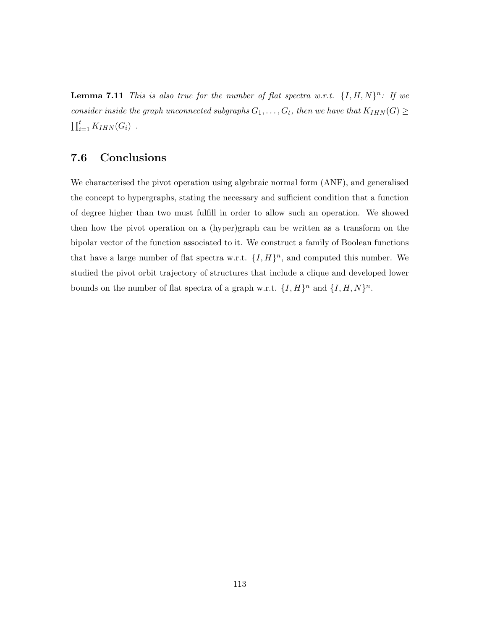**Lemma 7.11** This is also true for the number of flat spectra w.r.t.  $\{I, H, N\}^n$ : If we consider inside the graph unconnected subgraphs  $G_1, \ldots, G_t$ , then we have that  $K_{IHN}(G) \geq 0$  $\prod_{i=1}^t K_{IHN}(G_i)$ .

## 7.6 Conclusions

We characterised the pivot operation using algebraic normal form (ANF), and generalised the concept to hypergraphs, stating the necessary and sufficient condition that a function of degree higher than two must fulfill in order to allow such an operation. We showed then how the pivot operation on a (hyper)graph can be written as a transform on the bipolar vector of the function associated to it. We construct a family of Boolean functions that have a large number of flat spectra w.r.t.  $\{I, H\}^n$ , and computed this number. We studied the pivot orbit trajectory of structures that include a clique and developed lower bounds on the number of flat spectra of a graph w.r.t.  $\{I, H\}^n$  and  $\{I, H, N\}^n$ .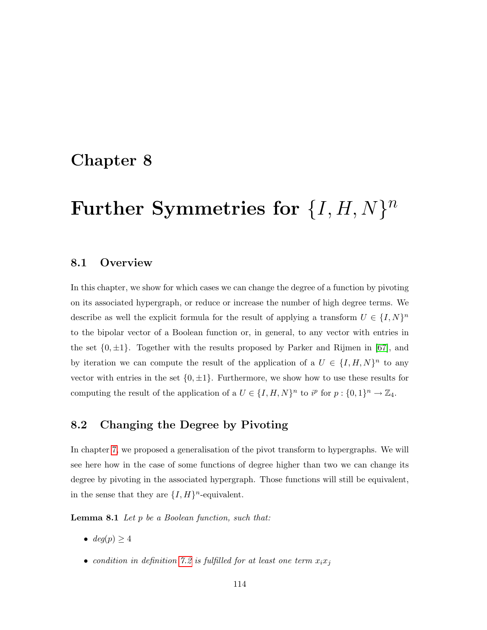# <span id="page-117-0"></span>Chapter 8

# Further Symmetries for  $\{I, H, N\}^n$

### 8.1 Overview

In this chapter, we show for which cases we can change the degree of a function by pivoting on its associated hypergraph, or reduce or increase the number of high degree terms. We describe as well the explicit formula for the result of applying a transform  $U \in \{I, N\}^n$ to the bipolar vector of a Boolean function or, in general, to any vector with entries in the set  $\{0, \pm 1\}$ . Together with the results proposed by Parker and Rijmen in [\[67\]](#page-137-0), and by iteration we can compute the result of the application of a  $U \in \{I, H, N\}^n$  to any vector with entries in the set  $\{0, \pm 1\}$ . Furthermore, we show how to use these results for computing the result of the application of a  $U \in \{I, H, N\}^n$  to  $i^p$  for  $p: \{0, 1\}^n \to \mathbb{Z}_4$ .

### 8.2 Changing the Degree by Pivoting

In chapter [7,](#page-109-0) we proposed a generalisation of the pivot transform to hypergraphs. We will see here how in the case of some functions of degree higher than two we can change its degree by pivoting in the associated hypergraph. Those functions will still be equivalent, in the sense that they are  $\{I, H\}^n$ -equivalent.

Lemma 8.1 Let p be a Boolean function, such that:

- $deg(p) \geq 4$
- condition in definition [7.2](#page-110-1) is fulfilled for at least one term  $x_ix_j$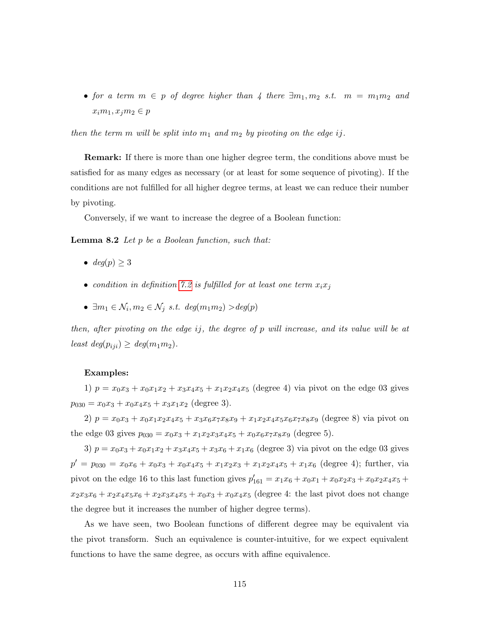• for a term  $m \in p$  of degree higher than 4 there  $\exists m_1, m_2$  s.t.  $m = m_1 m_2$  and  $x_i m_1, x_j m_2 \in p$ 

then the term m will be split into  $m_1$  and  $m_2$  by pivoting on the edge ij.

Remark: If there is more than one higher degree term, the conditions above must be satisfied for as many edges as necessary (or at least for some sequence of pivoting). If the conditions are not fulfilled for all higher degree terms, at least we can reduce their number by pivoting.

Conversely, if we want to increase the degree of a Boolean function:

**Lemma 8.2** Let  $p$  be a Boolean function, such that:

- $deg(p) > 3$
- condition in definition [7.2](#page-110-1) is fulfilled for at least one term  $x_ix_j$
- $\exists m_1 \in \mathcal{N}_i, m_2 \in \mathcal{N}_j \text{ s.t. } deg(m_1 m_2) > deg(p)$

then, after pivoting on the edge ij, the degree of p will increase, and its value will be at least  $deg(p_{ij}) \geq deg(m_1m_2)$ .

#### Examples:

1)  $p = x_0x_3 + x_0x_1x_2 + x_3x_4x_5 + x_1x_2x_4x_5$  (degree 4) via pivot on the edge 03 gives  $p_{030} = x_0x_3 + x_0x_4x_5 + x_3x_1x_2$  (degree 3).

2)  $p = x_0x_3 + x_0x_1x_2x_4x_5 + x_3x_6x_7x_8x_9 + x_1x_2x_4x_5x_6x_7x_8x_9$  (degree 8) via pivot on the edge 03 gives  $p_{030} = x_0x_3 + x_1x_2x_3x_4x_5 + x_0x_6x_7x_8x_9$  (degree 5).

3)  $p = x_0x_3 + x_0x_1x_2 + x_3x_4x_5 + x_3x_6 + x_1x_6$  (degree 3) via pivot on the edge 03 gives  $p' = p_{030} = x_0x_6 + x_0x_3 + x_0x_4x_5 + x_1x_2x_3 + x_1x_2x_4x_5 + x_1x_6$  (degree 4); further, via pivot on the edge 16 to this last function gives  $p'_{161} = x_1x_6 + x_0x_1 + x_0x_2x_3 + x_0x_2x_4x_5 +$  $x_2x_3x_6 + x_2x_4x_5x_6 + x_2x_3x_4x_5 + x_0x_3 + x_0x_4x_5$  (degree 4: the last pivot does not change the degree but it increases the number of higher degree terms).

As we have seen, two Boolean functions of different degree may be equivalent via the pivot transform. Such an equivalence is counter-intuitive, for we expect equivalent functions to have the same degree, as occurs with affine equivalence.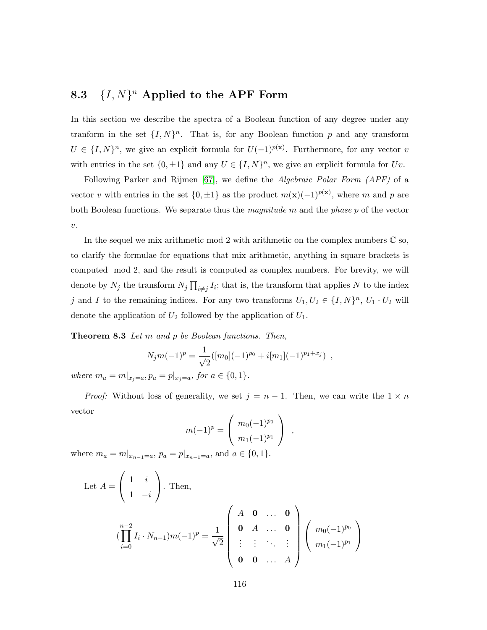## 8.3  $\{I, N\}^n$  Applied to the APF Form

In this section we describe the spectra of a Boolean function of any degree under any tranform in the set  $\{I, N\}^n$ . That is, for any Boolean function p and any transform  $U \in \{I, N\}^n$ , we give an explicit formula for  $U(-1)^{p(x)}$ . Furthermore, for any vector v with entries in the set  $\{0, \pm 1\}$  and any  $U \in \{I, N\}^n$ , we give an explicit formula for  $Uv$ .

Following Parker and Rijmen [\[67\]](#page-137-0), we define the *Algebraic Polar Form (APF)* of a vector v with entries in the set  $\{0, \pm 1\}$  as the product  $m(\mathbf{x})(-1)^{p(\mathbf{x})}$ , where m and p are both Boolean functions. We separate thus the magnitude m and the phase p of the vector  $v$ .

In the sequel we mix arithmetic mod 2 with arithmetic on the complex numbers  $\mathbb C$  so, to clarify the formulae for equations that mix arithmetic, anything in square brackets is computed mod 2, and the result is computed as complex numbers. For brevity, we will denote by  $N_j$  the transform  $N_j \prod_{i \neq j} I_i$ ; that is, the transform that applies N to the index j and I to the remaining indices. For any two transforms  $U_1, U_2 \in \{I, N\}^n$ ,  $U_1 \cdot U_2$  will denote the application of  $U_2$  followed by the application of  $U_1$ .

<span id="page-119-0"></span>Theorem 8.3 Let m and p be Boolean functions. Then,

$$
N_j m(-1)^p = \frac{1}{\sqrt{2}} ([m_0](-1)^{p_0} + i[m_1](-1)^{p_1+x_j}) ,
$$

where  $m_a = m|_{x_j=a}, p_a = p|_{x_j=a}, \text{ for } a \in \{0,1\}.$ 

*Proof:* Without loss of generality, we set  $j = n - 1$ . Then, we can write the  $1 \times n$ vector

$$
m(-1)^{p} = \begin{pmatrix} m_0(-1)^{p_0} \\ m_1(-1)^{p_1} \end{pmatrix} ,
$$

where  $m_a = m|_{x_{n-1}=a}, p_a = p|_{x_{n-1}=a}, \text{ and } a \in \{0,1\}.$ 

Let 
$$
A = \begin{pmatrix} 1 & i \\ 1 & -i \end{pmatrix}
$$
. Then,  
\n
$$
(\prod_{i=0}^{n-2} I_i \cdot N_{n-1}) m(-1)^p = \frac{1}{\sqrt{2}} \begin{pmatrix} A & \mathbf{0} & \dots & \mathbf{0} \\ \mathbf{0} & A & \dots & \mathbf{0} \\ \vdots & \vdots & \ddots & \vdots \\ \mathbf{0} & \mathbf{0} & \dots & A \end{pmatrix} \begin{pmatrix} m_0(-1)^{p_0} \\ m_1(-1)^{p_1} \end{pmatrix}
$$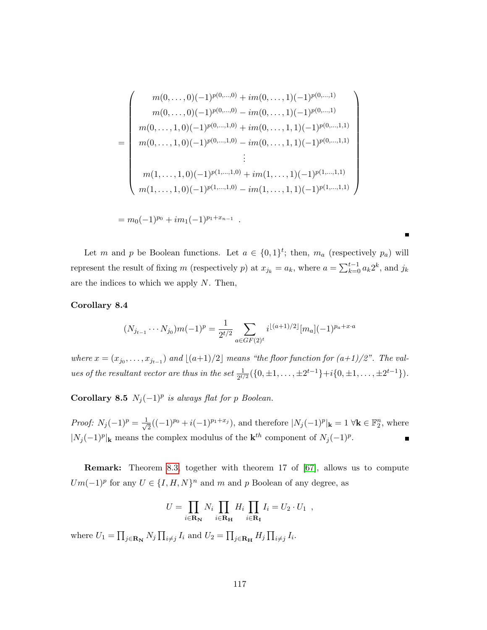$$
m(0, ..., 0)(-1)^{p(0, ..., 0)} + im(0, ..., 1)(-1)^{p(0, ..., 1)}
$$
  
\n
$$
m(0, ..., 1, 0)(-1)^{p(0, ..., 0)} - im(0, ..., 1, 1)(-1)^{p(0, ..., 1)}
$$
  
\n
$$
m(0, ..., 1, 0)(-1)^{p(0, ..., 1, 0)} + im(0, ..., 1, 1)(-1)^{p(0, ..., 1, 1)}
$$
  
\n
$$
\vdots
$$
  
\n
$$
m(1, ..., 1, 0)(-1)^{p(1, ..., 1, 0)} + im(1, ..., 1)(-1)^{p(1, ..., 1, 1)}
$$
  
\n
$$
m(1, ..., 1, 0)(-1)^{p(1, ..., 1, 0)} + im(1, ..., 1)(-1)^{p(1, ..., 1, 1)}
$$

$$
= m_0(-1)^{p_0} + im_1(-1)^{p_1+x_{n-1}}
$$

Let m and p be Boolean functions. Let  $a \in \{0,1\}^t$ ; then,  $m_a$  (respectively  $p_a$ ) will represent the result of fixing m (respectively p) at  $x_{j_k} = a_k$ , where  $a = \sum_{k=0}^{t-1} a_k 2^k$ , and  $j_k$ are the indices to which we apply  $N$ . Then,

.

#### Corollary 8.4

$$
(N_{j_{t-1}} \cdots N_{j_0})m(-1)^p = \frac{1}{2^{t/2}} \sum_{a \in GF(2)^t} i^{\lfloor (a+1)/2 \rfloor} [m_a](-1)^{p_a + x \cdot a}
$$

where  $x = (x_{j_0}, \ldots, x_{j_{t-1}})$  and  $\lfloor (a+1)/2 \rfloor$  means "the floor function for  $(a+1)/2$ ". The values of the resultant vector are thus in the set  $\frac{1}{2^{t/2}}(\{0,\pm 1,\ldots,\pm 2^{t-1}\}+i\{0,\pm 1,\ldots,\pm 2^{t-1}\}).$ 

Corollary 8.5  $N_j(-1)^p$  is always flat for p Boolean.

Proof:  $N_j(-1)^p = \frac{1}{\sqrt{k}}$  $\frac{1}{2}((-1)^{p_0}+i(-1)^{p_1+x_j})$ , and therefore  $|N_j(-1)^p|_{\mathbf{k}}=1 \ \forall \mathbf{k} \in \mathbb{F}_2^n$ , where  $|N_j(-1)^p|$ <sub>k</sub> means the complex modulus of the k<sup>th</sup> component of  $N_j(-1)^p$ . П

Remark: Theorem [8.3,](#page-119-0) together with theorem 17 of [\[67\]](#page-137-0), allows us to compute  $Um(-1)^p$  for any  $U \in \{I, H, N\}^n$  and m and p Boolean of any degree, as

$$
U = \prod_{i \in \mathbf{R}_{\mathbf{N}}} N_i \prod_{i \in \mathbf{R}_{\mathbf{H}}} H_i \prod_{i \in \mathbf{R}_{\mathbf{I}}} I_i = U_2 \cdot U_1 ,
$$

where  $U_1 = \prod_{j \in \mathbf{R}_{\mathbf{N}}} N_j \prod_{i \neq j} I_i$  and  $U_2 = \prod_{j \in \mathbf{R}_{\mathbf{H}}} H_j \prod_{i \neq j} I_i$ .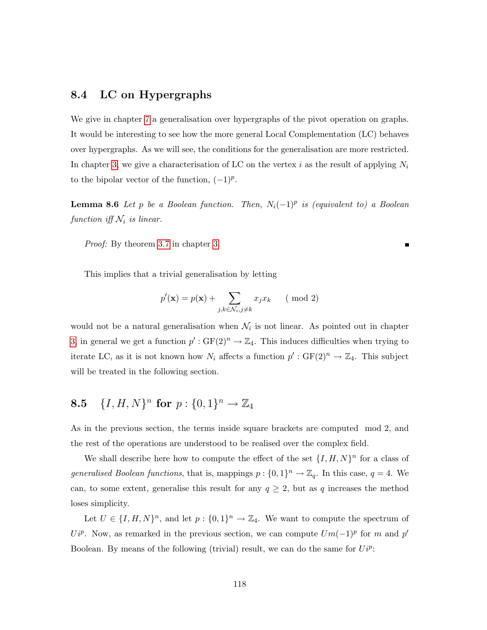### 8.4 LC on Hypergraphs

We give in chapter [7](#page-109-0) a generalisation over hypergraphs of the pivot operation on graphs. It would be interesting to see how the more general Local Complementation (LC) behaves over hypergraphs. As we will see, the conditions for the generalisation are more restricted. In chapter [3,](#page-31-0) we give a characterisation of LC on the vertex i as the result of applying  $N_i$ to the bipolar vector of the function,  $(-1)^p$ .

**Lemma 8.6** Let p be a Boolean function. Then,  $N_i(-1)^p$  is (equivalent to) a Boolean function iff  $\mathcal{N}_i$  is linear.

П

Proof: By theorem [3.7](#page-39-0) in chapter [3.](#page-31-0)

This implies that a trivial generalisation by letting

$$
p'(\mathbf{x}) = p(\mathbf{x}) + \sum_{j,k \in \mathcal{N}_i, j \neq k} x_j x_k \qquad (\text{mod } 2)
$$

would not be a natural generalisation when  $\mathcal{N}_i$  is not linear. As pointed out in chapter [3,](#page-31-0) in general we get a function  $p': GF(2)^n \to \mathbb{Z}_4$ . This induces difficulties when trying to iterate LC, as it is not known how  $N_i$  affects a function  $p': GF(2)^n \to \mathbb{Z}_4$ . This subject will be treated in the following section.

# **8.5**  $\{I, H, N\}^n$  for  $p: \{0, 1\}^n \to \mathbb{Z}_4$

As in the previous section, the terms inside square brackets are computed mod 2, and the rest of the operations are understood to be realised over the complex field.

We shall describe here how to compute the effect of the set  $\{I, H, N\}^n$  for a class of generalised Boolean functions, that is, mappings  $p: \{0,1\}^n \to \mathbb{Z}_q$ . In this case,  $q = 4$ . We can, to some extent, generalise this result for any  $q \geq 2$ , but as q increases the method loses simplicity.

<span id="page-121-0"></span>Let  $U \in \{I, H, N\}^n$ , and let  $p: \{0, 1\}^n \to \mathbb{Z}_4$ . We want to compute the spectrum of  $U_i^p$ . Now, as remarked in the previous section, we can compute  $Um(-1)^p$  for m and p' Boolean. By means of the following (trivial) result, we can do the same for  $U_i^i$ .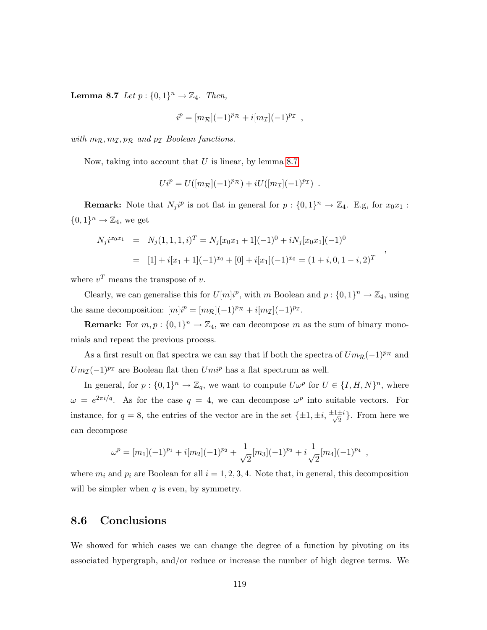**Lemma 8.7** Let  $p: \{0, 1\}^n \rightarrow \mathbb{Z}_4$ . Then,

$$
i^p = [m_{\mathcal{R}}](-1)^{p_{\mathcal{R}}} + i[m_{\mathcal{I}}](-1)^{p_{\mathcal{I}}},
$$

with  $m_{\mathcal{R}}, m_{\mathcal{I}}, p_{\mathcal{R}}$  and  $p_{\mathcal{I}}$  Boolean functions.

Now, taking into account that  $U$  is linear, by lemma [8.7](#page-121-0)

$$
Ui^p = U([m_{\mathcal{R}}](-1)^{p_{\mathcal{R}}}) + i U([m_{\mathcal{I}}](-1)^{p_{\mathcal{I}}}) \ .
$$

**Remark:** Note that  $N_j i^p$  is not flat in general for  $p: \{0,1\}^n \to \mathbb{Z}_4$ . E.g, for  $x_0 x_1$ :  $\{0,1\}^n \to \mathbb{Z}_4$ , we get

$$
N_j i^{x_0 x_1} = N_j (1, 1, 1, i)^T = N_j [x_0 x_1 + 1] (-1)^0 + i N_j [x_0 x_1] (-1)^0
$$
  
= [1] + i[x\_1 + 1] (-1)^{x\_0} + [0] + i[x\_1] (-1)^{x\_0} = (1 + i, 0, 1 - i, 2)^T

,

where  $v^T$  means the transpose of v.

Clearly, we can generalise this for  $U[m]i^p$ , with m Boolean and  $p: \{0,1\}^n \to \mathbb{Z}_4$ , using the same decomposition:  $[m]i^p = [m_{\mathcal{R}}](-1)^{p_{\mathcal{R}}} + i[m_{\mathcal{I}}](-1)^{p_{\mathcal{I}}}$ .

**Remark:** For  $m, p: \{0, 1\}^n \to \mathbb{Z}_4$ , we can decompose m as the sum of binary monomials and repeat the previous process.

As a first result on flat spectra we can say that if both the spectra of  $Um_{\mathcal{R}}(-1)^{p_{\mathcal{R}}}$  and  $Um_{\mathcal{I}}(-1)^{p_{\mathcal{I}}}$  are Boolean flat then  $Um_i^p$  has a flat spectrum as well.

In general, for  $p: \{0,1\}^n \to \mathbb{Z}_q$ , we want to compute  $U\omega^p$  for  $U \in \{I, H, N\}^n$ , where  $\omega = e^{2\pi i/q}$ . As for the case  $q = 4$ , we can decompose  $\omega^p$  into suitable vectors. For instance, for  $q = 8$ , the entries of the vector are in the set  $\{\pm 1, \pm i, \frac{\pm 1 \pm i}{\sqrt{2}}\}$  $\frac{\pm i}{2}$ . From here we can decompose

$$
\omega^{p} = [m_1](-1)^{p_1} + i[m_2](-1)^{p_2} + \frac{1}{\sqrt{2}}[m_3](-1)^{p_3} + i\frac{1}{\sqrt{2}}[m_4](-1)^{p_4} ,
$$

where  $m_i$  and  $p_i$  are Boolean for all  $i = 1, 2, 3, 4$ . Note that, in general, this decomposition will be simpler when  $q$  is even, by symmetry.

#### 8.6 Conclusions

We showed for which cases we can change the degree of a function by pivoting on its associated hypergraph, and/or reduce or increase the number of high degree terms. We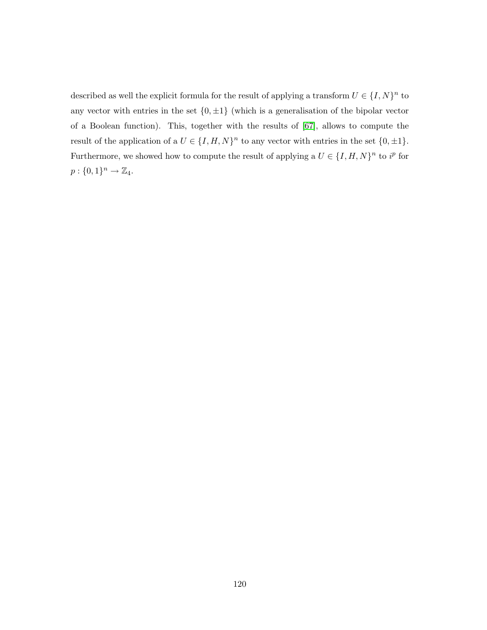described as well the explicit formula for the result of applying a transform  $U \in \{I, N\}^n$  to any vector with entries in the set  $\{0, \pm 1\}$  (which is a generalisation of the bipolar vector of a Boolean function). This, together with the results of [\[67\]](#page-137-0), allows to compute the result of the application of a  $U \in \{I, H, N\}^n$  to any vector with entries in the set  $\{0, \pm 1\}$ . Furthermore, we showed how to compute the result of applying a  $U \in \{I, H, N\}^n$  to  $i^p$  for  $p: \{0,1\}^n \rightarrow \mathbb{Z}_4.$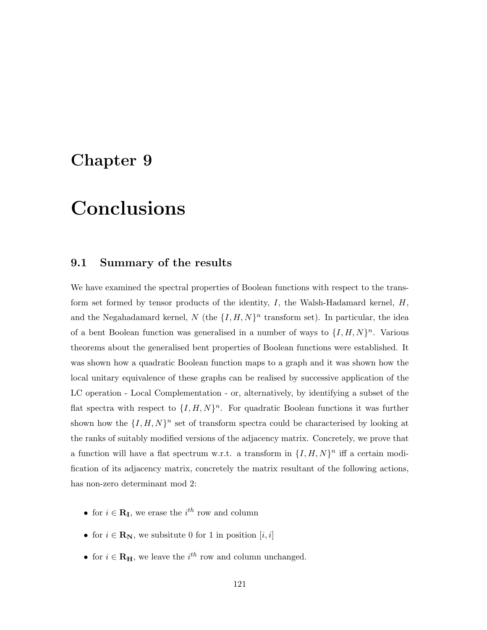# Chapter 9

# Conclusions

### 9.1 Summary of the results

We have examined the spectral properties of Boolean functions with respect to the transform set formed by tensor products of the identity,  $I$ , the Walsh-Hadamard kernel,  $H$ , and the Negahadamard kernel, N (the  $\{I, H, N\}^n$  transform set). In particular, the idea of a bent Boolean function was generalised in a number of ways to  $\{I, H, N\}^n$ . Various theorems about the generalised bent properties of Boolean functions were established. It was shown how a quadratic Boolean function maps to a graph and it was shown how the local unitary equivalence of these graphs can be realised by successive application of the LC operation - Local Complementation - or, alternatively, by identifying a subset of the flat spectra with respect to  $\{I, H, N\}^n$ . For quadratic Boolean functions it was further shown how the  $\{I, H, N\}^n$  set of transform spectra could be characterised by looking at the ranks of suitably modified versions of the adjacency matrix. Concretely, we prove that a function will have a flat spectrum w.r.t. a transform in  $\{I, H, N\}^n$  iff a certain modification of its adjacency matrix, concretely the matrix resultant of the following actions, has non-zero determinant mod 2:

- for  $i \in \mathbf{R}_{\mathbf{I}}$ , we erase the  $i^{th}$  row and column
- for  $i \in \mathbf{R}_{N}$ , we subsitute 0 for 1 in position  $[i, i]$
- for  $i \in \mathbf{R}_{\mathbf{H}}$ , we leave the  $i^{th}$  row and column unchanged.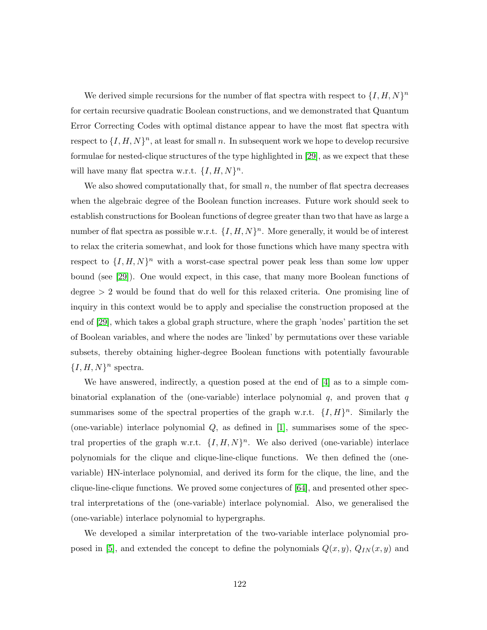We derived simple recursions for the number of flat spectra with respect to  $\{I, H, N\}^n$ for certain recursive quadratic Boolean constructions, and we demonstrated that Quantum Error Correcting Codes with optimal distance appear to have the most flat spectra with respect to  $\{I, H, N\}^n$ , at least for small n. In subsequent work we hope to develop recursive formulae for nested-clique structures of the type highlighted in [\[29\]](#page-133-0), as we expect that these will have many flat spectra w.r.t.  $\{I, H, N\}^n$ .

We also showed computationally that, for small  $n$ , the number of flat spectra decreases when the algebraic degree of the Boolean function increases. Future work should seek to establish constructions for Boolean functions of degree greater than two that have as large a number of flat spectra as possible w.r.t.  $\{I, H, N\}^n$ . More generally, it would be of interest to relax the criteria somewhat, and look for those functions which have many spectra with respect to  $\{I, H, N\}^n$  with a worst-case spectral power peak less than some low upper bound (see [\[29\]](#page-133-0)). One would expect, in this case, that many more Boolean functions of degree  $> 2$  would be found that do well for this relaxed criteria. One promising line of inquiry in this context would be to apply and specialise the construction proposed at the end of [\[29\]](#page-133-0), which takes a global graph structure, where the graph 'nodes' partition the set of Boolean variables, and where the nodes are 'linked' by permutations over these variable subsets, thereby obtaining higher-degree Boolean functions with potentially favourable  ${I, H, N}^n$  spectra.

We have answered, indirectly, a question posed at the end of [\[4\]](#page-131-2) as to a simple combinatorial explanation of the (one-variable) interlace polynomial  $q$ , and proven that  $q$ summarises some of the spectral properties of the graph w.r.t.  $\{I, H\}^n$ . Similarly the (one-variable) interlace polynomial  $Q$ , as defined in [\[1\]](#page-131-3), summarises some of the spectral properties of the graph w.r.t.  $\{I, H, N\}^n$ . We also derived (one-variable) interlace polynomials for the clique and clique-line-clique functions. We then defined the (onevariable) HN-interlace polynomial, and derived its form for the clique, the line, and the clique-line-clique functions. We proved some conjectures of [\[64\]](#page-136-1), and presented other spectral interpretations of the (one-variable) interlace polynomial. Also, we generalised the (one-variable) interlace polynomial to hypergraphs.

We developed a similar interpretation of the two-variable interlace polynomial pro-posed in [\[5\]](#page-131-0), and extended the concept to define the polynomials  $Q(x, y)$ ,  $Q_{IN}(x, y)$  and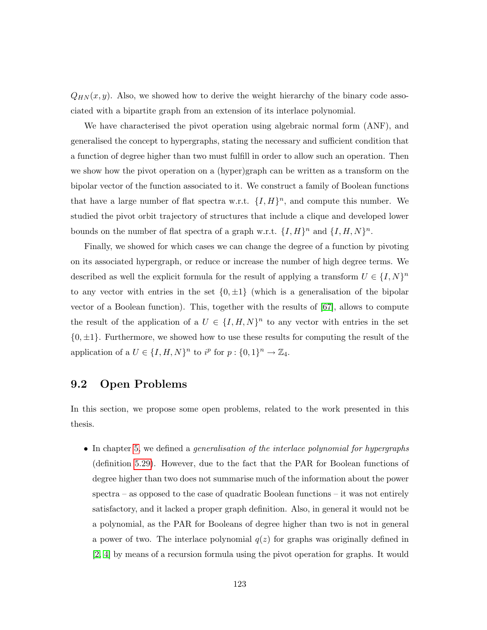$Q_{HN}(x, y)$ . Also, we showed how to derive the weight hierarchy of the binary code associated with a bipartite graph from an extension of its interlace polynomial.

We have characterised the pivot operation using algebraic normal form (ANF), and generalised the concept to hypergraphs, stating the necessary and sufficient condition that a function of degree higher than two must fulfill in order to allow such an operation. Then we show how the pivot operation on a (hyper)graph can be written as a transform on the bipolar vector of the function associated to it. We construct a family of Boolean functions that have a large number of flat spectra w.r.t.  $\{I, H\}^n$ , and compute this number. We studied the pivot orbit trajectory of structures that include a clique and developed lower bounds on the number of flat spectra of a graph w.r.t.  $\{I, H\}^n$  and  $\{I, H, N\}^n$ .

Finally, we showed for which cases we can change the degree of a function by pivoting on its associated hypergraph, or reduce or increase the number of high degree terms. We described as well the explicit formula for the result of applying a transform  $U \in \{I, N\}^n$ to any vector with entries in the set  $\{0, \pm 1\}$  (which is a generalisation of the bipolar vector of a Boolean function). This, together with the results of [\[67\]](#page-137-0), allows to compute the result of the application of a  $U \in \{I, H, N\}^n$  to any vector with entries in the set  $\{0, \pm 1\}$ . Furthermore, we showed how to use these results for computing the result of the application of a  $U \in \{I, H, N\}^n$  to  $i^p$  for  $p: \{0, 1\}^n \to \mathbb{Z}_4$ .

### 9.2 Open Problems

In this section, we propose some open problems, related to the work presented in this thesis.

• In chapter [5,](#page-80-0) we defined a *generalisation of the interlace polynomial for hypergraphs* (definition [5.29\)](#page-98-0). However, due to the fact that the PAR for Boolean functions of degree higher than two does not summarise much of the information about the power spectra – as opposed to the case of quadratic Boolean functions – it was not entirely satisfactory, and it lacked a proper graph definition. Also, in general it would not be a polynomial, as the PAR for Booleans of degree higher than two is not in general a power of two. The interlace polynomial  $q(z)$  for graphs was originally defined in [\[2,](#page-131-1) [4\]](#page-131-2) by means of a recursion formula using the pivot operation for graphs. It would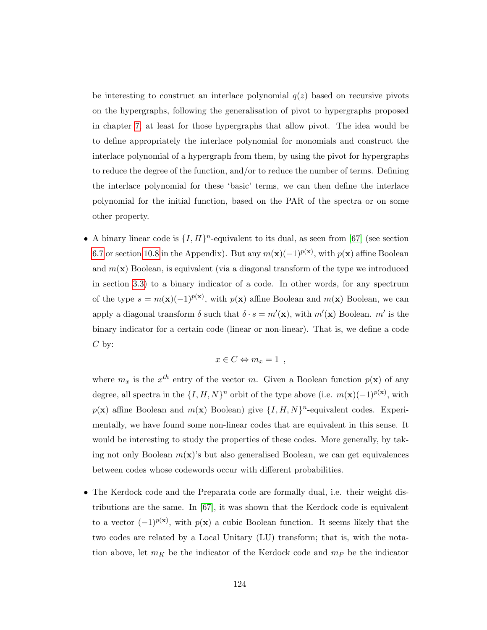be interesting to construct an interlace polynomial  $q(z)$  based on recursive pivots on the hypergraphs, following the generalisation of pivot to hypergraphs proposed in chapter [7,](#page-109-0) at least for those hypergraphs that allow pivot. The idea would be to define appropriately the interlace polynomial for monomials and construct the interlace polynomial of a hypergraph from them, by using the pivot for hypergraphs to reduce the degree of the function, and/or to reduce the number of terms. Defining the interlace polynomial for these 'basic' terms, we can then define the interlace polynomial for the initial function, based on the PAR of the spectra or on some other property.

• A binary linear code is  $\{I, H\}^n$ -equivalent to its dual, as seen from [\[67\]](#page-137-0) (see section [6.7](#page-104-0) or section [10.8](#page-148-0) in the Appendix). But any  $m(\mathbf{x})(-1)^{p(\mathbf{x})}$ , with  $p(\mathbf{x})$  affine Boolean and  $m(\mathbf{x})$  Boolean, is equivalent (via a diagonal transform of the type we introduced in section [3.3\)](#page-34-0) to a binary indicator of a code. In other words, for any spectrum of the type  $s = m(\mathbf{x})(-1)^{p(\mathbf{x})}$ , with  $p(\mathbf{x})$  affine Boolean and  $m(\mathbf{x})$  Boolean, we can apply a diagonal transform  $\delta$  such that  $\delta \cdot s = m'(\mathbf{x})$ , with  $m'(\mathbf{x})$  Boolean. m' is the binary indicator for a certain code (linear or non-linear). That is, we define a code  $C$  by:

$$
x \in C \Leftrightarrow m_x = 1 ,
$$

where  $m_x$  is the  $x^{th}$  entry of the vector m. Given a Boolean function  $p(x)$  of any degree, all spectra in the  $\{I, H, N\}^n$  orbit of the type above (i.e.  $m(\mathbf{x})(-1)^{p(\mathbf{x})}$ , with  $p(\mathbf{x})$  affine Boolean and  $m(\mathbf{x})$  Boolean) give  $\{I, H, N\}^n$ -equivalent codes. Experimentally, we have found some non-linear codes that are equivalent in this sense. It would be interesting to study the properties of these codes. More generally, by taking not only Boolean  $m(\mathbf{x})$ 's but also generalised Boolean, we can get equivalences between codes whose codewords occur with different probabilities.

• The Kerdock code and the Preparata code are formally dual, i.e. their weight distributions are the same. In  $[67]$ , it was shown that the Kerdock code is equivalent to a vector  $(-1)^{p(x)}$ , with  $p(x)$  a cubic Boolean function. It seems likely that the two codes are related by a Local Unitary (LU) transform; that is, with the notation above, let  $m_K$  be the indicator of the Kerdock code and  $m_P$  be the indicator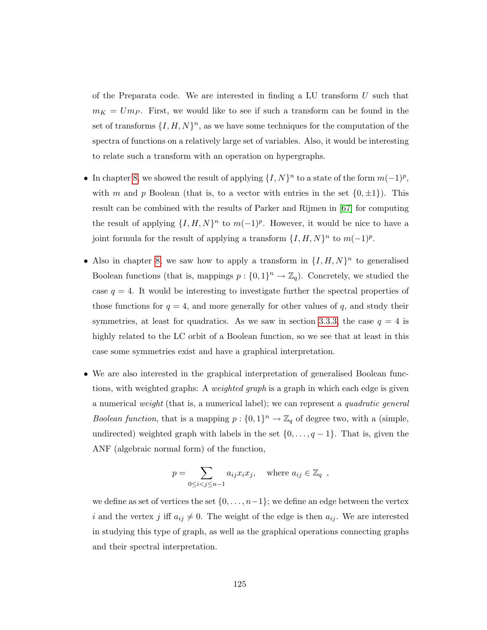of the Preparata code. We are interested in finding a LU transform  $U$  such that  $m_K = Um_P$ . First, we would like to see if such a transform can be found in the set of transforms  $\{I, H, N\}^n$ , as we have some techniques for the computation of the spectra of functions on a relatively large set of variables. Also, it would be interesting to relate such a transform with an operation on hypergraphs.

- In chapter [8,](#page-117-0) we showed the result of applying  $\{I, N\}^n$  to a state of the form  $m(-1)^p$ , with m and p Boolean (that is, to a vector with entries in the set  $\{0,\pm 1\}$ ). This result can be combined with the results of Parker and Rijmen in [\[67\]](#page-137-0) for computing the result of applying  $\{I, H, N\}^n$  to  $m(-1)^p$ . However, it would be nice to have a joint formula for the result of applying a transform  $\{I, H, N\}^n$  to  $m(-1)^p$ .
- Also in chapter [8,](#page-117-0) we saw how to apply a transform in  $\{I, H, N\}^n$  to generalised Boolean functions (that is, mappings  $p: \{0,1\}^n \to \mathbb{Z}_q$ ). Concretely, we studied the case  $q = 4$ . It would be interesting to investigate further the spectral properties of those functions for  $q = 4$ , and more generally for other values of q, and study their symmetries, at least for quadratics. As we saw in section [3.3.3,](#page-38-0) the case  $q = 4$  is highly related to the LC orbit of a Boolean function, so we see that at least in this case some symmetries exist and have a graphical interpretation.
- We are also interested in the graphical interpretation of generalised Boolean functions, with weighted graphs: A *weighted graph* is a graph in which each edge is given a numerical weight (that is, a numerical label); we can represent a quadratic general *Boolean function*, that is a mapping  $p: \{0,1\}^n \to \mathbb{Z}_q$  of degree two, with a (simple, undirected) weighted graph with labels in the set  $\{0, \ldots, q-1\}$ . That is, given the ANF (algebraic normal form) of the function,

$$
p = \sum_{0 \le i < j \le n-1} a_{ij} x_i x_j, \quad \text{where } a_{ij} \in \mathbb{Z}_q \ ,
$$

we define as set of vertices the set  $\{0, \ldots, n-1\}$ ; we define an edge between the vertex i and the vertex j iff  $a_{ij} \neq 0$ . The weight of the edge is then  $a_{ij}$ . We are interested in studying this type of graph, as well as the graphical operations connecting graphs and their spectral interpretation.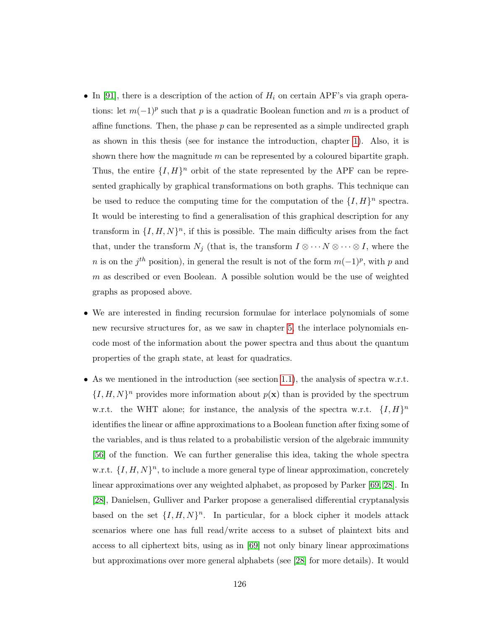- In [\[91\]](#page-139-0), there is a description of the action of  $H_i$  on certain APF's via graph operations: let  $m(-1)^p$  such that p is a quadratic Boolean function and m is a product of affine functions. Then, the phase  $p$  can be represented as a simple undirected graph as shown in this thesis (see for instance the introduction, chapter [1\)](#page-7-0). Also, it is shown there how the magnitude  $m$  can be represented by a coloured bipartite graph. Thus, the entire  $\{I, H\}^n$  orbit of the state represented by the APF can be represented graphically by graphical transformations on both graphs. This technique can be used to reduce the computing time for the computation of the  $\{I, H\}^n$  spectra. It would be interesting to find a generalisation of this graphical description for any transform in  $\{I, H, N\}$ <sup>n</sup>, if this is possible. The main difficulty arises from the fact that, under the transform  $N_j$  (that is, the transform  $I \otimes \cdots \otimes I$ , where the n is on the j<sup>th</sup> position), in general the result is not of the form  $m(-1)<sup>p</sup>$ , with p and  $m$  as described or even Boolean. A possible solution would be the use of weighted graphs as proposed above.
- We are interested in finding recursion formulae for interlace polynomials of some new recursive structures for, as we saw in chapter [5,](#page-80-0) the interlace polynomials encode most of the information about the power spectra and thus about the quantum properties of the graph state, at least for quadratics.
- As we mentioned in the introduction (see section [1.1\)](#page-9-0), the analysis of spectra w.r.t.  $\{I, H, N\}^n$  provides more information about  $p(\mathbf{x})$  than is provided by the spectrum w.r.t. the WHT alone; for instance, the analysis of the spectra w.r.t.  $\{I, H\}^n$ identifies the linear or affine approximations to a Boolean function after fixing some of the variables, and is thus related to a probabilistic version of the algebraic immunity [\[56\]](#page-136-2) of the function. We can further generalise this idea, taking the whole spectra w.r.t.  $\{I, H, N\}^n$ , to include a more general type of linear approximation, concretely linear approximations over any weighted alphabet, as proposed by Parker [\[69,](#page-137-1) [28\]](#page-133-3). In [\[28\]](#page-133-3), Danielsen, Gulliver and Parker propose a generalised differential cryptanalysis based on the set  $\{I, H, N\}^n$ . In particular, for a block cipher it models attack scenarios where one has full read/write access to a subset of plaintext bits and access to all ciphertext bits, using as in [\[69\]](#page-137-1) not only binary linear approximations but approximations over more general alphabets (see [\[28\]](#page-133-3) for more details). It would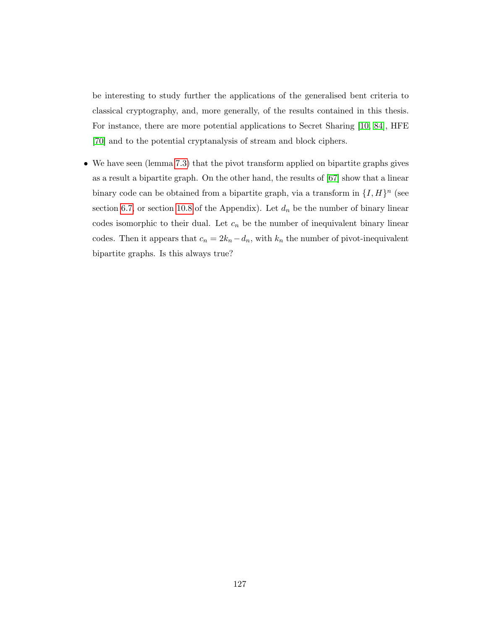be interesting to study further the applications of the generalised bent criteria to classical cryptography, and, more generally, of the results contained in this thesis. For instance, there are more potential applications to Secret Sharing [\[10,](#page-132-1) [84\]](#page-138-1), HFE [\[70\]](#page-137-2) and to the potential cryptanalysis of stream and block ciphers.

• We have seen (lemma [7.3\)](#page-110-2) that the pivot transform applied on bipartite graphs gives as a result a bipartite graph. On the other hand, the results of [\[67\]](#page-137-0) show that a linear binary code can be obtained from a bipartite graph, via a transform in  $\{I, H\}^n$  (see section [6.7,](#page-104-0) or section [10.8](#page-148-0) of the Appendix). Let  $d_n$  be the number of binary linear codes isomorphic to their dual. Let  $c_n$  be the number of inequivalent binary linear codes. Then it appears that  $c_n = 2k_n - d_n$ , with  $k_n$  the number of pivot-inequivalent bipartite graphs. Is this always true?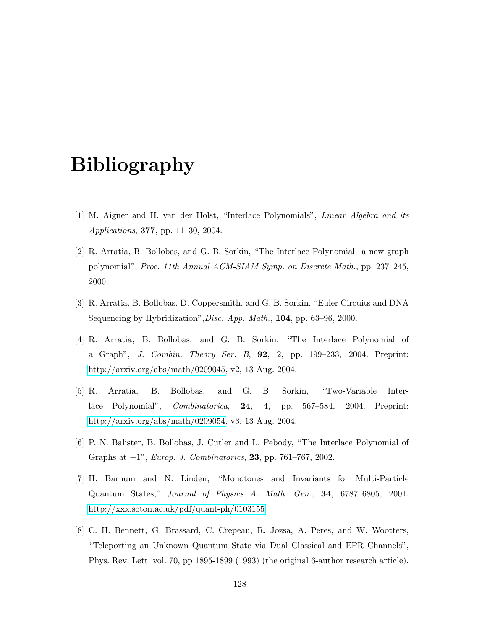# Bibliography

- <span id="page-131-3"></span>[1] M. Aigner and H. van der Holst, "Interlace Polynomials", Linear Algebra and its Applications, 377, pp. 11–30, 2004.
- <span id="page-131-1"></span>[2] R. Arratia, B. Bollobas, and G. B. Sorkin, "The Interlace Polynomial: a new graph polynomial", Proc. 11th Annual ACM-SIAM Symp. on Discrete Math., pp. 237–245, 2000.
- [3] R. Arratia, B. Bollobas, D. Coppersmith, and G. B. Sorkin, "Euler Circuits and DNA Sequencing by Hybridization", *Disc. App. Math.*, **104**, pp. 63–96, 2000.
- <span id="page-131-2"></span>[4] R. Arratia, B. Bollobas, and G. B. Sorkin, "The Interlace Polynomial of a Graph", J. Combin. Theory Ser. B, 92, 2, pp. 199–233, 2004. Preprint: [http://arxiv.org/abs/math/0209045,](http://arxiv.org/abs/math/0209045) v2, 13 Aug. 2004.
- <span id="page-131-0"></span>[5] R. Arratia, B. Bollobas, and G. B. Sorkin, "Two-Variable Interlace Polynomial", Combinatorica, 24, 4, pp. 567–584, 2004. Preprint: [http://arxiv.org/abs/math/0209054,](http://arxiv.org/abs/math/0209054) v3, 13 Aug. 2004.
- [6] P. N. Balister, B. Bollobas, J. Cutler and L. Pebody, "The Interlace Polynomial of Graphs at −1", Europ. J. Combinatorics, 23, pp. 761–767, 2002.
- [7] H. Barnum and N. Linden, "Monotones and Invariants for Multi-Particle Quantum States," Journal of Physics A: Math. Gen., 34, 6787–6805, 2001. <http://xxx.soton.ac.uk/pdf/quant-ph/0103155>
- [8] C. H. Bennett, G. Brassard, C. Crepeau, R. Jozsa, A. Peres, and W. Wootters, "Teleporting an Unknown Quantum State via Dual Classical and EPR Channels", Phys. Rev. Lett. vol. 70, pp 1895-1899 (1993) (the original 6-author research article).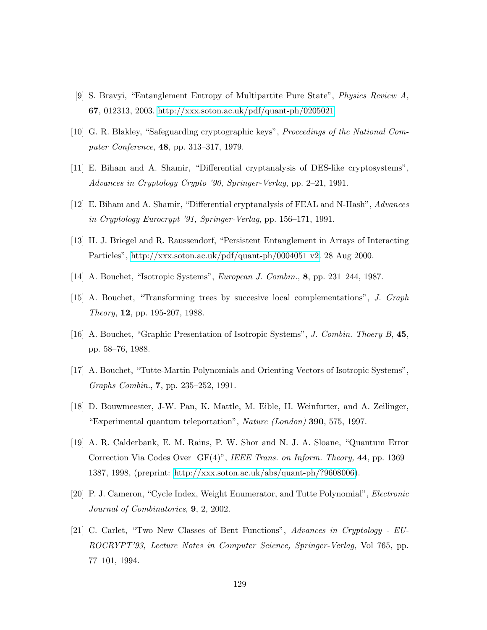- [9] S. Bravyi, "Entanglement Entropy of Multipartite Pure State", Physics Review A, 67, 012313, 2003.<http://xxx.soton.ac.uk/pdf/quant-ph/0205021>
- <span id="page-132-1"></span>[10] G. R. Blakley, "Safeguarding cryptographic keys", Proceedings of the National Computer Conference, 48, pp. 313–317, 1979.
- [11] E. Biham and A. Shamir, "Differential cryptanalysis of DES-like cryptosystems", Advances in Cryptology Crypto '90, Springer-Verlag, pp. 2–21, 1991.
- [12] E. Biham and A. Shamir, "Differential cryptanalysis of FEAL and N-Hash", Advances in Cryptology Eurocrypt '91, Springer-Verlag, pp. 156–171, 1991.
- [13] H. J. Briegel and R. Raussendorf, "Persistent Entanglement in Arrays of Interacting Particles", [http://xxx.soton.ac.uk/pdf/quant-ph/0004051 v2.](http://xxx.soton.ac.uk/pdf/quant-ph/0004051) 28 Aug 2000.
- <span id="page-132-2"></span>[14] A. Bouchet, "Isotropic Systems", European J. Combin., 8, pp. 231–244, 1987.
- <span id="page-132-3"></span>[15] A. Bouchet, "Transforming trees by succesive local complementations", J. Graph Theory, 12, pp. 195-207, 1988.
- <span id="page-132-4"></span>[16] A. Bouchet, "Graphic Presentation of Isotropic Systems", J. Combin. Thoery B, 45, pp. 58–76, 1988.
- <span id="page-132-0"></span>[17] A. Bouchet, "Tutte-Martin Polynomials and Orienting Vectors of Isotropic Systems", Graphs Combin., 7, pp. 235–252, 1991.
- [18] D. Bouwmeester, J-W. Pan, K. Mattle, M. Eible, H. Weinfurter, and A. Zeilinger, "Experimental quantum teleportation", Nature (London) **390**, 575, 1997.
- <span id="page-132-5"></span>[19] A. R. Calderbank, E. M. Rains, P. W. Shor and N. J. A. Sloane, "Quantum Error Correction Via Codes Over GF(4)", IEEE Trans. on Inform. Theory, 44, pp. 1369– 1387, 1998, (preprint: [http://xxx.soton.ac.uk/abs/quant-ph/?9608006\)](http://xxx.soton.ac.uk/abs/quant-ph/?9608006).
- [20] P. J. Cameron, "Cycle Index, Weight Enumerator, and Tutte Polynomial", Electronic Journal of Combinatorics, 9, 2, 2002.
- [21] C. Carlet, "Two New Classes of Bent Functions", Advances in Cryptology EU-ROCRYPT'93, Lecture Notes in Computer Science, Springer-Verlag, Vol 765, pp. 77–101, 1994.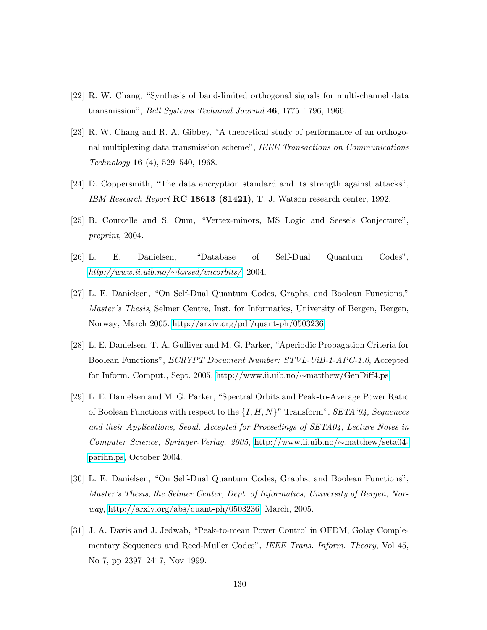- [22] R. W. Chang, "Synthesis of band-limited orthogonal signals for multi-channel data transmission", Bell Systems Technical Journal 46, 1775–1796, 1966.
- [23] R. W. Chang and R. A. Gibbey, "A theoretical study of performance of an orthogonal multiplexing data transmission scheme", IEEE Transactions on Communications Technology 16 (4), 529–540, 1968.
- [24] D. Coppersmith, "The data encryption standard and its strength against attacks", IBM Research Report  $\mathbb{R}C$  18613 (81421), T. J. Watson research center, 1992.
- <span id="page-133-4"></span>[25] B. Courcelle and S. Oum, "Vertex-minors, MS Logic and Seese's Conjecture", preprint, 2004.
- <span id="page-133-2"></span>[26] L. E. Danielsen, "Database of Self-Dual Quantum Codes", [http://www.ii.uib.no/](http://www.ii.uib.no/~larsed/vncorbits/)∼larsed/vncorbits/, 2004.
- [27] L. E. Danielsen, "On Self-Dual Quantum Codes, Graphs, and Boolean Functions," Master's Thesis, Selmer Centre, Inst. for Informatics, University of Bergen, Bergen, Norway, March 2005. [http://arxiv.org/pdf/quant-ph/0503236.](http://arxiv.org/pdf/quant-ph/0503236)
- <span id="page-133-3"></span>[28] L. E. Danielsen, T. A. Gulliver and M. G. Parker, "Aperiodic Propagation Criteria for Boolean Functions", ECRYPT Document Number: STVL-UiB-1-APC-1.0, Accepted for Inform. Comput., Sept. 2005. [http://www.ii.uib.no/](http://www.ii.uib.no/~matthew/GenDiff4.pdf)∼matthew/GenDiff4.ps.
- <span id="page-133-0"></span>[29] L. E. Danielsen and M. G. Parker, "Spectral Orbits and Peak-to-Average Power Ratio of Boolean Functions with respect to the  $\{I, H, N\}^n$  Transform", SETA'04, Sequences and their Applications, Seoul, Accepted for Proceedings of SETA04, Lecture Notes in Computer Science, Springer-Verlag, 2005, [http://www.ii.uib.no/](http://www.ii.uib.no/~matthew/seta04-parihn.pdf)∼matthew/seta04 [parihn.ps,](http://www.ii.uib.no/~matthew/seta04-parihn.pdf) October 2004.
- <span id="page-133-1"></span>[30] L. E. Danielsen, "On Self-Dual Quantum Codes, Graphs, and Boolean Functions", Master's Thesis, the Selmer Center, Dept. of Informatics, University of Bergen, Norway, [http://arxiv.org/abs/quant-ph/0503236,](http://arxiv.org/abs/quant-ph/0503236) March, 2005.
- [31] J. A. Davis and J. Jedwab, "Peak-to-mean Power Control in OFDM, Golay Complementary Sequences and Reed-Muller Codes", IEEE Trans. Inform. Theory, Vol 45, No 7, pp 2397–2417, Nov 1999.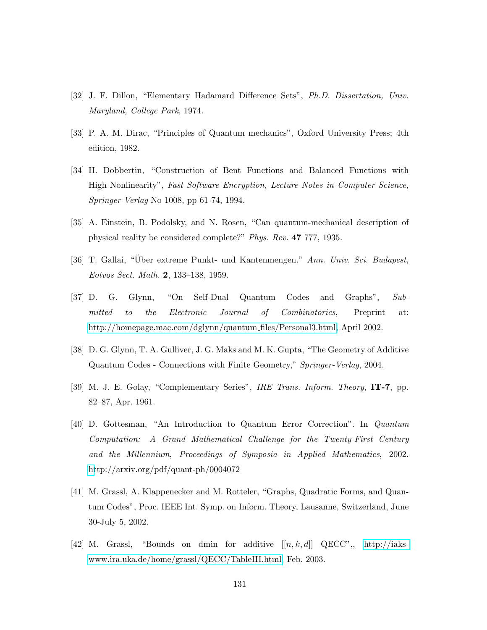- [32] J. F. Dillon, "Elementary Hadamard Difference Sets", Ph.D. Dissertation, Univ. Maryland, College Park, 1974.
- [33] P. A. M. Dirac, "Principles of Quantum mechanics", Oxford University Press; 4th edition, 1982.
- [34] H. Dobbertin, "Construction of Bent Functions and Balanced Functions with High Nonlinearity", Fast Software Encryption, Lecture Notes in Computer Science, Springer-Verlag No 1008, pp 61-74, 1994.
- [35] A. Einstein, B. Podolsky, and N. Rosen, "Can quantum-mechanical description of physical reality be considered complete?" Phys. Rev. 47 777, 1935.
- [36] T. Gallai, "Uber extreme Punkt- und Kantenmengen." Ann. Univ. Sci. Budapest, Eotvos Sect. Math. 2, 133–138, 1959.
- <span id="page-134-0"></span>[37] D. G. Glynn, "On Self-Dual Quantum Codes and Graphs", Submitted to the Electronic Journal of Combinatorics, Preprint at: [http://homepage.mac.com/dglynn/quantum](http://homepage.mac.com/dglynn/quantum_files/Personal3.html) files/Personal3.html, April 2002.
- <span id="page-134-1"></span>[38] D. G. Glynn, T. A. Gulliver, J. G. Maks and M. K. Gupta, "The Geometry of Additive Quantum Codes - Connections with Finite Geometry," Springer-Verlag, 2004.
- [39] M. J. E. Golay, "Complementary Series", IRE Trans. Inform. Theory, IT-7, pp. 82–87, Apr. 1961.
- [40] D. Gottesman, "An Introduction to Quantum Error Correction". In Quantum Computation: A Grand Mathematical Challenge for the Twenty-First Century and the Millennium, Proceedings of Symposia in Applied Mathematics, 2002. [ht](http://arxiv.org/pdf/quant-ph/0004072)tp://arxiv.org/pdf/quant-ph/0004072
- [41] M. Grassl, A. Klappenecker and M. Rotteler, "Graphs, Quadratic Forms, and Quantum Codes", Proc. IEEE Int. Symp. on Inform. Theory, Lausanne, Switzerland, June 30-July 5, 2002.
- [42] M. Grassl, "Bounds on dmin for additive  $[[n, k, d]]$  QECC", [http://iaks](http://iaks-www.ira.uka.de/home/grassl/QECC/TableIII.html)[www.ira.uka.de/home/grassl/QECC/TableIII.html,](http://iaks-www.ira.uka.de/home/grassl/QECC/TableIII.html) Feb. 2003.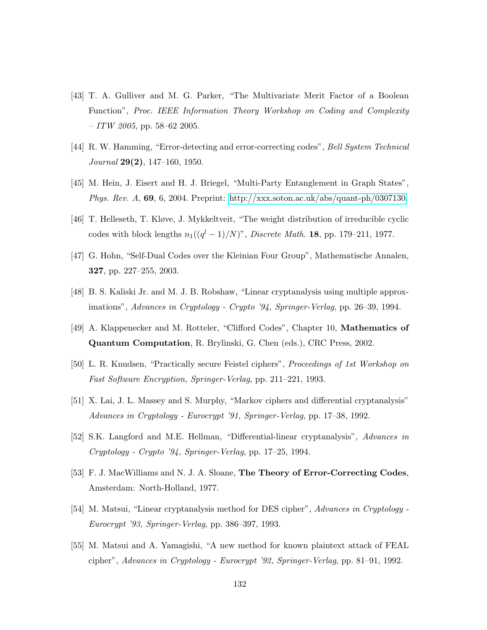- [43] T. A. Gulliver and M. G. Parker, "The Multivariate Merit Factor of a Boolean Function", Proc. IEEE Information Theory Workshop on Coding and Complexity  $- ITW 2005$ , pp. 58–62 2005.
- [44] R. W. Hamming, "Error-detecting and error-correcting codes", Bell System Technical  $Journal$   $29(2)$ , 147-160, 1950.
- <span id="page-135-0"></span>[45] M. Hein, J. Eisert and H. J. Briegel, "Multi-Party Entanglement in Graph States", *Phys. Rev. A,* 69, 6, 2004. Preprint: [http://xxx.soton.ac.uk/abs/quant-ph/0307130.](http://xxx.soton.ac.uk/abs/quant-ph/0307130)
- [46] T. Helleseth, T. Kløve, J. Mykkeltveit, "The weight distribution of irreducible cyclic codes with block lengths  $n_1((q^l-1)/N)$ ", *Discrete Math.* **18**, pp. 179–211, 1977.
- [47] G. Hohn, "Self-Dual Codes over the Kleinian Four Group", Mathematische Annalen, 327, pp. 227–255, 2003.
- [48] B. S. Kaliski Jr. and M. J. B. Robshaw, "Linear cryptanalysis using multiple approximations", Advances in Cryptology - Crypto '94, Springer-Verlag, pp. 26–39, 1994.
- [49] A. Klappenecker and M. Rotteler, "Clifford Codes", Chapter 10, Mathematics of Quantum Computation, R. Brylinski, G. Chen (eds.), CRC Press, 2002.
- [50] L. R. Knudsen, "Practically secure Feistel ciphers", Proceedings of 1st Workshop on Fast Software Encryption, Springer-Verlag, pp. 211–221, 1993.
- [51] X. Lai, J. L. Massey and S. Murphy, "Markov ciphers and differential cryptanalysis" Advances in Cryptology - Eurocrypt '91, Springer-Verlag, pp. 17–38, 1992.
- [52] S.K. Langford and M.E. Hellman, "Differential-linear cryptanalysis", Advances in Cryptology - Crypto '94, Springer-Verlag, pp. 17–25, 1994.
- [53] F. J. MacWilliams and N. J. A. Sloane, The Theory of Error-Correcting Codes, Amsterdam: North-Holland, 1977.
- [54] M. Matsui, "Linear cryptanalysis method for DES cipher", Advances in Cryptology -Eurocrypt '93, Springer-Verlag, pp. 386–397, 1993.
- [55] M. Matsui and A. Yamagishi, "A new method for known plaintext attack of FEAL cipher", Advances in Cryptology - Eurocrypt '92, Springer-Verlag, pp. 81–91, 1992.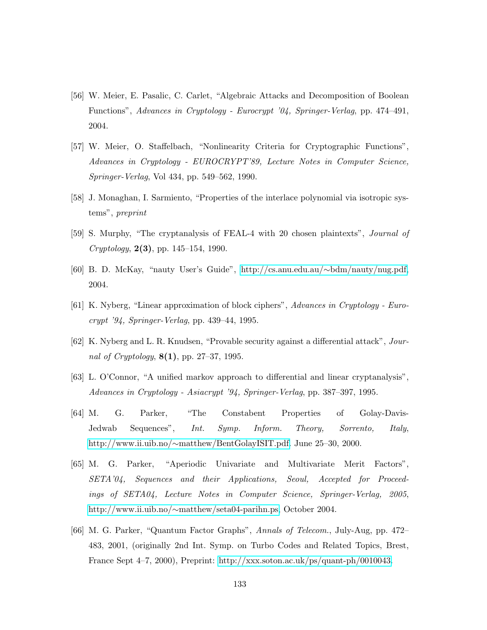- <span id="page-136-2"></span>[56] W. Meier, E. Pasalic, C. Carlet, "Algebraic Attacks and Decomposition of Boolean Functions", Advances in Cryptology - Eurocrypt '04, Springer-Verlag, pp. 474–491, 2004.
- [57] W. Meier, O. Staffelbach, "Nonlinearity Criteria for Cryptographic Functions", Advances in Cryptology - EUROCRYPT'89, Lecture Notes in Computer Science, Springer-Verlag, Vol 434, pp. 549–562, 1990.
- <span id="page-136-3"></span>[58] J. Monaghan, I. Sarmiento, "Properties of the interlace polynomial via isotropic systems", preprint
- [59] S. Murphy, "The cryptanalysis of FEAL-4 with 20 chosen plaintexts", Journal of  $Cryptology, 2(3), pp. 145–154, 1990.$
- <span id="page-136-0"></span>[60] B. D. McKay, "nauty User's Guide", [http://cs.anu.edu.au/](http://cs.anu.edu.au/~bdm/nauty/nug.pdf)∼bdm/nauty/nug.pdf, 2004.
- [61] K. Nyberg, "Linear approximation of block ciphers", Advances in Cryptology Eurocrypt '94, Springer-Verlag, pp. 439–44, 1995.
- [62] K. Nyberg and L. R. Knudsen, "Provable security against a differential attack", Journal of Cryptology,  $8(1)$ , pp. 27–37, 1995.
- [63] L. O'Connor, "A unified markov approach to differential and linear cryptanalysis", Advances in Cryptology - Asiacrypt '94, Springer-Verlag, pp. 387–397, 1995.
- <span id="page-136-1"></span>[64] M. G. Parker, "The Constabent Properties of Golay-Davis-Jedwab Sequences", Int. Symp. Inform. Theory, Sorrento, Italy, http://www.ii.uib.no/∼[matthew/BentGolayISIT.pdf.](http://www.ii.uib.no/~matthew/BentGolayISIT.pdf) June 25–30, 2000.
- [65] M. G. Parker, "Aperiodic Univariate and Multivariate Merit Factors", SETA'04, Sequences and their Applications, Seoul, Accepted for Proceedings of SETA04, Lecture Notes in Computer Science, Springer-Verlag, 2005, http://www.ii.uib.no/∼[matthew/seta04-parihn.ps,](http://www.ii.uib.no/~matthew/seta04-parihn.pdf) October 2004.
- [66] M. G. Parker, "Quantum Factor Graphs", Annals of Telecom., July-Aug, pp. 472– 483, 2001, (originally 2nd Int. Symp. on Turbo Codes and Related Topics, Brest, France Sept 4–7, 2000), Preprint: [http://xxx.soton.ac.uk/ps/quant-ph/0010043.](http://xxx.soton.ac.uk/ps/quant-ph/0010043)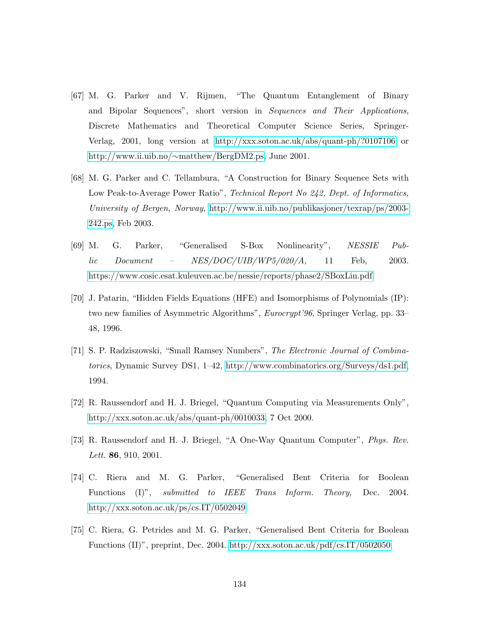- <span id="page-137-0"></span>[67] M. G. Parker and V. Rijmen, "The Quantum Entanglement of Binary and Bipolar Sequences", short version in Sequences and Their Applications, Discrete Mathematics and Theoretical Computer Science Series, Springer-Verlag, 2001, long version at<http://xxx.soton.ac.uk/abs/quant-ph/?0107106> or http://www.ii.uib.no/∼[matthew/BergDM2.ps,](http://www.ii.uib.no/~matthew/BergDM2.ps) June 2001.
- [68] M. G. Parker and C. Tellambura, "A Construction for Binary Sequence Sets with Low Peak-to-Average Power Ratio", Technical Report No 242, Dept. of Informatics, University of Bergen, Norway, [http://www.ii.uib.no/publikasjoner/texrap/ps/2003-](http://www.ii.uib.no/publikasjoner/texrap/ps/2003-242.ps) [242.ps,](http://www.ii.uib.no/publikasjoner/texrap/ps/2003-242.ps) Feb 2003.
- <span id="page-137-1"></span>[69] M. G. Parker, "Generalised S-Box Nonlinearity", NESSIE Pub $lic$  Document – NES/DOC/UIB/WP5/020/A, 11 Feb, 2003. [https://www.cosic.esat.kuleuven.ac.be/nessie/reports/phase2/SBoxLin.pdf.](https://www.cosic.esat.kuleuven.ac.be/nessie/reports/phase2/SBoxLin.pdf)
- <span id="page-137-2"></span>[70] J. Patarin, "Hidden Fields Equations (HFE) and Isomorphisms of Polynomials (IP): two new families of Asymmetric Algorithms", Eurocrypt'96, Springer Verlag, pp. 33– 48, 1996.
- [71] S. P. Radziszowski, "Small Ramsey Numbers", The Electronic Journal of Combinatorics, Dynamic Survey DS1, 1–42, [http://www.combinatorics.org/Surveys/ds1.pdf,](http://www.combinatorics.org/Surveys/ds1.pdf) 1994.
- [72] R. Raussendorf and H. J. Briegel, "Quantum Computing via Measurements Only", [http://xxx.soton.ac.uk/abs/quant-ph/0010033,](http://xxx.soton.ac.uk/abs/quant-ph/0010033) 7 Oct 2000.
- [73] R. Raussendorf and H. J. Briegel, "A One-Way Quantum Computer", Phys. Rev. Lett. **86**, 910, 2001.
- [74] C. Riera and M. G. Parker, "Generalised Bent Criteria for Boolean Functions (I)", *submitted to IEEE Trans Inform. Theory*, Dec. 2004. <http://xxx.soton.ac.uk/ps/cs.IT/0502049>
- [75] C. Riera, G. Petrides and M. G. Parker, "Generalised Bent Criteria for Boolean Functions (II)", preprint, Dec. 2004. [http://xxx.soton.ac.uk/pdf/cs.IT/0502050.](http://xxx.soton.ac.uk/pdf/cs.IT/0502050)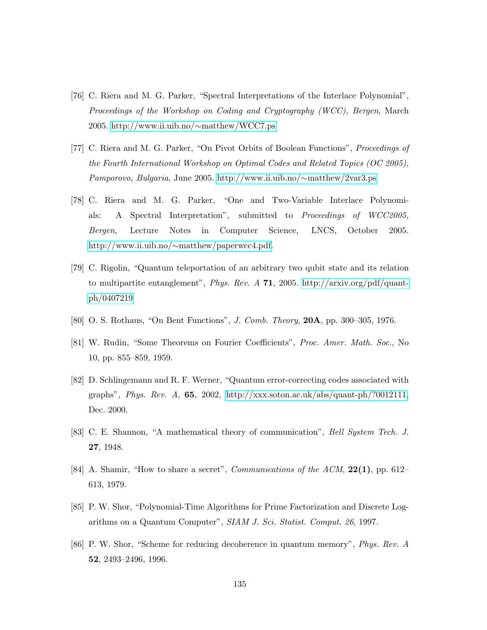- [76] C. Riera and M. G. Parker, "Spectral Interpretations of the Interlace Polynomial", Proceedings of the Workshop on Coding and Cryptography (WCC), Bergen, March 2005. [http://www.ii.uib.no/](http://www.ii.uib.no/~matthew/WCC7.ps)∼matthew/WCC7.ps
- <span id="page-138-0"></span>[77] C. Riera and M. G. Parker, "On Pivot Orbits of Boolean Functions", Proceedings of the Fourth International Workshop on Optimal Codes and Related Topics (OC 2005), Pamporovo, Bulgaria, June 2005. [http://www.ii.uib.no/](http://www.ii.uib.no/~matthew/2var3.ps)∼matthew/2var3.ps
- [78] C. Riera and M. G. Parker, "One and Two-Variable Interlace Polynomials: A Spectral Interpretation", submitted to Proceedings of WCC2005, Bergen, Lecture Notes in Computer Science, LNCS, October 2005. http://www.ii.uib.no/∼[matthew/paperwcc4.pdf.](http://www.ii.uib.no/~matthew/paperwcc4.pdf)
- [79] C. Rigolin, "Quantum teleportation of an arbitrary two qubit state and its relation to multipartite entanglement", *Phys. Rev. A* **71**, 2005. [http://arxiv.org/pdf/quant](http://arxiv.org/pdf/quant-ph/0407219)[ph/0407219](http://arxiv.org/pdf/quant-ph/0407219)
- [80] O. S. Rothaus, "On Bent Functions", J. Comb. Theory, 20A, pp. 300–305, 1976.
- [81] W. Rudin, "Some Theorems on Fourier Coefficients", Proc. Amer. Math. Soc., No 10, pp. 855–859, 1959.
- [82] D. Schlingemann and R. F. Werner, "Quantum error-correcting codes associated with graphs", Phys. Rev. A,  $65$ , 2002, [http://xxx.soton.ac.uk/abs/quant-ph/?0012111,](http://xxx.soton.ac.uk/abs/quant-ph/?0012111) Dec. 2000.
- [83] C. E. Shannon, "A mathematical theory of communication", Bell System Tech. J. 27, 1948.
- <span id="page-138-1"></span>[84] A. Shamir, "How to share a secret", *Communications of the ACM*,  $22(1)$ , pp. 612– 613, 1979.
- [85] P. W. Shor, "Polynomial-Time Algorithms for Prime Factorization and Discrete Logarithms on a Quantum Computer", SIAM J. Sci. Statist. Comput. 26, 1997.
- [86] P. W. Shor, "Scheme for reducing decoherence in quantum memory", Phys. Rev. A 52, 2493–2496, 1996.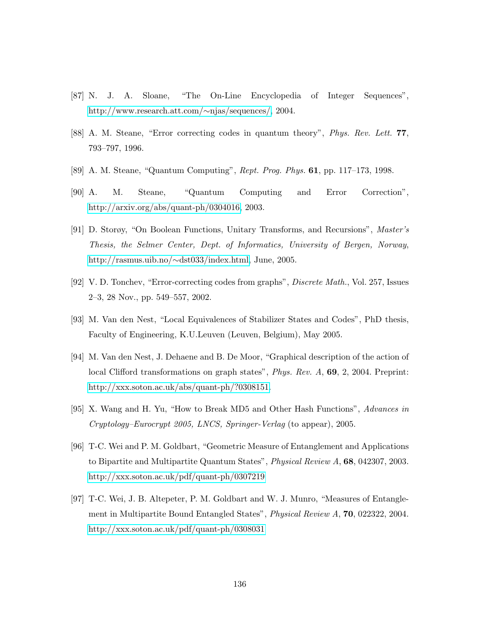- [87] N. J. A. Sloane, "The On-Line Encyclopedia of Integer Sequences", [http://www.research.att.com/](http://www.research.att.com/~njas/sequences/)∼njas/sequences/, 2004.
- [88] A. M. Steane, "Error correcting codes in quantum theory", Phys. Rev. Lett. 77, 793–797, 1996.
- [89] A. M. Steane, "Quantum Computing", Rept. Prog. Phys. 61, pp. 117–173, 1998.
- [90] A. M. Steane, "Quantum Computing and Error Correction", [http://arxiv.org/abs/quant-ph/0304016,](http://arxiv.org/abs/quant-ph/0304016) 2003.
- <span id="page-139-0"></span>[91] D. Storøy, "On Boolean Functions, Unitary Transforms, and Recursions", Master's Thesis, the Selmer Center, Dept. of Informatics, University of Bergen, Norway, [http://rasmus.uib.no/](http://rasmus.uib.no/~dst033/index.html)∼dst033/index.html, June, 2005.
- <span id="page-139-1"></span>[92] V. D. Tonchev, "Error-correcting codes from graphs", Discrete Math., Vol. 257, Issues 2–3, 28 Nov., pp. 549–557, 2002.
- <span id="page-139-2"></span>[93] M. Van den Nest, "Local Equivalences of Stabilizer States and Codes", PhD thesis, Faculty of Engineering, K.U.Leuven (Leuven, Belgium), May 2005.
- [94] M. Van den Nest, J. Dehaene and B. De Moor, "Graphical description of the action of local Clifford transformations on graph states", *Phys. Rev. A*, **69**, 2, 2004. Preprint: [http://xxx.soton.ac.uk/abs/quant-ph/?0308151.](http://xxx.soton.ac.uk/abs/quant-ph/?0308151)
- [95] X. Wang and H. Yu, "How to Break MD5 and Other Hash Functions", Advances in Cryptology–Eurocrypt 2005, LNCS, Springer-Verlag (to appear), 2005.
- [96] T-C. Wei and P. M. Goldbart, "Geometric Measure of Entanglement and Applications to Bipartite and Multipartite Quantum States", Physical Review A, 68, 042307, 2003. <http://xxx.soton.ac.uk/pdf/quant-ph/0307219>
- [97] T-C. Wei, J. B. Altepeter, P. M. Goldbart and W. J. Munro, "Measures of Entanglement in Multipartite Bound Entangled States", Physical Review A, 70, 022322, 2004. <http://xxx.soton.ac.uk/pdf/quant-ph/0308031>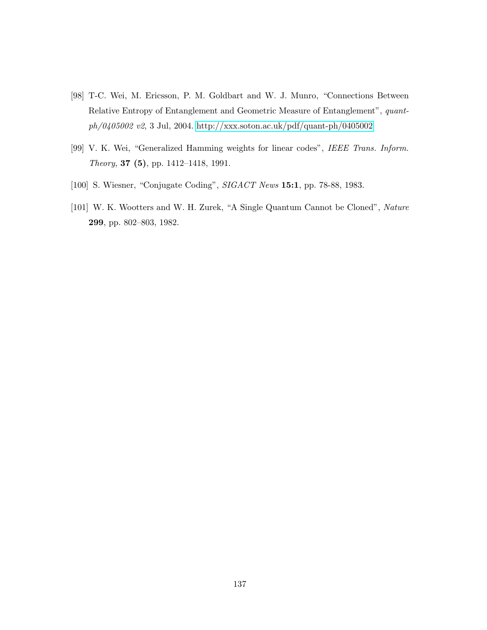- [98] T-C. Wei, M. Ericsson, P. M. Goldbart and W. J. Munro, "Connections Between Relative Entropy of Entanglement and Geometric Measure of Entanglement", quantph/0405002 v2, 3 Jul, 2004.<http://xxx.soton.ac.uk/pdf/quant-ph/0405002>
- [99] V. K. Wei, "Generalized Hamming weights for linear codes", IEEE Trans. Inform. Theory, 37 (5), pp. 1412–1418, 1991.
- [100] S. Wiesner, "Conjugate Coding", SIGACT News 15:1, pp. 78-88, 1983.
- [101] W. K. Wootters and W. H. Zurek, "A Single Quantum Cannot be Cloned", Nature 299, pp. 802–803, 1982.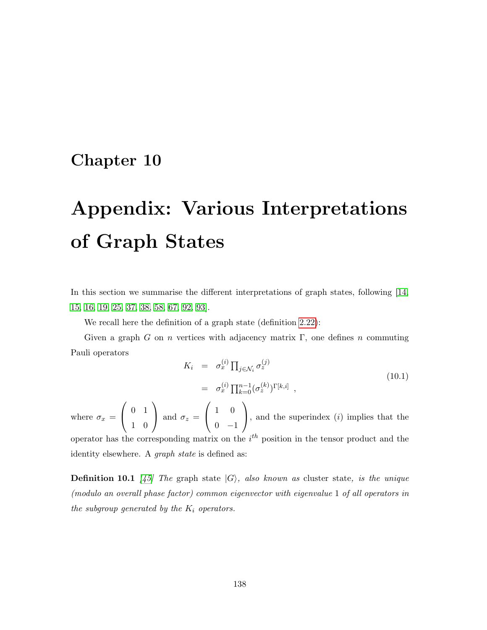# Chapter 10

# Appendix: Various Interpretations of Graph States

In this section we summarise the different interpretations of graph states, following [\[14,](#page-132-2) [15,](#page-132-3) [16,](#page-132-4) [19,](#page-132-5) [25,](#page-133-4) [37,](#page-134-0) [38,](#page-134-1) [58,](#page-136-3) [67,](#page-137-0) [92,](#page-139-1) [93\]](#page-139-2).

We recall here the definition of a graph state (definition [2.22\)](#page-28-0):

Given a graph G on n vertices with adjacency matrix  $\Gamma$ , one defines n commuting Pauli operators

$$
K_i = \sigma_x^{(i)} \prod_{j \in \mathcal{N}_i} \sigma_z^{(j)}
$$
  
=  $\sigma_x^{(i)} \prod_{k=0}^{n-1} (\sigma_z^{(k)})^{\Gamma[k,i]}$ , (10.1)

where  $\sigma_x =$  $\sqrt{ }$  $\overline{1}$ 0 1 1 0  $\setminus$ and  $\sigma_z =$  $\sqrt{ }$  $\overline{1}$ 1 0  $0 -1$  $\setminus$ , and the superindex  $(i)$  implies that the operator has the corresponding matrix on the  $i<sup>th</sup>$  position in the tensor product and the identity elsewhere. A *graph state* is defined as:

**Definition 10.1** [\[45\]](#page-135-0) The graph state  $|G\rangle$ , also known as cluster state, is the unique (modulo an overall phase factor) common eigenvector with eigenvalue 1 of all operators in the subgroup generated by the  $K_i$  operators.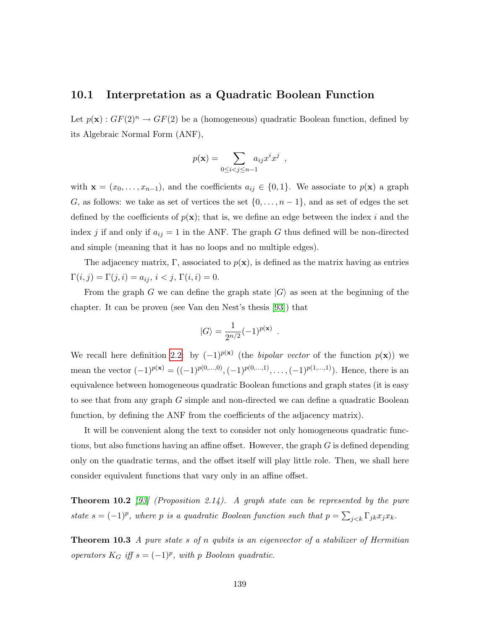#### 10.1 Interpretation as a Quadratic Boolean Function

Let  $p(\mathbf{x}) : GF(2)^n \to GF(2)$  be a (homogeneous) quadratic Boolean function, defined by its Algebraic Normal Form (ANF),

$$
p(\mathbf{x}) = \sum_{0 \le i < j \le n-1} a_{ij} x^i x^j \enspace ,
$$

with  $\mathbf{x} = (x_0, \ldots, x_{n-1})$ , and the coefficients  $a_{ij} \in \{0, 1\}$ . We associate to  $p(\mathbf{x})$  a graph G, as follows: we take as set of vertices the set  $\{0, \ldots, n-1\}$ , and as set of edges the set defined by the coefficients of  $p(x)$ ; that is, we define an edge between the index i and the index j if and only if  $a_{ij} = 1$  in the ANF. The graph G thus defined will be non-directed and simple (meaning that it has no loops and no multiple edges).

The adjacency matrix, Γ, associated to  $p(\mathbf{x})$ , is defined as the matrix having as entries  $\Gamma(i, j) = \Gamma(j, i) = a_{ij}, i < j, \Gamma(i, i) = 0.$ 

From the graph G we can define the graph state  $|G\rangle$  as seen at the beginning of the chapter. It can be proven (see Van den Nest's thesis [\[93\]](#page-139-2)) that

$$
|G\rangle = \frac{1}{2^{n/2}}(-1)^{p({\bf x})} .
$$

We recall here definition [2.2:](#page-24-0) by  $(-1)^{p(x)}$  (the *bipolar vector* of the function  $p(x)$ ) we mean the vector  $(-1)^{p(x)} = ((-1)^{p(0,...,0)}, (-1)^{p(0,...,1)}, \ldots, (-1)^{p(1,...,1)})$ . Hence, there is an equivalence between homogeneous quadratic Boolean functions and graph states (it is easy to see that from any graph G simple and non-directed we can define a quadratic Boolean function, by defining the ANF from the coefficients of the adjacency matrix).

It will be convenient along the text to consider not only homogeneous quadratic functions, but also functions having an affine offset. However, the graph G is defined depending only on the quadratic terms, and the offset itself will play little role. Then, we shall here consider equivalent functions that vary only in an affine offset.

**Theorem 10.2** [\[93\]](#page-139-2) (Proposition 2.14). A graph state can be represented by the pure state  $s = (-1)^p$ , where p is a quadratic Boolean function such that  $p = \sum_{j < k} \Gamma_{jk} x_j x_k$ .

**Theorem 10.3** A pure state s of n qubits is an eigenvector of a stabilizer of Hermitian operators  $K_G$  iff  $s = (-1)^p$ , with p Boolean quadratic.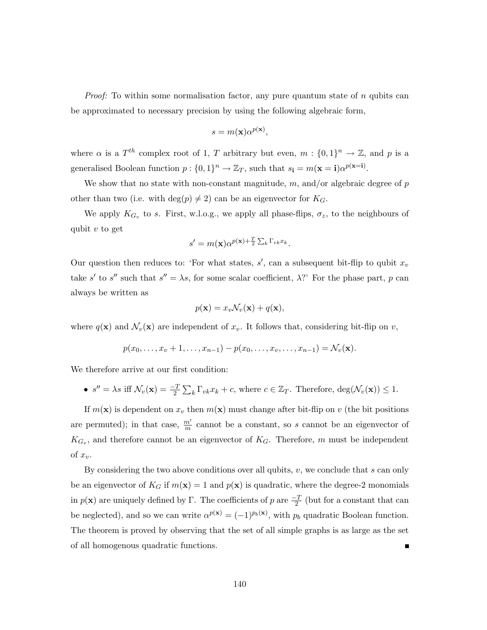*Proof:* To within some normalisation factor, any pure quantum state of  $n$  qubits can be approximated to necessary precision by using the following algebraic form,

$$
s = m(\mathbf{x})\alpha^{p(\mathbf{x})},
$$

where  $\alpha$  is a  $T^{th}$  complex root of 1, T arbitrary but even,  $m: \{0,1\}^n \to \mathbb{Z}$ , and p is a generalised Boolean function  $p: \{0,1\}^n \to \mathbb{Z}_T$ , such that  $s_i = m(\mathbf{x} = \mathbf{i})\alpha^{p(\mathbf{x} = \mathbf{i})}$ .

We show that no state with non-constant magnitude,  $m$ , and/or algebraic degree of  $p$ other than two (i.e. with  $\deg(p) \neq 2$ ) can be an eigenvector for  $K_G$ .

We apply  $K_{G_v}$  to s. First, w.l.o.g., we apply all phase-flips,  $\sigma_z$ , to the neighbours of qubit  $v$  to get

$$
s' = m(\mathbf{x})\alpha^{p(\mathbf{x}) + \frac{T}{2}\sum_k \Gamma_{vk} x_k}.
$$

Our question then reduces to: 'For what states,  $s'$ , can a subsequent bit-flip to qubit  $x_v$ take s' to s'' such that  $s'' = \lambda s$ , for some scalar coefficient,  $\lambda$ ?' For the phase part, p can always be written as

$$
p(\mathbf{x}) = x_v \mathcal{N}_v(\mathbf{x}) + q(\mathbf{x}),
$$

where  $q(\mathbf{x})$  and  $\mathcal{N}_v(\mathbf{x})$  are independent of  $x_v$ . It follows that, considering bit-flip on v,

$$
p(x_0,...,x_v+1,...,x_{n-1})-p(x_0,...,x_v,...,x_{n-1})=\mathcal{N}_v(\mathbf{x}).
$$

We therefore arrive at our first condition:

•  $s'' = \lambda s$  iff  $\mathcal{N}_v(\mathbf{x}) = \frac{-T}{2} \sum_k \Gamma_{vk} x_k + c$ , where  $c \in \mathbb{Z}_T$ . Therefore,  $\deg(\mathcal{N}_v(\mathbf{x})) \leq 1$ .

If  $m(\mathbf{x})$  is dependent on  $x_v$  then  $m(\mathbf{x})$  must change after bit-flip on v (the bit positions are permuted); in that case,  $\frac{m'}{m}$  cannot be a constant, so s cannot be an eigenvector of  $K_{G_v}$ , and therefore cannot be an eigenvector of  $K_G$ . Therefore, m must be independent of  $x_v$ .

By considering the two above conditions over all qubits,  $v$ , we conclude that s can only be an eigenvector of  $K_G$  if  $m(\mathbf{x}) = 1$  and  $p(\mathbf{x})$  is quadratic, where the degree-2 monomials in  $p(\mathbf{x})$  are uniquely defined by Γ. The coefficients of p are  $\frac{-T}{2}$  (but for a constant that can be neglected), and so we can write  $\alpha^{p(x)} = (-1)^{p_b(x)}$ , with  $p_b$  quadratic Boolean function. The theorem is proved by observing that the set of all simple graphs is as large as the set of all homogenous quadratic functions.  $\blacksquare$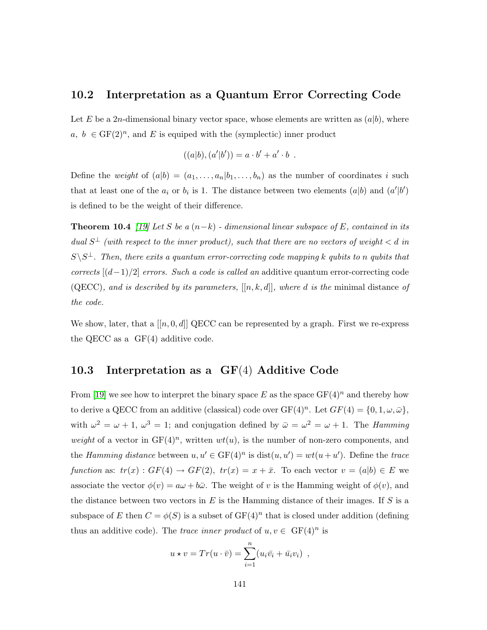### 10.2 Interpretation as a Quantum Error Correcting Code

Let E be a 2n-dimensional binary vector space, whose elements are written as  $(a|b)$ , where  $a, b \in GF(2)^n$ , and E is equiped with the (symplectic) inner product

$$
((a|b),(a'|b'))=a\cdot b'+a'\cdot b\enspace.
$$

Define the weight of  $(a|b) = (a_1, \ldots, a_n | b_1, \ldots, b_n)$  as the number of coordinates i such that at least one of the  $a_i$  or  $b_i$  is 1. The distance between two elements  $(a|b)$  and  $(a'|b')$ is defined to be the weight of their difference.

<span id="page-144-0"></span>**Theorem 10.4** [\[19\]](#page-132-0) Let S be a  $(n-k)$  - dimensional linear subspace of E, contained in its dual  $S^{\perp}$  (with respect to the inner product), such that there are no vectors of weight  $\lt d$  in  $S \backslash S^{\perp}$ . Then, there exits a quantum error-correcting code mapping k qubits to n qubits that corrects  $[(d-1)/2]$  errors. Such a code is called an additive quantum error-correcting code (QECC), and is described by its parameters,  $[[n, k, d]]$ , where d is the minimal distance of the code.

We show, later, that a  $[[n, 0, d]]$  QECC can be represented by a graph. First we re-express the QECC as a GF(4) additive code.

### 10.3 Interpretation as a GF(4) Additive Code

From [\[19\]](#page-132-0) we see how to interpret the binary space E as the space  $GF(4)^n$  and thereby how to derive a QECC from an additive (classical) code over  $GF(4)^n$ . Let  $GF(4) = \{0, 1, \omega, \bar{\omega}\},$ with  $\omega^2 = \omega + 1$ ,  $\omega^3 = 1$ ; and conjugation defined by  $\bar{\omega} = \omega^2 = \omega + 1$ . The *Hamming* weight of a vector in  $GF(4)^n$ , written  $wt(u)$ , is the number of non-zero components, and the Hamming distance between  $u, u' \in \mathrm{GF}(4)^n$  is  $\mathrm{dist}(u, u') = wt(u + u')$ . Define the trace function as:  $tr(x) : GF(4) \rightarrow GF(2), \ tr(x) = x + \bar{x}$ . To each vector  $v = (a|b) \in E$  we associate the vector  $\phi(v) = a\omega + b\bar{\omega}$ . The weight of v is the Hamming weight of  $\phi(v)$ , and the distance between two vectors in  $E$  is the Hamming distance of their images. If  $S$  is a subspace of E then  $C = \phi(S)$  is a subset of  $GF(4)^n$  that is closed under addition (defining thus an additive code). The trace inner product of  $u, v \in \mathrm{GF}(4)^n$  is

$$
u \star v = Tr(u \cdot \overline{v}) = \sum_{i=1}^{n} (u_i \overline{v}_i + \overline{u}_i v_i) ,
$$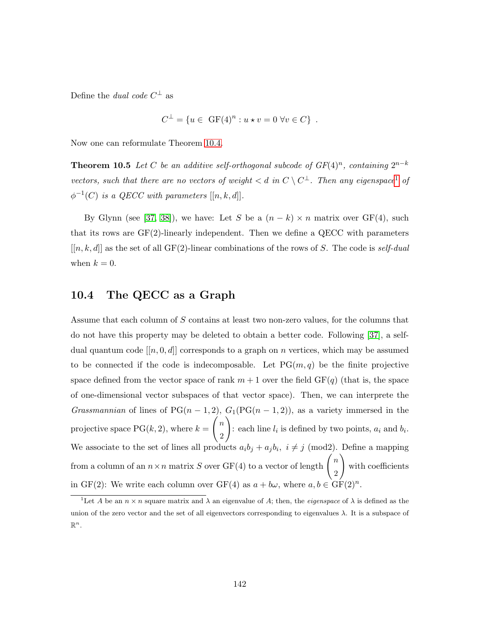Define the *dual code*  $C^{\perp}$  as

$$
C^{\perp} = \{ u \in \text{GF}(4)^n : u \star v = 0 \,\forall v \in C \} .
$$

Now one can reformulate Theorem [10.4.](#page-144-0)

**Theorem 10.5** Let C be an additive self-orthogonal subcode of  $GF(4)^n$ , containing  $2^{n-k}$ vectors, such that there are no vectors of weight  $d$  in  $C \setminus C^{\perp}$ . Then any eigenspace<sup>[1](#page-145-0)</sup> of  $\phi^{-1}(C)$  is a QECC with parameters  $[[n, k, d]].$ 

By Glynn (see [\[37,](#page-134-0) [38\]](#page-134-1)), we have: Let S be a  $(n - k) \times n$  matrix over GF(4), such that its rows are GF(2)-linearly independent. Then we define a QECC with parameters  $[[n, k, d]]$  as the set of all GF(2)-linear combinations of the rows of S. The code is self-dual when  $k = 0$ .

### 10.4 The QECC as a Graph

Assume that each column of S contains at least two non-zero values, for the columns that do not have this property may be deleted to obtain a better code. Following [\[37\]](#page-134-0), a selfdual quantum code  $[[n, 0, d]]$  corresponds to a graph on n vertices, which may be assumed to be connected if the code is indecomposable. Let  $PG(m, q)$  be the finite projective space defined from the vector space of rank  $m + 1$  over the field  $GF(q)$  (that is, the space of one-dimensional vector subspaces of that vector space). Then, we can interprete the Grassmannian of lines of  $PG(n-1,2)$ ,  $G_1(PG(n-1,2))$ , as a variety immersed in the projective space  $PG(k, 2)$ , where  $k =$  $\left( n\right)$ 2  $\setminus$ : each line  $l_i$  is defined by two points,  $a_i$  and  $b_i$ . We associate to the set of lines all products  $a_i b_j + a_j b_i$ ,  $i \neq j \pmod{2}$ . Define a mapping from a column of an  $n \times n$  matrix  $S$  over GF(4) to a vector of length  $\bigg/n$ 2  $\setminus$ with coefficients in GF(2): We write each column over GF(4) as  $a + b\omega$ , where  $a, b \in \text{GF}(2)^n$ .

<span id="page-145-0"></span><sup>&</sup>lt;sup>1</sup>Let A be an  $n \times n$  square matrix and  $\lambda$  an eigenvalue of A; then, the *eigenspace* of  $\lambda$  is defined as the union of the zero vector and the set of all eigenvectors corresponding to eigenvalues  $\lambda$ . It is a subspace of  $\mathbb{R}^n$ .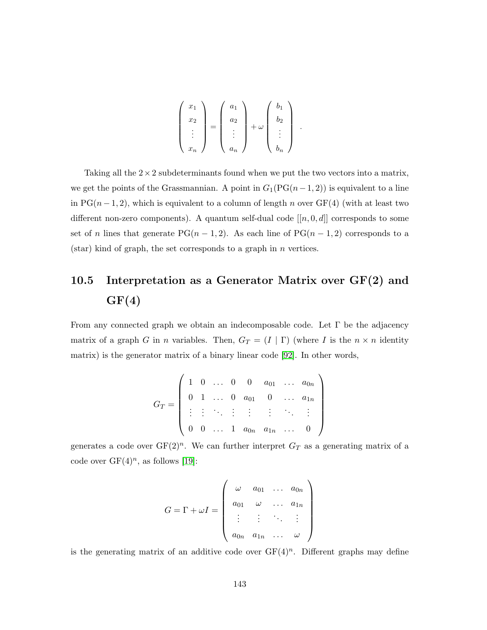$$
\begin{pmatrix} x_1 \\ x_2 \\ \vdots \\ x_n \end{pmatrix} = \begin{pmatrix} a_1 \\ a_2 \\ \vdots \\ a_n \end{pmatrix} + \omega \begin{pmatrix} b_1 \\ b_2 \\ \vdots \\ b_n \end{pmatrix}
$$

.

Taking all the  $2 \times 2$  subdeterminants found when we put the two vectors into a matrix, we get the points of the Grassmannian. A point in  $G_1(PG(n-1, 2))$  is equivalent to a line in PG( $n-1, 2$ ), which is equivalent to a column of length n over GF(4) (with at least two different non-zero components). A quantum self-dual code  $[[n, 0, d]]$  corresponds to some set of n lines that generate PG( $n-1,2$ ). As each line of PG( $n-1,2$ ) corresponds to a  $(\text{star})$  kind of graph, the set corresponds to a graph in *n* vertices.

# 10.5 Interpretation as a Generator Matrix over  $GF(2)$  and  $GF(4)$

From any connected graph we obtain an indecomposable code. Let  $\Gamma$  be the adjacency matrix of a graph G in n variables. Then,  $G_T = (I | \Gamma)$  (where I is the  $n \times n$  identity matrix) is the generator matrix of a binary linear code [\[92\]](#page-139-0). In other words,

$$
G_T = \left( \begin{array}{cccccc} 1 & 0 & \ldots & 0 & 0 & a_{01} & \ldots & a_{0n} \\ 0 & 1 & \ldots & 0 & a_{01} & 0 & \ldots & a_{1n} \\ \vdots & \vdots & \ddots & \vdots & \vdots & \vdots & \ddots & \vdots \\ 0 & 0 & \ldots & 1 & a_{0n} & a_{1n} & \ldots & 0 \end{array} \right)
$$

generates a code over  $GF(2)^n$ . We can further interpret  $G_T$  as a generating matrix of a code over  $GF(4)^n$ , as follows [\[19\]](#page-132-0):

$$
G = \Gamma + \omega I = \begin{pmatrix} \omega & a_{01} & \dots & a_{0n} \\ a_{01} & \omega & \dots & a_{1n} \\ \vdots & \vdots & \ddots & \vdots \\ a_{0n} & a_{1n} & \dots & \omega \end{pmatrix}
$$

is the generating matrix of an additive code over  $GF(4)^n$ . Different graphs may define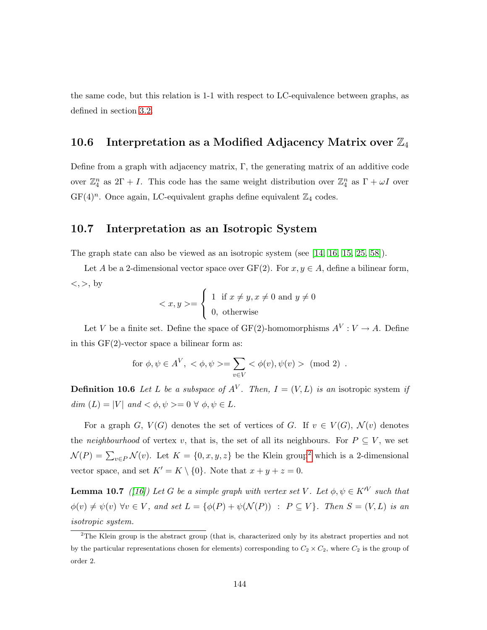the same code, but this relation is 1-1 with respect to LC-equivalence between graphs, as defined in section [3.2.](#page-32-0)

# 10.6 Interpretation as a Modified Adjacency Matrix over  $\mathbb{Z}_4$

Define from a graph with adjacency matrix, Γ, the generating matrix of an additive code over  $\mathbb{Z}_4^n$  as  $2\Gamma + I$ . This code has the same weight distribution over  $\mathbb{Z}_4^n$  as  $\Gamma + \omega I$  over  $GF(4)^n$ . Once again, LC-equivalent graphs define equivalent  $\mathbb{Z}_4$  codes.

### 10.7 Interpretation as an Isotropic System

The graph state can also be viewed as an isotropic system (see [\[14,](#page-132-1) [16,](#page-132-2) [15,](#page-132-3) [25,](#page-133-0) [58\]](#page-136-0)).

Let A be a 2-dimensional vector space over GF(2). For  $x, y \in A$ , define a bilinear form,  $\langle , \rangle$ , by

$$
\langle x, y \rangle = \begin{cases} 1 & \text{if } x \neq y, x \neq 0 \text{ and } y \neq 0 \\ 0, & \text{otherwise} \end{cases}
$$

Let V be a finite set. Define the space of GF(2)-homomorphisms  $A^V: V \to A$ . Define in this GF(2)-vector space a bilinear form as:

$$
\text{for } \phi, \psi \in A^V, \langle \phi, \psi \rangle = \sum_{v \in V} \langle \phi(v), \psi(v) \rangle \pmod{2} \ .
$$

**Definition 10.6** Let L be a subspace of  $A^V$ . Then,  $I = (V, L)$  is an isotropic system if  $dim (L) = |V|$  and  $\langle \phi, \psi \rangle = 0 \ \forall \ \phi, \psi \in L$ .

For a graph G,  $V(G)$  denotes the set of vertices of G. If  $v \in V(G)$ ,  $\mathcal{N}(v)$  denotes the neighbourhood of vertex v, that is, the set of all its neighbours. For  $P \subseteq V$ , we set  $\mathcal{N}(P) = \sum_{v \in P} \mathcal{N}(v)$ . Let  $K = \{0, x, y, z\}$  be the Klein group<sup>[2](#page-147-0)</sup> which is a 2-dimensional vector space, and set  $K' = K \setminus \{0\}$ . Note that  $x + y + z = 0$ .

**Lemma 10.7** ([\[16\]](#page-132-2)) Let G be a simple graph with vertex set V. Let  $\phi, \psi \in K^{\prime V}$  such that  $\phi(v) \neq \psi(v)$   $\forall v \in V$ , and set  $L = {\phi(P) + \psi(\mathcal{N}(P)) : P \subseteq V}$ . Then  $S = (V, L)$  is an isotropic system.

<span id="page-147-0"></span><sup>2</sup>The Klein group is the abstract group (that is, characterized only by its abstract properties and not by the particular representations chosen for elements) corresponding to  $C_2 \times C_2$ , where  $C_2$  is the group of order 2.